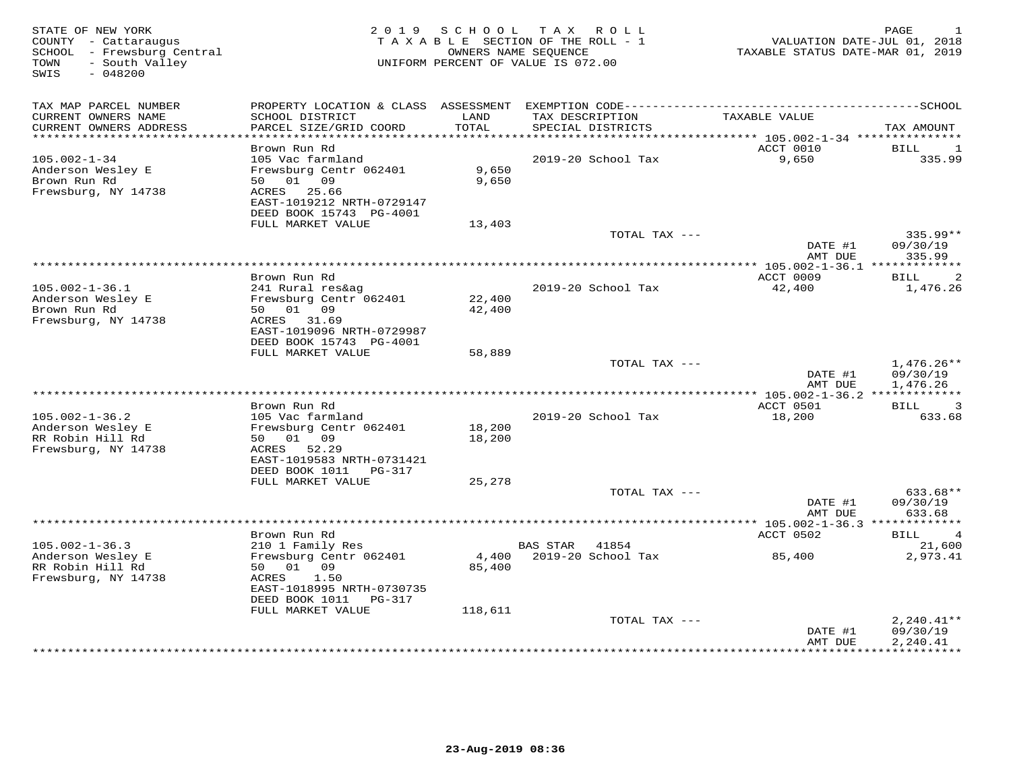| STATE OF NEW YORK<br>COUNTY - Cattaraugus<br>SCHOOL - Frewsburg Central<br>- South Valley<br>TOWN<br>SWIS<br>$-048200$ |                                                                                                                                   | 2019 SCHOOL                | TAX ROLL<br>TAXABLE SECTION OF THE ROLL - 1<br>OWNERS NAME SEQUENCE<br>UNIFORM PERCENT OF VALUE IS 072.00 | VALUATION DATE-JUL 01, 2018<br>TAXABLE STATUS DATE-MAR 01, 2019 | PAGE<br>-1                           |
|------------------------------------------------------------------------------------------------------------------------|-----------------------------------------------------------------------------------------------------------------------------------|----------------------------|-----------------------------------------------------------------------------------------------------------|-----------------------------------------------------------------|--------------------------------------|
| TAX MAP PARCEL NUMBER                                                                                                  |                                                                                                                                   |                            |                                                                                                           |                                                                 |                                      |
| CURRENT OWNERS NAME<br>CURRENT OWNERS ADDRESS<br>***********************                                               | SCHOOL DISTRICT<br>PARCEL SIZE/GRID COORD<br>*************************                                                            | LAND<br>TOTAL              | TAX DESCRIPTION<br>SPECIAL DISTRICTS                                                                      | TAXABLE VALUE                                                   | TAX AMOUNT                           |
|                                                                                                                        | Brown Run Rd                                                                                                                      |                            |                                                                                                           | ACCT 0010                                                       | BILL<br>1                            |
| $105.002 - 1 - 34$<br>Anderson Wesley E<br>Brown Run Rd<br>Frewsburg, NY 14738                                         | 105 Vac farmland<br>Frewsburg Centr 062401<br>50 01 09<br>25.66<br>ACRES<br>EAST-1019212 NRTH-0729147<br>DEED BOOK 15743 PG-4001  | 9,650<br>9,650             | 2019-20 School Tax                                                                                        | 9,650                                                           | 335.99                               |
|                                                                                                                        | FULL MARKET VALUE                                                                                                                 | 13,403                     |                                                                                                           |                                                                 |                                      |
|                                                                                                                        |                                                                                                                                   |                            | TOTAL TAX ---                                                                                             | DATE #1<br>AMT DUE                                              | 335.99**<br>09/30/19<br>335.99       |
|                                                                                                                        |                                                                                                                                   |                            |                                                                                                           | *** 105.002-1-36.1 **************                               |                                      |
|                                                                                                                        | Brown Run Rd                                                                                                                      |                            |                                                                                                           | ACCT 0009                                                       | 2<br>BILL                            |
| $105.002 - 1 - 36.1$<br>Anderson Wesley E<br>Brown Run Rd<br>Frewsburg, NY 14738                                       | 241 Rural res&ag<br>Frewsburg Centr 062401<br>50 01 09<br>ACRES 31.69<br>EAST-1019096 NRTH-0729987<br>DEED BOOK 15743 PG-4001     | 22,400<br>42,400           | 2019-20 School Tax                                                                                        | 42,400                                                          | 1,476.26                             |
|                                                                                                                        | FULL MARKET VALUE                                                                                                                 | 58,889                     |                                                                                                           |                                                                 |                                      |
|                                                                                                                        |                                                                                                                                   |                            | TOTAL TAX ---                                                                                             | DATE #1<br>AMT DUE                                              | $1,476.26**$<br>09/30/19<br>1,476.26 |
|                                                                                                                        |                                                                                                                                   |                            |                                                                                                           |                                                                 |                                      |
| $105.002 - 1 - 36.2$                                                                                                   | Brown Run Rd<br>105 Vac farmland                                                                                                  |                            | 2019-20 School Tax                                                                                        | ACCT 0501<br>18,200                                             | 3<br>BILL<br>633.68                  |
| Anderson Wesley E<br>RR Robin Hill Rd<br>Frewsburg, NY 14738                                                           | Frewsburg Centr 062401<br>50 01 09<br>ACRES 52.29<br>EAST-1019583 NRTH-0731421                                                    | 18,200<br>18,200           |                                                                                                           |                                                                 |                                      |
|                                                                                                                        | DEED BOOK 1011 PG-317                                                                                                             |                            |                                                                                                           |                                                                 |                                      |
|                                                                                                                        | FULL MARKET VALUE                                                                                                                 | 25,278                     |                                                                                                           |                                                                 |                                      |
|                                                                                                                        |                                                                                                                                   |                            | TOTAL TAX ---                                                                                             | DATE #1<br>AMT DUE                                              | 633.68**<br>09/30/19<br>633.68       |
|                                                                                                                        |                                                                                                                                   |                            |                                                                                                           |                                                                 |                                      |
|                                                                                                                        | Brown Run Rd                                                                                                                      |                            |                                                                                                           | ACCT 0502                                                       | BILL<br>$\overline{4}$               |
| $105.002 - 1 - 36.3$                                                                                                   | 210 1 Family Res                                                                                                                  |                            | 41854<br><b>BAS STAR</b>                                                                                  |                                                                 | 21,600                               |
| Anderson Wesley E<br>RR Robin Hill Rd<br>Frewsburg, NY 14738                                                           | Frewsburg Centr 062401<br>50<br>01 09<br>1.50<br>ACRES<br>EAST-1018995 NRTH-0730735<br>DEED BOOK 1011 PG-317<br>FULL MARKET VALUE | 4,400<br>85,400<br>118,611 | 2019-20 School Tax                                                                                        | 85,400                                                          | 2,973.41                             |
|                                                                                                                        |                                                                                                                                   |                            | TOTAL TAX ---                                                                                             |                                                                 | $2,240.41**$                         |
|                                                                                                                        |                                                                                                                                   |                            |                                                                                                           | DATE #1<br>AMT DUE                                              | 09/30/19<br>2,240.41                 |
|                                                                                                                        |                                                                                                                                   |                            | ********************************                                                                          | ************                                                    | ***********                          |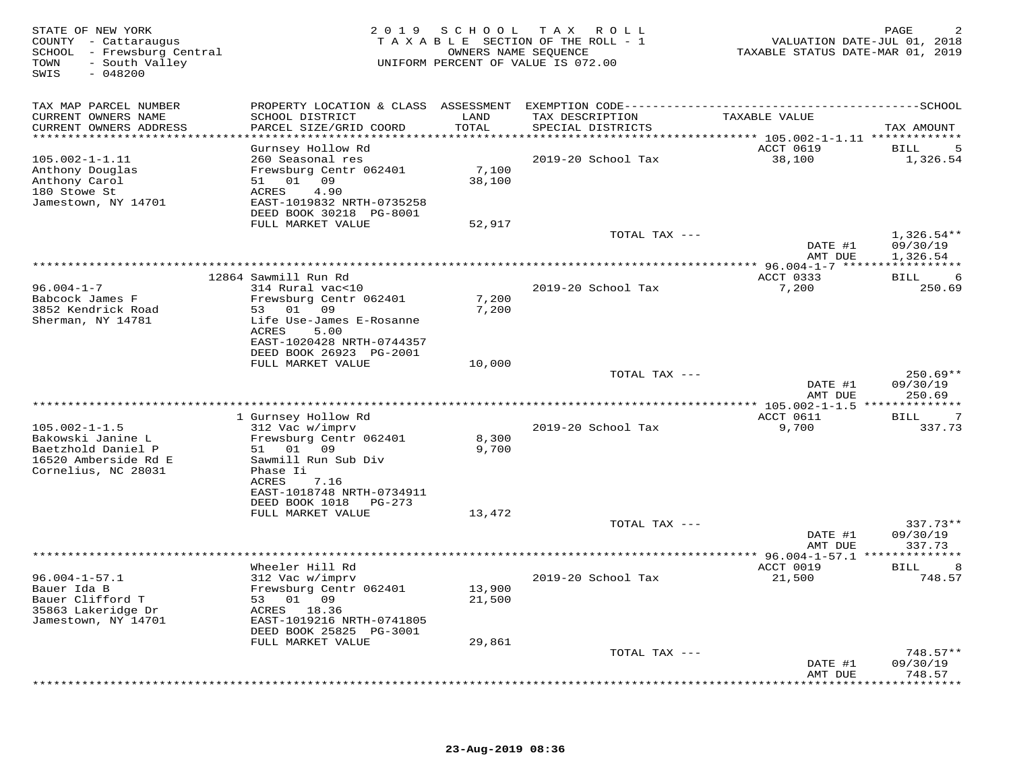| -------------SCHOOL<br>TAX MAP PARCEL NUMBER<br>PROPERTY LOCATION & CLASS ASSESSMENT EXEMPTION CODE----------------------------<br>CURRENT OWNERS NAME<br>SCHOOL DISTRICT<br>LAND<br>TAX DESCRIPTION<br>TAXABLE VALUE<br>TOTAL<br>CURRENT OWNERS ADDRESS<br>PARCEL SIZE/GRID COORD<br>SPECIAL DISTRICTS<br>TAX AMOUNT<br>***********************<br>Gurnsey Hollow Rd<br>ACCT 0619<br>5<br>BILL<br>$105.002 - 1 - 1.11$<br>260 Seasonal res<br>2019-20 School Tax<br>38,100<br>1,326.54<br>7,100<br>Anthony Douglas<br>Frewsburg Centr 062401<br>Anthony Carol<br>51 01 09<br>38,100<br>180 Stowe St<br>4.90<br>ACRES<br>EAST-1019832 NRTH-0735258<br>Jamestown, NY 14701<br>DEED BOOK 30218 PG-8001<br>FULL MARKET VALUE<br>52,917<br>TOTAL TAX ---<br>$1,326.54**$<br>DATE #1<br>09/30/19<br>1,326.54<br>AMT DUE<br>* * * * * * * * * * * *<br>12864 Sawmill Run Rd<br>ACCT 0333<br>BILL<br>6<br>$96.004 - 1 - 7$<br>2019-20 School Tax<br>314 Rural vac<10<br>7,200<br>250.69<br>Frewsburg Centr 062401<br>Babcock James F<br>7,200<br>53 01 09<br>3852 Kendrick Road<br>7,200<br>Sherman, NY 14781<br>Life Use-James E-Rosanne<br>ACRES<br>5.00<br>EAST-1020428 NRTH-0744357<br>DEED BOOK 26923 PG-2001<br>FULL MARKET VALUE<br>10,000<br>TOTAL TAX ---<br>$250.69**$<br>DATE #1<br>09/30/19<br>AMT DUE<br>250.69<br>1 Gurnsey Hollow Rd<br>ACCT 0611<br><b>BILL</b><br>7<br>$105.002 - 1 - 1.5$<br>312 Vac w/imprv<br>2019-20 School Tax<br>9,700<br>337.73<br>Bakowski Janine L<br>Frewsburg Centr 062401<br>8,300<br>Baetzhold Daniel P<br>09<br>51 01<br>9,700<br>16520 Amberside Rd E<br>Sawmill Run Sub Div<br>Cornelius, NC 28031<br>Phase Ii<br>ACRES<br>7.16<br>EAST-1018748 NRTH-0734911<br>DEED BOOK 1018<br>PG-273<br>FULL MARKET VALUE<br>13,472<br>$337.73**$<br>TOTAL TAX ---<br>DATE #1<br>09/30/19<br>337.73<br>AMT DUE<br>**************<br>* 96.004-1-57.1 ***<br>********<br>Wheeler Hill Rd<br>ACCT 0019<br>BILL<br>8<br>$96.004 - 1 - 57.1$<br>312 Vac w/imprv<br>2019-20 School Tax<br>21,500<br>748.57<br>Bauer Ida B<br>Frewsburg Centr 062401<br>13,900<br>Bauer Clifford T<br>53 01 09<br>21,500<br>35863 Lakeridge Dr<br>ACRES 18.36<br>EAST-1019216 NRTH-0741805<br>Jamestown, NY 14701<br>DEED BOOK 25825 PG-3001<br>FULL MARKET VALUE<br>29,861<br>TOTAL TAX ---<br>$748.57**$<br>DATE #1<br>09/30/19<br>748.57<br>AMT DUE<br>******** | STATE OF NEW YORK<br>COUNTY - Cattaraugus<br>SCHOOL - Frewsburg Central<br>- South Valley<br>TOWN<br>SWIS<br>$-048200$ | 2 0 1 9 | SCHOOL | T A X<br>ROLL ROLL<br>TAXABLE SECTION OF THE ROLL - 1<br>OWNERS NAME SEQUENCE<br>UNIFORM PERCENT OF VALUE IS 072.00 | VALUATION DATE-JUL 01, 2018<br>TAXABLE STATUS DATE-MAR 01, 2019 | PAGE |
|---------------------------------------------------------------------------------------------------------------------------------------------------------------------------------------------------------------------------------------------------------------------------------------------------------------------------------------------------------------------------------------------------------------------------------------------------------------------------------------------------------------------------------------------------------------------------------------------------------------------------------------------------------------------------------------------------------------------------------------------------------------------------------------------------------------------------------------------------------------------------------------------------------------------------------------------------------------------------------------------------------------------------------------------------------------------------------------------------------------------------------------------------------------------------------------------------------------------------------------------------------------------------------------------------------------------------------------------------------------------------------------------------------------------------------------------------------------------------------------------------------------------------------------------------------------------------------------------------------------------------------------------------------------------------------------------------------------------------------------------------------------------------------------------------------------------------------------------------------------------------------------------------------------------------------------------------------------------------------------------------------------------------------------------------------------------------------------------------------------------------------------------------------------------------------------------------------------------------------------------------------------------------------------------------------------------------------------------------------------------------|------------------------------------------------------------------------------------------------------------------------|---------|--------|---------------------------------------------------------------------------------------------------------------------|-----------------------------------------------------------------|------|
|                                                                                                                                                                                                                                                                                                                                                                                                                                                                                                                                                                                                                                                                                                                                                                                                                                                                                                                                                                                                                                                                                                                                                                                                                                                                                                                                                                                                                                                                                                                                                                                                                                                                                                                                                                                                                                                                                                                                                                                                                                                                                                                                                                                                                                                                                                                                                                           |                                                                                                                        |         |        |                                                                                                                     |                                                                 |      |
|                                                                                                                                                                                                                                                                                                                                                                                                                                                                                                                                                                                                                                                                                                                                                                                                                                                                                                                                                                                                                                                                                                                                                                                                                                                                                                                                                                                                                                                                                                                                                                                                                                                                                                                                                                                                                                                                                                                                                                                                                                                                                                                                                                                                                                                                                                                                                                           |                                                                                                                        |         |        |                                                                                                                     |                                                                 |      |
|                                                                                                                                                                                                                                                                                                                                                                                                                                                                                                                                                                                                                                                                                                                                                                                                                                                                                                                                                                                                                                                                                                                                                                                                                                                                                                                                                                                                                                                                                                                                                                                                                                                                                                                                                                                                                                                                                                                                                                                                                                                                                                                                                                                                                                                                                                                                                                           |                                                                                                                        |         |        |                                                                                                                     |                                                                 |      |
|                                                                                                                                                                                                                                                                                                                                                                                                                                                                                                                                                                                                                                                                                                                                                                                                                                                                                                                                                                                                                                                                                                                                                                                                                                                                                                                                                                                                                                                                                                                                                                                                                                                                                                                                                                                                                                                                                                                                                                                                                                                                                                                                                                                                                                                                                                                                                                           |                                                                                                                        |         |        |                                                                                                                     |                                                                 |      |
|                                                                                                                                                                                                                                                                                                                                                                                                                                                                                                                                                                                                                                                                                                                                                                                                                                                                                                                                                                                                                                                                                                                                                                                                                                                                                                                                                                                                                                                                                                                                                                                                                                                                                                                                                                                                                                                                                                                                                                                                                                                                                                                                                                                                                                                                                                                                                                           |                                                                                                                        |         |        |                                                                                                                     |                                                                 |      |
|                                                                                                                                                                                                                                                                                                                                                                                                                                                                                                                                                                                                                                                                                                                                                                                                                                                                                                                                                                                                                                                                                                                                                                                                                                                                                                                                                                                                                                                                                                                                                                                                                                                                                                                                                                                                                                                                                                                                                                                                                                                                                                                                                                                                                                                                                                                                                                           |                                                                                                                        |         |        |                                                                                                                     |                                                                 |      |
|                                                                                                                                                                                                                                                                                                                                                                                                                                                                                                                                                                                                                                                                                                                                                                                                                                                                                                                                                                                                                                                                                                                                                                                                                                                                                                                                                                                                                                                                                                                                                                                                                                                                                                                                                                                                                                                                                                                                                                                                                                                                                                                                                                                                                                                                                                                                                                           |                                                                                                                        |         |        |                                                                                                                     |                                                                 |      |
|                                                                                                                                                                                                                                                                                                                                                                                                                                                                                                                                                                                                                                                                                                                                                                                                                                                                                                                                                                                                                                                                                                                                                                                                                                                                                                                                                                                                                                                                                                                                                                                                                                                                                                                                                                                                                                                                                                                                                                                                                                                                                                                                                                                                                                                                                                                                                                           |                                                                                                                        |         |        |                                                                                                                     |                                                                 |      |
|                                                                                                                                                                                                                                                                                                                                                                                                                                                                                                                                                                                                                                                                                                                                                                                                                                                                                                                                                                                                                                                                                                                                                                                                                                                                                                                                                                                                                                                                                                                                                                                                                                                                                                                                                                                                                                                                                                                                                                                                                                                                                                                                                                                                                                                                                                                                                                           |                                                                                                                        |         |        |                                                                                                                     |                                                                 |      |
|                                                                                                                                                                                                                                                                                                                                                                                                                                                                                                                                                                                                                                                                                                                                                                                                                                                                                                                                                                                                                                                                                                                                                                                                                                                                                                                                                                                                                                                                                                                                                                                                                                                                                                                                                                                                                                                                                                                                                                                                                                                                                                                                                                                                                                                                                                                                                                           |                                                                                                                        |         |        |                                                                                                                     |                                                                 |      |
|                                                                                                                                                                                                                                                                                                                                                                                                                                                                                                                                                                                                                                                                                                                                                                                                                                                                                                                                                                                                                                                                                                                                                                                                                                                                                                                                                                                                                                                                                                                                                                                                                                                                                                                                                                                                                                                                                                                                                                                                                                                                                                                                                                                                                                                                                                                                                                           |                                                                                                                        |         |        |                                                                                                                     |                                                                 |      |
|                                                                                                                                                                                                                                                                                                                                                                                                                                                                                                                                                                                                                                                                                                                                                                                                                                                                                                                                                                                                                                                                                                                                                                                                                                                                                                                                                                                                                                                                                                                                                                                                                                                                                                                                                                                                                                                                                                                                                                                                                                                                                                                                                                                                                                                                                                                                                                           |                                                                                                                        |         |        |                                                                                                                     |                                                                 |      |
|                                                                                                                                                                                                                                                                                                                                                                                                                                                                                                                                                                                                                                                                                                                                                                                                                                                                                                                                                                                                                                                                                                                                                                                                                                                                                                                                                                                                                                                                                                                                                                                                                                                                                                                                                                                                                                                                                                                                                                                                                                                                                                                                                                                                                                                                                                                                                                           |                                                                                                                        |         |        |                                                                                                                     |                                                                 |      |
|                                                                                                                                                                                                                                                                                                                                                                                                                                                                                                                                                                                                                                                                                                                                                                                                                                                                                                                                                                                                                                                                                                                                                                                                                                                                                                                                                                                                                                                                                                                                                                                                                                                                                                                                                                                                                                                                                                                                                                                                                                                                                                                                                                                                                                                                                                                                                                           |                                                                                                                        |         |        |                                                                                                                     |                                                                 |      |
|                                                                                                                                                                                                                                                                                                                                                                                                                                                                                                                                                                                                                                                                                                                                                                                                                                                                                                                                                                                                                                                                                                                                                                                                                                                                                                                                                                                                                                                                                                                                                                                                                                                                                                                                                                                                                                                                                                                                                                                                                                                                                                                                                                                                                                                                                                                                                                           |                                                                                                                        |         |        |                                                                                                                     |                                                                 |      |
|                                                                                                                                                                                                                                                                                                                                                                                                                                                                                                                                                                                                                                                                                                                                                                                                                                                                                                                                                                                                                                                                                                                                                                                                                                                                                                                                                                                                                                                                                                                                                                                                                                                                                                                                                                                                                                                                                                                                                                                                                                                                                                                                                                                                                                                                                                                                                                           |                                                                                                                        |         |        |                                                                                                                     |                                                                 |      |
|                                                                                                                                                                                                                                                                                                                                                                                                                                                                                                                                                                                                                                                                                                                                                                                                                                                                                                                                                                                                                                                                                                                                                                                                                                                                                                                                                                                                                                                                                                                                                                                                                                                                                                                                                                                                                                                                                                                                                                                                                                                                                                                                                                                                                                                                                                                                                                           |                                                                                                                        |         |        |                                                                                                                     |                                                                 |      |
|                                                                                                                                                                                                                                                                                                                                                                                                                                                                                                                                                                                                                                                                                                                                                                                                                                                                                                                                                                                                                                                                                                                                                                                                                                                                                                                                                                                                                                                                                                                                                                                                                                                                                                                                                                                                                                                                                                                                                                                                                                                                                                                                                                                                                                                                                                                                                                           |                                                                                                                        |         |        |                                                                                                                     |                                                                 |      |
|                                                                                                                                                                                                                                                                                                                                                                                                                                                                                                                                                                                                                                                                                                                                                                                                                                                                                                                                                                                                                                                                                                                                                                                                                                                                                                                                                                                                                                                                                                                                                                                                                                                                                                                                                                                                                                                                                                                                                                                                                                                                                                                                                                                                                                                                                                                                                                           |                                                                                                                        |         |        |                                                                                                                     |                                                                 |      |
|                                                                                                                                                                                                                                                                                                                                                                                                                                                                                                                                                                                                                                                                                                                                                                                                                                                                                                                                                                                                                                                                                                                                                                                                                                                                                                                                                                                                                                                                                                                                                                                                                                                                                                                                                                                                                                                                                                                                                                                                                                                                                                                                                                                                                                                                                                                                                                           |                                                                                                                        |         |        |                                                                                                                     |                                                                 |      |
|                                                                                                                                                                                                                                                                                                                                                                                                                                                                                                                                                                                                                                                                                                                                                                                                                                                                                                                                                                                                                                                                                                                                                                                                                                                                                                                                                                                                                                                                                                                                                                                                                                                                                                                                                                                                                                                                                                                                                                                                                                                                                                                                                                                                                                                                                                                                                                           |                                                                                                                        |         |        |                                                                                                                     |                                                                 |      |
|                                                                                                                                                                                                                                                                                                                                                                                                                                                                                                                                                                                                                                                                                                                                                                                                                                                                                                                                                                                                                                                                                                                                                                                                                                                                                                                                                                                                                                                                                                                                                                                                                                                                                                                                                                                                                                                                                                                                                                                                                                                                                                                                                                                                                                                                                                                                                                           |                                                                                                                        |         |        |                                                                                                                     |                                                                 |      |
|                                                                                                                                                                                                                                                                                                                                                                                                                                                                                                                                                                                                                                                                                                                                                                                                                                                                                                                                                                                                                                                                                                                                                                                                                                                                                                                                                                                                                                                                                                                                                                                                                                                                                                                                                                                                                                                                                                                                                                                                                                                                                                                                                                                                                                                                                                                                                                           |                                                                                                                        |         |        |                                                                                                                     |                                                                 |      |
|                                                                                                                                                                                                                                                                                                                                                                                                                                                                                                                                                                                                                                                                                                                                                                                                                                                                                                                                                                                                                                                                                                                                                                                                                                                                                                                                                                                                                                                                                                                                                                                                                                                                                                                                                                                                                                                                                                                                                                                                                                                                                                                                                                                                                                                                                                                                                                           |                                                                                                                        |         |        |                                                                                                                     |                                                                 |      |
|                                                                                                                                                                                                                                                                                                                                                                                                                                                                                                                                                                                                                                                                                                                                                                                                                                                                                                                                                                                                                                                                                                                                                                                                                                                                                                                                                                                                                                                                                                                                                                                                                                                                                                                                                                                                                                                                                                                                                                                                                                                                                                                                                                                                                                                                                                                                                                           |                                                                                                                        |         |        |                                                                                                                     |                                                                 |      |
|                                                                                                                                                                                                                                                                                                                                                                                                                                                                                                                                                                                                                                                                                                                                                                                                                                                                                                                                                                                                                                                                                                                                                                                                                                                                                                                                                                                                                                                                                                                                                                                                                                                                                                                                                                                                                                                                                                                                                                                                                                                                                                                                                                                                                                                                                                                                                                           |                                                                                                                        |         |        |                                                                                                                     |                                                                 |      |
|                                                                                                                                                                                                                                                                                                                                                                                                                                                                                                                                                                                                                                                                                                                                                                                                                                                                                                                                                                                                                                                                                                                                                                                                                                                                                                                                                                                                                                                                                                                                                                                                                                                                                                                                                                                                                                                                                                                                                                                                                                                                                                                                                                                                                                                                                                                                                                           |                                                                                                                        |         |        |                                                                                                                     |                                                                 |      |
|                                                                                                                                                                                                                                                                                                                                                                                                                                                                                                                                                                                                                                                                                                                                                                                                                                                                                                                                                                                                                                                                                                                                                                                                                                                                                                                                                                                                                                                                                                                                                                                                                                                                                                                                                                                                                                                                                                                                                                                                                                                                                                                                                                                                                                                                                                                                                                           |                                                                                                                        |         |        |                                                                                                                     |                                                                 |      |
|                                                                                                                                                                                                                                                                                                                                                                                                                                                                                                                                                                                                                                                                                                                                                                                                                                                                                                                                                                                                                                                                                                                                                                                                                                                                                                                                                                                                                                                                                                                                                                                                                                                                                                                                                                                                                                                                                                                                                                                                                                                                                                                                                                                                                                                                                                                                                                           |                                                                                                                        |         |        |                                                                                                                     |                                                                 |      |
|                                                                                                                                                                                                                                                                                                                                                                                                                                                                                                                                                                                                                                                                                                                                                                                                                                                                                                                                                                                                                                                                                                                                                                                                                                                                                                                                                                                                                                                                                                                                                                                                                                                                                                                                                                                                                                                                                                                                                                                                                                                                                                                                                                                                                                                                                                                                                                           |                                                                                                                        |         |        |                                                                                                                     |                                                                 |      |
|                                                                                                                                                                                                                                                                                                                                                                                                                                                                                                                                                                                                                                                                                                                                                                                                                                                                                                                                                                                                                                                                                                                                                                                                                                                                                                                                                                                                                                                                                                                                                                                                                                                                                                                                                                                                                                                                                                                                                                                                                                                                                                                                                                                                                                                                                                                                                                           |                                                                                                                        |         |        |                                                                                                                     |                                                                 |      |
|                                                                                                                                                                                                                                                                                                                                                                                                                                                                                                                                                                                                                                                                                                                                                                                                                                                                                                                                                                                                                                                                                                                                                                                                                                                                                                                                                                                                                                                                                                                                                                                                                                                                                                                                                                                                                                                                                                                                                                                                                                                                                                                                                                                                                                                                                                                                                                           |                                                                                                                        |         |        |                                                                                                                     |                                                                 |      |
|                                                                                                                                                                                                                                                                                                                                                                                                                                                                                                                                                                                                                                                                                                                                                                                                                                                                                                                                                                                                                                                                                                                                                                                                                                                                                                                                                                                                                                                                                                                                                                                                                                                                                                                                                                                                                                                                                                                                                                                                                                                                                                                                                                                                                                                                                                                                                                           |                                                                                                                        |         |        |                                                                                                                     |                                                                 |      |
|                                                                                                                                                                                                                                                                                                                                                                                                                                                                                                                                                                                                                                                                                                                                                                                                                                                                                                                                                                                                                                                                                                                                                                                                                                                                                                                                                                                                                                                                                                                                                                                                                                                                                                                                                                                                                                                                                                                                                                                                                                                                                                                                                                                                                                                                                                                                                                           |                                                                                                                        |         |        |                                                                                                                     |                                                                 |      |
|                                                                                                                                                                                                                                                                                                                                                                                                                                                                                                                                                                                                                                                                                                                                                                                                                                                                                                                                                                                                                                                                                                                                                                                                                                                                                                                                                                                                                                                                                                                                                                                                                                                                                                                                                                                                                                                                                                                                                                                                                                                                                                                                                                                                                                                                                                                                                                           |                                                                                                                        |         |        |                                                                                                                     |                                                                 |      |
|                                                                                                                                                                                                                                                                                                                                                                                                                                                                                                                                                                                                                                                                                                                                                                                                                                                                                                                                                                                                                                                                                                                                                                                                                                                                                                                                                                                                                                                                                                                                                                                                                                                                                                                                                                                                                                                                                                                                                                                                                                                                                                                                                                                                                                                                                                                                                                           |                                                                                                                        |         |        |                                                                                                                     |                                                                 |      |
|                                                                                                                                                                                                                                                                                                                                                                                                                                                                                                                                                                                                                                                                                                                                                                                                                                                                                                                                                                                                                                                                                                                                                                                                                                                                                                                                                                                                                                                                                                                                                                                                                                                                                                                                                                                                                                                                                                                                                                                                                                                                                                                                                                                                                                                                                                                                                                           |                                                                                                                        |         |        |                                                                                                                     |                                                                 |      |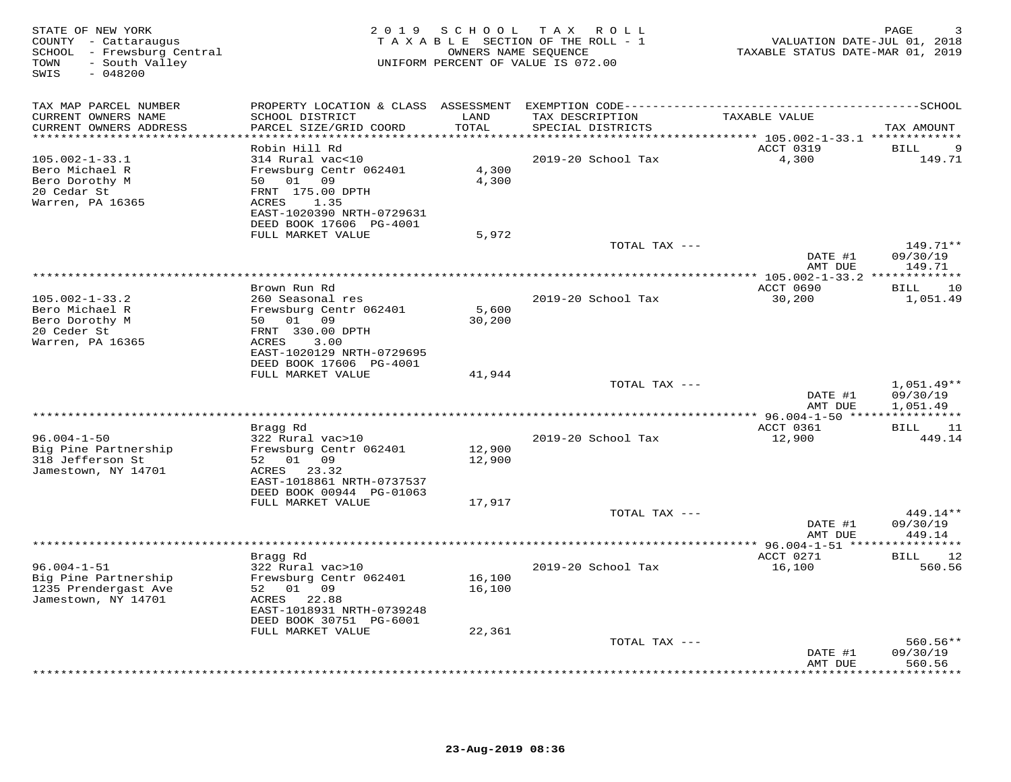| STATE OF NEW YORK<br>COUNTY - Cattaraugus<br>SCHOOL - Frewsburg Central<br>- South Valley<br>TOWN<br>SWIS<br>$-048200$ |                                                                                                                                | 2019 SCHOOL      | T A X<br>ROLL<br>TAXABLE SECTION OF THE ROLL - 1<br>OWNERS NAME SEQUENCE<br>UNIFORM PERCENT OF VALUE IS 072.00 | VALUATION DATE-JUL 01, 2018<br>TAXABLE STATUS DATE-MAR 01, 2019 | PAGE                             |
|------------------------------------------------------------------------------------------------------------------------|--------------------------------------------------------------------------------------------------------------------------------|------------------|----------------------------------------------------------------------------------------------------------------|-----------------------------------------------------------------|----------------------------------|
| TAX MAP PARCEL NUMBER<br>CURRENT OWNERS NAME<br>CURRENT OWNERS ADDRESS<br>**********************                       | SCHOOL DISTRICT<br>PARCEL SIZE/GRID COORD<br>************************                                                          | LAND<br>TOTAL    | TAX DESCRIPTION<br>SPECIAL DISTRICTS                                                                           | TAXABLE VALUE                                                   | TAX AMOUNT                       |
|                                                                                                                        | Robin Hill Rd                                                                                                                  |                  |                                                                                                                | ACCT 0319                                                       | 9<br><b>BILL</b>                 |
| $105.002 - 1 - 33.1$<br>Bero Michael R<br>Bero Dorothy M<br>20 Cedar St<br>Warren, PA 16365                            | 314 Rural vac<10<br>Frewsburg Centr 062401<br>50 01 09<br>FRNT 175.00 DPTH<br>1.35<br>ACRES<br>EAST-1020390 NRTH-0729631       | 4,300<br>4,300   | 2019-20 School Tax                                                                                             | 4,300                                                           | 149.71                           |
|                                                                                                                        | DEED BOOK 17606 PG-4001<br>FULL MARKET VALUE                                                                                   | 5,972            |                                                                                                                |                                                                 |                                  |
|                                                                                                                        |                                                                                                                                |                  | TOTAL TAX ---                                                                                                  | DATE #1                                                         | $149.71**$<br>09/30/19           |
|                                                                                                                        |                                                                                                                                |                  |                                                                                                                | AMT DUE                                                         | 149.71                           |
|                                                                                                                        | Brown Run Rd                                                                                                                   |                  |                                                                                                                | ACCT 0690                                                       | 10<br>BILL                       |
| $105.002 - 1 - 33.2$<br>Bero Michael R<br>Bero Dorothy M<br>20 Ceder St<br>Warren, PA 16365                            | 260 Seasonal res<br>Frewsburg Centr 062401<br>50 01 09<br>FRNT 330.00 DPTH<br>3.00<br>ACRES<br>EAST-1020129 NRTH-0729695       | 5,600<br>30,200  | 2019-20 School Tax                                                                                             | 30,200                                                          | 1,051.49                         |
|                                                                                                                        | DEED BOOK 17606 PG-4001<br>FULL MARKET VALUE                                                                                   | 41,944           |                                                                                                                |                                                                 |                                  |
|                                                                                                                        |                                                                                                                                |                  | TOTAL TAX ---                                                                                                  | DATE #1                                                         | $1,051.49**$<br>09/30/19         |
|                                                                                                                        |                                                                                                                                |                  |                                                                                                                | AMT DUE                                                         | 1,051.49<br>***********          |
|                                                                                                                        | Bragg Rd                                                                                                                       |                  |                                                                                                                | ACCT 0361                                                       | 11<br>BILL                       |
| $96.004 - 1 - 50$<br>Big Pine Partnership<br>318 Jefferson St<br>Jamestown, NY 14701                                   | 322 Rural vac>10<br>Frewsburg Centr 062401<br>52 01 09<br>ACRES 23.32<br>EAST-1018861 NRTH-0737537<br>DEED BOOK 00944 PG-01063 | 12,900<br>12,900 | 2019-20 School Tax                                                                                             | 12,900                                                          | 449.14                           |
|                                                                                                                        | FULL MARKET VALUE                                                                                                              | 17,917           |                                                                                                                |                                                                 |                                  |
|                                                                                                                        |                                                                                                                                |                  | TOTAL TAX ---                                                                                                  | DATE #1<br>AMT DUE                                              | 449.14**<br>09/30/19<br>449.14   |
|                                                                                                                        |                                                                                                                                |                  |                                                                                                                |                                                                 |                                  |
| $96.004 - 1 - 51$<br>Big Pine Partnership<br>1235 Prendergast Ave<br>Jamestown, NY 14701                               | Bragg Rd<br>322 Rural vac>10<br>Frewsburg Centr 062401<br>52 01 09<br>ACRES 22.88<br>EAST-1018931 NRTH-0739248                 | 16,100<br>16,100 | 2019-20 School Tax                                                                                             | ACCT 0271<br>16,100                                             | 12<br>BILL<br>560.56             |
|                                                                                                                        | FULL MARKET VALUE                                                                                                              | 22,361           |                                                                                                                |                                                                 |                                  |
|                                                                                                                        |                                                                                                                                |                  | TOTAL TAX ---                                                                                                  | DATE #1                                                         | $560.56**$<br>09/30/19<br>560.56 |
|                                                                                                                        | DEED BOOK 30751 PG-6001                                                                                                        |                  |                                                                                                                | AMT DUE                                                         | .                                |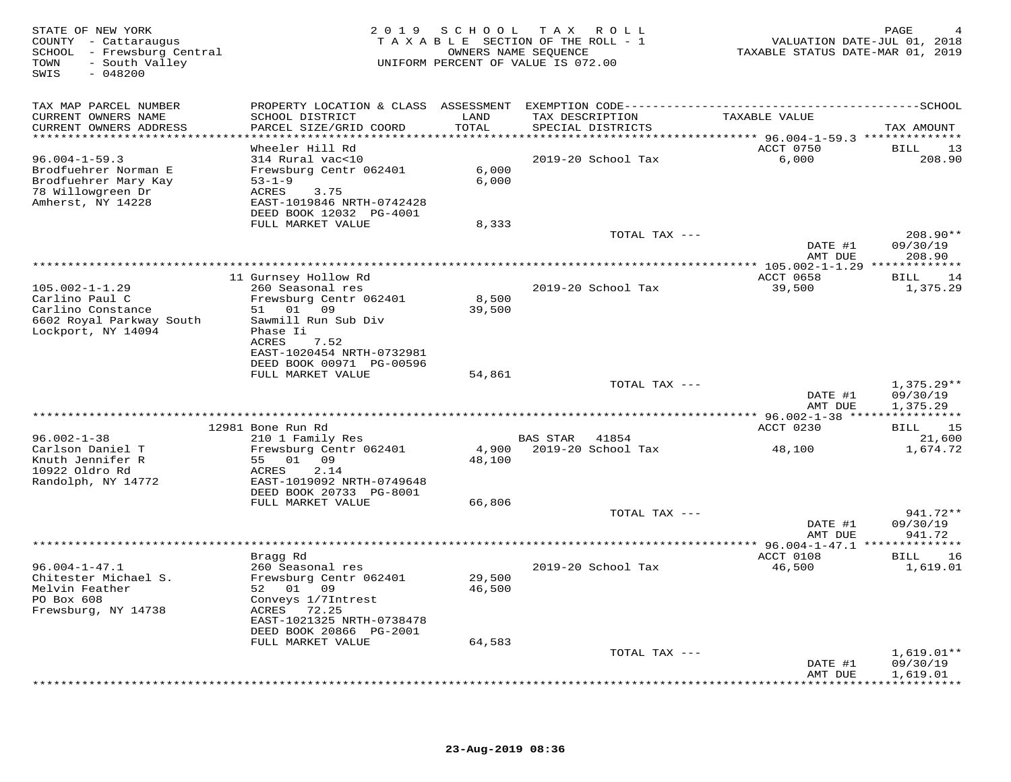| STATE OF NEW YORK<br>COUNTY - Cattaraugus<br>SCHOOL - Frewsburg Central<br>TOWN<br>- South Valley<br>SWIS<br>$-048200$ |                                                                                       | 2019 SCHOOL | ROLL<br>T A X<br>TAXABLE SECTION OF THE ROLL - 1<br>OWNERS NAME SEQUENCE<br>UNIFORM PERCENT OF VALUE IS 072.00 | VALUATION DATE-JUL 01, 2018<br>TAXABLE STATUS DATE-MAR 01, 2019 | PAGE                           |
|------------------------------------------------------------------------------------------------------------------------|---------------------------------------------------------------------------------------|-------------|----------------------------------------------------------------------------------------------------------------|-----------------------------------------------------------------|--------------------------------|
| TAX MAP PARCEL NUMBER<br>CURRENT OWNERS NAME                                                                           | SCHOOL DISTRICT                                                                       | LAND        | TAX DESCRIPTION                                                                                                | TAXABLE VALUE                                                   |                                |
| CURRENT OWNERS ADDRESS<br>*************************                                                                    | PARCEL SIZE/GRID COORD                                                                | TOTAL       | SPECIAL DISTRICTS                                                                                              |                                                                 | TAX AMOUNT                     |
|                                                                                                                        | Wheeler Hill Rd                                                                       |             |                                                                                                                | ACCT 0750                                                       | 13<br>BILL                     |
| $96.004 - 1 - 59.3$                                                                                                    | 314 Rural vac<10                                                                      |             | 2019-20 School Tax                                                                                             | 6,000                                                           | 208.90                         |
| Brodfuehrer Norman E                                                                                                   | Frewsburg Centr 062401                                                                | 6,000       |                                                                                                                |                                                                 |                                |
| Brodfuehrer Mary Kay<br>78 Willowgreen Dr<br>Amherst, NY 14228                                                         | $53 - 1 - 9$<br>ACRES<br>3.75<br>EAST-1019846 NRTH-0742428<br>DEED BOOK 12032 PG-4001 | 6,000       |                                                                                                                |                                                                 |                                |
|                                                                                                                        | FULL MARKET VALUE                                                                     | 8,333       |                                                                                                                |                                                                 |                                |
|                                                                                                                        |                                                                                       |             | TOTAL TAX ---                                                                                                  | DATE #1<br>AMT DUE                                              | 208.90**<br>09/30/19<br>208.90 |
|                                                                                                                        |                                                                                       |             |                                                                                                                |                                                                 |                                |
|                                                                                                                        | 11 Gurnsey Hollow Rd                                                                  |             |                                                                                                                | ACCT 0658                                                       | 14<br>BILL                     |
| $105.002 - 1 - 1.29$<br>Carlino Paul C                                                                                 | 260 Seasonal res<br>Frewsburg Centr 062401                                            | 8,500       | 2019-20 School Tax                                                                                             | 39,500                                                          | 1,375.29                       |
| Carlino Constance                                                                                                      | 51<br>01 09                                                                           | 39,500      |                                                                                                                |                                                                 |                                |
| 6602 Royal Parkway South                                                                                               | Sawmill Run Sub Div                                                                   |             |                                                                                                                |                                                                 |                                |
| Lockport, NY 14094                                                                                                     | Phase Ii<br>ACRES<br>7.52                                                             |             |                                                                                                                |                                                                 |                                |
|                                                                                                                        | EAST-1020454 NRTH-0732981                                                             |             |                                                                                                                |                                                                 |                                |
|                                                                                                                        | DEED BOOK 00971 PG-00596                                                              |             |                                                                                                                |                                                                 |                                |
|                                                                                                                        | FULL MARKET VALUE                                                                     | 54,861      |                                                                                                                |                                                                 |                                |
|                                                                                                                        |                                                                                       |             | TOTAL TAX ---                                                                                                  | DATE #1                                                         | $1,375.29**$<br>09/30/19       |
|                                                                                                                        |                                                                                       |             |                                                                                                                | AMT DUE                                                         | 1,375.29                       |
|                                                                                                                        |                                                                                       |             |                                                                                                                |                                                                 |                                |
| $96.002 - 1 - 38$                                                                                                      | 12981 Bone Run Rd<br>210 1 Family Res                                                 |             | BAS STAR<br>41854                                                                                              | ACCT 0230                                                       | BILL<br>15<br>21,600           |
| Carlson Daniel T                                                                                                       | Frewsburg Centr 062401                                                                | 4,900       | 2019-20 School Tax                                                                                             | 48,100                                                          | 1,674.72                       |
| Knuth Jennifer R                                                                                                       | 01 09<br>55                                                                           | 48,100      |                                                                                                                |                                                                 |                                |
| 10922 Oldro Rd<br>Randolph, NY 14772                                                                                   | ACRES<br>2.14<br>EAST-1019092 NRTH-0749648                                            |             |                                                                                                                |                                                                 |                                |
|                                                                                                                        | DEED BOOK 20733 PG-8001                                                               |             |                                                                                                                |                                                                 |                                |
|                                                                                                                        | FULL MARKET VALUE                                                                     | 66,806      |                                                                                                                |                                                                 |                                |
|                                                                                                                        |                                                                                       |             | TOTAL TAX ---                                                                                                  |                                                                 | 941.72**                       |
|                                                                                                                        |                                                                                       |             |                                                                                                                | DATE #1<br>AMT DUE                                              | 09/30/19<br>941.72             |
|                                                                                                                        |                                                                                       |             |                                                                                                                |                                                                 |                                |
|                                                                                                                        | Bragg Rd                                                                              |             |                                                                                                                | ACCT 0108                                                       | BILL<br>16                     |
| $96.004 - 1 - 47.1$<br>Chitester Michael S.                                                                            | 260 Seasonal res<br>Frewsburg Centr 062401                                            | 29,500      | 2019-20 School Tax                                                                                             | 46,500                                                          | 1,619.01                       |
| Melvin Feather                                                                                                         | 52 01 09                                                                              | 46,500      |                                                                                                                |                                                                 |                                |
| PO Box 608                                                                                                             | Conveys 1/7Intrest                                                                    |             |                                                                                                                |                                                                 |                                |
| Frewsburg, NY 14738                                                                                                    | 72.25<br>ACRES                                                                        |             |                                                                                                                |                                                                 |                                |
|                                                                                                                        | EAST-1021325 NRTH-0738478<br>DEED BOOK 20866 PG-2001                                  |             |                                                                                                                |                                                                 |                                |
|                                                                                                                        | FULL MARKET VALUE                                                                     | 64,583      |                                                                                                                |                                                                 |                                |
|                                                                                                                        |                                                                                       |             | TOTAL TAX ---                                                                                                  |                                                                 | $1,619.01**$                   |
|                                                                                                                        |                                                                                       |             |                                                                                                                | DATE #1<br>AMT DUE                                              | 09/30/19<br>1,619.01           |
|                                                                                                                        |                                                                                       |             |                                                                                                                |                                                                 | * * * * * * * * *              |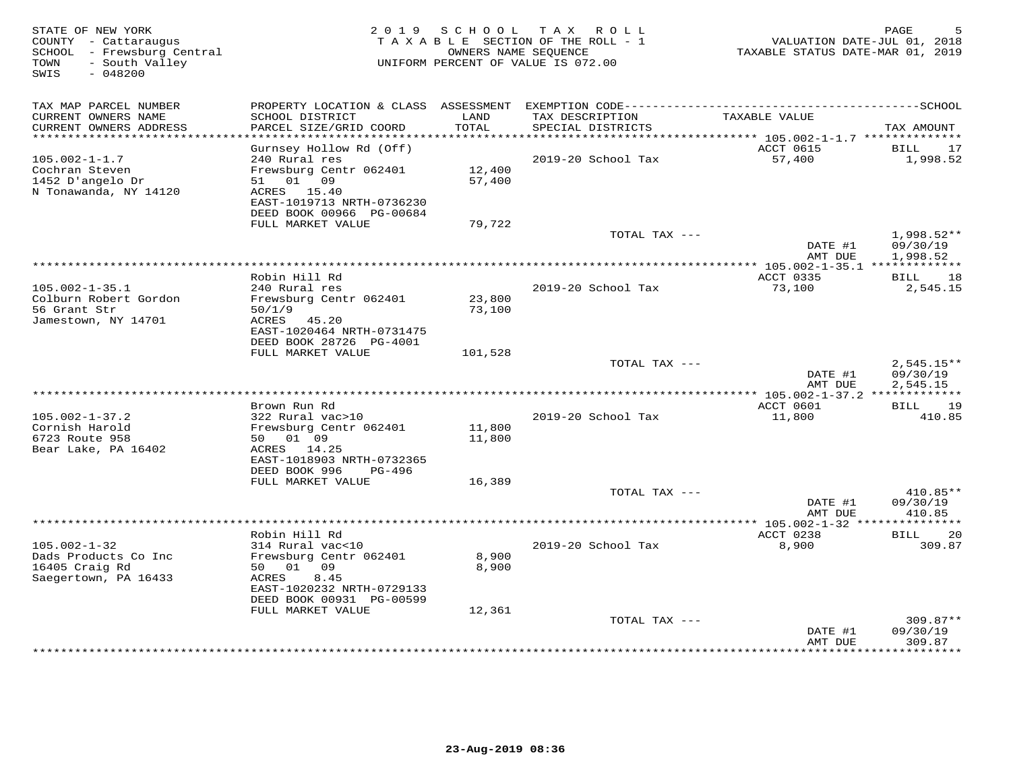| STATE OF NEW YORK<br>COUNTY - Cattaraugus<br>SCHOOL - Frewsburg Central<br>- South Valley<br>TOWN<br>SWIS<br>$-048200$ |                                                                                 |                  | 2019 SCHOOL TAX ROLL<br>TAXABLE SECTION OF THE ROLL - 1<br>OWNERS NAME SEQUENCE<br>UNIFORM PERCENT OF VALUE IS 072.00 | VALUATION DATE-JUL 01, 2018<br>TAXABLE STATUS DATE-MAR 01, 2019 | PAGE                                 |
|------------------------------------------------------------------------------------------------------------------------|---------------------------------------------------------------------------------|------------------|-----------------------------------------------------------------------------------------------------------------------|-----------------------------------------------------------------|--------------------------------------|
| TAX MAP PARCEL NUMBER                                                                                                  |                                                                                 |                  |                                                                                                                       |                                                                 |                                      |
| CURRENT OWNERS NAME<br>CURRENT OWNERS ADDRESS<br>***********************                                               | SCHOOL DISTRICT<br>PARCEL SIZE/GRID COORD                                       | LAND<br>TOTAL    | TAX DESCRIPTION<br>SPECIAL DISTRICTS                                                                                  | TAXABLE VALUE                                                   | TAX AMOUNT                           |
|                                                                                                                        | Gurnsey Hollow Rd (Off)                                                         |                  |                                                                                                                       | ACCT 0615                                                       | BILL<br>17                           |
| $105.002 - 1 - 1.7$<br>Cochran Steven<br>1452 D'angelo Dr<br>N Tonawanda, NY 14120                                     | 240 Rural res<br>Frewsburg Centr 062401<br>51 01 09<br>ACRES 15.40              | 12,400<br>57,400 | 2019-20 School Tax                                                                                                    | 57,400                                                          | 1,998.52                             |
|                                                                                                                        | EAST-1019713 NRTH-0736230<br>DEED BOOK 00966 PG-00684                           |                  |                                                                                                                       |                                                                 |                                      |
|                                                                                                                        | FULL MARKET VALUE                                                               | 79,722           | TOTAL TAX ---                                                                                                         | DATE #1<br>AMT DUE                                              | 1,998.52**<br>09/30/19<br>1,998.52   |
|                                                                                                                        |                                                                                 |                  | **************************************                                                                                | *************** 105.002-1-35.1 **************                   |                                      |
|                                                                                                                        | Robin Hill Rd                                                                   |                  |                                                                                                                       | ACCT 0335                                                       | BILL 18                              |
| $105.002 - 1 - 35.1$<br>Colburn Robert Gordon                                                                          | 240 Rural res<br>Frewsburg Centr 062401                                         | 23,800           | 2019-20 School Tax                                                                                                    | 73,100                                                          | 2,545.15                             |
| 56 Grant Str<br>Jamestown, NY 14701                                                                                    | 50/1/9<br>ACRES 45.20<br>EAST-1020464 NRTH-0731475<br>DEED BOOK 28726 PG-4001   | 73,100           |                                                                                                                       |                                                                 |                                      |
|                                                                                                                        | FULL MARKET VALUE                                                               | 101,528          |                                                                                                                       |                                                                 |                                      |
|                                                                                                                        |                                                                                 |                  | TOTAL TAX ---                                                                                                         | DATE #1<br>AMT DUE                                              | $2,545.15**$<br>09/30/19<br>2,545.15 |
|                                                                                                                        |                                                                                 |                  |                                                                                                                       |                                                                 |                                      |
| $105.002 - 1 - 37.2$<br>Cornish Harold                                                                                 | Brown Run Rd<br>322 Rural vac>10<br>Frewsburg Centr 062401                      | 11,800           | 2019-20 School Tax                                                                                                    | ACCT 0601<br>11,800                                             | <b>BILL</b><br>19<br>410.85          |
| 6723 Route 958<br>Bear Lake, PA 16402                                                                                  | 50 01 09<br>ACRES 14.25<br>EAST-1018903 NRTH-0732365<br>DEED BOOK 996<br>PG-496 | 11,800           |                                                                                                                       |                                                                 |                                      |
|                                                                                                                        | FULL MARKET VALUE                                                               | 16,389           |                                                                                                                       |                                                                 |                                      |
|                                                                                                                        |                                                                                 |                  | TOTAL TAX ---                                                                                                         | DATE #1<br>AMT DUE                                              | 410.85**<br>09/30/19<br>410.85       |
|                                                                                                                        |                                                                                 |                  |                                                                                                                       | ****************** 105.002-1-32 ****************                |                                      |
|                                                                                                                        | Robin Hill Rd                                                                   |                  |                                                                                                                       | ACCT 0238                                                       | 20<br>BILL                           |
| $105.002 - 1 - 32$<br>Dads Products Co Inc<br>16405 Craig Rd                                                           | 314 Rural vac<10<br>Frewsburg Centr 062401<br>50 01 09                          | 8,900<br>8,900   | 2019-20 School Tax                                                                                                    | 8,900                                                           | 309.87                               |
| Saegertown, PA 16433                                                                                                   | 8.45<br>ACRES<br>EAST-1020232 NRTH-0729133<br>DEED BOOK 00931 PG-00599          |                  |                                                                                                                       |                                                                 |                                      |
|                                                                                                                        | FULL MARKET VALUE                                                               | 12,361           |                                                                                                                       |                                                                 |                                      |
|                                                                                                                        |                                                                                 |                  | TOTAL TAX ---                                                                                                         | DATE #1                                                         | $309.87**$<br>09/30/19               |
|                                                                                                                        |                                                                                 |                  |                                                                                                                       | AMT DUE                                                         | 309.87<br>********                   |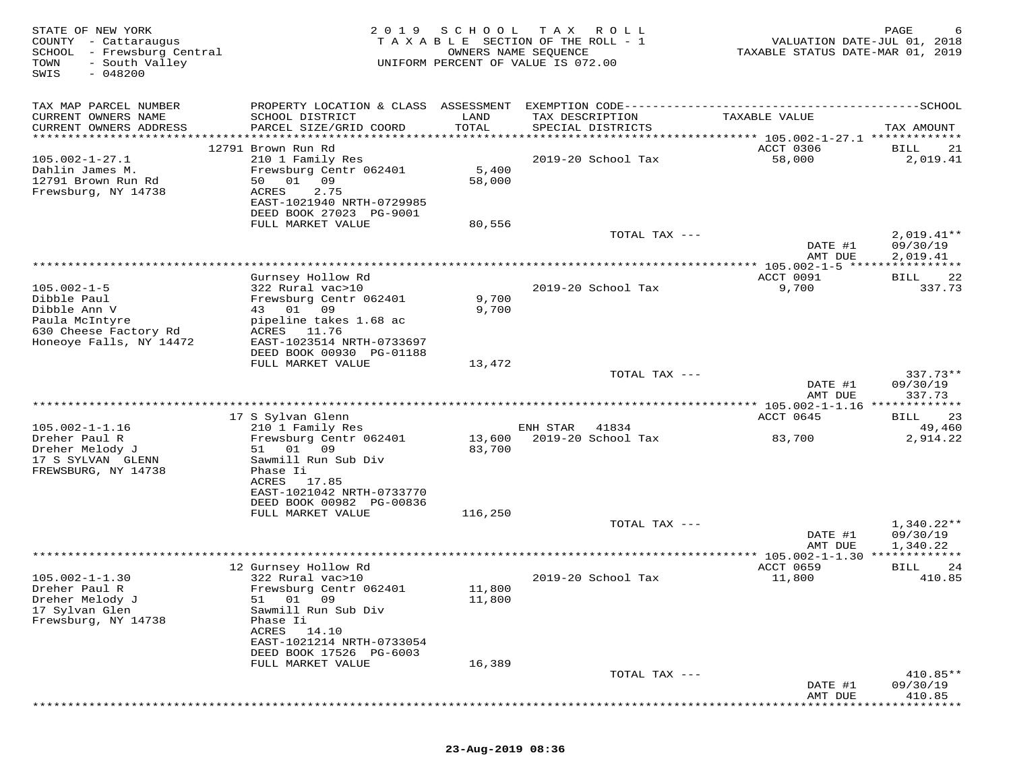| TAX MAP PARCEL NUMBER<br>PROPERTY LOCATION & CLASS ASSESSMENT<br>CURRENT OWNERS NAME<br>SCHOOL DISTRICT<br>TAX DESCRIPTION<br>LAND<br>TAXABLE VALUE<br>CURRENT OWNERS ADDRESS<br>PARCEL SIZE/GRID COORD<br>TOTAL<br>SPECIAL DISTRICTS<br>TAX AMOUNT<br>***********************<br>12791 Brown Run Rd<br>ACCT 0306<br>BILL<br>$105.002 - 1 - 27.1$<br>210 1 Family Res<br>2019-20 School Tax<br>58,000<br>5,400<br>Dahlin James M.<br>Frewsburg Centr 062401<br>12791 Brown Run Rd<br>50<br>01<br>09<br>58,000<br>Frewsburg, NY 14738<br>ACRES<br>2.75<br>EAST-1021940 NRTH-0729985<br>DEED BOOK 27023 PG-9001<br>FULL MARKET VALUE<br>80,556<br>TOTAL TAX ---<br>DATE #1<br>09/30/19<br>2,019.41<br>AMT DUE<br>*************************************<br>** $105.002 - 1 - 5$ ****<br>Gurnsey Hollow Rd<br>ACCT 0091<br>BILL<br>9,700<br>$105.002 - 1 - 5$<br>322 Rural vac>10<br>2019-20 School Tax<br>Dibble Paul<br>Frewsburg Centr 062401<br>9,700<br>Dibble Ann V<br>43 01<br>09<br>9,700<br>Paula McIntyre<br>pipeline takes 1.68 ac<br>630 Cheese Factory Rd<br>ACRES 11.76<br>Honeoye Falls, NY 14472<br>EAST-1023514 NRTH-0733697<br>DEED BOOK 00930 PG-01188<br>FULL MARKET VALUE<br>13,472<br>TOTAL TAX ---<br>DATE #1<br>09/30/19<br>337.73<br>AMT DUE<br>************ 105.002-1-1.16 ****<br>17 S Sylvan Glenn<br>ACCT 0645<br>BILL<br>49,460<br>$105.002 - 1 - 1.16$<br>210 1 Family Res<br>ENH STAR<br>41834<br>Frewsburg Centr 062401<br>Dreher Paul R<br>13,600<br>2019-20 School Tax<br>83,700<br>2,914.22<br>01<br>09<br>83,700<br>Dreher Melody J<br>51<br>17 S SYLVAN GLENN<br>Sawmill Run Sub Div<br>FREWSBURG, NY 14738<br>Phase Ii<br>ACRES<br>17.85<br>EAST-1021042 NRTH-0733770<br>DEED BOOK 00982 PG-00836<br>FULL MARKET VALUE<br>116,250<br>TOTAL TAX ---<br>DATE #1<br>09/30/19<br>1,340.22<br>AMT DUE<br>12 Gurnsey Hollow Rd<br>ACCT 0659<br>BILL<br>$105.002 - 1 - 1.30$<br>322 Rural vac>10<br>2019-20 School Tax<br>11,800<br>Dreher Paul R<br>Frewsburg Centr 062401<br>11,800<br>Dreher Melody J<br>51 01 09<br>11,800<br>17 Sylvan Glen<br>Sawmill Run Sub Div<br>Frewsburg, NY 14738<br>Phase Ii<br>14.10<br>ACRES<br>EAST-1021214 NRTH-0733054<br>DEED BOOK 17526 PG-6003<br>16,389<br>FULL MARKET VALUE<br>TOTAL TAX ---<br>DATE #1<br>09/30/19<br>AMT DUE<br>410.85 | STATE OF NEW YORK<br>COUNTY - Cattaraugus<br>SCHOOL - Frewsburg Central<br>TOWN<br>- South Valley<br>$-048200$<br>SWIS | 2 0 1 9 | SCHOOL | T A X<br>R O L L<br>TAXABLE SECTION OF THE ROLL - 1<br>OWNERS NAME SEQUENCE<br>UNIFORM PERCENT OF VALUE IS 072.00 | VALUATION DATE-JUL 01, 2018<br>TAXABLE STATUS DATE-MAR 01, 2019 | PAGE              |
|--------------------------------------------------------------------------------------------------------------------------------------------------------------------------------------------------------------------------------------------------------------------------------------------------------------------------------------------------------------------------------------------------------------------------------------------------------------------------------------------------------------------------------------------------------------------------------------------------------------------------------------------------------------------------------------------------------------------------------------------------------------------------------------------------------------------------------------------------------------------------------------------------------------------------------------------------------------------------------------------------------------------------------------------------------------------------------------------------------------------------------------------------------------------------------------------------------------------------------------------------------------------------------------------------------------------------------------------------------------------------------------------------------------------------------------------------------------------------------------------------------------------------------------------------------------------------------------------------------------------------------------------------------------------------------------------------------------------------------------------------------------------------------------------------------------------------------------------------------------------------------------------------------------------------------------------------------------------------------------------------------------------------------------------------------------------------------------------------------------------------------------------------------------------------------------------------------------------------------------------------------------------------------------------------------------|------------------------------------------------------------------------------------------------------------------------|---------|--------|-------------------------------------------------------------------------------------------------------------------|-----------------------------------------------------------------|-------------------|
|                                                                                                                                                                                                                                                                                                                                                                                                                                                                                                                                                                                                                                                                                                                                                                                                                                                                                                                                                                                                                                                                                                                                                                                                                                                                                                                                                                                                                                                                                                                                                                                                                                                                                                                                                                                                                                                                                                                                                                                                                                                                                                                                                                                                                                                                                                              |                                                                                                                        |         |        |                                                                                                                   |                                                                 |                   |
|                                                                                                                                                                                                                                                                                                                                                                                                                                                                                                                                                                                                                                                                                                                                                                                                                                                                                                                                                                                                                                                                                                                                                                                                                                                                                                                                                                                                                                                                                                                                                                                                                                                                                                                                                                                                                                                                                                                                                                                                                                                                                                                                                                                                                                                                                                              |                                                                                                                        |         |        |                                                                                                                   |                                                                 | 21                |
|                                                                                                                                                                                                                                                                                                                                                                                                                                                                                                                                                                                                                                                                                                                                                                                                                                                                                                                                                                                                                                                                                                                                                                                                                                                                                                                                                                                                                                                                                                                                                                                                                                                                                                                                                                                                                                                                                                                                                                                                                                                                                                                                                                                                                                                                                                              |                                                                                                                        |         |        |                                                                                                                   |                                                                 | 2,019.41          |
|                                                                                                                                                                                                                                                                                                                                                                                                                                                                                                                                                                                                                                                                                                                                                                                                                                                                                                                                                                                                                                                                                                                                                                                                                                                                                                                                                                                                                                                                                                                                                                                                                                                                                                                                                                                                                                                                                                                                                                                                                                                                                                                                                                                                                                                                                                              |                                                                                                                        |         |        |                                                                                                                   |                                                                 |                   |
|                                                                                                                                                                                                                                                                                                                                                                                                                                                                                                                                                                                                                                                                                                                                                                                                                                                                                                                                                                                                                                                                                                                                                                                                                                                                                                                                                                                                                                                                                                                                                                                                                                                                                                                                                                                                                                                                                                                                                                                                                                                                                                                                                                                                                                                                                                              |                                                                                                                        |         |        |                                                                                                                   |                                                                 | $2,019.41**$      |
|                                                                                                                                                                                                                                                                                                                                                                                                                                                                                                                                                                                                                                                                                                                                                                                                                                                                                                                                                                                                                                                                                                                                                                                                                                                                                                                                                                                                                                                                                                                                                                                                                                                                                                                                                                                                                                                                                                                                                                                                                                                                                                                                                                                                                                                                                                              |                                                                                                                        |         |        |                                                                                                                   |                                                                 |                   |
|                                                                                                                                                                                                                                                                                                                                                                                                                                                                                                                                                                                                                                                                                                                                                                                                                                                                                                                                                                                                                                                                                                                                                                                                                                                                                                                                                                                                                                                                                                                                                                                                                                                                                                                                                                                                                                                                                                                                                                                                                                                                                                                                                                                                                                                                                                              |                                                                                                                        |         |        |                                                                                                                   |                                                                 | 22                |
|                                                                                                                                                                                                                                                                                                                                                                                                                                                                                                                                                                                                                                                                                                                                                                                                                                                                                                                                                                                                                                                                                                                                                                                                                                                                                                                                                                                                                                                                                                                                                                                                                                                                                                                                                                                                                                                                                                                                                                                                                                                                                                                                                                                                                                                                                                              |                                                                                                                        |         |        |                                                                                                                   |                                                                 | 337.73            |
|                                                                                                                                                                                                                                                                                                                                                                                                                                                                                                                                                                                                                                                                                                                                                                                                                                                                                                                                                                                                                                                                                                                                                                                                                                                                                                                                                                                                                                                                                                                                                                                                                                                                                                                                                                                                                                                                                                                                                                                                                                                                                                                                                                                                                                                                                                              |                                                                                                                        |         |        |                                                                                                                   |                                                                 |                   |
|                                                                                                                                                                                                                                                                                                                                                                                                                                                                                                                                                                                                                                                                                                                                                                                                                                                                                                                                                                                                                                                                                                                                                                                                                                                                                                                                                                                                                                                                                                                                                                                                                                                                                                                                                                                                                                                                                                                                                                                                                                                                                                                                                                                                                                                                                                              |                                                                                                                        |         |        |                                                                                                                   |                                                                 | $337.73**$        |
|                                                                                                                                                                                                                                                                                                                                                                                                                                                                                                                                                                                                                                                                                                                                                                                                                                                                                                                                                                                                                                                                                                                                                                                                                                                                                                                                                                                                                                                                                                                                                                                                                                                                                                                                                                                                                                                                                                                                                                                                                                                                                                                                                                                                                                                                                                              |                                                                                                                        |         |        |                                                                                                                   |                                                                 |                   |
|                                                                                                                                                                                                                                                                                                                                                                                                                                                                                                                                                                                                                                                                                                                                                                                                                                                                                                                                                                                                                                                                                                                                                                                                                                                                                                                                                                                                                                                                                                                                                                                                                                                                                                                                                                                                                                                                                                                                                                                                                                                                                                                                                                                                                                                                                                              |                                                                                                                        |         |        |                                                                                                                   |                                                                 | * * * * * * * * * |
|                                                                                                                                                                                                                                                                                                                                                                                                                                                                                                                                                                                                                                                                                                                                                                                                                                                                                                                                                                                                                                                                                                                                                                                                                                                                                                                                                                                                                                                                                                                                                                                                                                                                                                                                                                                                                                                                                                                                                                                                                                                                                                                                                                                                                                                                                                              |                                                                                                                        |         |        |                                                                                                                   |                                                                 | 23                |
|                                                                                                                                                                                                                                                                                                                                                                                                                                                                                                                                                                                                                                                                                                                                                                                                                                                                                                                                                                                                                                                                                                                                                                                                                                                                                                                                                                                                                                                                                                                                                                                                                                                                                                                                                                                                                                                                                                                                                                                                                                                                                                                                                                                                                                                                                                              |                                                                                                                        |         |        |                                                                                                                   |                                                                 |                   |
|                                                                                                                                                                                                                                                                                                                                                                                                                                                                                                                                                                                                                                                                                                                                                                                                                                                                                                                                                                                                                                                                                                                                                                                                                                                                                                                                                                                                                                                                                                                                                                                                                                                                                                                                                                                                                                                                                                                                                                                                                                                                                                                                                                                                                                                                                                              |                                                                                                                        |         |        |                                                                                                                   |                                                                 |                   |
|                                                                                                                                                                                                                                                                                                                                                                                                                                                                                                                                                                                                                                                                                                                                                                                                                                                                                                                                                                                                                                                                                                                                                                                                                                                                                                                                                                                                                                                                                                                                                                                                                                                                                                                                                                                                                                                                                                                                                                                                                                                                                                                                                                                                                                                                                                              |                                                                                                                        |         |        |                                                                                                                   |                                                                 |                   |
|                                                                                                                                                                                                                                                                                                                                                                                                                                                                                                                                                                                                                                                                                                                                                                                                                                                                                                                                                                                                                                                                                                                                                                                                                                                                                                                                                                                                                                                                                                                                                                                                                                                                                                                                                                                                                                                                                                                                                                                                                                                                                                                                                                                                                                                                                                              |                                                                                                                        |         |        |                                                                                                                   |                                                                 | 1,340.22**        |
|                                                                                                                                                                                                                                                                                                                                                                                                                                                                                                                                                                                                                                                                                                                                                                                                                                                                                                                                                                                                                                                                                                                                                                                                                                                                                                                                                                                                                                                                                                                                                                                                                                                                                                                                                                                                                                                                                                                                                                                                                                                                                                                                                                                                                                                                                                              |                                                                                                                        |         |        |                                                                                                                   |                                                                 |                   |
|                                                                                                                                                                                                                                                                                                                                                                                                                                                                                                                                                                                                                                                                                                                                                                                                                                                                                                                                                                                                                                                                                                                                                                                                                                                                                                                                                                                                                                                                                                                                                                                                                                                                                                                                                                                                                                                                                                                                                                                                                                                                                                                                                                                                                                                                                                              |                                                                                                                        |         |        |                                                                                                                   |                                                                 | ********          |
|                                                                                                                                                                                                                                                                                                                                                                                                                                                                                                                                                                                                                                                                                                                                                                                                                                                                                                                                                                                                                                                                                                                                                                                                                                                                                                                                                                                                                                                                                                                                                                                                                                                                                                                                                                                                                                                                                                                                                                                                                                                                                                                                                                                                                                                                                                              |                                                                                                                        |         |        |                                                                                                                   |                                                                 | 24<br>410.85      |
|                                                                                                                                                                                                                                                                                                                                                                                                                                                                                                                                                                                                                                                                                                                                                                                                                                                                                                                                                                                                                                                                                                                                                                                                                                                                                                                                                                                                                                                                                                                                                                                                                                                                                                                                                                                                                                                                                                                                                                                                                                                                                                                                                                                                                                                                                                              |                                                                                                                        |         |        |                                                                                                                   |                                                                 |                   |
|                                                                                                                                                                                                                                                                                                                                                                                                                                                                                                                                                                                                                                                                                                                                                                                                                                                                                                                                                                                                                                                                                                                                                                                                                                                                                                                                                                                                                                                                                                                                                                                                                                                                                                                                                                                                                                                                                                                                                                                                                                                                                                                                                                                                                                                                                                              |                                                                                                                        |         |        |                                                                                                                   |                                                                 | 410.85**          |
|                                                                                                                                                                                                                                                                                                                                                                                                                                                                                                                                                                                                                                                                                                                                                                                                                                                                                                                                                                                                                                                                                                                                                                                                                                                                                                                                                                                                                                                                                                                                                                                                                                                                                                                                                                                                                                                                                                                                                                                                                                                                                                                                                                                                                                                                                                              |                                                                                                                        |         |        |                                                                                                                   |                                                                 |                   |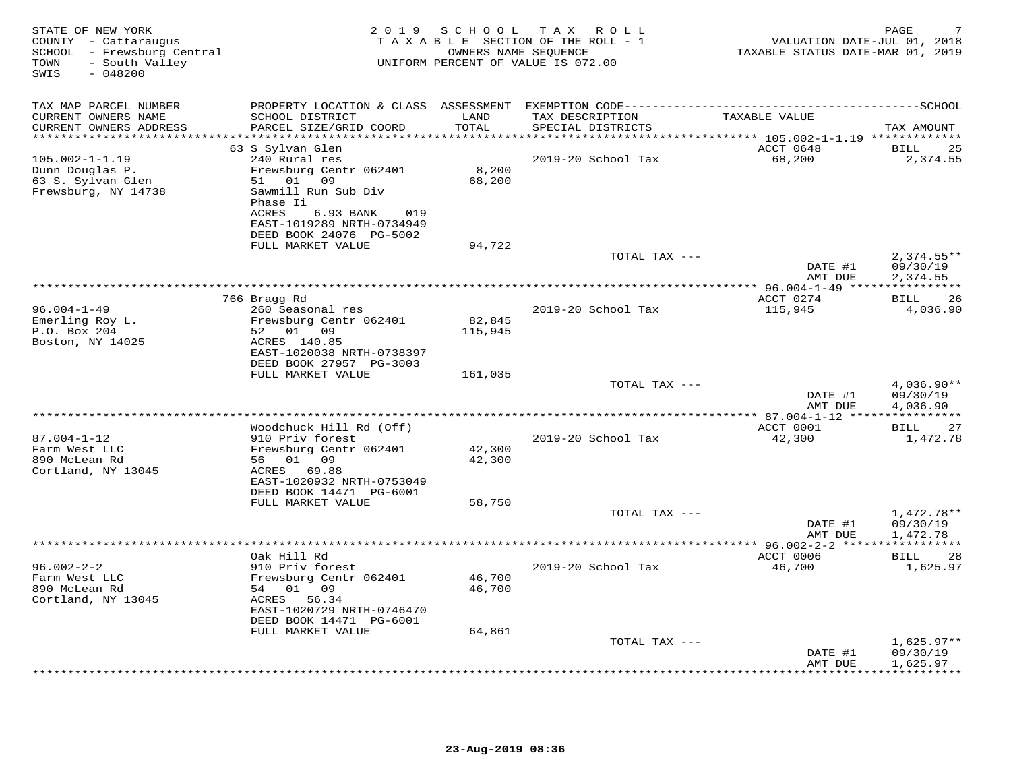| STATE OF NEW YORK<br>COUNTY - Cattaraugus<br>SCHOOL - Frewsburg Central<br>- South Valley<br>TOWN<br>SWIS<br>$-048200$ |                                                                                                                      | 2019 SCHOOL                | TAX ROLL<br>TAXABLE SECTION OF THE ROLL - 1<br>OWNERS NAME SEQUENCE<br>UNIFORM PERCENT OF VALUE IS 072.00 | VALUATION DATE-JUL 01, 2018<br>TAXABLE STATUS DATE-MAR 01, 2019 | PAGE                                 |
|------------------------------------------------------------------------------------------------------------------------|----------------------------------------------------------------------------------------------------------------------|----------------------------|-----------------------------------------------------------------------------------------------------------|-----------------------------------------------------------------|--------------------------------------|
| TAX MAP PARCEL NUMBER                                                                                                  |                                                                                                                      |                            |                                                                                                           |                                                                 |                                      |
| CURRENT OWNERS NAME<br>CURRENT OWNERS ADDRESS<br>*********************                                                 | SCHOOL DISTRICT<br>PARCEL SIZE/GRID COORD                                                                            | LAND<br>TOTAL<br>********* | TAX DESCRIPTION<br>SPECIAL DISTRICTS                                                                      | TAXABLE VALUE                                                   | TAX AMOUNT                           |
|                                                                                                                        | 63 S Sylvan Glen                                                                                                     |                            |                                                                                                           | ******** 105.002-1-1.19 *************<br>ACCT 0648              | <b>BILL</b><br>25                    |
| $105.002 - 1 - 1.19$<br>Dunn Douglas P.<br>63 S. Sylvan Glen                                                           | 240 Rural res<br>Frewsburg Centr 062401<br>51 01 09                                                                  | 8,200<br>68,200            | 2019-20 School Tax                                                                                        | 68,200                                                          | 2,374.55                             |
| Frewsburg, NY 14738                                                                                                    | Sawmill Run Sub Div<br>Phase Ii<br>ACRES<br>6.93 BANK<br>019<br>EAST-1019289 NRTH-0734949<br>DEED BOOK 24076 PG-5002 |                            |                                                                                                           |                                                                 |                                      |
|                                                                                                                        | FULL MARKET VALUE                                                                                                    | 94,722                     |                                                                                                           |                                                                 |                                      |
|                                                                                                                        |                                                                                                                      |                            | TOTAL TAX ---                                                                                             | DATE #1<br>AMT DUE                                              | $2,374.55**$<br>09/30/19<br>2,374.55 |
|                                                                                                                        |                                                                                                                      |                            |                                                                                                           |                                                                 |                                      |
|                                                                                                                        | 766 Bragg Rd                                                                                                         |                            |                                                                                                           | ACCT 0274                                                       | 26<br>BILL                           |
| $96.004 - 1 - 49$<br>Emerling Roy L.                                                                                   | 260 Seasonal res<br>Frewsburg Centr 062401                                                                           | 82,845                     | 2019-20 School Tax                                                                                        | 115,945                                                         | 4,036.90                             |
| P.O. Box 204                                                                                                           | 52 01 09                                                                                                             | 115,945                    |                                                                                                           |                                                                 |                                      |
| Boston, NY 14025                                                                                                       | ACRES 140.85<br>EAST-1020038 NRTH-0738397                                                                            |                            |                                                                                                           |                                                                 |                                      |
|                                                                                                                        | DEED BOOK 27957 PG-3003<br>FULL MARKET VALUE                                                                         | 161,035                    |                                                                                                           |                                                                 |                                      |
|                                                                                                                        |                                                                                                                      |                            | TOTAL TAX ---                                                                                             |                                                                 | $4,036.90**$                         |
|                                                                                                                        |                                                                                                                      |                            |                                                                                                           | DATE #1<br>AMT DUE                                              | 09/30/19<br>4,036.90                 |
|                                                                                                                        |                                                                                                                      |                            |                                                                                                           | ******** 87.004-1-12 ****                                       |                                      |
|                                                                                                                        | Woodchuck Hill Rd (Off)                                                                                              |                            |                                                                                                           | ACCT 0001                                                       | 27<br>BILL                           |
| $87.004 - 1 - 12$                                                                                                      | 910 Priv forest                                                                                                      |                            | 2019-20 School Tax                                                                                        | 42,300                                                          | 1,472.78                             |
| Farm West LLC<br>890 McLean Rd                                                                                         | Frewsburg Centr 062401<br>56 01 09                                                                                   | 42,300<br>42,300           |                                                                                                           |                                                                 |                                      |
| Cortland, NY 13045                                                                                                     | ACRES 69.88                                                                                                          |                            |                                                                                                           |                                                                 |                                      |
|                                                                                                                        | EAST-1020932 NRTH-0753049<br>DEED BOOK 14471 PG-6001                                                                 |                            |                                                                                                           |                                                                 |                                      |
|                                                                                                                        | FULL MARKET VALUE                                                                                                    | 58,750                     |                                                                                                           |                                                                 |                                      |
|                                                                                                                        |                                                                                                                      |                            | TOTAL TAX ---                                                                                             | DATE #1<br>AMT DUE                                              | 1,472.78**<br>09/30/19<br>1,472.78   |
|                                                                                                                        |                                                                                                                      |                            |                                                                                                           |                                                                 |                                      |
|                                                                                                                        | Oak Hill Rd                                                                                                          |                            |                                                                                                           | ACCT 0006                                                       | BILL<br>28                           |
| $96.002 - 2 - 2$<br>Farm West LLC                                                                                      | 910 Priv forest<br>Frewsburg Centr 062401                                                                            | 46,700                     | 2019-20 School Tax                                                                                        | 46,700                                                          | 1,625.97                             |
| 890 McLean Rd                                                                                                          | 54 01 09                                                                                                             | 46,700                     |                                                                                                           |                                                                 |                                      |
| Cortland, NY 13045                                                                                                     | ACRES 56.34<br>EAST-1020729 NRTH-0746470                                                                             |                            |                                                                                                           |                                                                 |                                      |
|                                                                                                                        | DEED BOOK 14471 PG-6001                                                                                              |                            |                                                                                                           |                                                                 |                                      |
|                                                                                                                        | FULL MARKET VALUE                                                                                                    | 64,861                     |                                                                                                           |                                                                 |                                      |
|                                                                                                                        |                                                                                                                      |                            | TOTAL TAX ---                                                                                             |                                                                 | $1,625.97**$                         |
|                                                                                                                        |                                                                                                                      |                            |                                                                                                           | DATE #1<br>AMT DUE                                              | 09/30/19<br>1,625.97                 |
|                                                                                                                        |                                                                                                                      |                            |                                                                                                           |                                                                 | * * * * * * * * *                    |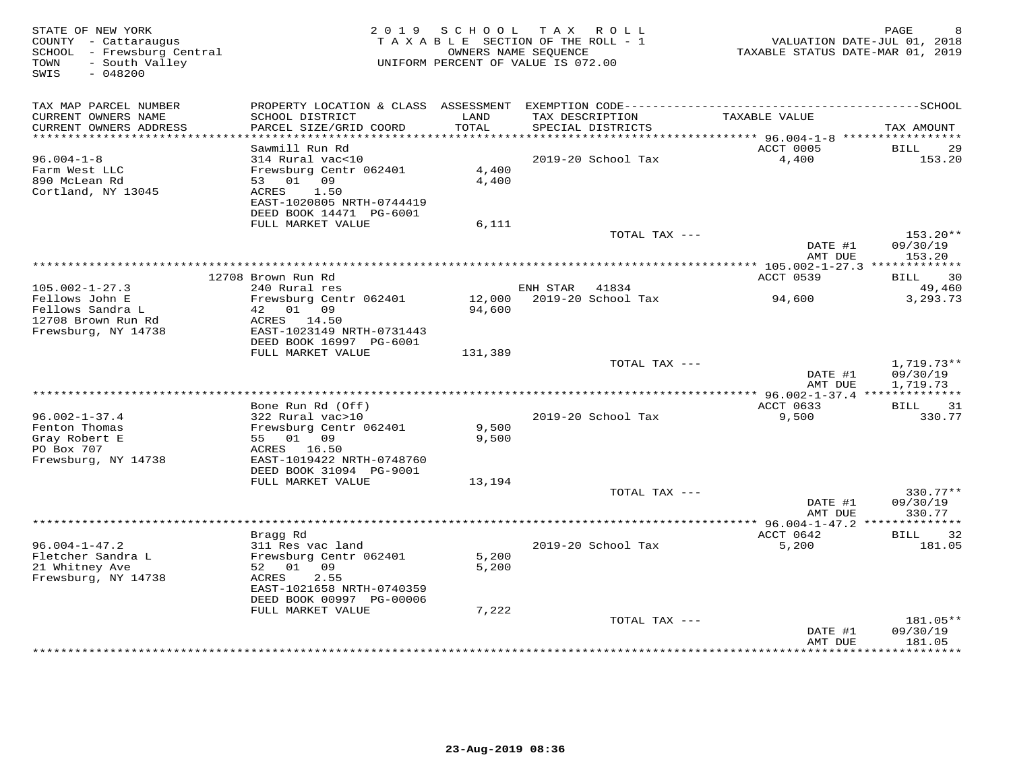| STATE OF NEW YORK<br>COUNTY - Cattaraugus<br>SCHOOL - Frewsburg Central<br>- South Valley<br>TOWN<br>SWIS<br>$-048200$ |                                                       | 2019 SCHOOL   | TAX ROLL<br>TAXABLE SECTION OF THE ROLL - 1<br>OWNERS NAME SEOUENCE<br>UNIFORM PERCENT OF VALUE IS 072.00 | VALUATION DATE-JUL 01, 2018<br>TAXABLE STATUS DATE-MAR 01, 2019 | PAGE              |
|------------------------------------------------------------------------------------------------------------------------|-------------------------------------------------------|---------------|-----------------------------------------------------------------------------------------------------------|-----------------------------------------------------------------|-------------------|
| TAX MAP PARCEL NUMBER                                                                                                  |                                                       |               |                                                                                                           |                                                                 |                   |
| CURRENT OWNERS NAME<br>CURRENT OWNERS ADDRESS<br>************************                                              | SCHOOL DISTRICT<br>PARCEL SIZE/GRID COORD             | LAND<br>TOTAL | TAX DESCRIPTION<br>SPECIAL DISTRICTS                                                                      | TAXABLE VALUE                                                   | TAX AMOUNT        |
|                                                                                                                        | Sawmill Run Rd                                        |               |                                                                                                           | ACCT 0005                                                       | BILL<br>29        |
| $96.004 - 1 - 8$                                                                                                       | 314 Rural vac<10                                      |               | 2019-20 School Tax                                                                                        | 4,400                                                           | 153.20            |
| Farm West LLC                                                                                                          | Frewsburg Centr 062401                                | 4,400         |                                                                                                           |                                                                 |                   |
| 890 McLean Rd                                                                                                          | 53 01 09                                              | 4,400         |                                                                                                           |                                                                 |                   |
| Cortland, NY 13045                                                                                                     | 1.50<br>ACRES                                         |               |                                                                                                           |                                                                 |                   |
|                                                                                                                        | EAST-1020805 NRTH-0744419<br>DEED BOOK 14471 PG-6001  |               |                                                                                                           |                                                                 |                   |
|                                                                                                                        | FULL MARKET VALUE                                     | 6,111         |                                                                                                           |                                                                 |                   |
|                                                                                                                        |                                                       |               | TOTAL TAX ---                                                                                             |                                                                 | $153.20**$        |
|                                                                                                                        |                                                       |               |                                                                                                           | DATE #1                                                         | 09/30/19          |
|                                                                                                                        |                                                       |               | *************************************                                                                     | AMT DUE                                                         | 153.20            |
|                                                                                                                        | 12708 Brown Run Rd                                    |               |                                                                                                           | *************** 105.002-1-27.3 *************<br>ACCT 0539       | 30<br>BILL        |
| $105.002 - 1 - 27.3$                                                                                                   | 240 Rural res                                         |               | ENH STAR<br>41834                                                                                         |                                                                 | 49,460            |
| Fellows John E                                                                                                         | Frewsburg Centr 062401                                | 12,000        | 2019-20 School Tax                                                                                        | 94,600                                                          | 3,293.73          |
| Fellows Sandra L                                                                                                       | 42 01 09                                              | 94,600        |                                                                                                           |                                                                 |                   |
| 12708 Brown Run Rd                                                                                                     | ACRES 14.50                                           |               |                                                                                                           |                                                                 |                   |
| Frewsburg, NY 14738                                                                                                    | EAST-1023149 NRTH-0731443<br>DEED BOOK 16997 PG-6001  |               |                                                                                                           |                                                                 |                   |
|                                                                                                                        | FULL MARKET VALUE                                     | 131,389       |                                                                                                           |                                                                 |                   |
|                                                                                                                        |                                                       |               | TOTAL TAX ---                                                                                             |                                                                 | 1,719.73**        |
|                                                                                                                        |                                                       |               |                                                                                                           | DATE #1                                                         | 09/30/19          |
|                                                                                                                        |                                                       |               |                                                                                                           | AMT DUE                                                         | 1,719.73          |
|                                                                                                                        | Bone Run Rd (Off)                                     |               |                                                                                                           | ** 96.002-1-37.4 ***************<br>ACCT 0633                   | <b>BILL</b><br>31 |
| $96.002 - 1 - 37.4$                                                                                                    | 322 Rural vac>10                                      |               | 2019-20 School Tax                                                                                        | 9,500                                                           | 330.77            |
| Fenton Thomas                                                                                                          | Frewsburg Centr 062401                                | 9,500         |                                                                                                           |                                                                 |                   |
| Gray Robert E                                                                                                          | 55 01 09                                              | 9,500         |                                                                                                           |                                                                 |                   |
| PO Box 707                                                                                                             | ACRES 16.50                                           |               |                                                                                                           |                                                                 |                   |
| Frewsburg, NY 14738                                                                                                    | EAST-1019422 NRTH-0748760<br>DEED BOOK 31094 PG-9001  |               |                                                                                                           |                                                                 |                   |
|                                                                                                                        | FULL MARKET VALUE                                     | 13,194        |                                                                                                           |                                                                 |                   |
|                                                                                                                        |                                                       |               | TOTAL TAX ---                                                                                             |                                                                 | 330.77**          |
|                                                                                                                        |                                                       |               |                                                                                                           | DATE #1                                                         | 09/30/19          |
|                                                                                                                        |                                                       |               |                                                                                                           | AMT DUE                                                         | 330.77            |
|                                                                                                                        | Bragg Rd                                              |               |                                                                                                           | ACCT 0642                                                       | BILL<br>32        |
| $96.004 - 1 - 47.2$                                                                                                    | 311 Res vac land                                      |               | 2019-20 School Tax                                                                                        | 5,200                                                           | 181.05            |
| Fletcher Sandra L                                                                                                      | Frewsburg Centr 062401                                | 5,200         |                                                                                                           |                                                                 |                   |
| 21 Whitney Ave                                                                                                         | 09<br>52 01                                           | 5,200         |                                                                                                           |                                                                 |                   |
| Frewsburg, NY 14738                                                                                                    | 2.55<br>ACRES                                         |               |                                                                                                           |                                                                 |                   |
|                                                                                                                        | EAST-1021658 NRTH-0740359<br>DEED BOOK 00997 PG-00006 |               |                                                                                                           |                                                                 |                   |
|                                                                                                                        | FULL MARKET VALUE                                     | 7,222         |                                                                                                           |                                                                 |                   |
|                                                                                                                        |                                                       |               | TOTAL TAX ---                                                                                             |                                                                 | 181.05**          |
|                                                                                                                        |                                                       |               |                                                                                                           | DATE #1                                                         | 09/30/19          |
|                                                                                                                        |                                                       |               |                                                                                                           | AMT DUE                                                         | 181.05<br>.       |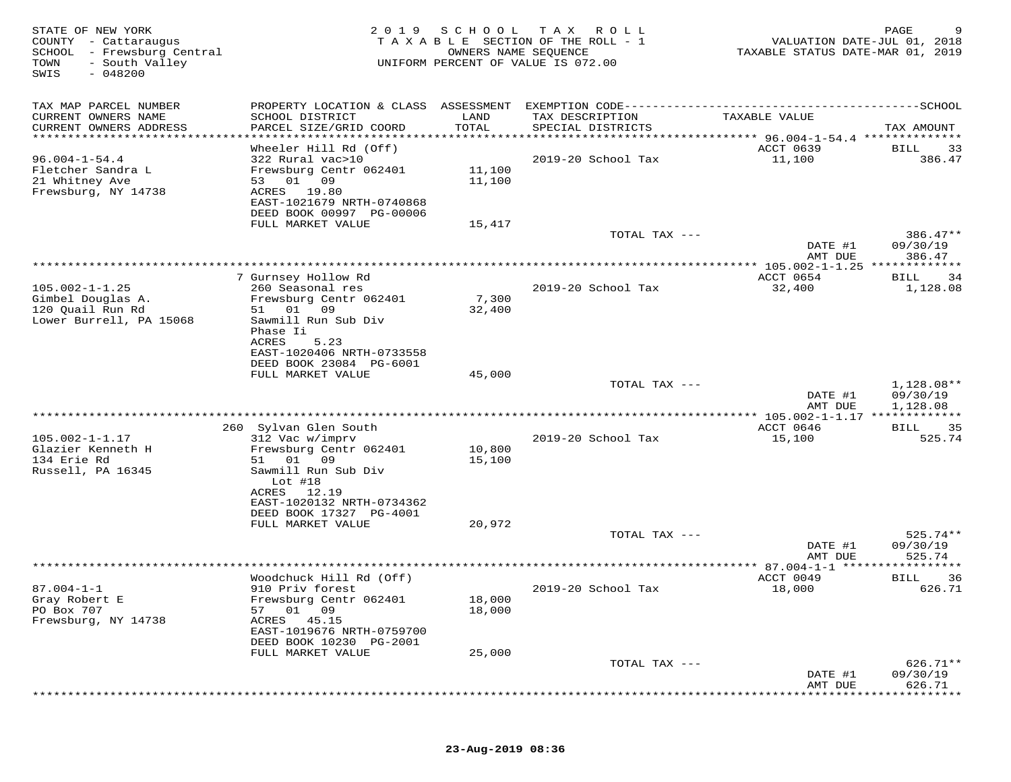| STATE OF NEW YORK<br>COUNTY - Cattaraugus<br>SCHOOL - Frewsburg Central<br>TOWN<br>- South Valley<br>$-048200$<br>SWIS | 2 0 1 9                                                                                                                               | SCHOOL           | T A X<br>R O L L<br>TAXABLE SECTION OF THE ROLL - 1<br>OWNERS NAME SEQUENCE<br>UNIFORM PERCENT OF VALUE IS 072.00 | VALUATION DATE-JUL 01, 2018<br>TAXABLE STATUS DATE-MAR 01, 2019 | PAGE<br>9                   |
|------------------------------------------------------------------------------------------------------------------------|---------------------------------------------------------------------------------------------------------------------------------------|------------------|-------------------------------------------------------------------------------------------------------------------|-----------------------------------------------------------------|-----------------------------|
| TAX MAP PARCEL NUMBER                                                                                                  |                                                                                                                                       |                  |                                                                                                                   |                                                                 |                             |
| CURRENT OWNERS NAME<br>CURRENT OWNERS ADDRESS                                                                          | SCHOOL DISTRICT<br>PARCEL SIZE/GRID COORD                                                                                             | LAND<br>TOTAL    | TAX DESCRIPTION<br>SPECIAL DISTRICTS                                                                              | TAXABLE VALUE                                                   | TAX AMOUNT                  |
| ************************                                                                                               |                                                                                                                                       |                  |                                                                                                                   |                                                                 |                             |
| $96.004 - 1 - 54.4$<br>Fletcher Sandra L<br>21 Whitney Ave<br>Frewsburg, NY 14738                                      | Wheeler Hill Rd (Off)<br>322 Rural vac>10<br>Frewsburg Centr 062401<br>53 01<br>09<br>19.80<br>ACRES<br>EAST-1021679 NRTH-0740868     | 11,100<br>11,100 | 2019-20 School Tax                                                                                                | ACCT 0639<br>11,100                                             | <b>BILL</b><br>33<br>386.47 |
|                                                                                                                        | DEED BOOK 00997 PG-00006                                                                                                              |                  |                                                                                                                   |                                                                 |                             |
|                                                                                                                        | FULL MARKET VALUE                                                                                                                     | 15,417           | TOTAL TAX ---                                                                                                     | DATE #1                                                         | 386.47**<br>09/30/19        |
|                                                                                                                        |                                                                                                                                       |                  |                                                                                                                   | AMT DUE                                                         | 386.47                      |
|                                                                                                                        |                                                                                                                                       |                  |                                                                                                                   |                                                                 |                             |
| $105.002 - 1 - 1.25$                                                                                                   | 7 Gurnsey Hollow Rd<br>260 Seasonal res                                                                                               |                  | 2019-20 School Tax                                                                                                | ACCT 0654<br>32,400                                             | 34<br>BILL<br>1,128.08      |
| Gimbel Douglas A.<br>120 Quail Run Rd<br>Lower Burrell, PA 15068                                                       | Frewsburg Centr 062401<br>51 01<br>09<br>Sawmill Run Sub Div<br>Phase Ii<br>ACRES<br>5.23                                             | 7,300<br>32,400  |                                                                                                                   |                                                                 |                             |
|                                                                                                                        | EAST-1020406 NRTH-0733558<br>DEED BOOK 23084 PG-6001                                                                                  |                  |                                                                                                                   |                                                                 |                             |
|                                                                                                                        | FULL MARKET VALUE                                                                                                                     | 45,000           | TOTAL TAX ---                                                                                                     |                                                                 | 1,128.08**                  |
|                                                                                                                        |                                                                                                                                       |                  |                                                                                                                   | DATE #1<br>AMT DUE                                              | 09/30/19<br>1,128.08        |
|                                                                                                                        |                                                                                                                                       |                  |                                                                                                                   |                                                                 |                             |
|                                                                                                                        | 260 Sylvan Glen South                                                                                                                 |                  |                                                                                                                   | ACCT 0646                                                       | 35<br>BILL<br>525.74        |
| $105.002 - 1 - 1.17$<br>Glazier Kenneth H<br>134 Erie Rd<br>Russell, PA 16345                                          | 312 Vac w/imprv<br>Frewsburg Centr 062401<br>51<br>01<br>09<br>Sawmill Run Sub Div                                                    | 10,800<br>15,100 | 2019-20 School Tax                                                                                                | 15,100                                                          |                             |
|                                                                                                                        | Lot $#18$<br>ACRES<br>12.19<br>EAST-1020132 NRTH-0734362<br>DEED BOOK 17327 PG-4001<br>FULL MARKET VALUE                              | 20,972           |                                                                                                                   |                                                                 |                             |
|                                                                                                                        |                                                                                                                                       |                  | TOTAL TAX ---                                                                                                     |                                                                 | $525.74**$                  |
|                                                                                                                        |                                                                                                                                       |                  |                                                                                                                   | DATE #1<br>AMT DUE                                              | 09/30/19<br>525.74          |
|                                                                                                                        |                                                                                                                                       |                  |                                                                                                                   |                                                                 | ********                    |
| $87.004 - 1 - 1$<br>Gray Robert E<br>PO Box 707<br>Frewsburg, NY 14738                                                 | Woodchuck Hill Rd (Off)<br>910 Priv forest<br>Frewsburg Centr 062401<br>57<br>01<br>09<br>ACRES<br>45.15<br>EAST-1019676 NRTH-0759700 | 18,000<br>18,000 | 2019-20 School Tax                                                                                                | ACCT 0049<br>18,000                                             | <b>BILL</b><br>36<br>626.71 |
|                                                                                                                        | DEED BOOK 10230 PG-2001                                                                                                               |                  |                                                                                                                   |                                                                 |                             |
|                                                                                                                        | FULL MARKET VALUE                                                                                                                     | 25,000           | TOTAL TAX ---                                                                                                     |                                                                 | $626.71**$                  |
|                                                                                                                        |                                                                                                                                       |                  |                                                                                                                   | DATE #1<br>AMT DUE                                              | 09/30/19<br>626.71          |
|                                                                                                                        |                                                                                                                                       |                  |                                                                                                                   |                                                                 |                             |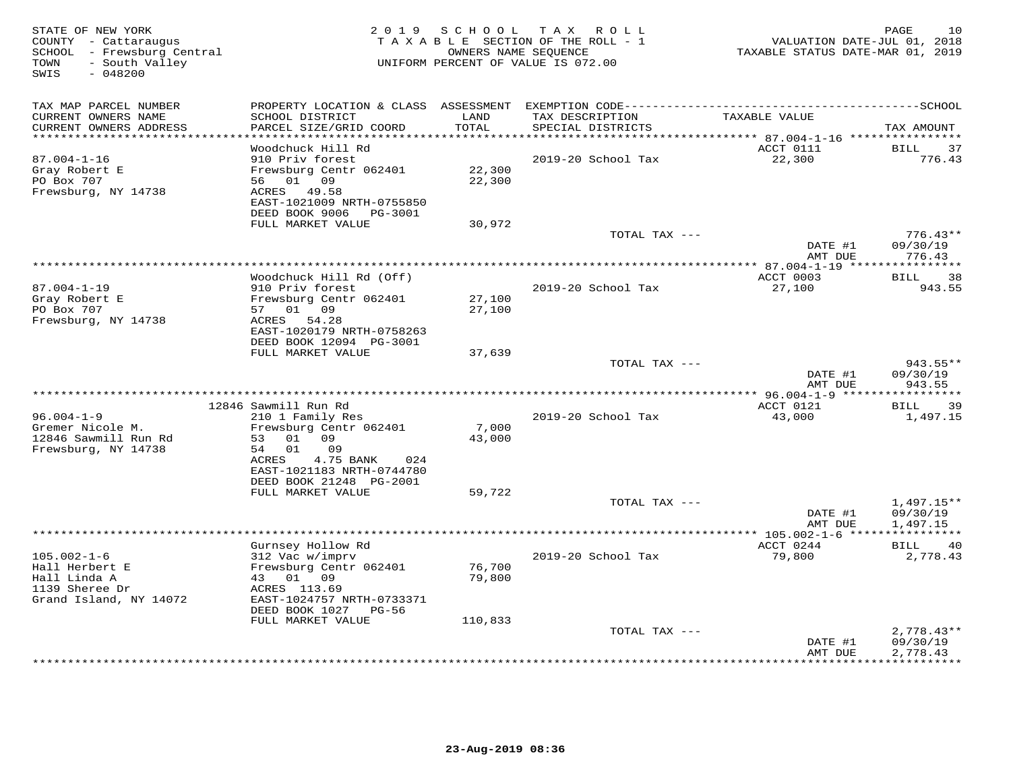| STATE OF NEW YORK<br>COUNTY - Cattaraugus<br>SCHOOL - Frewsburg Central<br>- South Valley<br>TOWN<br>SWIS<br>$-048200$ |                                                   |              | 2019 SCHOOL TAX ROLL<br>TAXABLE SECTION OF THE ROLL - 1<br>OWNERS NAME SEQUENCE<br>UNIFORM PERCENT OF VALUE IS 072.00 | VALUATION DATE-JUL 01, 2018<br>TAXABLE STATUS DATE-MAR 01, 2019 | PAGE<br>10             |
|------------------------------------------------------------------------------------------------------------------------|---------------------------------------------------|--------------|-----------------------------------------------------------------------------------------------------------------------|-----------------------------------------------------------------|------------------------|
| TAX MAP PARCEL NUMBER<br>CURRENT OWNERS NAME                                                                           | SCHOOL DISTRICT                                   | LAND         | TAX DESCRIPTION                                                                                                       | TAXABLE VALUE                                                   |                        |
| CURRENT OWNERS ADDRESS<br>**********************                                                                       | PARCEL SIZE/GRID COORD                            | <b>TOTAL</b> | SPECIAL DISTRICTS                                                                                                     |                                                                 | TAX AMOUNT             |
|                                                                                                                        | Woodchuck Hill Rd                                 |              |                                                                                                                       | ACCT 0111                                                       | BILL<br>37             |
| $87.004 - 1 - 16$                                                                                                      | 910 Priv forest                                   |              | 2019-20 School Tax                                                                                                    | 22,300                                                          | 776.43                 |
| Gray Robert E                                                                                                          | Frewsburg Centr 062401                            | 22,300       |                                                                                                                       |                                                                 |                        |
| PO Box 707                                                                                                             | 56 01 09                                          | 22,300       |                                                                                                                       |                                                                 |                        |
| Frewsburg, NY 14738                                                                                                    | 49.58<br>ACRES                                    |              |                                                                                                                       |                                                                 |                        |
|                                                                                                                        | EAST-1021009 NRTH-0755850                         |              |                                                                                                                       |                                                                 |                        |
|                                                                                                                        | DEED BOOK 9006 PG-3001                            |              |                                                                                                                       |                                                                 |                        |
|                                                                                                                        | FULL MARKET VALUE                                 | 30,972       | TOTAL TAX ---                                                                                                         |                                                                 | $776.43**$             |
|                                                                                                                        |                                                   |              |                                                                                                                       | DATE #1                                                         | 09/30/19               |
|                                                                                                                        |                                                   |              |                                                                                                                       | AMT DUE                                                         | 776.43                 |
|                                                                                                                        |                                                   |              |                                                                                                                       |                                                                 |                        |
|                                                                                                                        | Woodchuck Hill Rd (Off)                           |              |                                                                                                                       | ACCT 0003                                                       | BILL 38                |
| $87.004 - 1 - 19$<br>Gray Robert E                                                                                     | 910 Priv forest                                   | 27,100       | 2019-20 School Tax                                                                                                    | 27,100                                                          | 943.55                 |
| PO Box 707                                                                                                             | Frewsburg Centr 062401<br>57 01 09                | 27,100       |                                                                                                                       |                                                                 |                        |
| Frewsburg, NY 14738                                                                                                    | 54.28<br>ACRES                                    |              |                                                                                                                       |                                                                 |                        |
|                                                                                                                        | EAST-1020179 NRTH-0758263                         |              |                                                                                                                       |                                                                 |                        |
|                                                                                                                        | DEED BOOK 12094 PG-3001                           |              |                                                                                                                       |                                                                 |                        |
|                                                                                                                        | FULL MARKET VALUE                                 | 37,639       |                                                                                                                       |                                                                 |                        |
|                                                                                                                        |                                                   |              | TOTAL TAX ---                                                                                                         |                                                                 | 943.55**               |
|                                                                                                                        |                                                   |              |                                                                                                                       | DATE #1<br>AMT DUE                                              | 09/30/19<br>943.55     |
|                                                                                                                        |                                                   |              |                                                                                                                       |                                                                 |                        |
|                                                                                                                        | 12846 Sawmill Run Rd                              |              |                                                                                                                       | ACCT 0121                                                       | BILL<br>39             |
| $96.004 - 1 - 9$                                                                                                       | 210 1 Family Res                                  |              | 2019-20 School Tax                                                                                                    | 43,000                                                          | 1,497.15               |
| Gremer Nicole M.                                                                                                       | Frewsburg Centr 062401                            | 7,000        |                                                                                                                       |                                                                 |                        |
| 12846 Sawmill Run Rd                                                                                                   | 01 09<br>53<br>54 01<br>09                        | 43,000       |                                                                                                                       |                                                                 |                        |
| Frewsburg, NY 14738                                                                                                    | 4.75 BANK<br>ACRES<br>024                         |              |                                                                                                                       |                                                                 |                        |
|                                                                                                                        | EAST-1021183 NRTH-0744780                         |              |                                                                                                                       |                                                                 |                        |
|                                                                                                                        | DEED BOOK 21248 PG-2001                           |              |                                                                                                                       |                                                                 |                        |
|                                                                                                                        | FULL MARKET VALUE                                 | 59,722       |                                                                                                                       |                                                                 |                        |
|                                                                                                                        |                                                   |              | TOTAL TAX ---                                                                                                         |                                                                 | $1,497.15**$           |
|                                                                                                                        |                                                   |              |                                                                                                                       | DATE #1                                                         | 09/30/19               |
|                                                                                                                        |                                                   |              | **************************************                                                                                | AMT DUE<br>****************** 105.002-1-6 ****                  | 1,497.15               |
|                                                                                                                        | Gurnsey Hollow Rd                                 |              |                                                                                                                       | ACCT 0244                                                       | BILL<br>40             |
| $105.002 - 1 - 6$                                                                                                      | 312 Vac w/imprv                                   |              | 2019-20 School Tax                                                                                                    | 79,800                                                          | 2,778.43               |
| Hall Herbert E                                                                                                         | Frewsburg Centr 062401                            | 76,700       |                                                                                                                       |                                                                 |                        |
| Hall Linda A                                                                                                           | 43 01 09                                          | 79,800       |                                                                                                                       |                                                                 |                        |
| 1139 Sheree Dr                                                                                                         | ACRES 113.69                                      |              |                                                                                                                       |                                                                 |                        |
| Grand Island, NY 14072                                                                                                 | EAST-1024757 NRTH-0733371<br>DEED BOOK 1027 PG-56 |              |                                                                                                                       |                                                                 |                        |
|                                                                                                                        | FULL MARKET VALUE                                 | 110,833      |                                                                                                                       |                                                                 |                        |
|                                                                                                                        |                                                   |              | TOTAL TAX ---                                                                                                         |                                                                 | $2,778.43**$           |
|                                                                                                                        |                                                   |              |                                                                                                                       | DATE #1                                                         | 09/30/19               |
|                                                                                                                        |                                                   |              |                                                                                                                       | AMT DUE                                                         | 2,778.43<br>********** |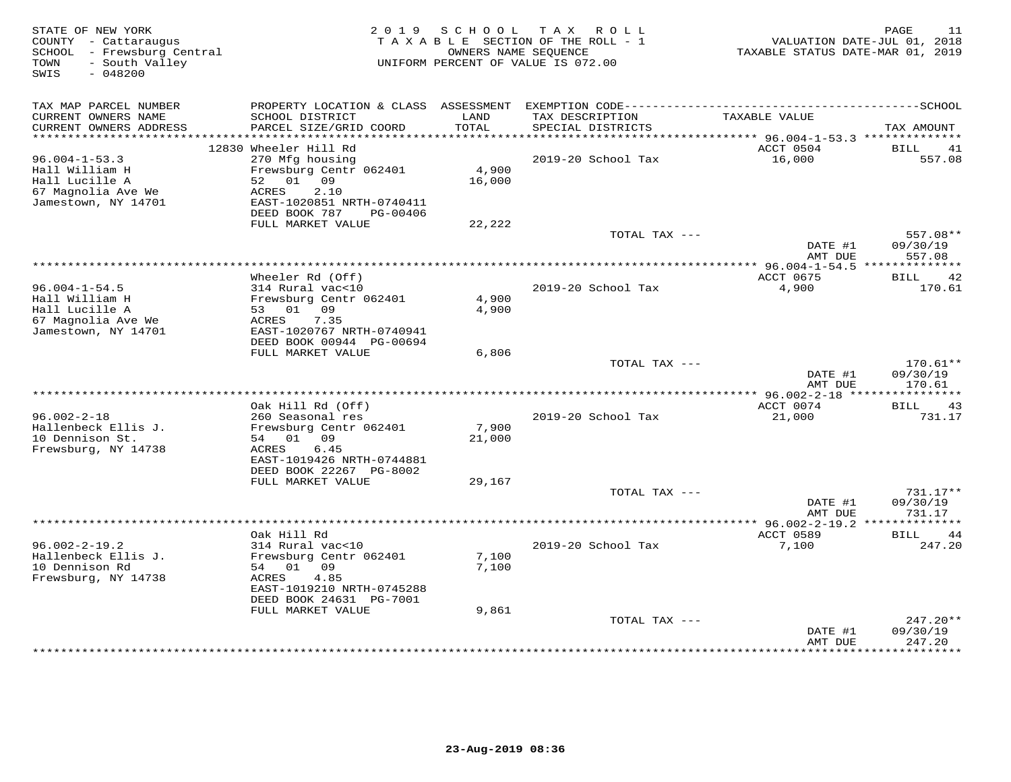| STATE OF NEW YORK<br>COUNTY - Cattaraugus<br>SCHOOL - Frewsburg Central<br>- South Valley<br>TOWN<br>$-048200$<br>SWIS |                                                | 2019 SCHOOL    | T A X<br>ROLL<br>TAXABLE SECTION OF THE ROLL - 1<br>OWNERS NAME SEQUENCE<br>UNIFORM PERCENT OF VALUE IS 072.00 | VALUATION DATE-JUL 01, 2018<br>TAXABLE STATUS DATE-MAR 01, 2019 | PAGE<br>11           |
|------------------------------------------------------------------------------------------------------------------------|------------------------------------------------|----------------|----------------------------------------------------------------------------------------------------------------|-----------------------------------------------------------------|----------------------|
| TAX MAP PARCEL NUMBER                                                                                                  | PROPERTY LOCATION & CLASS ASSESSMENT           |                |                                                                                                                |                                                                 |                      |
| CURRENT OWNERS NAME<br>CURRENT OWNERS ADDRESS<br>**********************                                                | SCHOOL DISTRICT<br>PARCEL SIZE/GRID COORD      | LAND<br>TOTAL  | TAX DESCRIPTION<br>SPECIAL DISTRICTS                                                                           | TAXABLE VALUE                                                   | TAX AMOUNT           |
|                                                                                                                        | 12830 Wheeler Hill Rd                          |                |                                                                                                                | ACCT 0504                                                       | BILL<br>41           |
| $96.004 - 1 - 53.3$                                                                                                    | 270 Mfg housing                                |                | 2019-20 School Tax                                                                                             | 16,000                                                          | 557.08               |
| Hall William H                                                                                                         | Frewsburg Centr 062401                         | 4,900          |                                                                                                                |                                                                 |                      |
| Hall Lucille A                                                                                                         | 52<br>01 09                                    | 16,000         |                                                                                                                |                                                                 |                      |
| 67 Magnolia Ave We                                                                                                     | 2.10<br>ACRES                                  |                |                                                                                                                |                                                                 |                      |
| Jamestown, NY 14701                                                                                                    | EAST-1020851 NRTH-0740411                      |                |                                                                                                                |                                                                 |                      |
|                                                                                                                        | DEED BOOK 787<br>PG-00406<br>FULL MARKET VALUE | 22,222         |                                                                                                                |                                                                 |                      |
|                                                                                                                        |                                                |                | TOTAL TAX ---                                                                                                  |                                                                 | 557.08**             |
|                                                                                                                        |                                                |                |                                                                                                                | DATE #1                                                         | 09/30/19             |
|                                                                                                                        |                                                |                |                                                                                                                | AMT DUE                                                         | 557.08               |
|                                                                                                                        |                                                |                | ****************************                                                                                   | ********** 96.004-1-54.5 ***************                        |                      |
| $96.004 - 1 - 54.5$                                                                                                    | Wheeler Rd (Off)<br>314 Rural vac<10           |                | 2019-20 School Tax                                                                                             | ACCT 0675<br>4,900                                              | 42<br>BILL<br>170.61 |
| Hall William H                                                                                                         | Frewsburg Centr 062401                         | 4,900          |                                                                                                                |                                                                 |                      |
| Hall Lucille A                                                                                                         | 53 01 09                                       | 4,900          |                                                                                                                |                                                                 |                      |
| 67 Magnolia Ave We                                                                                                     | 7.35<br>ACRES                                  |                |                                                                                                                |                                                                 |                      |
| Jamestown, NY 14701                                                                                                    | EAST-1020767 NRTH-0740941                      |                |                                                                                                                |                                                                 |                      |
|                                                                                                                        | DEED BOOK 00944 PG-00694                       |                |                                                                                                                |                                                                 |                      |
|                                                                                                                        | FULL MARKET VALUE                              | 6,806          | TOTAL TAX ---                                                                                                  |                                                                 | $170.61**$           |
|                                                                                                                        |                                                |                |                                                                                                                | DATE #1                                                         | 09/30/19             |
|                                                                                                                        |                                                |                |                                                                                                                | AMT DUE                                                         | 170.61               |
|                                                                                                                        |                                                |                |                                                                                                                |                                                                 |                      |
|                                                                                                                        | Oak Hill Rd (Off)                              |                |                                                                                                                | ACCT 0074                                                       | <b>BILL</b><br>43    |
| $96.002 - 2 - 18$<br>Hallenbeck Ellis J.                                                                               | 260 Seasonal res<br>Frewsburg Centr 062401     | 7,900          | 2019-20 School Tax                                                                                             | 21,000                                                          | 731.17               |
| 10 Dennison St.                                                                                                        | 54 01 09                                       | 21,000         |                                                                                                                |                                                                 |                      |
| Frewsburg, NY 14738                                                                                                    | 6.45<br>ACRES                                  |                |                                                                                                                |                                                                 |                      |
|                                                                                                                        | EAST-1019426 NRTH-0744881                      |                |                                                                                                                |                                                                 |                      |
|                                                                                                                        | DEED BOOK 22267 PG-8002                        |                |                                                                                                                |                                                                 |                      |
|                                                                                                                        | FULL MARKET VALUE                              | 29,167         |                                                                                                                |                                                                 |                      |
|                                                                                                                        |                                                |                | TOTAL TAX ---                                                                                                  | DATE #1                                                         | 731.17**<br>09/30/19 |
|                                                                                                                        |                                                |                |                                                                                                                | AMT DUE                                                         | 731.17               |
|                                                                                                                        |                                                |                |                                                                                                                | ********** 96.002-2-19.2 **************                         |                      |
|                                                                                                                        | Oak Hill Rd                                    |                |                                                                                                                | ACCT 0589                                                       | BILL<br>44           |
| $96.002 - 2 - 19.2$                                                                                                    | 314 Rural vac<10                               |                | 2019-20 School Tax                                                                                             | 7,100                                                           | 247.20               |
| Hallenbeck Ellis J.<br>10 Dennison Rd                                                                                  | Frewsburg Centr 062401<br>01 09<br>54          | 7,100<br>7,100 |                                                                                                                |                                                                 |                      |
| Frewsburg, NY 14738                                                                                                    | ACRES<br>4.85                                  |                |                                                                                                                |                                                                 |                      |
|                                                                                                                        | EAST-1019210 NRTH-0745288                      |                |                                                                                                                |                                                                 |                      |
|                                                                                                                        | DEED BOOK 24631 PG-7001                        |                |                                                                                                                |                                                                 |                      |
|                                                                                                                        | FULL MARKET VALUE                              | 9,861          |                                                                                                                |                                                                 |                      |
|                                                                                                                        |                                                |                | TOTAL TAX ---                                                                                                  |                                                                 | 247.20**             |
|                                                                                                                        |                                                |                |                                                                                                                | DATE #1<br>AMT DUE                                              | 09/30/19<br>247.20   |
|                                                                                                                        |                                                |                |                                                                                                                | **********                                                      | *********            |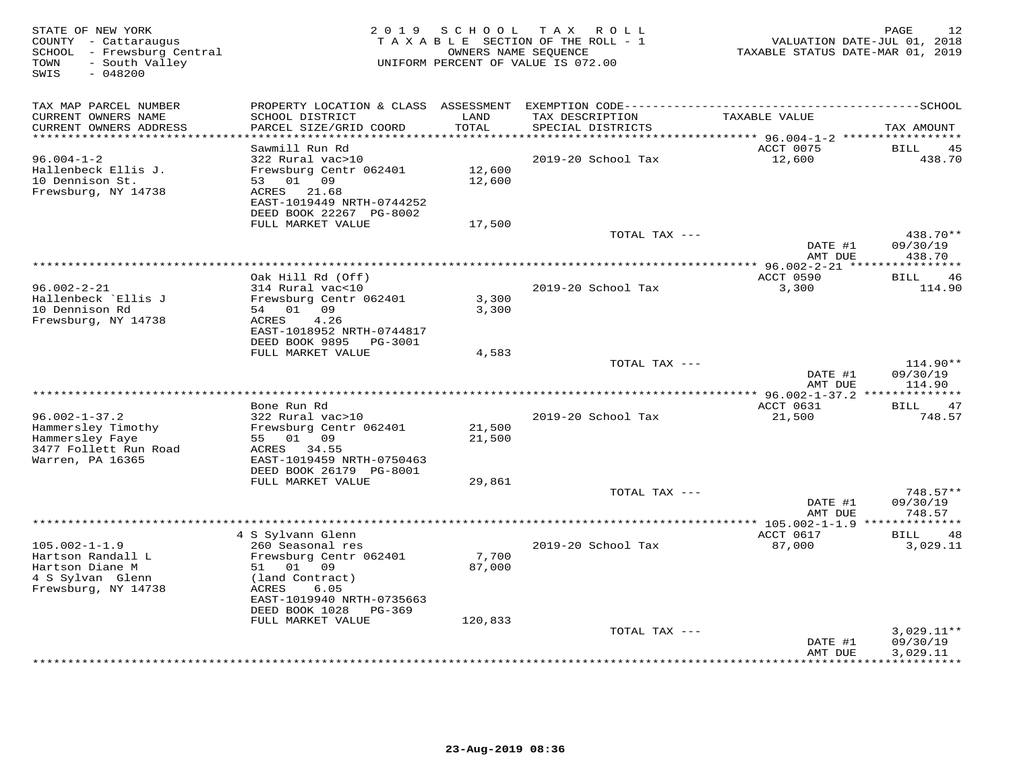| STATE OF NEW YORK<br>COUNTY - Cattaraugus<br>SCHOOL - Frewsburg Central<br>- South Valley<br>TOWN<br>$-048200$<br>SWIS | 2 0 1 9                                   | SCHOOL        | T A X<br>R O L L<br>T A X A B L E SECTION OF THE ROLL - 1<br>OWNERS NAME SEQUENCE<br>UNIFORM PERCENT OF VALUE IS 072.00 | VALUATION DATE-JUL 01, 2018<br>TAXABLE STATUS DATE-MAR 01, 2019 | 12<br>PAGE           |
|------------------------------------------------------------------------------------------------------------------------|-------------------------------------------|---------------|-------------------------------------------------------------------------------------------------------------------------|-----------------------------------------------------------------|----------------------|
| TAX MAP PARCEL NUMBER                                                                                                  | PROPERTY LOCATION & CLASS ASSESSMENT      |               |                                                                                                                         |                                                                 |                      |
| CURRENT OWNERS NAME<br>CURRENT OWNERS ADDRESS<br>*********************                                                 | SCHOOL DISTRICT<br>PARCEL SIZE/GRID COORD | LAND<br>TOTAL | TAX DESCRIPTION<br>SPECIAL DISTRICTS                                                                                    | TAXABLE VALUE                                                   | TAX AMOUNT           |
|                                                                                                                        | Sawmill Run Rd                            |               |                                                                                                                         | ACCT 0075                                                       | 45<br>BILL           |
| $96.004 - 1 - 2$                                                                                                       | 322 Rural vac>10                          |               | 2019-20 School Tax                                                                                                      | 12,600                                                          | 438.70               |
| Hallenbeck Ellis J.                                                                                                    | Frewsburg Centr 062401                    | 12,600        |                                                                                                                         |                                                                 |                      |
| 10 Dennison St.                                                                                                        | 53<br>01 09                               | 12,600        |                                                                                                                         |                                                                 |                      |
| Frewsburg, NY 14738                                                                                                    | ACRES<br>21.68                            |               |                                                                                                                         |                                                                 |                      |
|                                                                                                                        | EAST-1019449 NRTH-0744252                 |               |                                                                                                                         |                                                                 |                      |
|                                                                                                                        | DEED BOOK 22267 PG-8002                   |               |                                                                                                                         |                                                                 |                      |
|                                                                                                                        | FULL MARKET VALUE                         | 17,500        |                                                                                                                         |                                                                 |                      |
|                                                                                                                        |                                           |               | TOTAL TAX ---                                                                                                           |                                                                 | 438.70**             |
|                                                                                                                        |                                           |               |                                                                                                                         | DATE #1                                                         | 09/30/19             |
|                                                                                                                        |                                           |               |                                                                                                                         | AMT DUE                                                         | 438.70               |
|                                                                                                                        | Oak Hill Rd (Off)                         |               |                                                                                                                         | ACCT 0590                                                       | 46<br>BILL           |
| $96.002 - 2 - 21$                                                                                                      | 314 Rural vac<10                          |               | 2019-20 School Tax                                                                                                      | 3,300                                                           | 114.90               |
| Hallenbeck `Ellis J                                                                                                    | Frewsburg Centr 062401                    | 3,300         |                                                                                                                         |                                                                 |                      |
| 10 Dennison Rd                                                                                                         | 54 01 09                                  | 3,300         |                                                                                                                         |                                                                 |                      |
| Frewsburg, NY 14738                                                                                                    | 4.26<br>ACRES                             |               |                                                                                                                         |                                                                 |                      |
|                                                                                                                        | EAST-1018952 NRTH-0744817                 |               |                                                                                                                         |                                                                 |                      |
|                                                                                                                        | DEED BOOK 9895<br>PG-3001                 |               |                                                                                                                         |                                                                 |                      |
|                                                                                                                        | FULL MARKET VALUE                         | 4,583         |                                                                                                                         |                                                                 |                      |
|                                                                                                                        |                                           |               | TOTAL TAX ---                                                                                                           |                                                                 | 114.90**             |
|                                                                                                                        |                                           |               |                                                                                                                         | DATE #1                                                         | 09/30/19             |
| ******************************                                                                                         |                                           |               |                                                                                                                         | AMT DUE                                                         | 114.90               |
|                                                                                                                        | Bone Run Rd                               |               |                                                                                                                         | ACCT 0631                                                       | 47<br><b>BILL</b>    |
| $96.002 - 1 - 37.2$                                                                                                    | 322 Rural vac>10                          |               | 2019-20 School Tax                                                                                                      | 21,500                                                          | 748.57               |
| Hammersley Timothy                                                                                                     | Frewsburg Centr 062401                    | 21,500        |                                                                                                                         |                                                                 |                      |
| Hammersley Faye                                                                                                        | 55<br>01 09                               | 21,500        |                                                                                                                         |                                                                 |                      |
| 3477 Follett Run Road                                                                                                  | 34.55<br>ACRES                            |               |                                                                                                                         |                                                                 |                      |
| Warren, PA 16365                                                                                                       | EAST-1019459 NRTH-0750463                 |               |                                                                                                                         |                                                                 |                      |
|                                                                                                                        | DEED BOOK 26179 PG-8001                   |               |                                                                                                                         |                                                                 |                      |
|                                                                                                                        | FULL MARKET VALUE                         | 29,861        |                                                                                                                         |                                                                 |                      |
|                                                                                                                        |                                           |               | TOTAL TAX ---                                                                                                           |                                                                 | $748.57**$           |
|                                                                                                                        |                                           |               |                                                                                                                         | DATE #1                                                         | 09/30/19             |
|                                                                                                                        |                                           |               |                                                                                                                         | AMT DUE<br>*** 105.002-1-1.9 **************                     | 748.57               |
|                                                                                                                        | 4 S Sylvann Glenn                         |               |                                                                                                                         | ACCT 0617                                                       | 48<br>BILL           |
| $105.002 - 1 - 1.9$                                                                                                    | 260 Seasonal res                          |               | 2019-20 School Tax                                                                                                      | 87,000                                                          | 3,029.11             |
| Hartson Randall L                                                                                                      | Frewsburg Centr 062401                    | 7,700         |                                                                                                                         |                                                                 |                      |
| Hartson Diane M                                                                                                        | 01 09<br>51                               | 87,000        |                                                                                                                         |                                                                 |                      |
| 4 S Sylvan Glenn                                                                                                       | (land Contract)                           |               |                                                                                                                         |                                                                 |                      |
| Frewsburg, NY 14738                                                                                                    | ACRES<br>6.05                             |               |                                                                                                                         |                                                                 |                      |
|                                                                                                                        | EAST-1019940 NRTH-0735663                 |               |                                                                                                                         |                                                                 |                      |
|                                                                                                                        | DEED BOOK 1028<br>PG-369                  |               |                                                                                                                         |                                                                 |                      |
|                                                                                                                        | FULL MARKET VALUE                         | 120,833       |                                                                                                                         |                                                                 |                      |
|                                                                                                                        |                                           |               | TOTAL TAX ---                                                                                                           |                                                                 | $3,029.11**$         |
|                                                                                                                        |                                           |               |                                                                                                                         | DATE #1<br>AMT DUE                                              | 09/30/19<br>3,029.11 |
|                                                                                                                        |                                           |               |                                                                                                                         |                                                                 | * * * * * * * * * ·  |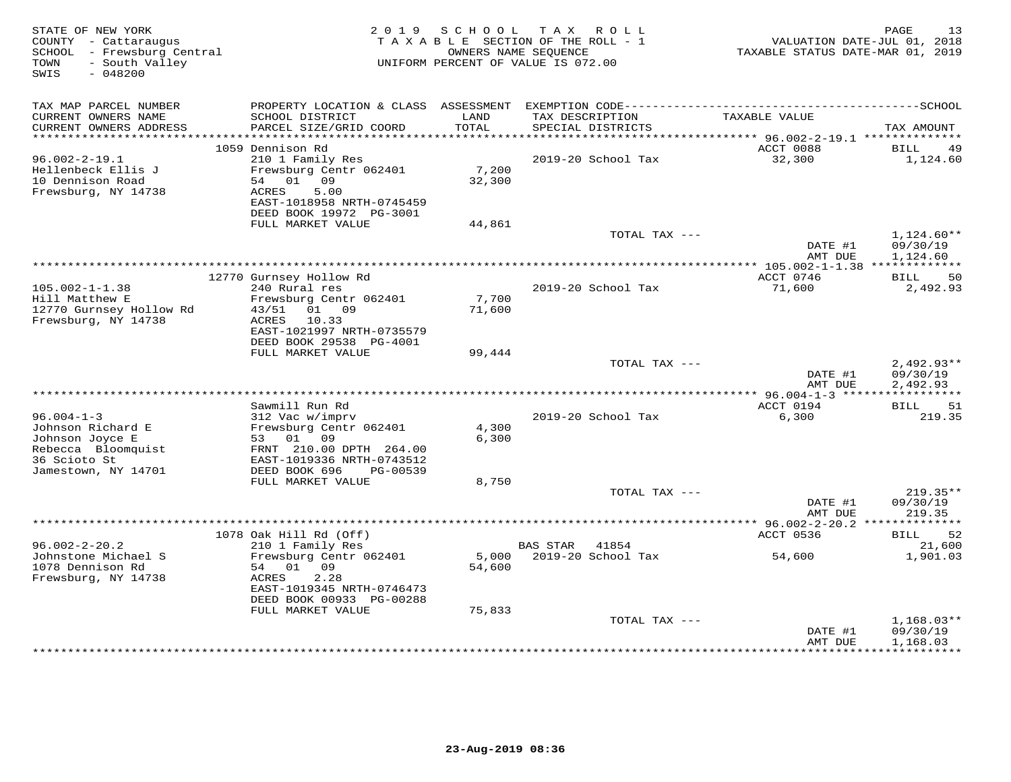| STATE OF NEW YORK<br>COUNTY - Cattaraugus<br>SCHOOL - Frewsburg Central<br>- South Valley<br>TOWN<br>SWIS<br>$-048200$ | 2 0 1 9                                              | S C H O O L   | T A X<br>R O L L<br>TAXABLE SECTION OF THE ROLL - 1<br>OWNERS NAME SEQUENCE<br>UNIFORM PERCENT OF VALUE IS 072.00 | VALUATION DATE-JUL 01, 2018<br>TAXABLE STATUS DATE-MAR 01, 2019 | PAGE<br>13             |
|------------------------------------------------------------------------------------------------------------------------|------------------------------------------------------|---------------|-------------------------------------------------------------------------------------------------------------------|-----------------------------------------------------------------|------------------------|
| TAX MAP PARCEL NUMBER                                                                                                  |                                                      |               |                                                                                                                   |                                                                 |                        |
| CURRENT OWNERS NAME<br>CURRENT OWNERS ADDRESS<br>************************                                              | SCHOOL DISTRICT<br>PARCEL SIZE/GRID COORD            | LAND<br>TOTAL | TAX DESCRIPTION<br>SPECIAL DISTRICTS                                                                              | TAXABLE VALUE                                                   | TAX AMOUNT             |
|                                                                                                                        | 1059 Dennison Rd                                     |               |                                                                                                                   | ACCT 0088                                                       | BILL<br>49             |
| $96.002 - 2 - 19.1$                                                                                                    | 210 1 Family Res                                     |               | 2019-20 School Tax                                                                                                | 32,300                                                          | 1,124.60               |
| Hellenbeck Ellis J                                                                                                     | Frewsburg Centr 062401                               | 7,200         |                                                                                                                   |                                                                 |                        |
| 10 Dennison Road                                                                                                       | 54<br>01<br>09                                       | 32,300        |                                                                                                                   |                                                                 |                        |
| Frewsburg, NY 14738                                                                                                    | 5.00<br>ACRES                                        |               |                                                                                                                   |                                                                 |                        |
|                                                                                                                        | EAST-1018958 NRTH-0745459<br>DEED BOOK 19972 PG-3001 |               |                                                                                                                   |                                                                 |                        |
|                                                                                                                        | FULL MARKET VALUE                                    | 44,861        |                                                                                                                   |                                                                 |                        |
|                                                                                                                        |                                                      |               | TOTAL TAX ---                                                                                                     |                                                                 | $1,124.60**$           |
|                                                                                                                        |                                                      |               |                                                                                                                   | DATE #1                                                         | 09/30/19               |
|                                                                                                                        |                                                      |               |                                                                                                                   | AMT DUE                                                         | 1,124.60               |
|                                                                                                                        |                                                      |               |                                                                                                                   |                                                                 |                        |
| $105.002 - 1 - 1.38$                                                                                                   | 12770 Gurnsey Hollow Rd<br>240 Rural res             |               | 2019-20 School Tax                                                                                                | ACCT 0746<br>71,600                                             | 50<br>BILL<br>2,492.93 |
| Hill Matthew E                                                                                                         | Frewsburg Centr 062401                               | 7,700         |                                                                                                                   |                                                                 |                        |
| 12770 Gurnsey Hollow Rd                                                                                                | 43/51 01 09                                          | 71,600        |                                                                                                                   |                                                                 |                        |
| Frewsburg, NY 14738                                                                                                    | ACRES<br>10.33                                       |               |                                                                                                                   |                                                                 |                        |
|                                                                                                                        | EAST-1021997 NRTH-0735579                            |               |                                                                                                                   |                                                                 |                        |
|                                                                                                                        | DEED BOOK 29538 PG-4001<br>FULL MARKET VALUE         | 99,444        |                                                                                                                   |                                                                 |                        |
|                                                                                                                        |                                                      |               | TOTAL TAX ---                                                                                                     |                                                                 | $2,492.93**$           |
|                                                                                                                        |                                                      |               |                                                                                                                   | DATE #1                                                         | 09/30/19               |
|                                                                                                                        |                                                      |               |                                                                                                                   | AMT DUE                                                         | 2,492.93               |
|                                                                                                                        |                                                      |               |                                                                                                                   |                                                                 |                        |
| $96.004 - 1 - 3$                                                                                                       | Sawmill Run Rd<br>312 Vac w/imprv                    |               | 2019-20 School Tax                                                                                                | ACCT 0194<br>6,300                                              | BILL<br>51<br>219.35   |
| Johnson Richard E                                                                                                      | Frewsburg Centr 062401                               | 4,300         |                                                                                                                   |                                                                 |                        |
| Johnson Joyce E                                                                                                        | 53 01 09                                             | 6,300         |                                                                                                                   |                                                                 |                        |
| Rebecca Bloomquist                                                                                                     | FRNT 210.00 DPTH 264.00                              |               |                                                                                                                   |                                                                 |                        |
| 36 Scioto St                                                                                                           | EAST-1019336 NRTH-0743512                            |               |                                                                                                                   |                                                                 |                        |
| Jamestown, NY 14701                                                                                                    | DEED BOOK 696<br>PG-00539<br>FULL MARKET VALUE       | 8,750         |                                                                                                                   |                                                                 |                        |
|                                                                                                                        |                                                      |               | TOTAL TAX ---                                                                                                     |                                                                 | $219.35**$             |
|                                                                                                                        |                                                      |               |                                                                                                                   | DATE #1                                                         | 09/30/19               |
|                                                                                                                        |                                                      |               |                                                                                                                   | AMT DUE                                                         | 219.35                 |
|                                                                                                                        |                                                      |               |                                                                                                                   |                                                                 |                        |
|                                                                                                                        | 1078 Oak Hill Rd (Off)                               |               |                                                                                                                   | ACCT 0536                                                       | <b>BILL</b><br>52      |
| $96.002 - 2 - 20.2$<br>Johnstone Michael S                                                                             | 210 1 Family Res<br>Frewsburg Centr 062401           | 5,000         | <b>BAS STAR</b><br>41854<br>2019-20 School Tax                                                                    | 54,600                                                          | 21,600<br>1,901.03     |
| 1078 Dennison Rd                                                                                                       | 54 01 09                                             | 54,600        |                                                                                                                   |                                                                 |                        |
| Frewsburg, NY 14738                                                                                                    | ACRES<br>2.28                                        |               |                                                                                                                   |                                                                 |                        |
|                                                                                                                        | EAST-1019345 NRTH-0746473                            |               |                                                                                                                   |                                                                 |                        |
|                                                                                                                        | DEED BOOK 00933 PG-00288                             |               |                                                                                                                   |                                                                 |                        |
|                                                                                                                        | FULL MARKET VALUE                                    | 75,833        | TOTAL TAX ---                                                                                                     |                                                                 | $1,168.03**$           |
|                                                                                                                        |                                                      |               |                                                                                                                   | DATE #1                                                         | 09/30/19               |
|                                                                                                                        |                                                      |               |                                                                                                                   | AMT DUE                                                         | 1,168.03               |
|                                                                                                                        |                                                      |               |                                                                                                                   |                                                                 | ***********            |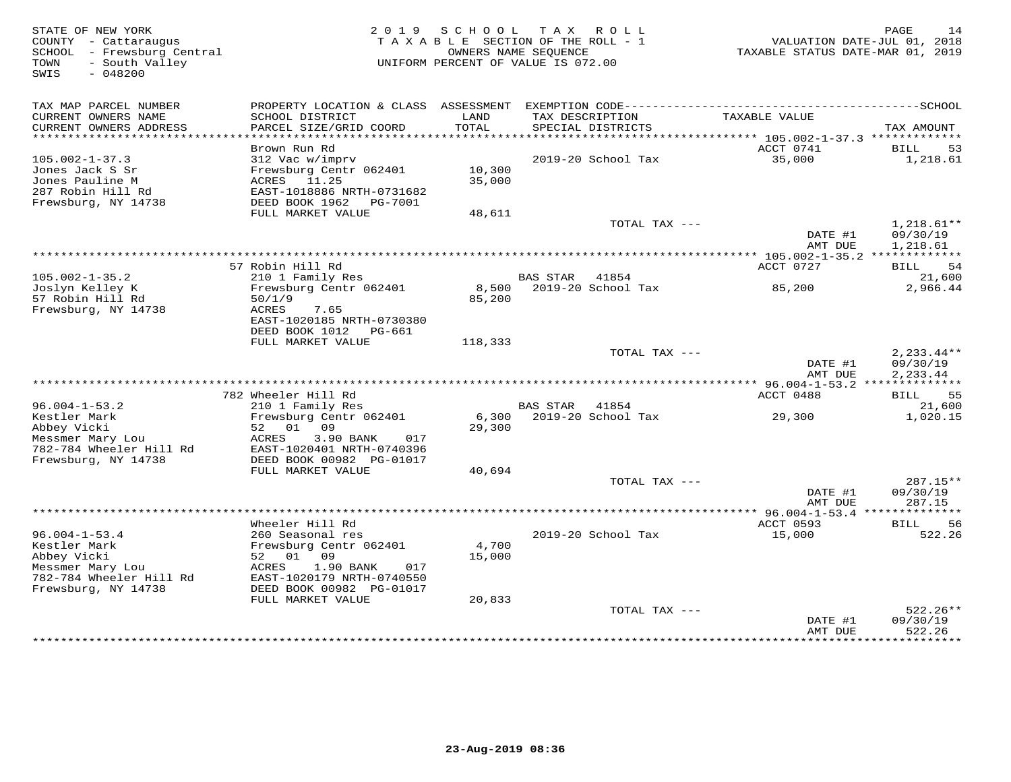| STATE OF NEW YORK<br>COUNTY - Cattaraugus<br>SCHOOL<br>- Frewsburg Central<br>- South Valley<br>TOWN<br>$-048200$<br>SWIS | 2 0 1 9                                                                                                                                                         | S C H O O L      | T A X<br>ROLL<br>TAXABLE SECTION OF THE ROLL - 1<br>OWNERS NAME SEQUENCE<br>UNIFORM PERCENT OF VALUE IS 072.00 | VALUATION DATE-JUL 01, 2018<br>TAXABLE STATUS DATE-MAR 01, 2019 | PAGE<br>14                           |
|---------------------------------------------------------------------------------------------------------------------------|-----------------------------------------------------------------------------------------------------------------------------------------------------------------|------------------|----------------------------------------------------------------------------------------------------------------|-----------------------------------------------------------------|--------------------------------------|
| TAX MAP PARCEL NUMBER<br>CURRENT OWNERS NAME<br>CURRENT OWNERS ADDRESS                                                    | PROPERTY LOCATION & CLASS ASSESSMENT<br>SCHOOL DISTRICT<br>PARCEL SIZE/GRID COORD                                                                               | LAND<br>TOTAL    | TAX DESCRIPTION<br>SPECIAL DISTRICTS                                                                           | TAXABLE VALUE                                                   | TAX AMOUNT                           |
| ***********************                                                                                                   |                                                                                                                                                                 |                  |                                                                                                                |                                                                 |                                      |
| $105.002 - 1 - 37.3$<br>Jones Jack S Sr<br>Jones Pauline M<br>287 Robin Hill Rd<br>Frewsburg, NY 14738                    | Brown Run Rd<br>312 Vac w/imprv<br>Frewsburg Centr 062401<br>ACRES 11.25<br>EAST-1018886 NRTH-0731682<br>DEED BOOK 1962<br>PG-7001                              | 10,300<br>35,000 | 2019-20 School Tax                                                                                             | ACCT 0741<br>35,000                                             | 53<br>BILL<br>1,218.61               |
|                                                                                                                           | FULL MARKET VALUE                                                                                                                                               | 48,611           |                                                                                                                |                                                                 |                                      |
|                                                                                                                           |                                                                                                                                                                 |                  | TOTAL TAX ---                                                                                                  | DATE #1<br>AMT DUE                                              | $1,218.61**$<br>09/30/19<br>1,218.61 |
|                                                                                                                           |                                                                                                                                                                 |                  |                                                                                                                |                                                                 |                                      |
|                                                                                                                           | 57 Robin Hill Rd                                                                                                                                                |                  |                                                                                                                | ACCT 0727                                                       | 54<br>BILL                           |
| $105.002 - 1 - 35.2$<br>Joslyn Kelley K                                                                                   | 210 1 Family Res<br>Frewsburg Centr 062401                                                                                                                      | 8,500            | BAS STAR<br>41854<br>2019-20 School Tax                                                                        | 85,200                                                          | 21,600<br>2,966.44                   |
| 57 Robin Hill Rd<br>Frewsburg, NY 14738                                                                                   | 50/1/9<br>ACRES<br>7.65<br>EAST-1020185 NRTH-0730380<br>DEED BOOK 1012<br>PG-661                                                                                | 85,200           |                                                                                                                |                                                                 |                                      |
|                                                                                                                           | FULL MARKET VALUE                                                                                                                                               | 118,333          |                                                                                                                |                                                                 |                                      |
|                                                                                                                           |                                                                                                                                                                 |                  | TOTAL TAX ---                                                                                                  | DATE #1<br>AMT DUE                                              | $2,233.44**$<br>09/30/19<br>2,233.44 |
|                                                                                                                           |                                                                                                                                                                 |                  |                                                                                                                |                                                                 |                                      |
|                                                                                                                           | 782 Wheeler Hill Rd                                                                                                                                             |                  |                                                                                                                | ACCT 0488                                                       | 55<br>BILL                           |
| $96.004 - 1 - 53.2$<br>Kestler Mark<br>Abbey Vicki                                                                        | 210 1 Family Res<br>Frewsburg Centr 062401<br>01 09<br>52                                                                                                       | 6,300<br>29,300  | <b>BAS STAR</b><br>41854<br>2019-20 School Tax                                                                 | 29,300                                                          | 21,600<br>1,020.15                   |
| Messmer Mary Lou<br>782-784 Wheeler Hill Rd<br>Frewsburg, NY 14738                                                        | 3.90 BANK<br>ACRES<br>017<br>EAST-1020401 NRTH-0740396<br>DEED BOOK 00982 PG-01017                                                                              |                  |                                                                                                                |                                                                 |                                      |
|                                                                                                                           | FULL MARKET VALUE                                                                                                                                               | 40,694           |                                                                                                                |                                                                 |                                      |
|                                                                                                                           |                                                                                                                                                                 |                  | TOTAL TAX ---                                                                                                  | DATE #1<br>AMT DUE                                              | 287.15**<br>09/30/19<br>287.15       |
|                                                                                                                           |                                                                                                                                                                 |                  |                                                                                                                | ** 96.004-1-53.4 ***                                            | *********                            |
| $96.004 - 1 - 53.4$<br>Kestler Mark<br>Abbey Vicki<br>Messmer Mary Lou<br>782-784 Wheeler Hill Rd<br>Frewsburg, NY 14738  | Wheeler Hill Rd<br>260 Seasonal res<br>Frewsburg Centr 062401<br>52 01 09<br>ACRES<br>1.90 BANK<br>017<br>EAST-1020179 NRTH-0740550<br>DEED BOOK 00982 PG-01017 | 4,700<br>15,000  | 2019-20 School Tax                                                                                             | ACCT 0593<br>15,000                                             | <b>BILL</b><br>56<br>522.26          |
|                                                                                                                           | FULL MARKET VALUE                                                                                                                                               | 20,833           |                                                                                                                |                                                                 | $522.26**$                           |
|                                                                                                                           |                                                                                                                                                                 |                  | TOTAL TAX ---                                                                                                  | DATE #1<br>AMT DUE                                              | 09/30/19<br>522.26                   |
|                                                                                                                           |                                                                                                                                                                 |                  |                                                                                                                | *************                                                   | * * * * * * * * *                    |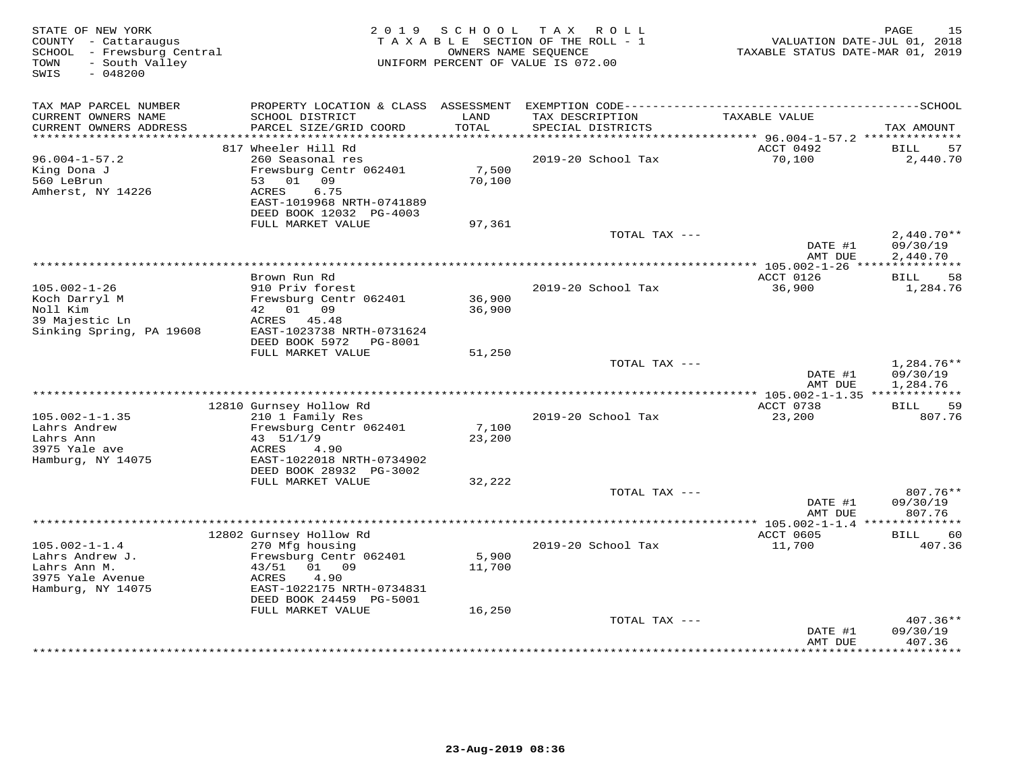| STATE OF NEW YORK<br>COUNTY - Cattaraugus<br>SCHOOL - Frewsburg Central<br>- South Valley<br>TOWN<br>$-048200$<br>SWIS |                                                      | 2019 SCHOOL | TAX ROLL<br>TAXABLE SECTION OF THE ROLL - 1<br>OWNERS NAME SEQUENCE<br>UNIFORM PERCENT OF VALUE IS 072.00 | TAXABLE STATUS DATE-MAR 01, 2019        | PAGE<br>15<br>VALUATION DATE-JUL 01, 2018 |
|------------------------------------------------------------------------------------------------------------------------|------------------------------------------------------|-------------|-----------------------------------------------------------------------------------------------------------|-----------------------------------------|-------------------------------------------|
| TAX MAP PARCEL NUMBER<br>CURRENT OWNERS NAME                                                                           | SCHOOL DISTRICT                                      | LAND        | TAX DESCRIPTION                                                                                           | TAXABLE VALUE                           |                                           |
| CURRENT OWNERS ADDRESS                                                                                                 | PARCEL SIZE/GRID COORD<br>************************** | TOTAL       | SPECIAL DISTRICTS                                                                                         |                                         | TAX AMOUNT                                |
| ***********************                                                                                                | 817 Wheeler Hill Rd                                  |             |                                                                                                           | ACCT 0492                               | BILL<br>57                                |
| $96.004 - 1 - 57.2$                                                                                                    | 260 Seasonal res                                     |             | 2019-20 School Tax                                                                                        | 70,100                                  | 2,440.70                                  |
| King Dona J                                                                                                            | Frewsburg Centr 062401                               | 7,500       |                                                                                                           |                                         |                                           |
| 560 LeBrun                                                                                                             | 53 01 09                                             | 70,100      |                                                                                                           |                                         |                                           |
| Amherst, NY 14226                                                                                                      | 6.75<br>ACRES                                        |             |                                                                                                           |                                         |                                           |
|                                                                                                                        | EAST-1019968 NRTH-0741889<br>DEED BOOK 12032 PG-4003 |             |                                                                                                           |                                         |                                           |
|                                                                                                                        | FULL MARKET VALUE                                    | 97,361      |                                                                                                           |                                         |                                           |
|                                                                                                                        |                                                      |             | TOTAL TAX ---                                                                                             | DATE #1                                 | $2,440.70**$<br>09/30/19                  |
|                                                                                                                        |                                                      |             | *********************************                                                                         | AMT DUE<br>********** 105.002-1-26 **** | 2,440.70<br>***********                   |
|                                                                                                                        | Brown Run Rd                                         |             |                                                                                                           | ACCT 0126                               | 58<br>BILL                                |
| $105.002 - 1 - 26$                                                                                                     | 910 Priv forest                                      |             | 2019-20 School Tax                                                                                        | 36,900                                  | 1,284.76                                  |
| Koch Darryl M                                                                                                          | Frewsburg Centr 062401                               | 36,900      |                                                                                                           |                                         |                                           |
| Noll Kim                                                                                                               | 42 01 09                                             | 36,900      |                                                                                                           |                                         |                                           |
| 39 Majestic Ln                                                                                                         | ACRES 45.48                                          |             |                                                                                                           |                                         |                                           |
| Sinking Spring, PA 19608                                                                                               | EAST-1023738 NRTH-0731624<br>DEED BOOK 5972 PG-8001  |             |                                                                                                           |                                         |                                           |
|                                                                                                                        | FULL MARKET VALUE                                    | 51,250      |                                                                                                           |                                         |                                           |
|                                                                                                                        |                                                      |             | TOTAL TAX ---                                                                                             |                                         | 1,284.76**                                |
|                                                                                                                        |                                                      |             |                                                                                                           | DATE #1                                 | 09/30/19                                  |
|                                                                                                                        |                                                      |             |                                                                                                           | AMT DUE                                 | 1,284.76                                  |
|                                                                                                                        |                                                      |             |                                                                                                           |                                         |                                           |
| $105.002 - 1 - 1.35$                                                                                                   | 12810 Gurnsey Hollow Rd                              |             | 2019-20 School Tax                                                                                        | ACCT 0738                               | BILL<br>59<br>807.76                      |
| Lahrs Andrew                                                                                                           | 210 1 Family Res<br>Frewsburg Centr 062401           | 7,100       |                                                                                                           | 23,200                                  |                                           |
| Lahrs Ann                                                                                                              | 43 51/1/9                                            | 23,200      |                                                                                                           |                                         |                                           |
| 3975 Yale ave                                                                                                          | 4.90<br>ACRES                                        |             |                                                                                                           |                                         |                                           |
| Hamburg, NY 14075                                                                                                      | EAST-1022018 NRTH-0734902                            |             |                                                                                                           |                                         |                                           |
|                                                                                                                        | DEED BOOK 28932 PG-3002                              |             |                                                                                                           |                                         |                                           |
|                                                                                                                        | FULL MARKET VALUE                                    | 32,222      |                                                                                                           |                                         |                                           |
|                                                                                                                        |                                                      |             | TOTAL TAX ---                                                                                             | DATE #1                                 | 807.76**<br>09/30/19                      |
|                                                                                                                        |                                                      |             |                                                                                                           | AMT DUE                                 | 807.76                                    |
|                                                                                                                        |                                                      |             |                                                                                                           |                                         |                                           |
|                                                                                                                        | 12802 Gurnsey Hollow Rd                              |             |                                                                                                           | ACCT 0605                               | <b>BILL</b><br>60                         |
| $105.002 - 1 - 1.4$                                                                                                    | 270 Mfg housing                                      |             | 2019-20 School Tax                                                                                        | 11,700                                  | 407.36                                    |
| Lahrs Andrew J.                                                                                                        | Frewsburg Centr 062401                               | 5,900       |                                                                                                           |                                         |                                           |
| Lahrs Ann M.                                                                                                           | 43/51<br>01 09                                       | 11,700      |                                                                                                           |                                         |                                           |
| 3975 Yale Avenue<br>Hamburg, NY 14075                                                                                  | 4.90<br>ACRES<br>EAST-1022175 NRTH-0734831           |             |                                                                                                           |                                         |                                           |
|                                                                                                                        | DEED BOOK 24459 PG-5001                              |             |                                                                                                           |                                         |                                           |
|                                                                                                                        | FULL MARKET VALUE                                    | 16,250      |                                                                                                           |                                         |                                           |
|                                                                                                                        |                                                      |             | TOTAL TAX ---                                                                                             |                                         | $407.36**$                                |
|                                                                                                                        |                                                      |             |                                                                                                           | DATE #1                                 | 09/30/19                                  |
|                                                                                                                        |                                                      |             |                                                                                                           | AMT DUE<br>*********                    | 407.36<br>********                        |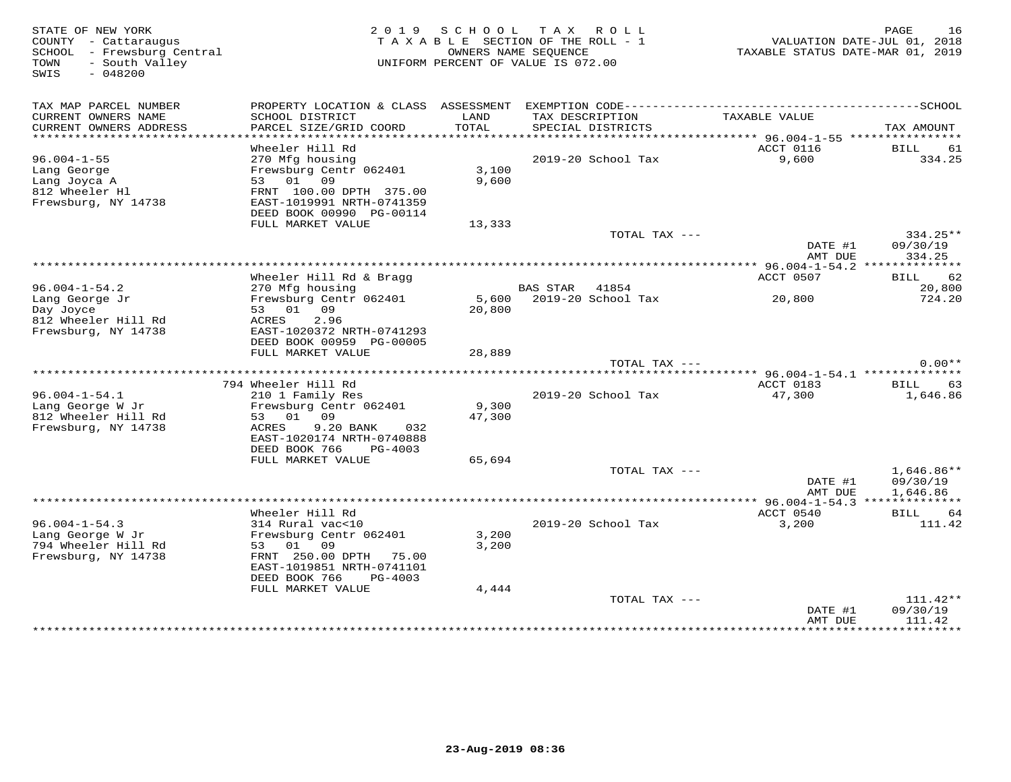| STATE OF NEW YORK<br>COUNTY - Cattaraugus<br>SCHOOL - Frewsburg Central<br>- South Valley<br>TOWN<br>SWIS<br>$-048200$ |                                               |                 | 2019 SCHOOL TAX ROLL<br>TAXABLE SECTION OF THE ROLL - 1<br>OWNERS NAME SEQUENCE<br>UNIFORM PERCENT OF VALUE IS 072.00 | TAXABLE STATUS DATE-MAR 01, 2019 | PAGE<br>16<br>VALUATION DATE-JUL 01, 2018 |
|------------------------------------------------------------------------------------------------------------------------|-----------------------------------------------|-----------------|-----------------------------------------------------------------------------------------------------------------------|----------------------------------|-------------------------------------------|
| TAX MAP PARCEL NUMBER                                                                                                  |                                               |                 |                                                                                                                       |                                  |                                           |
| CURRENT OWNERS NAME                                                                                                    | SCHOOL DISTRICT                               | LAND<br>TOTAL   | TAX DESCRIPTION                                                                                                       | TAXABLE VALUE                    |                                           |
| CURRENT OWNERS ADDRESS<br>******************************                                                               | PARCEL SIZE/GRID COORD                        |                 | SPECIAL DISTRICTS                                                                                                     |                                  | TAX AMOUNT                                |
|                                                                                                                        | Wheeler Hill Rd                               |                 |                                                                                                                       | ACCT 0116                        | <b>BILL</b><br>61                         |
| $96.004 - 1 - 55$                                                                                                      | 270 Mfg housing                               |                 | 2019-20 School Tax                                                                                                    | 9,600                            | 334.25                                    |
| Lang George                                                                                                            | Frewsburg Centr 062401                        | 3,100           |                                                                                                                       |                                  |                                           |
| Lang Joyca A                                                                                                           | 53 01 09                                      | 9,600           |                                                                                                                       |                                  |                                           |
| 812 Wheeler Hl                                                                                                         | FRNT 100.00 DPTH 375.00                       |                 |                                                                                                                       |                                  |                                           |
| Frewsburg, NY 14738                                                                                                    | EAST-1019991 NRTH-0741359                     |                 |                                                                                                                       |                                  |                                           |
|                                                                                                                        | DEED BOOK 00990 PG-00114<br>FULL MARKET VALUE |                 |                                                                                                                       |                                  |                                           |
|                                                                                                                        |                                               | 13,333          | TOTAL TAX ---                                                                                                         |                                  | 334.25**                                  |
|                                                                                                                        |                                               |                 |                                                                                                                       | DATE #1<br>AMT DUE               | 09/30/19<br>334.25                        |
|                                                                                                                        |                                               |                 |                                                                                                                       |                                  |                                           |
|                                                                                                                        | Wheeler Hill Rd & Bragg                       |                 |                                                                                                                       | ACCT 0507                        | 62<br>BILL                                |
| $96.004 - 1 - 54.2$                                                                                                    | 270 Mfg housing                               |                 | BAS STAR 41854                                                                                                        |                                  | 20,800                                    |
| Lang George Jr                                                                                                         | Frewsburg Centr 062401                        |                 | 5,600 2019-20 School Tax                                                                                              | 20,800                           | 724.20                                    |
| Day Joyce<br>812 Wheeler Hill Rd                                                                                       | 53 01 09<br>ACRES<br>2.96                     | 20,800          |                                                                                                                       |                                  |                                           |
| Frewsburg, NY 14738                                                                                                    | EAST-1020372 NRTH-0741293                     |                 |                                                                                                                       |                                  |                                           |
|                                                                                                                        | DEED BOOK 00959 PG-00005                      |                 |                                                                                                                       |                                  |                                           |
|                                                                                                                        | FULL MARKET VALUE                             | 28,889          |                                                                                                                       |                                  |                                           |
|                                                                                                                        |                                               |                 | TOTAL TAX ---                                                                                                         |                                  | $0.00**$                                  |
|                                                                                                                        |                                               |                 |                                                                                                                       |                                  |                                           |
|                                                                                                                        | 794 Wheeler Hill Rd                           |                 |                                                                                                                       | ACCT 0183                        | <b>BILL</b><br>63                         |
| $96.004 - 1 - 54.1$                                                                                                    | 210 1 Family Res                              |                 | 2019-20 School Tax                                                                                                    | 47,300                           | 1,646.86                                  |
| Lang George W Jr<br>812 Wheeler Hill Rd                                                                                | Frewsburg Centr 062401<br>53 01 09            | 9,300<br>47,300 |                                                                                                                       |                                  |                                           |
| Frewsburg, NY 14738                                                                                                    | 9.20 BANK<br>ACRES<br>032                     |                 |                                                                                                                       |                                  |                                           |
|                                                                                                                        | EAST-1020174 NRTH-0740888                     |                 |                                                                                                                       |                                  |                                           |
|                                                                                                                        | DEED BOOK 766<br>PG-4003                      |                 |                                                                                                                       |                                  |                                           |
|                                                                                                                        | FULL MARKET VALUE                             | 65,694          |                                                                                                                       |                                  |                                           |
|                                                                                                                        |                                               |                 | TOTAL TAX ---                                                                                                         |                                  | $1,646.86**$                              |
|                                                                                                                        |                                               |                 |                                                                                                                       | DATE #1                          | 09/30/19                                  |
|                                                                                                                        |                                               |                 |                                                                                                                       | AMT DUE                          | 1,646.86                                  |
|                                                                                                                        | Wheeler Hill Rd                               |                 |                                                                                                                       | ACCT 0540                        |                                           |
| $96.004 - 1 - 54.3$                                                                                                    | 314 Rural vac<10                              |                 | 2019-20 School Tax                                                                                                    | 3,200                            | <b>BILL</b><br>64<br>111.42               |
| Lang George W Jr                                                                                                       | Frewsburg Centr 062401                        | 3,200           |                                                                                                                       |                                  |                                           |
| 794 Wheeler Hill Rd                                                                                                    | 53 01 09                                      | 3,200           |                                                                                                                       |                                  |                                           |
| Frewsburg, NY 14738                                                                                                    | FRNT 250.00 DPTH 75.00                        |                 |                                                                                                                       |                                  |                                           |
|                                                                                                                        | EAST-1019851 NRTH-0741101                     |                 |                                                                                                                       |                                  |                                           |
|                                                                                                                        | DEED BOOK 766<br>PG-4003                      |                 |                                                                                                                       |                                  |                                           |
|                                                                                                                        | FULL MARKET VALUE                             | 4,444           |                                                                                                                       |                                  |                                           |
|                                                                                                                        |                                               |                 | TOTAL TAX ---                                                                                                         |                                  | $111.42**$                                |
|                                                                                                                        |                                               |                 |                                                                                                                       | DATE #1<br>AMT DUE               | 09/30/19<br>111.42                        |
|                                                                                                                        |                                               |                 |                                                                                                                       |                                  | ************                              |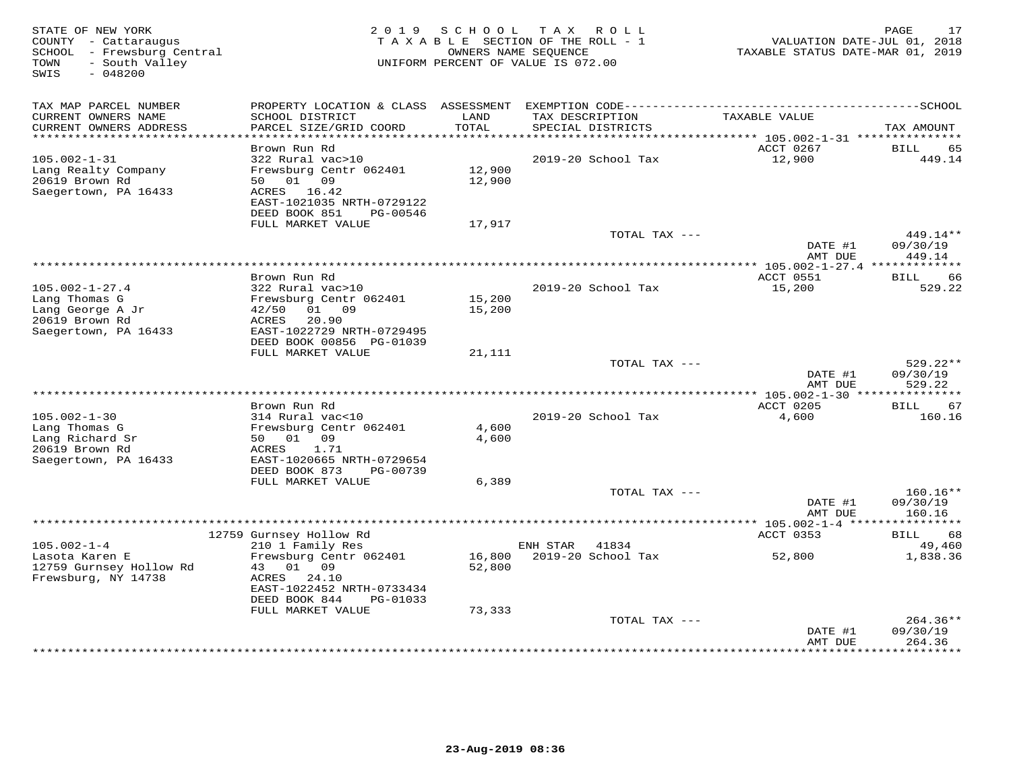| STATE OF NEW YORK<br>COUNTY - Cattaraugus<br>SCHOOL - Frewsburg Central             | 2 0 1 9                                                                                                                         | SCHOOL           | T A X<br>R O L L<br>TAXABLE SECTION OF THE ROLL - 1<br>OWNERS NAME SEQUENCE | TAXABLE STATUS DATE-MAR 01, 2019  | PAGE<br>17<br>VALUATION DATE-JUL 01, 2018 |
|-------------------------------------------------------------------------------------|---------------------------------------------------------------------------------------------------------------------------------|------------------|-----------------------------------------------------------------------------|-----------------------------------|-------------------------------------------|
| - South Valley<br>TOWN<br>SWIS<br>$-048200$                                         |                                                                                                                                 |                  | UNIFORM PERCENT OF VALUE IS 072.00                                          |                                   |                                           |
| TAX MAP PARCEL NUMBER                                                               |                                                                                                                                 |                  |                                                                             |                                   |                                           |
| CURRENT OWNERS NAME<br>CURRENT OWNERS ADDRESS<br>***********************            | SCHOOL DISTRICT<br>PARCEL SIZE/GRID COORD                                                                                       | LAND<br>TOTAL    | TAX DESCRIPTION<br>SPECIAL DISTRICTS                                        | TAXABLE VALUE                     | TAX AMOUNT                                |
|                                                                                     | Brown Run Rd                                                                                                                    |                  |                                                                             | ACCT 0267                         | <b>BILL</b><br>65                         |
| $105.002 - 1 - 31$<br>Lang Realty Company<br>20619 Brown Rd<br>Saegertown, PA 16433 | 322 Rural vac>10<br>Frewsburg Centr 062401<br>50 01 09<br>ACRES 16.42<br>EAST-1021035 NRTH-0729122<br>DEED BOOK 851<br>PG-00546 | 12,900<br>12,900 | 2019-20 School Tax                                                          | 12,900                            | 449.14                                    |
|                                                                                     | FULL MARKET VALUE                                                                                                               | 17,917           |                                                                             |                                   |                                           |
|                                                                                     |                                                                                                                                 |                  | TOTAL TAX ---                                                               | DATE #1<br>AMT DUE                | 449.14**<br>09/30/19<br>449.14            |
|                                                                                     |                                                                                                                                 |                  | ********************************                                            | **** 105.002-1-27.4 ************* |                                           |
| $105.002 - 1 - 27.4$<br>Lang Thomas G                                               | Brown Run Rd<br>322 Rural vac>10<br>Frewsburg Centr 062401                                                                      | 15,200           | 2019-20 School Tax                                                          | ACCT 0551<br>15,200               | 66<br>BILL<br>529.22                      |
| Lang George A Jr<br>20619 Brown Rd<br>Saegertown, PA 16433                          | 01<br>09<br>42/50<br>ACRES<br>20.90<br>EAST-1022729 NRTH-0729495<br>DEED BOOK 00856 PG-01039                                    | 15,200           |                                                                             |                                   |                                           |
|                                                                                     | FULL MARKET VALUE                                                                                                               | 21,111           |                                                                             |                                   |                                           |
|                                                                                     |                                                                                                                                 |                  | TOTAL TAX ---                                                               | DATE #1<br>AMT DUE                | 529.22**<br>09/30/19<br>529.22            |
|                                                                                     | Brown Run Rd                                                                                                                    |                  |                                                                             | ACCT 0205                         | 67<br><b>BILL</b>                         |
| $105.002 - 1 - 30$                                                                  | 314 Rural vac<10                                                                                                                |                  | 2019-20 School Tax                                                          | 4,600                             | 160.16                                    |
| Lang Thomas G<br>Lang Richard Sr                                                    | Frewsburg Centr 062401<br>09<br>50 01                                                                                           | 4,600<br>4,600   |                                                                             |                                   |                                           |
| 20619 Brown Rd<br>Saegertown, PA 16433                                              | ACRES<br>1.71<br>EAST-1020665 NRTH-0729654<br>DEED BOOK 873<br>PG-00739                                                         |                  |                                                                             |                                   |                                           |
|                                                                                     | FULL MARKET VALUE                                                                                                               | 6,389            |                                                                             |                                   |                                           |
|                                                                                     |                                                                                                                                 |                  | TOTAL TAX ---                                                               | DATE #1<br>AMT DUE                | $160.16**$<br>09/30/19<br>160.16          |
|                                                                                     |                                                                                                                                 |                  |                                                                             | ********** 105.002-1-4 *****      | ***********                               |
|                                                                                     | 12759 Gurnsey Hollow Rd                                                                                                         |                  |                                                                             | ACCT 0353                         | BILL<br>68                                |
| $105.002 - 1 - 4$<br>Lasota Karen E<br>12759 Gurnsey Hollow Rd                      | 210 1 Family Res<br>Frewsburg Centr 062401<br>01 09<br>43                                                                       | 16,800<br>52,800 | ENH STAR<br>41834<br>2019-20 School Tax                                     | 52,800                            | 49,460<br>1,838.36                        |
| Frewsburg, NY 14738                                                                 | 24.10<br>ACRES<br>EAST-1022452 NRTH-0733434<br>DEED BOOK 844<br>PG-01033                                                        |                  |                                                                             |                                   |                                           |
|                                                                                     | FULL MARKET VALUE                                                                                                               | 73,333           |                                                                             |                                   |                                           |
|                                                                                     |                                                                                                                                 |                  | TOTAL TAX ---                                                               | DATE #1<br>AMT DUE                | 264.36**<br>09/30/19<br>264.36            |
|                                                                                     |                                                                                                                                 |                  |                                                                             | **********                        | . <del>.</del>                            |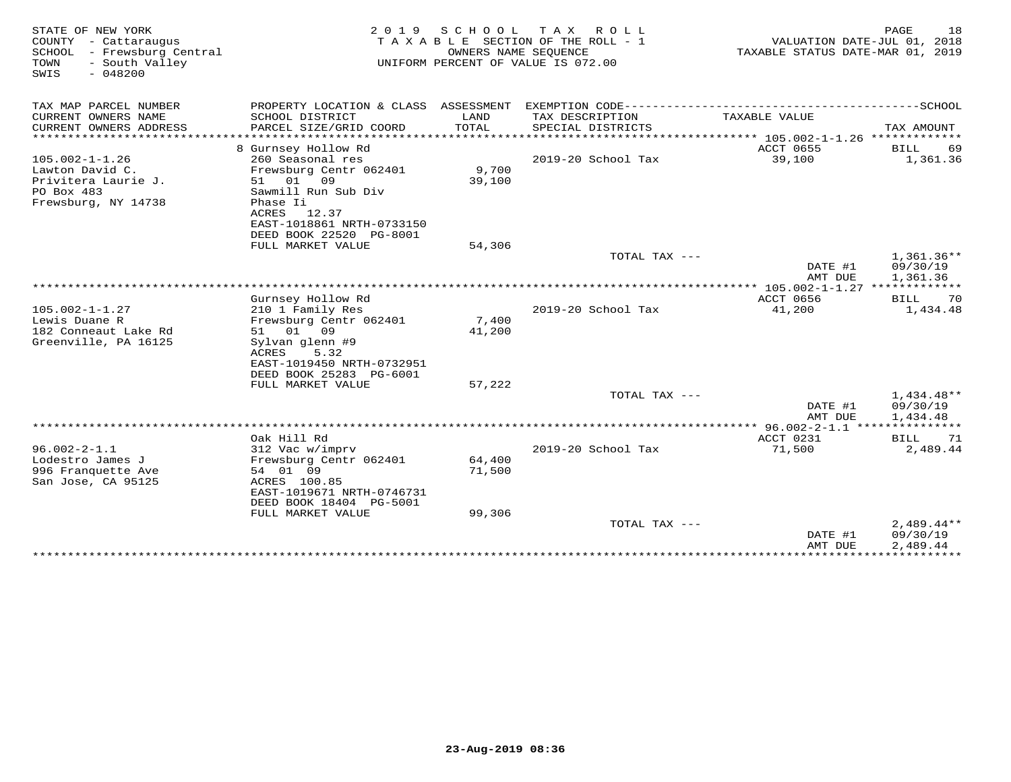| STATE OF NEW YORK<br>COUNTY - Cattaraugus<br>- Frewsburg Central<br>SCHOOL<br>TOWN<br>- South Valley<br>$-048200$<br>SWIS | 2 0 1 9                                                                                                                       | S C H O O L      | T A X<br>R O L L<br>TAXABLE SECTION OF THE ROLL - 1<br>OWNERS NAME SEOUENCE<br>UNIFORM PERCENT OF VALUE IS 072.00 | VALUATION DATE-JUL 01, 2018<br>TAXABLE STATUS DATE-MAR 01, 2019 | PAGE<br>18                           |
|---------------------------------------------------------------------------------------------------------------------------|-------------------------------------------------------------------------------------------------------------------------------|------------------|-------------------------------------------------------------------------------------------------------------------|-----------------------------------------------------------------|--------------------------------------|
| TAX MAP PARCEL NUMBER                                                                                                     |                                                                                                                               |                  |                                                                                                                   |                                                                 |                                      |
| CURRENT OWNERS NAME<br>CURRENT OWNERS ADDRESS                                                                             | SCHOOL DISTRICT<br>PARCEL SIZE/GRID COORD                                                                                     | LAND<br>TOTAL    | TAX DESCRIPTION<br>SPECIAL DISTRICTS                                                                              | TAXABLE VALUE                                                   | TAX AMOUNT                           |
|                                                                                                                           | 8 Gurnsey Hollow Rd                                                                                                           |                  |                                                                                                                   | ACCT 0655                                                       | <b>BILL</b><br>69                    |
| $105.002 - 1 - 1.26$<br>Lawton David C.<br>Privitera Laurie J.<br>PO Box 483                                              | 260 Seasonal res<br>Frewsburg Centr 062401<br>51 01 09<br>Sawmill Run Sub Div                                                 | 9,700<br>39,100  | 2019-20 School Tax                                                                                                | 39,100                                                          | 1,361.36                             |
| Frewsburg, NY 14738                                                                                                       | Phase Ii<br>ACRES<br>12.37<br>EAST-1018861 NRTH-0733150<br>DEED BOOK 22520 PG-8001<br>FULL MARKET VALUE                       | 54,306           |                                                                                                                   |                                                                 |                                      |
|                                                                                                                           |                                                                                                                               |                  | TOTAL TAX ---                                                                                                     | DATE #1<br>AMT DUE                                              | $1,361.36**$<br>09/30/19<br>1,361.36 |
|                                                                                                                           |                                                                                                                               |                  |                                                                                                                   |                                                                 |                                      |
| $105.002 - 1 - 1.27$<br>Lewis Duane R                                                                                     | Gurnsey Hollow Rd<br>210 1 Family Res<br>Frewsburg Centr 062401                                                               | 7,400            | 2019-20 School Tax                                                                                                | ACCT 0656<br>41,200                                             | <b>BILL</b><br>70<br>1,434.48        |
| 182 Conneaut Lake Rd<br>Greenville, PA 16125                                                                              | 01<br>09<br>51<br>Sylvan glenn #9<br>ACRES<br>5.32<br>EAST-1019450 NRTH-0732951<br>DEED BOOK 25283 PG-6001                    | 41,200           |                                                                                                                   |                                                                 |                                      |
|                                                                                                                           | FULL MARKET VALUE                                                                                                             | 57,222           |                                                                                                                   |                                                                 |                                      |
|                                                                                                                           |                                                                                                                               |                  | TOTAL TAX ---                                                                                                     | DATE #1<br>AMT DUE                                              | $1,434.48**$<br>09/30/19<br>1,434.48 |
|                                                                                                                           |                                                                                                                               |                  |                                                                                                                   |                                                                 |                                      |
|                                                                                                                           | Oak Hill Rd                                                                                                                   |                  |                                                                                                                   | ACCT 0231                                                       | 71<br>BILL                           |
| $96.002 - 2 - 1.1$<br>Lodestro James J<br>996 Franquette Ave<br>San Jose, CA 95125                                        | 312 Vac w/imprv<br>Frewsburg Centr 062401<br>54 01 09<br>ACRES 100.85<br>EAST-1019671 NRTH-0746731<br>DEED BOOK 18404 PG-5001 | 64,400<br>71,500 | 2019-20 School Tax                                                                                                | 71,500                                                          | 2,489.44                             |
|                                                                                                                           | FULL MARKET VALUE                                                                                                             | 99,306           |                                                                                                                   |                                                                 |                                      |
|                                                                                                                           |                                                                                                                               |                  | TOTAL TAX ---                                                                                                     | DATE #1<br>AMT DUE                                              | $2,489.44**$<br>09/30/19<br>2,489.44 |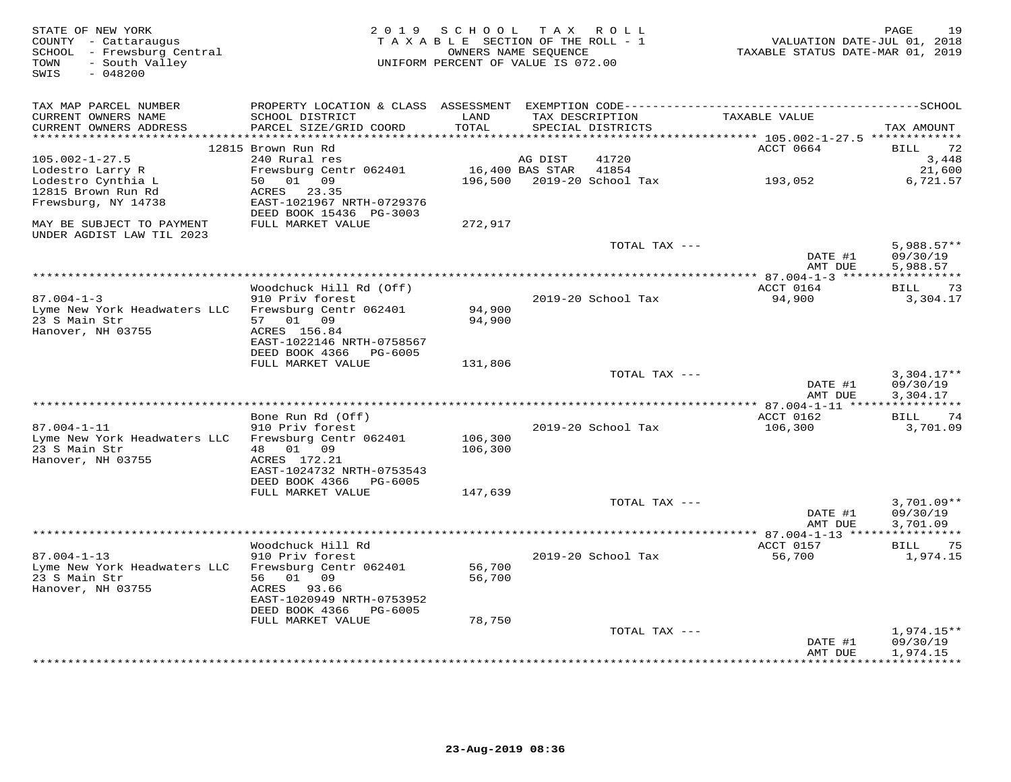| STATE OF NEW YORK<br>COUNTY - Cattaraugus<br>SCHOOL - Frewsburg Central<br>- South Valley<br>TOWN<br>$-048200$<br>SWIS |                                                        | 2019 SCHOOL TAX ROLL<br>TAXABLE SECTION OF THE ROLL - 1<br>UNIFORM PERCENT OF VALUE IS 072.00 | OWNERS NAME SEQUENCE |                                     | VALUATION DATE-JUL 01, 2018<br>TAXABLE STATUS DATE-MAR 01, 2019 | 19<br>PAGE         |
|------------------------------------------------------------------------------------------------------------------------|--------------------------------------------------------|-----------------------------------------------------------------------------------------------|----------------------|-------------------------------------|-----------------------------------------------------------------|--------------------|
| TAX MAP PARCEL NUMBER<br>CURRENT OWNERS NAME<br>CURRENT OWNERS ADDRESS                                                 | SCHOOL DISTRICT<br>PARCEL SIZE/GRID COORD              | LAND<br>TOTAL                                                                                 | TAX DESCRIPTION      | SPECIAL DISTRICTS                   | TAXABLE VALUE                                                   | TAX AMOUNT         |
| **********************                                                                                                 | *****************************                          |                                                                                               |                      |                                     |                                                                 |                    |
|                                                                                                                        | 12815 Brown Run Rd                                     |                                                                                               |                      |                                     | ACCT 0664                                                       | BILL<br>72         |
| $105.002 - 1 - 27.5$                                                                                                   | 240 Rural res                                          |                                                                                               | AG DIST              | 41720                               |                                                                 | 3,448              |
| Lodestro Larry R<br>Lodestro Cynthia L                                                                                 | Frewsburg Centr 062401<br>50 01 09                     |                                                                                               | 16,400 BAS STAR      | 41854<br>196,500 2019-20 School Tax | 193,052                                                         | 21,600<br>6,721.57 |
| 12815 Brown Run Rd                                                                                                     | ACRES 23.35                                            |                                                                                               |                      |                                     |                                                                 |                    |
| Frewsburg, NY 14738                                                                                                    | EAST-1021967 NRTH-0729376                              |                                                                                               |                      |                                     |                                                                 |                    |
|                                                                                                                        | DEED BOOK 15436 PG-3003                                |                                                                                               |                      |                                     |                                                                 |                    |
| MAY BE SUBJECT TO PAYMENT                                                                                              | FULL MARKET VALUE                                      | 272,917                                                                                       |                      |                                     |                                                                 |                    |
| UNDER AGDIST LAW TIL 2023                                                                                              |                                                        |                                                                                               |                      | TOTAL TAX ---                       |                                                                 | $5,988.57**$       |
|                                                                                                                        |                                                        |                                                                                               |                      |                                     | DATE #1                                                         | 09/30/19           |
|                                                                                                                        |                                                        |                                                                                               |                      |                                     | AMT DUE                                                         | 5,988.57           |
|                                                                                                                        |                                                        |                                                                                               |                      |                                     |                                                                 |                    |
| $87.004 - 1 - 3$                                                                                                       | Woodchuck Hill Rd (Off)                                |                                                                                               |                      |                                     | ACCT 0164                                                       | 73<br>BILL         |
| Lyme New York Headwaters LLC                                                                                           | 910 Priv forest<br>Frewsburg Centr 062401              | 94,900                                                                                        |                      | 2019-20 School Tax                  | 94,900                                                          | 3,304.17           |
| 23 S Main Str                                                                                                          | 57 01 09                                               | 94,900                                                                                        |                      |                                     |                                                                 |                    |
| Hanover, NH 03755                                                                                                      | ACRES 156.84                                           |                                                                                               |                      |                                     |                                                                 |                    |
|                                                                                                                        | EAST-1022146 NRTH-0758567                              |                                                                                               |                      |                                     |                                                                 |                    |
|                                                                                                                        | DEED BOOK 4366<br>PG-6005<br>FULL MARKET VALUE         | 131,806                                                                                       |                      |                                     |                                                                 |                    |
|                                                                                                                        |                                                        |                                                                                               |                      | TOTAL TAX ---                       |                                                                 | $3,304.17**$       |
|                                                                                                                        |                                                        |                                                                                               |                      |                                     | DATE #1                                                         | 09/30/19           |
|                                                                                                                        |                                                        |                                                                                               |                      |                                     | AMT DUE                                                         | 3,304.17           |
|                                                                                                                        | Bone Run Rd (Off)                                      |                                                                                               |                      |                                     | ACCT 0162                                                       | 74<br>BILL         |
| $87.004 - 1 - 11$                                                                                                      | 910 Priv forest                                        |                                                                                               |                      | 2019-20 School Tax                  | 106,300                                                         | 3,701.09           |
| Lyme New York Headwaters LLC                                                                                           | Frewsburg Centr 062401                                 | 106,300                                                                                       |                      |                                     |                                                                 |                    |
| 23 S Main Str                                                                                                          | 01<br>48<br>09                                         | 106,300                                                                                       |                      |                                     |                                                                 |                    |
| Hanover, NH 03755                                                                                                      | ACRES 172.21                                           |                                                                                               |                      |                                     |                                                                 |                    |
|                                                                                                                        | EAST-1024732 NRTH-0753543<br>DEED BOOK 4366<br>PG-6005 |                                                                                               |                      |                                     |                                                                 |                    |
|                                                                                                                        | FULL MARKET VALUE                                      | 147,639                                                                                       |                      |                                     |                                                                 |                    |
|                                                                                                                        |                                                        |                                                                                               |                      | TOTAL TAX ---                       |                                                                 | $3,701.09**$       |
|                                                                                                                        |                                                        |                                                                                               |                      |                                     | DATE #1                                                         | 09/30/19           |
|                                                                                                                        |                                                        |                                                                                               |                      |                                     | AMT DUE                                                         | 3,701.09           |
|                                                                                                                        | Woodchuck Hill Rd                                      |                                                                                               |                      |                                     | ACCT 0157                                                       | 75<br>BILL         |
| $87.004 - 1 - 13$                                                                                                      | 910 Priv forest                                        |                                                                                               |                      | 2019-20 School Tax                  | 56,700                                                          | 1,974.15           |
| Lyme New York Headwaters LLC                                                                                           | Frewsburg Centr 062401                                 | 56,700                                                                                        |                      |                                     |                                                                 |                    |
| 23 S Main Str                                                                                                          | 56 01 09                                               | 56,700                                                                                        |                      |                                     |                                                                 |                    |
| Hanover, NH 03755                                                                                                      | ACRES 93.66<br>EAST-1020949 NRTH-0753952               |                                                                                               |                      |                                     |                                                                 |                    |
|                                                                                                                        | DEED BOOK 4366<br>PG-6005                              |                                                                                               |                      |                                     |                                                                 |                    |
|                                                                                                                        | FULL MARKET VALUE                                      | 78,750                                                                                        |                      |                                     |                                                                 |                    |
|                                                                                                                        |                                                        |                                                                                               |                      | TOTAL TAX ---                       |                                                                 | $1,974.15**$       |
|                                                                                                                        |                                                        |                                                                                               |                      |                                     | DATE #1                                                         | 09/30/19           |
|                                                                                                                        |                                                        |                                                                                               |                      |                                     | AMT DUE                                                         | 1,974.15           |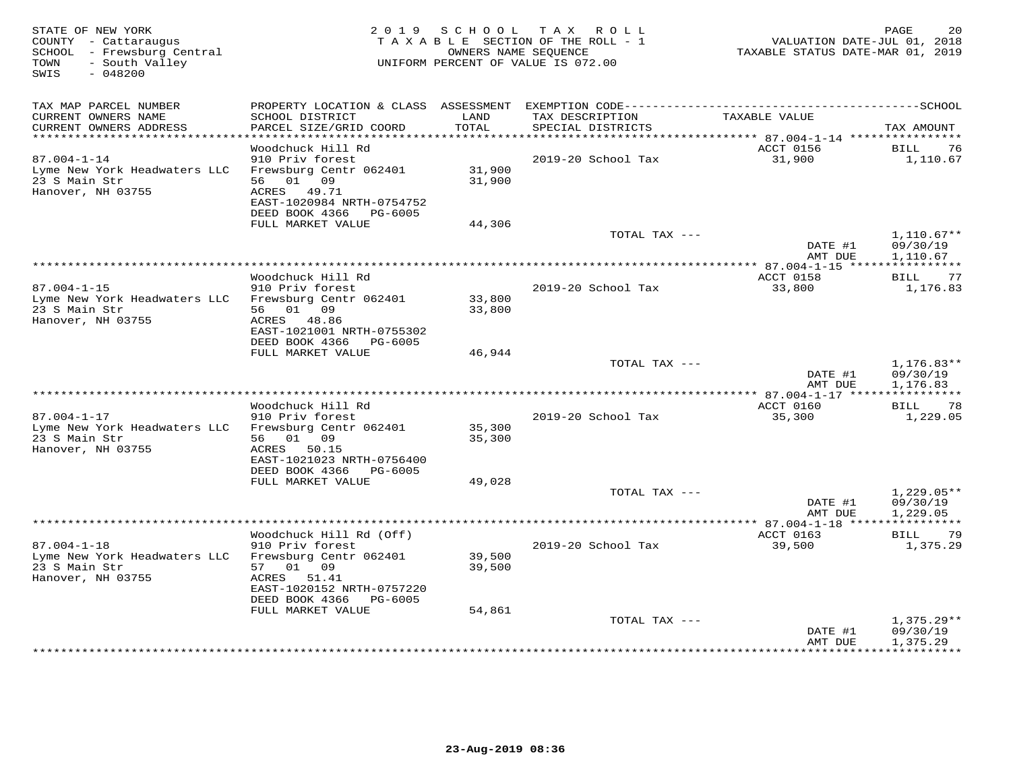| STATE OF NEW YORK<br>COUNTY - Cattaraugus<br>SCHOOL - Frewsburg Central<br>- South Valley<br>TOWN<br>$-048200$<br>SWIS |                                                                                |                  | 2019 SCHOOL TAX ROLL<br>TAXABLE SECTION OF THE ROLL - 1<br>OWNERS NAME SEQUENCE<br>UNIFORM PERCENT OF VALUE IS 072.00 | VALUATION DATE-JUL 01, 2018<br>TAXABLE STATUS DATE-MAR 01, 2019 | PAGE<br>20               |
|------------------------------------------------------------------------------------------------------------------------|--------------------------------------------------------------------------------|------------------|-----------------------------------------------------------------------------------------------------------------------|-----------------------------------------------------------------|--------------------------|
|                                                                                                                        |                                                                                |                  |                                                                                                                       |                                                                 |                          |
| TAX MAP PARCEL NUMBER<br>CURRENT OWNERS NAME<br>CURRENT OWNERS ADDRESS                                                 | SCHOOL DISTRICT<br>PARCEL SIZE/GRID COORD                                      | LAND<br>TOTAL    | TAX DESCRIPTION<br>SPECIAL DISTRICTS                                                                                  | TAXABLE VALUE                                                   | TAX AMOUNT               |
| ***********************                                                                                                | Woodchuck Hill Rd                                                              |                  |                                                                                                                       | ACCT 0156                                                       | BILL<br>76               |
| $87.004 - 1 - 14$                                                                                                      | 910 Priv forest                                                                |                  | 2019-20 School Tax                                                                                                    | 31,900                                                          | 1,110.67                 |
| Lyme New York Headwaters LLC<br>23 S Main Str<br>Hanover, NH 03755                                                     | Frewsburg Centr 062401<br>56 01 09<br>ACRES 49.71<br>EAST-1020984 NRTH-0754752 | 31,900<br>31,900 |                                                                                                                       |                                                                 |                          |
|                                                                                                                        | DEED BOOK 4366 PG-6005                                                         |                  |                                                                                                                       |                                                                 |                          |
|                                                                                                                        | FULL MARKET VALUE                                                              | 44,306           | TOTAL TAX ---                                                                                                         |                                                                 | $1,110.67**$             |
|                                                                                                                        |                                                                                |                  |                                                                                                                       | DATE #1<br>AMT DUE                                              | 09/30/19<br>1,110.67     |
|                                                                                                                        |                                                                                |                  |                                                                                                                       | *************** 87.004-1-15 *****                               | ***********              |
| $87.004 - 1 - 15$                                                                                                      | Woodchuck Hill Rd<br>910 Priv forest                                           |                  | 2019-20 School Tax                                                                                                    | ACCT 0158<br>33,800                                             | BILL 77<br>1,176.83      |
| Lyme New York Headwaters LLC<br>23 S Main Str                                                                          | Frewsburg Centr 062401<br>56 01 09                                             | 33,800<br>33,800 |                                                                                                                       |                                                                 |                          |
| Hanover, NH 03755                                                                                                      | ACRES 48.86<br>EAST-1021001 NRTH-0755302                                       |                  |                                                                                                                       |                                                                 |                          |
|                                                                                                                        | DEED BOOK 4366 PG-6005<br>FULL MARKET VALUE                                    | 46,944           |                                                                                                                       |                                                                 |                          |
|                                                                                                                        |                                                                                |                  | TOTAL TAX ---                                                                                                         |                                                                 | $1,176.83**$             |
|                                                                                                                        |                                                                                |                  |                                                                                                                       | DATE #1<br>AMT DUE                                              | 09/30/19<br>1,176.83     |
|                                                                                                                        |                                                                                |                  |                                                                                                                       |                                                                 |                          |
| $87.004 - 1 - 17$                                                                                                      | Woodchuck Hill Rd<br>910 Priv forest                                           |                  | 2019-20 School Tax                                                                                                    | ACCT 0160<br>35,300                                             | 78<br>BILL<br>1,229.05   |
| Lyme New York Headwaters LLC                                                                                           | Frewsburg Centr 062401                                                         | 35,300           |                                                                                                                       |                                                                 |                          |
| 23 S Main Str                                                                                                          | 56 01 09                                                                       | 35,300           |                                                                                                                       |                                                                 |                          |
| Hanover, NH 03755                                                                                                      | ACRES 50.15<br>EAST-1021023 NRTH-0756400                                       |                  |                                                                                                                       |                                                                 |                          |
|                                                                                                                        | DEED BOOK 4366 PG-6005<br>FULL MARKET VALUE                                    | 49,028           |                                                                                                                       |                                                                 |                          |
|                                                                                                                        |                                                                                |                  | TOTAL TAX ---                                                                                                         |                                                                 | $1,229.05**$             |
|                                                                                                                        |                                                                                |                  |                                                                                                                       | DATE #1<br>AMT DUE                                              | 09/30/19<br>1,229.05     |
|                                                                                                                        |                                                                                |                  |                                                                                                                       |                                                                 |                          |
|                                                                                                                        | Woodchuck Hill Rd (Off)                                                        |                  |                                                                                                                       | ACCT 0163                                                       | 79<br>BILL               |
| $87.004 - 1 - 18$<br>Lyme New York Headwaters LLC                                                                      | 910 Priv forest<br>Frewsburg Centr 062401                                      | 39,500           | 2019-20 School Tax                                                                                                    | 39,500                                                          | 1,375.29                 |
| 23 S Main Str<br>Hanover, NH 03755                                                                                     | 57 01 09<br>ACRES<br>51.41                                                     | 39,500           |                                                                                                                       |                                                                 |                          |
|                                                                                                                        | EAST-1020152 NRTH-0757220<br>DEED BOOK 4366 PG-6005                            |                  |                                                                                                                       |                                                                 |                          |
|                                                                                                                        | FULL MARKET VALUE                                                              | 54,861           |                                                                                                                       |                                                                 |                          |
|                                                                                                                        |                                                                                |                  | TOTAL TAX ---                                                                                                         | DATE #1                                                         | $1,375.29**$<br>09/30/19 |
|                                                                                                                        |                                                                                |                  |                                                                                                                       | AMT DUE                                                         | 1,375.29                 |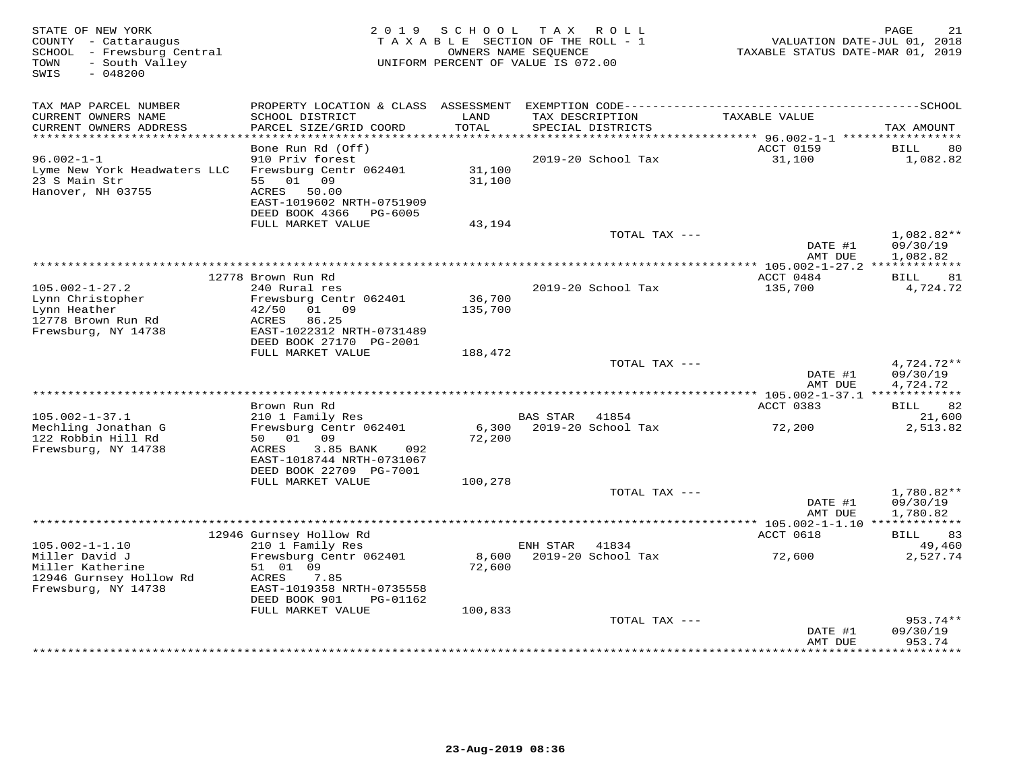| STATE OF NEW YORK<br>COUNTY - Cattaraugus<br>SCHOOL - Frewsburg Central<br>- South Valley<br>TOWN |                                                        | 2019 SCHOOL       | TAX ROLL<br>TAXABLE SECTION OF THE ROLL - 1<br>OWNERS NAME SEQUENCE<br>UNIFORM PERCENT OF VALUE IS 072.00 | VALUATION DATE-JUL 01, 2018<br>TAXABLE STATUS DATE-MAR 01, 2019 | PAGE<br>21             |
|---------------------------------------------------------------------------------------------------|--------------------------------------------------------|-------------------|-----------------------------------------------------------------------------------------------------------|-----------------------------------------------------------------|------------------------|
| $-048200$<br>SWIS                                                                                 |                                                        |                   |                                                                                                           |                                                                 |                        |
| TAX MAP PARCEL NUMBER                                                                             | PROPERTY LOCATION & CLASS ASSESSMENT                   |                   |                                                                                                           |                                                                 |                        |
| CURRENT OWNERS NAME<br>CURRENT OWNERS ADDRESS<br>**********************                           | SCHOOL DISTRICT<br>PARCEL SIZE/GRID COORD              | LAND<br>TOTAL     | TAX DESCRIPTION<br>SPECIAL DISTRICTS                                                                      | TAXABLE VALUE                                                   | TAX AMOUNT             |
|                                                                                                   | Bone Run Rd (Off)                                      |                   |                                                                                                           | ACCT 0159                                                       | BILL<br>80             |
| $96.002 - 1 - 1$                                                                                  | 910 Priv forest                                        |                   | 2019-20 School Tax                                                                                        | 31,100                                                          | 1,082.82               |
| Lyme New York Headwaters LLC<br>23 S Main Str                                                     | Frewsburg Centr 062401<br>55 01 09                     | 31,100<br>31,100  |                                                                                                           |                                                                 |                        |
| Hanover, NH 03755                                                                                 | ACRES<br>50.00                                         |                   |                                                                                                           |                                                                 |                        |
|                                                                                                   | EAST-1019602 NRTH-0751909<br>DEED BOOK 4366<br>PG-6005 |                   |                                                                                                           |                                                                 |                        |
|                                                                                                   | FULL MARKET VALUE                                      | 43,194            | TOTAL TAX ---                                                                                             |                                                                 | 1,082.82**             |
|                                                                                                   |                                                        |                   |                                                                                                           | DATE #1<br>AMT DUE                                              | 09/30/19<br>1,082.82   |
|                                                                                                   |                                                        |                   |                                                                                                           | *** 105.002-1-27.2 *************                                |                        |
|                                                                                                   | 12778 Brown Run Rd                                     |                   |                                                                                                           | ACCT 0484                                                       | 81<br>BILL             |
| $105.002 - 1 - 27.2$                                                                              | 240 Rural res                                          |                   | 2019-20 School Tax                                                                                        | 135,700                                                         | 4,724.72               |
| Lynn Christopher<br>Lynn Heather                                                                  | Frewsburg Centr 062401<br>01 09<br>42/50               | 36,700<br>135,700 |                                                                                                           |                                                                 |                        |
| 12778 Brown Run Rd                                                                                | ACRES<br>86.25                                         |                   |                                                                                                           |                                                                 |                        |
| Frewsburg, NY 14738                                                                               | EAST-1022312 NRTH-0731489                              |                   |                                                                                                           |                                                                 |                        |
|                                                                                                   | DEED BOOK 27170 PG-2001                                |                   |                                                                                                           |                                                                 |                        |
|                                                                                                   | FULL MARKET VALUE                                      | 188,472           | TOTAL TAX ---                                                                                             |                                                                 | $4,724.72**$           |
|                                                                                                   |                                                        |                   |                                                                                                           | DATE #1<br>AMT DUE                                              | 09/30/19<br>4,724.72   |
|                                                                                                   |                                                        |                   |                                                                                                           |                                                                 |                        |
|                                                                                                   | Brown Run Rd                                           |                   |                                                                                                           | ACCT 0383                                                       | BILL 82                |
| $105.002 - 1 - 37.1$<br>Mechling Jonathan G                                                       | 210 1 Family Res<br>Frewsburg Centr 062401             |                   | BAS STAR 41854<br>6,300 2019-20 School Tax                                                                | 72,200                                                          | 21,600<br>2,513.82     |
| 122 Robbin Hill Rd                                                                                | 50 01 09                                               | 72,200            |                                                                                                           |                                                                 |                        |
| Frewsburg, NY 14738                                                                               | ACRES<br>3.85 BANK<br>092                              |                   |                                                                                                           |                                                                 |                        |
|                                                                                                   | EAST-1018744 NRTH-0731067<br>DEED BOOK 22709 PG-7001   |                   |                                                                                                           |                                                                 |                        |
|                                                                                                   | FULL MARKET VALUE                                      | 100,278           |                                                                                                           |                                                                 |                        |
|                                                                                                   |                                                        |                   | TOTAL TAX ---                                                                                             |                                                                 | 1,780.82**             |
|                                                                                                   |                                                        |                   |                                                                                                           | DATE #1                                                         | 09/30/19               |
|                                                                                                   |                                                        |                   |                                                                                                           | AMT DUE                                                         | 1,780.82               |
|                                                                                                   | 12946 Gurnsey Hollow Rd                                |                   |                                                                                                           | ACCT 0618                                                       | BILL 83                |
| $105.002 - 1 - 1.10$                                                                              | 210 1 Family Res                                       |                   | ENH STAR<br>41834                                                                                         |                                                                 | 49,460                 |
| Miller David J                                                                                    | Frewsburg Centr 062401                                 | 8,600             | 2019-20 School Tax                                                                                        | 72,600                                                          | 2,527.74               |
| Miller Katherine<br>12946 Gurnsey Hollow Rd                                                       | 51 01 09<br>7.85<br>ACRES                              | 72,600            |                                                                                                           |                                                                 |                        |
| Frewsburg, NY 14738                                                                               | EAST-1019358 NRTH-0735558                              |                   |                                                                                                           |                                                                 |                        |
|                                                                                                   | DEED BOOK 901<br>PG-01162                              |                   |                                                                                                           |                                                                 |                        |
|                                                                                                   | FULL MARKET VALUE                                      | 100,833           |                                                                                                           |                                                                 |                        |
|                                                                                                   |                                                        |                   | TOTAL TAX ---                                                                                             | DATE #1                                                         | $953.74**$<br>09/30/19 |
|                                                                                                   |                                                        |                   |                                                                                                           | AMT DUE                                                         | 953.74                 |
|                                                                                                   |                                                        |                   |                                                                                                           | *************                                                   | **********             |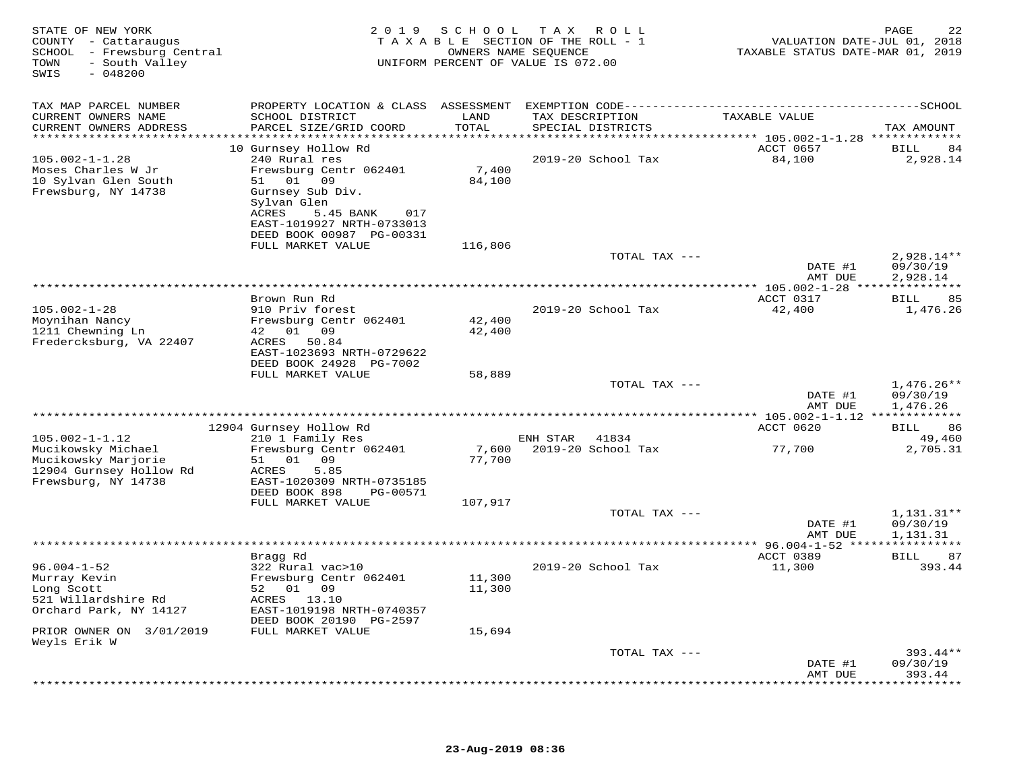| STATE OF NEW YORK<br>COUNTY - Cattaraugus<br>SCHOOL - Frewsburg Central<br>- South Valley<br>TOWN<br>$-048200$<br>SWIS |                                           |               | 2019 SCHOOL TAX ROLL<br>TAXABLE SECTION OF THE ROLL - 1<br>OWNERS NAME SEQUENCE<br>UNIFORM PERCENT OF VALUE IS 072.00 | VALUATION DATE-JUL 01, 2018<br>TAXABLE STATUS DATE-MAR 01, 2019 | 22<br>PAGE               |
|------------------------------------------------------------------------------------------------------------------------|-------------------------------------------|---------------|-----------------------------------------------------------------------------------------------------------------------|-----------------------------------------------------------------|--------------------------|
| TAX MAP PARCEL NUMBER                                                                                                  |                                           |               |                                                                                                                       |                                                                 |                          |
| CURRENT OWNERS NAME<br>CURRENT OWNERS ADDRESS                                                                          | SCHOOL DISTRICT<br>PARCEL SIZE/GRID COORD | LAND<br>TOTAL | TAX DESCRIPTION<br>SPECIAL DISTRICTS                                                                                  | TAXABLE VALUE                                                   | TAX AMOUNT               |
| ************************                                                                                               |                                           |               |                                                                                                                       |                                                                 |                          |
|                                                                                                                        | 10 Gurnsey Hollow Rd                      |               |                                                                                                                       | ACCT 0657                                                       | 84<br>BILL               |
| $105.002 - 1 - 1.28$                                                                                                   | 240 Rural res                             |               | 2019-20 School Tax                                                                                                    | 84,100                                                          | 2,928.14                 |
| Moses Charles W Jr                                                                                                     | Frewsburg Centr 062401                    | 7,400         |                                                                                                                       |                                                                 |                          |
| 10 Sylvan Glen South                                                                                                   | 51 01 09                                  | 84,100        |                                                                                                                       |                                                                 |                          |
| Frewsburg, NY 14738                                                                                                    | Gurnsey Sub Div.                          |               |                                                                                                                       |                                                                 |                          |
|                                                                                                                        | Sylvan Glen                               |               |                                                                                                                       |                                                                 |                          |
|                                                                                                                        | ACRES<br>5.45 BANK<br>017                 |               |                                                                                                                       |                                                                 |                          |
|                                                                                                                        | EAST-1019927 NRTH-0733013                 |               |                                                                                                                       |                                                                 |                          |
|                                                                                                                        | DEED BOOK 00987 PG-00331                  |               |                                                                                                                       |                                                                 |                          |
|                                                                                                                        | FULL MARKET VALUE                         | 116,806       |                                                                                                                       |                                                                 |                          |
|                                                                                                                        |                                           |               | TOTAL TAX ---                                                                                                         | DATE #1                                                         | $2,928.14**$<br>09/30/19 |
|                                                                                                                        |                                           |               |                                                                                                                       | AMT DUE                                                         | 2,928.14                 |
|                                                                                                                        |                                           |               |                                                                                                                       |                                                                 |                          |
|                                                                                                                        | Brown Run Rd                              |               |                                                                                                                       | ACCT 0317                                                       | BILL<br>85               |
| $105.002 - 1 - 28$                                                                                                     | 910 Priv forest                           |               | 2019-20 School Tax                                                                                                    | 42,400                                                          | 1,476.26                 |
| Moynihan Nancy                                                                                                         | Frewsburg Centr 062401                    | 42,400        |                                                                                                                       |                                                                 |                          |
| 1211 Chewning Ln                                                                                                       | 42 01 09                                  | 42,400        |                                                                                                                       |                                                                 |                          |
| Fredercksburg, VA 22407                                                                                                | 50.84<br>ACRES                            |               |                                                                                                                       |                                                                 |                          |
|                                                                                                                        | EAST-1023693 NRTH-0729622                 |               |                                                                                                                       |                                                                 |                          |
|                                                                                                                        | DEED BOOK 24928 PG-7002                   |               |                                                                                                                       |                                                                 |                          |
|                                                                                                                        | FULL MARKET VALUE                         | 58,889        |                                                                                                                       |                                                                 |                          |
|                                                                                                                        |                                           |               | TOTAL TAX ---                                                                                                         |                                                                 | $1,476.26**$             |
|                                                                                                                        |                                           |               |                                                                                                                       | DATE #1                                                         | 09/30/19                 |
|                                                                                                                        |                                           |               |                                                                                                                       | AMT DUE                                                         | 1,476.26                 |
|                                                                                                                        | 12904 Gurnsey Hollow Rd                   |               |                                                                                                                       | ACCT 0620                                                       | 86<br>BILL               |
| $105.002 - 1 - 1.12$                                                                                                   | 210 1 Family Res                          |               | ENH STAR 41834                                                                                                        |                                                                 | 49,460                   |
| Mucikowsky Michael                                                                                                     | Frewsburg Centr 062401                    | 7,600         | 2019-20 School Tax                                                                                                    | 77,700                                                          | 2,705.31                 |
| Mucikowsky Marjorie                                                                                                    | 01 09<br>51                               | 77,700        |                                                                                                                       |                                                                 |                          |
| 12904 Gurnsey Hollow Rd                                                                                                | 5.85<br>ACRES                             |               |                                                                                                                       |                                                                 |                          |
| Frewsburg, NY 14738                                                                                                    | EAST-1020309 NRTH-0735185                 |               |                                                                                                                       |                                                                 |                          |
|                                                                                                                        | DEED BOOK 898<br>PG-00571                 |               |                                                                                                                       |                                                                 |                          |
|                                                                                                                        | FULL MARKET VALUE                         | 107,917       |                                                                                                                       |                                                                 |                          |
|                                                                                                                        |                                           |               | TOTAL TAX ---                                                                                                         |                                                                 | $1,131.31**$             |
|                                                                                                                        |                                           |               |                                                                                                                       | DATE #1                                                         | 09/30/19                 |
|                                                                                                                        |                                           |               |                                                                                                                       | AMT DUE                                                         | 1,131.31                 |
|                                                                                                                        |                                           |               |                                                                                                                       |                                                                 |                          |
|                                                                                                                        | Bragg Rd                                  |               |                                                                                                                       | ACCT 0389                                                       | 87<br>BILL               |
| $96.004 - 1 - 52$                                                                                                      | 322 Rural vac>10                          |               | 2019-20 School Tax                                                                                                    | 11,300                                                          | 393.44                   |
| Murray Kevin                                                                                                           | Frewsburg Centr 062401                    | 11,300        |                                                                                                                       |                                                                 |                          |
| Long Scott<br>521 Willardshire Rd                                                                                      | 52 01 09<br>ACRES 13.10                   | 11,300        |                                                                                                                       |                                                                 |                          |
| Orchard Park, NY 14127                                                                                                 | EAST-1019198 NRTH-0740357                 |               |                                                                                                                       |                                                                 |                          |
|                                                                                                                        | DEED BOOK 20190 PG-2597                   |               |                                                                                                                       |                                                                 |                          |
| PRIOR OWNER ON 3/01/2019                                                                                               | FULL MARKET VALUE                         | 15,694        |                                                                                                                       |                                                                 |                          |
| Weyls Erik W                                                                                                           |                                           |               |                                                                                                                       |                                                                 |                          |
|                                                                                                                        |                                           |               | TOTAL TAX ---                                                                                                         |                                                                 | $393.44**$               |
|                                                                                                                        |                                           |               |                                                                                                                       | DATE #1                                                         | 09/30/19                 |
|                                                                                                                        |                                           |               |                                                                                                                       | AMT DUE                                                         | 393.44                   |
|                                                                                                                        |                                           |               |                                                                                                                       |                                                                 | ********                 |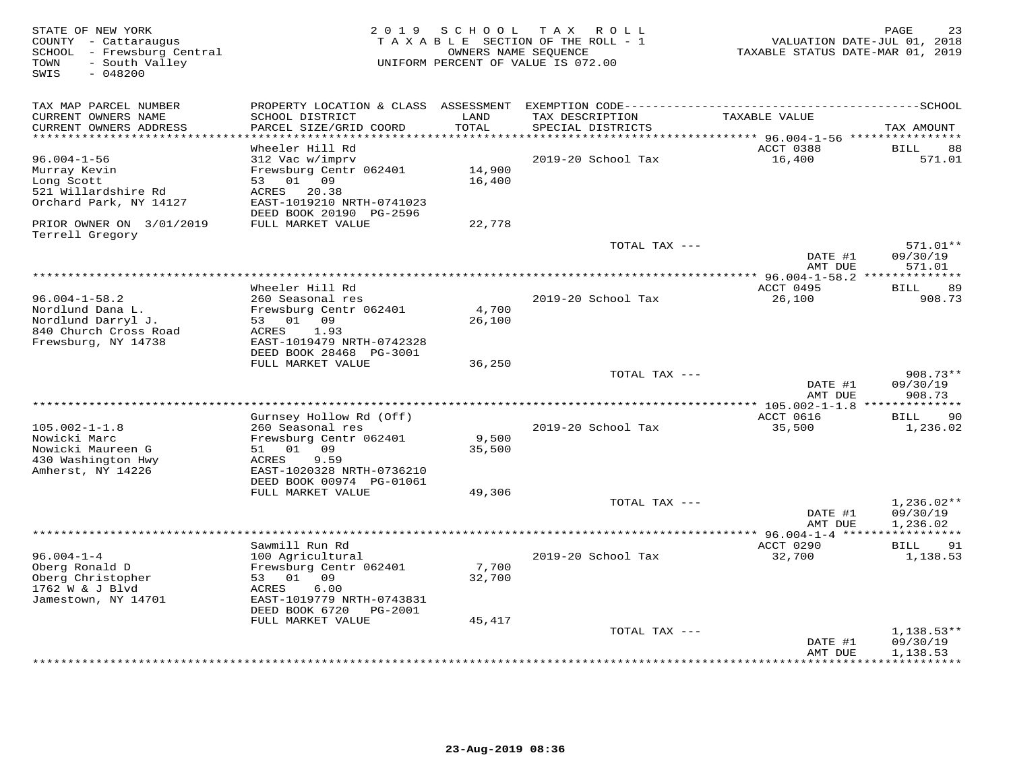| STATE OF NEW YORK<br>COUNTY - Cattaraugus<br>SCHOOL - Frewsburg Central<br>- South Valley<br>TOWN<br>SWIS<br>$-048200$ | 2 0 1 9                                                              | S C H O O L     | TAX ROLL<br>TAXABLE SECTION OF THE ROLL - 1<br>OWNERS NAME SEQUENCE<br>UNIFORM PERCENT OF VALUE IS 072.00 | VALUATION DATE-JUL 01, 2018<br>TAXABLE STATUS DATE-MAR 01, 2019 | 23<br>PAGE           |
|------------------------------------------------------------------------------------------------------------------------|----------------------------------------------------------------------|-----------------|-----------------------------------------------------------------------------------------------------------|-----------------------------------------------------------------|----------------------|
| TAX MAP PARCEL NUMBER                                                                                                  | PROPERTY LOCATION & CLASS ASSESSMENT                                 |                 |                                                                                                           |                                                                 |                      |
| CURRENT OWNERS NAME<br>CURRENT OWNERS ADDRESS<br>**********************                                                | SCHOOL DISTRICT<br>PARCEL SIZE/GRID COORD<br>*********************** | LAND<br>TOTAL   | TAX DESCRIPTION<br>SPECIAL DISTRICTS                                                                      | TAXABLE VALUE                                                   | TAX AMOUNT           |
|                                                                                                                        | Wheeler Hill Rd                                                      |                 |                                                                                                           | ACCT 0388                                                       | <b>BILL</b><br>88    |
| $96.004 - 1 - 56$                                                                                                      | 312 Vac w/imprv                                                      |                 | 2019-20 School Tax                                                                                        | 16,400                                                          | 571.01               |
| Murray Kevin                                                                                                           | Frewsburg Centr 062401                                               | 14,900          |                                                                                                           |                                                                 |                      |
| Long Scott                                                                                                             | 01 09<br>53                                                          | 16,400          |                                                                                                           |                                                                 |                      |
| 521 Willardshire Rd                                                                                                    | ACRES<br>20.38                                                       |                 |                                                                                                           |                                                                 |                      |
| Orchard Park, NY 14127                                                                                                 | EAST-1019210 NRTH-0741023                                            |                 |                                                                                                           |                                                                 |                      |
| PRIOR OWNER ON 3/01/2019                                                                                               | DEED BOOK 20190 PG-2596<br>FULL MARKET VALUE                         | 22,778          |                                                                                                           |                                                                 |                      |
| Terrell Gregory                                                                                                        |                                                                      |                 |                                                                                                           |                                                                 |                      |
|                                                                                                                        |                                                                      |                 | TOTAL TAX ---                                                                                             |                                                                 | 571.01**             |
|                                                                                                                        |                                                                      |                 |                                                                                                           | DATE #1<br>AMT DUE                                              | 09/30/19<br>571.01   |
|                                                                                                                        |                                                                      |                 |                                                                                                           | **** $96.004 - 1 - 58.2$ **                                     |                      |
|                                                                                                                        | Wheeler Hill Rd                                                      |                 |                                                                                                           | ACCT 0495                                                       | 89<br>BILL           |
| $96.004 - 1 - 58.2$                                                                                                    | 260 Seasonal res                                                     |                 | 2019-20 School Tax                                                                                        | 26,100                                                          | 908.73               |
| Nordlund Dana L.<br>Nordlund Darryl J.                                                                                 | Frewsburg Centr 062401<br>53 01<br>09                                | 4,700<br>26,100 |                                                                                                           |                                                                 |                      |
| 840 Church Cross Road                                                                                                  | 1.93<br>ACRES                                                        |                 |                                                                                                           |                                                                 |                      |
| Frewsburg, NY 14738                                                                                                    | EAST-1019479 NRTH-0742328                                            |                 |                                                                                                           |                                                                 |                      |
|                                                                                                                        | DEED BOOK 28468 PG-3001                                              |                 |                                                                                                           |                                                                 |                      |
|                                                                                                                        | FULL MARKET VALUE                                                    | 36,250          |                                                                                                           |                                                                 |                      |
|                                                                                                                        |                                                                      |                 | TOTAL TAX ---                                                                                             |                                                                 | $908.73**$           |
|                                                                                                                        |                                                                      |                 |                                                                                                           | DATE #1<br>AMT DUE                                              | 09/30/19<br>908.73   |
|                                                                                                                        |                                                                      |                 | **********************************                                                                        | *** 105.002-1-1.8 ***                                           | ***********          |
|                                                                                                                        | Gurnsey Hollow Rd (Off)                                              |                 |                                                                                                           | ACCT 0616                                                       | BILL<br>90           |
| $105.002 - 1 - 1.8$                                                                                                    | 260 Seasonal res                                                     |                 | 2019-20 School Tax                                                                                        | 35,500                                                          | 1,236.02             |
| Nowicki Marc                                                                                                           | Frewsburg Centr 062401                                               | 9,500           |                                                                                                           |                                                                 |                      |
| Nowicki Maureen G                                                                                                      | 51 01 09                                                             | 35,500          |                                                                                                           |                                                                 |                      |
| 430 Washington Hwy                                                                                                     | 9.59<br>ACRES<br>EAST-1020328 NRTH-0736210                           |                 |                                                                                                           |                                                                 |                      |
| Amherst, NY 14226                                                                                                      | DEED BOOK 00974 PG-01061                                             |                 |                                                                                                           |                                                                 |                      |
|                                                                                                                        | FULL MARKET VALUE                                                    | 49,306          |                                                                                                           |                                                                 |                      |
|                                                                                                                        |                                                                      |                 | TOTAL TAX ---                                                                                             |                                                                 | $1,236.02**$         |
|                                                                                                                        |                                                                      |                 |                                                                                                           | DATE #1                                                         | 09/30/19             |
|                                                                                                                        |                                                                      |                 |                                                                                                           | AMT DUE                                                         | 1,236.02             |
|                                                                                                                        | ****************************                                         |                 | ************************                                                                                  | ** $96.004 - 1 - 4$ ****                                        |                      |
| $96.004 - 1 - 4$                                                                                                       | Sawmill Run Rd                                                       |                 |                                                                                                           | ACCT 0290                                                       | 91<br>BILL           |
| Oberg Ronald D                                                                                                         | 100 Agricultural<br>Frewsburg Centr 062401                           | 7,700           | 2019-20 School Tax                                                                                        | 32,700                                                          | 1,138.53             |
| Oberg Christopher                                                                                                      | 53 01 09                                                             | 32,700          |                                                                                                           |                                                                 |                      |
| 1762 W & J Blvd                                                                                                        | 6.00<br>ACRES                                                        |                 |                                                                                                           |                                                                 |                      |
| Jamestown, NY 14701                                                                                                    | EAST-1019779 NRTH-0743831                                            |                 |                                                                                                           |                                                                 |                      |
|                                                                                                                        | DEED BOOK 6720<br>PG-2001                                            |                 |                                                                                                           |                                                                 |                      |
|                                                                                                                        | FULL MARKET VALUE                                                    | 45,417          |                                                                                                           |                                                                 |                      |
|                                                                                                                        |                                                                      |                 | TOTAL TAX ---                                                                                             |                                                                 | $1,138.53**$         |
|                                                                                                                        |                                                                      |                 |                                                                                                           | DATE #1<br>AMT DUE                                              | 09/30/19<br>1,138.53 |
|                                                                                                                        |                                                                      |                 |                                                                                                           |                                                                 | * * * * * * * * * ·  |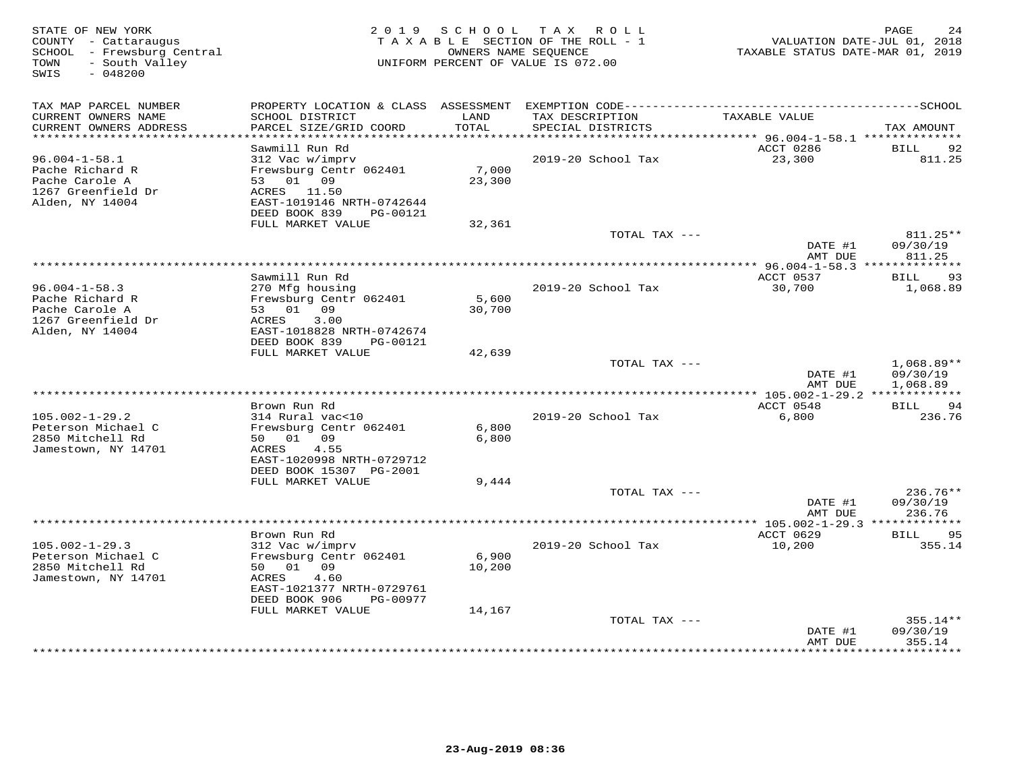| STATE OF NEW YORK<br>COUNTY - Cattaraugus<br>SCHOOL - Frewsburg Central<br>- South Valley<br>TOWN<br>SWIS<br>$-048200$ |                                                                       | 2019 SCHOOL     | T A X<br>R O L L<br>TAXABLE SECTION OF THE ROLL - 1<br>OWNERS NAME SEOUENCE<br>UNIFORM PERCENT OF VALUE IS 072.00 | VALUATION DATE-JUL 01, 2018<br>TAXABLE STATUS DATE-MAR 01, 2019 | PAGE<br>24                     |
|------------------------------------------------------------------------------------------------------------------------|-----------------------------------------------------------------------|-----------------|-------------------------------------------------------------------------------------------------------------------|-----------------------------------------------------------------|--------------------------------|
| TAX MAP PARCEL NUMBER                                                                                                  |                                                                       |                 |                                                                                                                   |                                                                 |                                |
| CURRENT OWNERS NAME<br>CURRENT OWNERS ADDRESS<br>***********************                                               | SCHOOL DISTRICT<br>PARCEL SIZE/GRID COORD                             | LAND<br>TOTAL   | TAX DESCRIPTION<br>SPECIAL DISTRICTS                                                                              | TAXABLE VALUE                                                   | TAX AMOUNT                     |
|                                                                                                                        | Sawmill Run Rd                                                        |                 |                                                                                                                   | ACCT 0286                                                       | <b>BILL</b><br>92              |
| $96.004 - 1 - 58.1$                                                                                                    | 312 Vac w/imprv                                                       |                 | 2019-20 School Tax                                                                                                | 23,300                                                          | 811.25                         |
| Pache Richard R<br>Pache Carole A<br>1267 Greenfield Dr                                                                | Frewsburg Centr 062401<br>53 01 09                                    | 7,000<br>23,300 |                                                                                                                   |                                                                 |                                |
| Alden, NY 14004                                                                                                        | ACRES 11.50<br>EAST-1019146 NRTH-0742644<br>DEED BOOK 839<br>PG-00121 |                 |                                                                                                                   |                                                                 |                                |
|                                                                                                                        | FULL MARKET VALUE                                                     | 32,361          |                                                                                                                   |                                                                 |                                |
|                                                                                                                        |                                                                       |                 | TOTAL TAX ---                                                                                                     | DATE #1<br>AMT DUE                                              | 811.25**<br>09/30/19<br>811.25 |
|                                                                                                                        |                                                                       |                 | ***************************                                                                                       | ******** 96.004-1-58.3 **************                           |                                |
|                                                                                                                        | Sawmill Run Rd                                                        |                 |                                                                                                                   | ACCT 0537                                                       | 93<br>BILL                     |
| $96.004 - 1 - 58.3$                                                                                                    | 270 Mfg housing                                                       |                 | 2019-20 School Tax                                                                                                | 30,700                                                          | 1,068.89                       |
| Pache Richard R<br>Pache Carole A                                                                                      | Frewsburg Centr 062401<br>53 01 09                                    | 5,600<br>30,700 |                                                                                                                   |                                                                 |                                |
| 1267 Greenfield Dr                                                                                                     | ACRES<br>3.00                                                         |                 |                                                                                                                   |                                                                 |                                |
| Alden, NY 14004                                                                                                        | EAST-1018828 NRTH-0742674                                             |                 |                                                                                                                   |                                                                 |                                |
|                                                                                                                        | DEED BOOK 839<br>PG-00121                                             |                 |                                                                                                                   |                                                                 |                                |
|                                                                                                                        | FULL MARKET VALUE                                                     | 42,639          | TOTAL TAX ---                                                                                                     |                                                                 | 1,068.89**                     |
|                                                                                                                        |                                                                       |                 |                                                                                                                   | DATE #1<br>AMT DUE                                              | 09/30/19<br>1,068.89           |
|                                                                                                                        |                                                                       |                 |                                                                                                                   |                                                                 |                                |
|                                                                                                                        | Brown Run Rd                                                          |                 |                                                                                                                   | ACCT 0548                                                       | 94<br>BILL                     |
| $105.002 - 1 - 29.2$<br>Peterson Michael C                                                                             | 314 Rural vac<10<br>Frewsburg Centr 062401                            | 6,800           | 2019-20 School Tax                                                                                                | 6,800                                                           | 236.76                         |
| 2850 Mitchell Rd                                                                                                       | 50 01<br>09                                                           | 6,800           |                                                                                                                   |                                                                 |                                |
| Jamestown, NY 14701                                                                                                    | ACRES<br>4.55<br>EAST-1020998 NRTH-0729712                            |                 |                                                                                                                   |                                                                 |                                |
|                                                                                                                        | DEED BOOK 15307 PG-2001<br>FULL MARKET VALUE                          | 9,444           |                                                                                                                   |                                                                 |                                |
|                                                                                                                        |                                                                       |                 | TOTAL TAX ---                                                                                                     |                                                                 | 236.76**                       |
|                                                                                                                        |                                                                       |                 |                                                                                                                   | DATE #1                                                         | 09/30/19                       |
|                                                                                                                        |                                                                       |                 |                                                                                                                   | AMT DUE<br>************ 105.002-1-29.3 *************            | 236.76                         |
|                                                                                                                        | Brown Run Rd                                                          |                 |                                                                                                                   | ACCT 0629                                                       | BILL<br>95                     |
| $105.002 - 1 - 29.3$                                                                                                   | 312 Vac w/imprv                                                       |                 | 2019-20 School Tax                                                                                                | 10,200                                                          | 355.14                         |
| Peterson Michael C                                                                                                     | Frewsburg Centr 062401                                                | 6,900           |                                                                                                                   |                                                                 |                                |
| 2850 Mitchell Rd                                                                                                       | 50<br>01<br>09                                                        | 10,200          |                                                                                                                   |                                                                 |                                |
| Jamestown, NY 14701                                                                                                    | ACRES<br>4.60<br>EAST-1021377 NRTH-0729761                            |                 |                                                                                                                   |                                                                 |                                |
|                                                                                                                        | DEED BOOK 906<br>PG-00977                                             |                 |                                                                                                                   |                                                                 |                                |
|                                                                                                                        | FULL MARKET VALUE                                                     | 14,167          |                                                                                                                   |                                                                 |                                |
|                                                                                                                        |                                                                       |                 | TOTAL TAX ---                                                                                                     |                                                                 | 355.14**                       |
|                                                                                                                        |                                                                       |                 |                                                                                                                   | DATE #1<br>AMT DUE<br>*********                                 | 09/30/19<br>355.14<br>******** |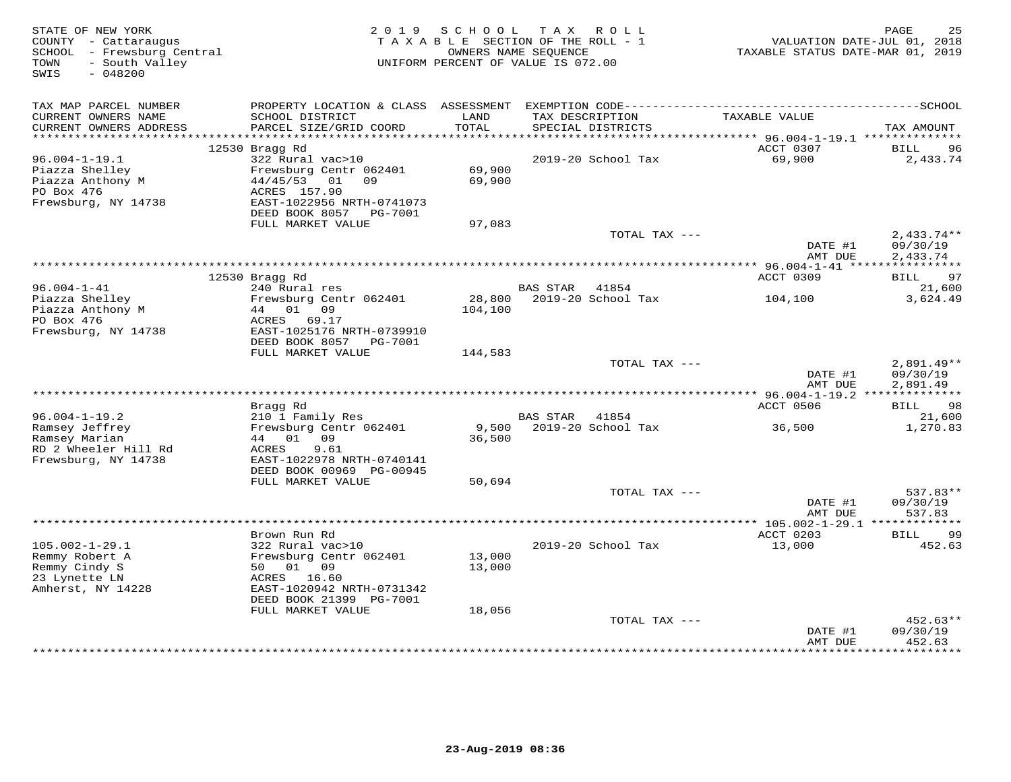| STATE OF NEW YORK<br>COUNTY - Cattaraugus<br>SCHOOL - Frewsburg Central<br>- South Valley<br>TOWN | 2 0 1 9                                             | SCHOOL        | TAX ROLL<br>TAXABLE SECTION OF THE ROLL - 1<br>OWNERS NAME SEQUENCE<br>UNIFORM PERCENT OF VALUE IS 072.00 | VALUATION DATE-JUL 01, 2018<br>TAXABLE STATUS DATE-MAR 01, 2019 | PAGE<br>25                  |
|---------------------------------------------------------------------------------------------------|-----------------------------------------------------|---------------|-----------------------------------------------------------------------------------------------------------|-----------------------------------------------------------------|-----------------------------|
| SWIS<br>$-048200$                                                                                 |                                                     |               |                                                                                                           |                                                                 |                             |
| TAX MAP PARCEL NUMBER                                                                             | PROPERTY LOCATION & CLASS ASSESSMENT                |               |                                                                                                           |                                                                 |                             |
| CURRENT OWNERS NAME<br>CURRENT OWNERS ADDRESS<br>***********************                          | SCHOOL DISTRICT<br>PARCEL SIZE/GRID COORD           | LAND<br>TOTAL | TAX DESCRIPTION<br>SPECIAL DISTRICTS                                                                      | TAXABLE VALUE                                                   | TAX AMOUNT                  |
|                                                                                                   | 12530 Bragg Rd                                      |               |                                                                                                           | ACCT 0307                                                       | <b>BILL</b><br>96           |
| $96.004 - 1 - 19.1$                                                                               | 322 Rural vac>10                                    |               | 2019-20 School Tax                                                                                        | 69,900                                                          | 2,433.74                    |
| Piazza Shelley                                                                                    | Frewsburg Centr 062401                              | 69,900        |                                                                                                           |                                                                 |                             |
| Piazza Anthony M                                                                                  | 44/45/53<br>01<br>09                                | 69,900        |                                                                                                           |                                                                 |                             |
| PO Box 476                                                                                        | ACRES 157.90                                        |               |                                                                                                           |                                                                 |                             |
| Frewsburg, NY 14738                                                                               | EAST-1022956 NRTH-0741073<br>DEED BOOK 8057 PG-7001 |               |                                                                                                           |                                                                 |                             |
|                                                                                                   | FULL MARKET VALUE                                   | 97,083        |                                                                                                           |                                                                 |                             |
|                                                                                                   |                                                     |               | TOTAL TAX ---                                                                                             |                                                                 | $2,433.74**$                |
|                                                                                                   |                                                     |               |                                                                                                           | DATE #1                                                         | 09/30/19                    |
|                                                                                                   |                                                     |               |                                                                                                           | AMT DUE                                                         | 2,433.74                    |
|                                                                                                   | 12530 Bragg Rd                                      |               |                                                                                                           | **************** 96.004-1-41 *****<br>ACCT 0309                 | ***********<br>97<br>BILL   |
| $96.004 - 1 - 41$                                                                                 | 240 Rural res                                       |               | <b>BAS STAR</b><br>41854                                                                                  |                                                                 | 21,600                      |
| Piazza Shelley                                                                                    | Frewsburg Centr 062401                              | 28,800        | 2019-20 School Tax                                                                                        | 104,100                                                         | 3,624.49                    |
| Piazza Anthony M                                                                                  | 44 01 09                                            | 104,100       |                                                                                                           |                                                                 |                             |
| PO Box 476                                                                                        | ACRES 69.17                                         |               |                                                                                                           |                                                                 |                             |
| Frewsburg, NY 14738                                                                               | EAST-1025176 NRTH-0739910<br>DEED BOOK 8057 PG-7001 |               |                                                                                                           |                                                                 |                             |
|                                                                                                   | FULL MARKET VALUE                                   | 144,583       |                                                                                                           |                                                                 |                             |
|                                                                                                   |                                                     |               | TOTAL TAX ---                                                                                             |                                                                 | $2,891.49**$                |
|                                                                                                   |                                                     |               |                                                                                                           | DATE #1                                                         | 09/30/19                    |
|                                                                                                   |                                                     |               |                                                                                                           | AMT DUE                                                         | 2,891.49                    |
|                                                                                                   |                                                     |               |                                                                                                           |                                                                 | 98                          |
| $96.004 - 1 - 19.2$                                                                               | Bragg Rd<br>210 1 Family Res                        |               | BAS STAR<br>41854                                                                                         | ACCT 0506                                                       | BILL<br>21,600              |
| Ramsey Jeffrey                                                                                    | Frewsburg Centr 062401                              |               | 9,500 2019-20 School Tax                                                                                  | 36,500                                                          | 1,270.83                    |
| Ramsey Marian                                                                                     | 44 01 09                                            | 36,500        |                                                                                                           |                                                                 |                             |
| RD 2 Wheeler Hill Rd                                                                              | ACRES<br>9.61                                       |               |                                                                                                           |                                                                 |                             |
| Frewsburg, NY 14738                                                                               | EAST-1022978 NRTH-0740141                           |               |                                                                                                           |                                                                 |                             |
|                                                                                                   | DEED BOOK 00969 PG-00945<br>FULL MARKET VALUE       | 50,694        |                                                                                                           |                                                                 |                             |
|                                                                                                   |                                                     |               | TOTAL TAX ---                                                                                             |                                                                 | 537.83**                    |
|                                                                                                   |                                                     |               |                                                                                                           | DATE #1                                                         | 09/30/19                    |
|                                                                                                   |                                                     |               |                                                                                                           | AMT DUE                                                         | 537.83                      |
|                                                                                                   |                                                     |               |                                                                                                           |                                                                 |                             |
| $105.002 - 1 - 29.1$                                                                              | Brown Run Rd<br>322 Rural vac>10                    |               | 2019-20 School Tax                                                                                        | ACCT 0203<br>13,000                                             | <b>BILL</b><br>99<br>452.63 |
| Remmy Robert A                                                                                    | Frewsburg Centr 062401                              | 13,000        |                                                                                                           |                                                                 |                             |
| Remmy Cindy S                                                                                     | 01 09<br>50                                         | 13,000        |                                                                                                           |                                                                 |                             |
| 23 Lynette LN                                                                                     | ACRES 16.60                                         |               |                                                                                                           |                                                                 |                             |
| Amherst, NY 14228                                                                                 | EAST-1020942 NRTH-0731342                           |               |                                                                                                           |                                                                 |                             |
|                                                                                                   | DEED BOOK 21399 PG-7001<br>FULL MARKET VALUE        | 18,056        |                                                                                                           |                                                                 |                             |
|                                                                                                   |                                                     |               | TOTAL TAX ---                                                                                             |                                                                 | $452.63**$                  |
|                                                                                                   |                                                     |               |                                                                                                           | DATE #1                                                         | 09/30/19                    |
|                                                                                                   |                                                     |               |                                                                                                           | AMT DUE                                                         | 452.63                      |
|                                                                                                   |                                                     |               | ***************************                                                                               | *************                                                   | * * * * * * * * * *         |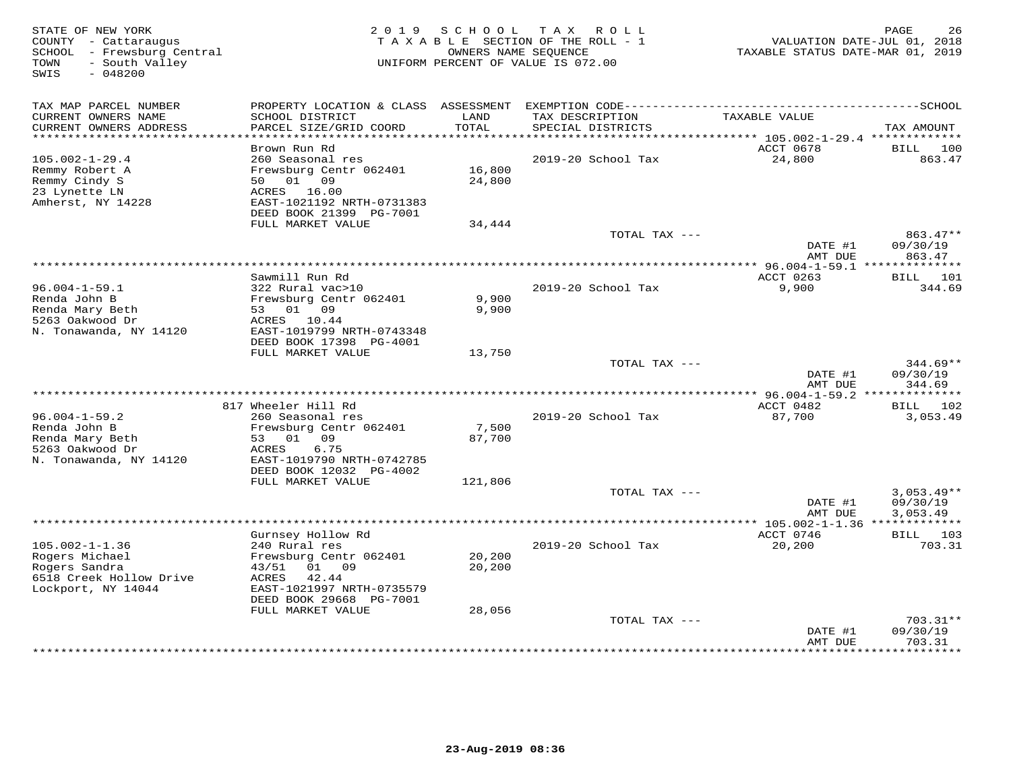| STATE OF NEW YORK<br>COUNTY - Cattaraugus<br>SCHOOL - Frewsburg Central<br>- South Valley<br>TOWN |                                                                        | 2019 SCHOOL      | T A X<br>R O L L<br>TAXABLE SECTION OF THE ROLL - 1<br>OWNERS NAME SEOUENCE<br>UNIFORM PERCENT OF VALUE IS 072.00 | VALUATION DATE-JUL 01, 2018<br>TAXABLE STATUS DATE-MAR 01, 2019 | PAGE<br>26                       |
|---------------------------------------------------------------------------------------------------|------------------------------------------------------------------------|------------------|-------------------------------------------------------------------------------------------------------------------|-----------------------------------------------------------------|----------------------------------|
| SWIS<br>$-048200$                                                                                 |                                                                        |                  |                                                                                                                   |                                                                 |                                  |
| TAX MAP PARCEL NUMBER                                                                             |                                                                        |                  |                                                                                                                   |                                                                 |                                  |
| CURRENT OWNERS NAME<br>CURRENT OWNERS ADDRESS<br>***********************                          | SCHOOL DISTRICT<br>PARCEL SIZE/GRID COORD                              | LAND<br>TOTAL    | TAX DESCRIPTION<br>SPECIAL DISTRICTS                                                                              | TAXABLE VALUE                                                   | TAX AMOUNT                       |
|                                                                                                   | Brown Run Rd                                                           |                  |                                                                                                                   | ACCT 0678                                                       | BILL<br>100                      |
| $105.002 - 1 - 29.4$                                                                              | 260 Seasonal res                                                       |                  | 2019-20 School Tax                                                                                                | 24,800                                                          | 863.47                           |
| Remmy Robert A<br>Remmy Cindy S                                                                   | Frewsburg Centr 062401<br>50<br>01<br>09                               | 16,800<br>24,800 |                                                                                                                   |                                                                 |                                  |
| 23 Lynette LN<br>Amherst, NY 14228                                                                | ACRES<br>16.00<br>EAST-1021192 NRTH-0731383<br>DEED BOOK 21399 PG-7001 |                  |                                                                                                                   |                                                                 |                                  |
|                                                                                                   | FULL MARKET VALUE                                                      | 34,444           |                                                                                                                   |                                                                 |                                  |
|                                                                                                   |                                                                        |                  | TOTAL TAX ---                                                                                                     | DATE #1                                                         | 863.47**<br>09/30/19             |
|                                                                                                   |                                                                        |                  | ****************************                                                                                      | AMT DUE<br>******** 96.004-1-59.1 **************                | 863.47                           |
|                                                                                                   | Sawmill Run Rd                                                         |                  |                                                                                                                   | ACCT 0263                                                       | BILL 101                         |
| $96.004 - 1 - 59.1$<br>Renda John B                                                               | 322 Rural vac>10<br>Frewsburg Centr 062401                             | 9,900            | 2019-20 School Tax                                                                                                | 9,900                                                           | 344.69                           |
| Renda Mary Beth                                                                                   | 53 01 09                                                               | 9,900            |                                                                                                                   |                                                                 |                                  |
| 5263 Oakwood Dr<br>N. Tonawanda, NY 14120                                                         | ACRES 10.44<br>EAST-1019799 NRTH-0743348                               |                  |                                                                                                                   |                                                                 |                                  |
|                                                                                                   | DEED BOOK 17398 PG-4001                                                |                  |                                                                                                                   |                                                                 |                                  |
|                                                                                                   | FULL MARKET VALUE                                                      | 13,750           |                                                                                                                   |                                                                 |                                  |
|                                                                                                   |                                                                        |                  | TOTAL TAX ---                                                                                                     | DATE #1<br>AMT DUE                                              | $344.69**$<br>09/30/19<br>344.69 |
|                                                                                                   | * * * * * * * * * * * * * * * *                                        |                  | ***************************                                                                                       | $*$ 96.004-1-59.2                                               | **************                   |
| $96.004 - 1 - 59.2$                                                                               | 817 Wheeler Hill Rd<br>260 Seasonal res                                |                  | 2019-20 School Tax                                                                                                | ACCT 0482<br>87,700                                             | BILL<br>102<br>3,053.49          |
| Renda John B                                                                                      | Frewsburg Centr 062401                                                 | 7,500            |                                                                                                                   |                                                                 |                                  |
| Renda Mary Beth<br>5263 Oakwood Dr                                                                | 01<br>09<br>53<br>6.75<br>ACRES                                        | 87,700           |                                                                                                                   |                                                                 |                                  |
| N. Tonawanda, NY 14120                                                                            | EAST-1019790 NRTH-0742785                                              |                  |                                                                                                                   |                                                                 |                                  |
|                                                                                                   | DEED BOOK 12032 PG-4002<br>FULL MARKET VALUE                           | 121,806          |                                                                                                                   |                                                                 |                                  |
|                                                                                                   |                                                                        |                  | TOTAL TAX ---                                                                                                     |                                                                 | $3,053.49**$                     |
|                                                                                                   |                                                                        |                  |                                                                                                                   | DATE #1<br>AMT DUE                                              | 09/30/19<br>3,053.49             |
|                                                                                                   |                                                                        |                  |                                                                                                                   | *************** 105.002-1-1.36 **************                   |                                  |
|                                                                                                   | Gurnsey Hollow Rd                                                      |                  |                                                                                                                   | ACCT 0746                                                       | BILL<br>103                      |
| $105.002 - 1 - 1.36$<br>Rogers Michael                                                            | 240 Rural res<br>Frewsburg Centr 062401                                | 20,200           | 2019-20 School Tax                                                                                                | 20,200                                                          | 703.31                           |
| Rogers Sandra                                                                                     | 09<br>43/51<br>01                                                      | 20,200           |                                                                                                                   |                                                                 |                                  |
| 6518 Creek Hollow Drive<br>Lockport, NY 14044                                                     | 42.44<br>ACRES<br>EAST-1021997 NRTH-0735579<br>DEED BOOK 29668 PG-7001 |                  |                                                                                                                   |                                                                 |                                  |
|                                                                                                   | FULL MARKET VALUE                                                      | 28,056           |                                                                                                                   |                                                                 |                                  |
|                                                                                                   |                                                                        |                  | TOTAL TAX ---                                                                                                     | DATE #1                                                         | $703.31**$<br>09/30/19           |
|                                                                                                   |                                                                        |                  |                                                                                                                   | AMT DUE                                                         | 703.31<br>* * * * * * * *        |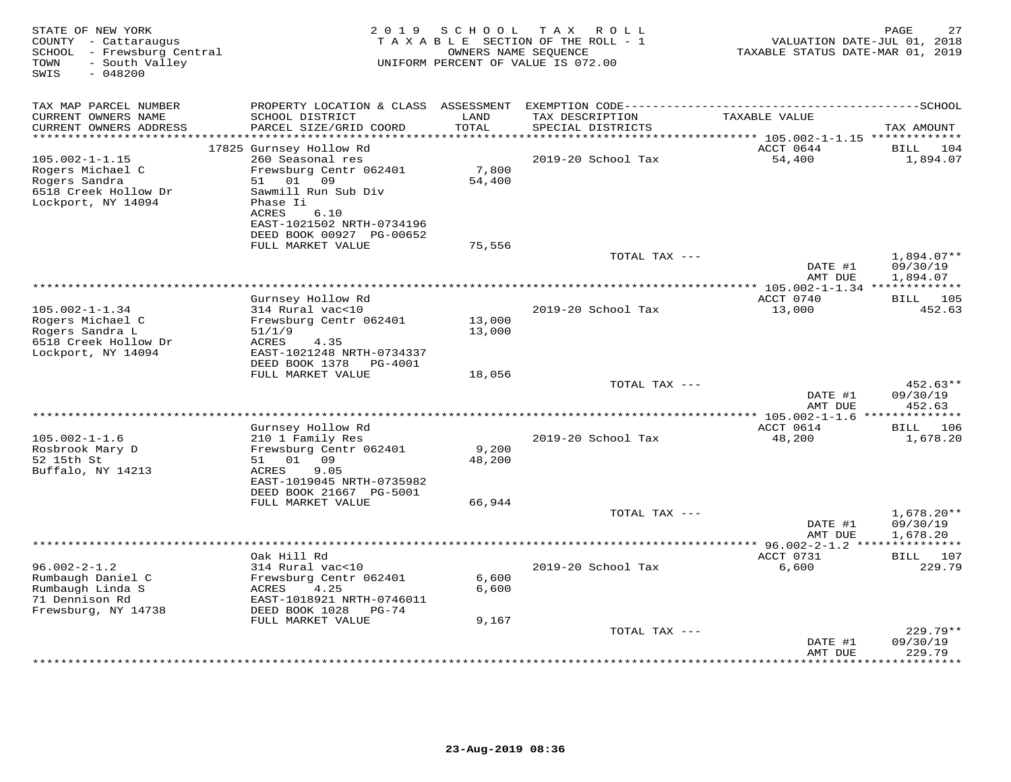| STATE OF NEW YORK<br>COUNTY - Cattaraugus<br>SCHOOL - Frewsburg Central<br>- South Valley<br>TOWN<br>SWIS<br>$-048200$ | 2 0 1 9                                                | SCHOOL        | T A X<br>ROLL<br>TAXABLE SECTION OF THE ROLL - 1<br>OWNERS NAME SEQUENCE<br>UNIFORM PERCENT OF VALUE IS 072.00 | VALUATION DATE-JUL 01, 2018<br>TAXABLE STATUS DATE-MAR 01, 2019 | 27<br>PAGE               |
|------------------------------------------------------------------------------------------------------------------------|--------------------------------------------------------|---------------|----------------------------------------------------------------------------------------------------------------|-----------------------------------------------------------------|--------------------------|
| TAX MAP PARCEL NUMBER                                                                                                  | PROPERTY LOCATION & CLASS ASSESSMENT                   |               |                                                                                                                |                                                                 |                          |
| CURRENT OWNERS NAME<br>CURRENT OWNERS ADDRESS                                                                          | SCHOOL DISTRICT<br>PARCEL SIZE/GRID COORD              | LAND<br>TOTAL | TAX DESCRIPTION<br>SPECIAL DISTRICTS                                                                           | TAXABLE VALUE                                                   | TAX AMOUNT               |
| ***********************                                                                                                |                                                        |               |                                                                                                                | ACCT 0644                                                       |                          |
| $105.002 - 1 - 1.15$                                                                                                   | 17825 Gurnsey Hollow Rd<br>260 Seasonal res            |               | 2019-20 School Tax                                                                                             | 54,400                                                          | 104<br>BILL<br>1,894.07  |
| Rogers Michael C                                                                                                       | Frewsburg Centr 062401                                 | 7,800         |                                                                                                                |                                                                 |                          |
| Rogers Sandra                                                                                                          | 01<br>09<br>51                                         | 54,400        |                                                                                                                |                                                                 |                          |
| 6518 Creek Hollow Dr                                                                                                   | Sawmill Run Sub Div                                    |               |                                                                                                                |                                                                 |                          |
| Lockport, NY 14094                                                                                                     | Phase Ii                                               |               |                                                                                                                |                                                                 |                          |
|                                                                                                                        | ACRES<br>6.10                                          |               |                                                                                                                |                                                                 |                          |
|                                                                                                                        | EAST-1021502 NRTH-0734196                              |               |                                                                                                                |                                                                 |                          |
|                                                                                                                        | DEED BOOK 00927 PG-00652                               |               |                                                                                                                |                                                                 |                          |
|                                                                                                                        | FULL MARKET VALUE                                      | 75,556        | TOTAL TAX ---                                                                                                  |                                                                 | $1,894.07**$             |
|                                                                                                                        |                                                        |               |                                                                                                                | DATE #1                                                         | 09/30/19                 |
|                                                                                                                        |                                                        |               |                                                                                                                | AMT DUE                                                         | 1,894.07                 |
|                                                                                                                        |                                                        |               |                                                                                                                |                                                                 |                          |
|                                                                                                                        | Gurnsey Hollow Rd                                      |               |                                                                                                                | ACCT 0740                                                       | BILL 105                 |
| $105.002 - 1 - 1.34$                                                                                                   | 314 Rural vac<10                                       |               | 2019-20 School Tax                                                                                             | 13,000                                                          | 452.63                   |
| Rogers Michael C                                                                                                       | Frewsburg Centr 062401                                 | 13,000        |                                                                                                                |                                                                 |                          |
| Rogers Sandra L<br>6518 Creek Hollow Dr                                                                                | 51/1/9<br>ACRES<br>4.35                                | 13,000        |                                                                                                                |                                                                 |                          |
| Lockport, NY 14094                                                                                                     | EAST-1021248 NRTH-0734337                              |               |                                                                                                                |                                                                 |                          |
|                                                                                                                        | DEED BOOK 1378<br>PG-4001                              |               |                                                                                                                |                                                                 |                          |
|                                                                                                                        | FULL MARKET VALUE                                      | 18,056        |                                                                                                                |                                                                 |                          |
|                                                                                                                        |                                                        |               | TOTAL TAX ---                                                                                                  |                                                                 | $452.63**$               |
|                                                                                                                        |                                                        |               |                                                                                                                | DATE #1                                                         | 09/30/19                 |
| ******************************                                                                                         |                                                        |               |                                                                                                                | AMT DUE                                                         | 452.63                   |
|                                                                                                                        | Gurnsey Hollow Rd                                      |               |                                                                                                                | ACCT 0614                                                       | BILL 106                 |
| $105.002 - 1 - 1.6$                                                                                                    | 210 1 Family Res                                       |               | 2019-20 School Tax                                                                                             | 48,200                                                          | 1,678.20                 |
| Rosbrook Mary D                                                                                                        | Frewsburg Centr 062401                                 | 9,200         |                                                                                                                |                                                                 |                          |
| 52 15th St                                                                                                             | 51 01 09                                               | 48,200        |                                                                                                                |                                                                 |                          |
| Buffalo, NY 14213                                                                                                      | ACRES<br>9.05                                          |               |                                                                                                                |                                                                 |                          |
|                                                                                                                        | EAST-1019045 NRTH-0735982                              |               |                                                                                                                |                                                                 |                          |
|                                                                                                                        | DEED BOOK 21667 PG-5001                                |               |                                                                                                                |                                                                 |                          |
|                                                                                                                        | FULL MARKET VALUE                                      | 66,944        |                                                                                                                |                                                                 |                          |
|                                                                                                                        |                                                        |               | TOTAL TAX ---                                                                                                  | DATE #1                                                         | $1,678.20**$<br>09/30/19 |
|                                                                                                                        |                                                        |               |                                                                                                                | AMT DUE                                                         | 1,678.20                 |
|                                                                                                                        |                                                        |               |                                                                                                                |                                                                 |                          |
|                                                                                                                        | Oak Hill Rd                                            |               |                                                                                                                | ACCT 0731                                                       | BILL 107                 |
| $96.002 - 2 - 1.2$                                                                                                     | 314 Rural vac<10                                       |               | 2019-20 School Tax                                                                                             | 6,600                                                           | 229.79                   |
| Rumbaugh Daniel C                                                                                                      | Frewsburg Centr 062401                                 | 6,600         |                                                                                                                |                                                                 |                          |
| Rumbaugh Linda S                                                                                                       | 4.25<br>ACRES                                          | 6,600         |                                                                                                                |                                                                 |                          |
| 71 Dennison Rd<br>Frewsburg, NY 14738                                                                                  | EAST-1018921 NRTH-0746011<br>DEED BOOK 1028<br>$PG-74$ |               |                                                                                                                |                                                                 |                          |
|                                                                                                                        | FULL MARKET VALUE                                      | 9,167         |                                                                                                                |                                                                 |                          |
|                                                                                                                        |                                                        |               | TOTAL TAX ---                                                                                                  |                                                                 | $229.79**$               |
|                                                                                                                        |                                                        |               |                                                                                                                | DATE #1                                                         | 09/30/19                 |
|                                                                                                                        |                                                        |               |                                                                                                                | AMT DUE                                                         | 229.79                   |
|                                                                                                                        |                                                        |               |                                                                                                                |                                                                 | * * * * * * * * * *      |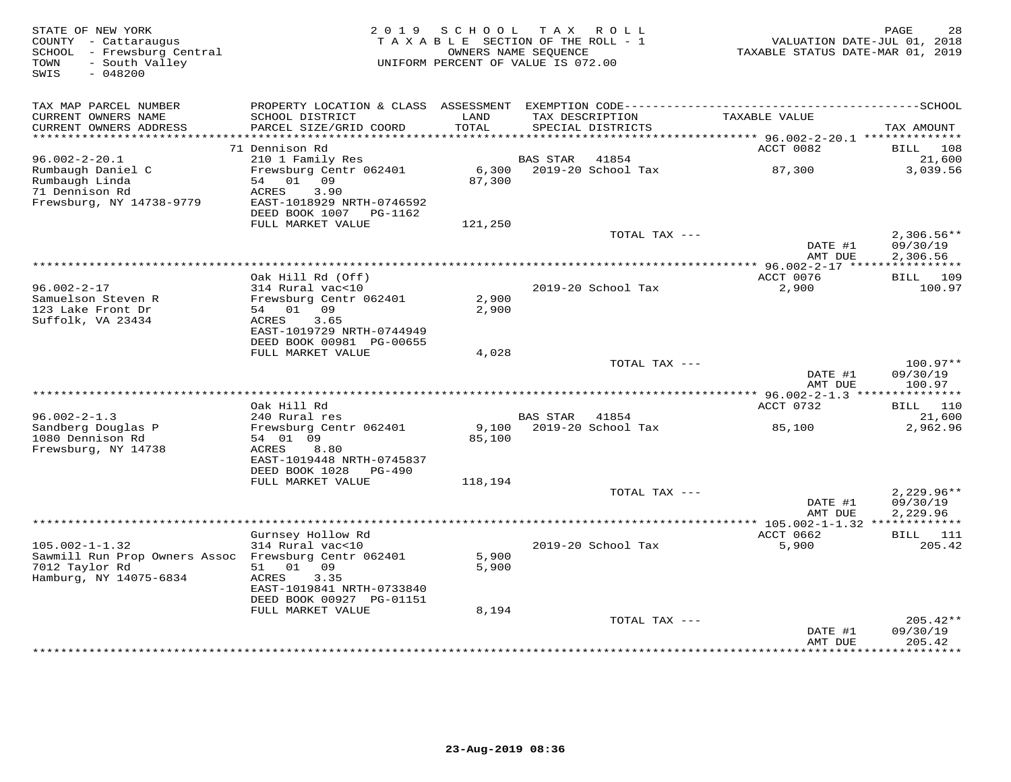| STATE OF NEW YORK<br>COUNTY - Cattaraugus<br>SCHOOL - Frewsburg Central<br>TOWN<br>- South Valley<br>SWIS<br>$-048200$ | 2 0 1 9                                                              | SCHOOL<br>TAXABLE SECTION OF THE ROLL - 1<br>OWNERS NAME SEOUENCE<br>UNIFORM PERCENT OF VALUE IS 072.00 |                    | TAX ROLL           | TAXABLE STATUS DATE-MAR 01, 2019 | 28<br>PAGE<br>VALUATION DATE-JUL 01, 2018 |
|------------------------------------------------------------------------------------------------------------------------|----------------------------------------------------------------------|---------------------------------------------------------------------------------------------------------|--------------------|--------------------|----------------------------------|-------------------------------------------|
| TAX MAP PARCEL NUMBER                                                                                                  |                                                                      |                                                                                                         |                    |                    |                                  |                                           |
| CURRENT OWNERS NAME                                                                                                    | SCHOOL DISTRICT                                                      | LAND                                                                                                    |                    | TAX DESCRIPTION    | TAXABLE VALUE                    |                                           |
| CURRENT OWNERS ADDRESS<br>**********************                                                                       | PARCEL SIZE/GRID COORD                                               | TOTAL                                                                                                   |                    | SPECIAL DISTRICTS  |                                  | TAX AMOUNT                                |
|                                                                                                                        | 71 Dennison Rd                                                       |                                                                                                         |                    |                    | ACCT 0082                        | <b>BILL</b><br>108                        |
| $96.002 - 2 - 20.1$                                                                                                    | 210 1 Family Res                                                     |                                                                                                         | <b>BAS STAR</b>    | 41854              |                                  | 21,600                                    |
| Rumbaugh Daniel C<br>Rumbaugh Linda                                                                                    | Frewsburg Centr 062401<br>54<br>01 09                                | 6,300<br>87,300                                                                                         |                    | 2019-20 School Tax | 87,300                           | 3,039.56                                  |
| 71 Dennison Rd<br>Frewsburg, NY 14738-9779                                                                             | ACRES<br>3.90<br>EAST-1018929 NRTH-0746592<br>DEED BOOK 1007 PG-1162 |                                                                                                         |                    |                    |                                  |                                           |
|                                                                                                                        | FULL MARKET VALUE                                                    | 121,250                                                                                                 |                    |                    |                                  |                                           |
|                                                                                                                        |                                                                      |                                                                                                         |                    | TOTAL TAX ---      | DATE #1                          | $2,306.56**$<br>09/30/19                  |
|                                                                                                                        |                                                                      |                                                                                                         | ****************** |                    | AMT DUE<br>* 96.002-2-17 *****   | 2,306.56                                  |
|                                                                                                                        | Oak Hill Rd (Off)                                                    |                                                                                                         |                    |                    | ACCT 0076                        | 109<br>BILL                               |
| $96.002 - 2 - 17$                                                                                                      | 314 Rural vac<10                                                     |                                                                                                         |                    | 2019-20 School Tax | 2,900                            | 100.97                                    |
| Samuelson Steven R                                                                                                     | Frewsburg Centr 062401                                               | 2,900                                                                                                   |                    |                    |                                  |                                           |
| 123 Lake Front Dr<br>Suffolk, VA 23434                                                                                 | 54 01 09<br>3.65<br>ACRES                                            | 2,900                                                                                                   |                    |                    |                                  |                                           |
|                                                                                                                        | EAST-1019729 NRTH-0744949                                            |                                                                                                         |                    |                    |                                  |                                           |
|                                                                                                                        | DEED BOOK 00981 PG-00655                                             |                                                                                                         |                    |                    |                                  |                                           |
|                                                                                                                        | FULL MARKET VALUE                                                    | 4,028                                                                                                   |                    |                    |                                  |                                           |
|                                                                                                                        |                                                                      |                                                                                                         |                    | TOTAL TAX ---      | DATE #1<br>AMT DUE               | $100.97**$<br>09/30/19<br>100.97          |
|                                                                                                                        |                                                                      |                                                                                                         |                    |                    |                                  |                                           |
|                                                                                                                        | Oak Hill Rd                                                          |                                                                                                         |                    |                    | ACCT 0732                        | <b>BILL</b> 110                           |
| $96.002 - 2 - 1.3$                                                                                                     | 240 Rural res                                                        |                                                                                                         | <b>BAS STAR</b>    | 41854              |                                  | 21,600                                    |
| Sandberg Douglas P<br>1080 Dennison Rd                                                                                 | Frewsburg Centr 062401<br>54 01 09                                   | 9,100<br>85,100                                                                                         |                    | 2019-20 School Tax | 85,100                           | 2,962.96                                  |
| Frewsburg, NY 14738                                                                                                    | 8.80<br>ACRES                                                        |                                                                                                         |                    |                    |                                  |                                           |
|                                                                                                                        | EAST-1019448 NRTH-0745837                                            |                                                                                                         |                    |                    |                                  |                                           |
|                                                                                                                        | DEED BOOK 1028<br>PG-490                                             |                                                                                                         |                    |                    |                                  |                                           |
|                                                                                                                        | FULL MARKET VALUE                                                    | 118,194                                                                                                 |                    | TOTAL TAX ---      |                                  | $2,229.96**$                              |
|                                                                                                                        |                                                                      |                                                                                                         |                    |                    | DATE #1                          | 09/30/19                                  |
|                                                                                                                        |                                                                      |                                                                                                         |                    |                    | AMT DUE                          | 2,229.96                                  |
|                                                                                                                        |                                                                      |                                                                                                         |                    |                    |                                  |                                           |
| $105.002 - 1 - 1.32$                                                                                                   | Gurnsey Hollow Rd<br>314 Rural vac<10                                |                                                                                                         |                    | 2019-20 School Tax | ACCT 0662<br>5,900               | 111<br>BILL<br>205.42                     |
| Sawmill Run Prop Owners Assoc Frewsburg Centr 062401                                                                   |                                                                      | 5,900                                                                                                   |                    |                    |                                  |                                           |
| 7012 Taylor Rd                                                                                                         | 01 09<br>51                                                          | 5,900                                                                                                   |                    |                    |                                  |                                           |
| Hamburg, NY 14075-6834                                                                                                 | ACRES<br>3.35<br>EAST-1019841 NRTH-0733840                           |                                                                                                         |                    |                    |                                  |                                           |
|                                                                                                                        | DEED BOOK 00927 PG-01151                                             |                                                                                                         |                    |                    |                                  |                                           |
|                                                                                                                        | FULL MARKET VALUE                                                    | 8,194                                                                                                   |                    |                    |                                  |                                           |
|                                                                                                                        |                                                                      |                                                                                                         |                    | TOTAL TAX ---      |                                  | $205.42**$                                |
|                                                                                                                        |                                                                      |                                                                                                         |                    |                    | DATE #1<br>AMT DUE               | 09/30/19<br>205.42                        |
|                                                                                                                        |                                                                      |                                                                                                         |                    |                    | ********                         | *********                                 |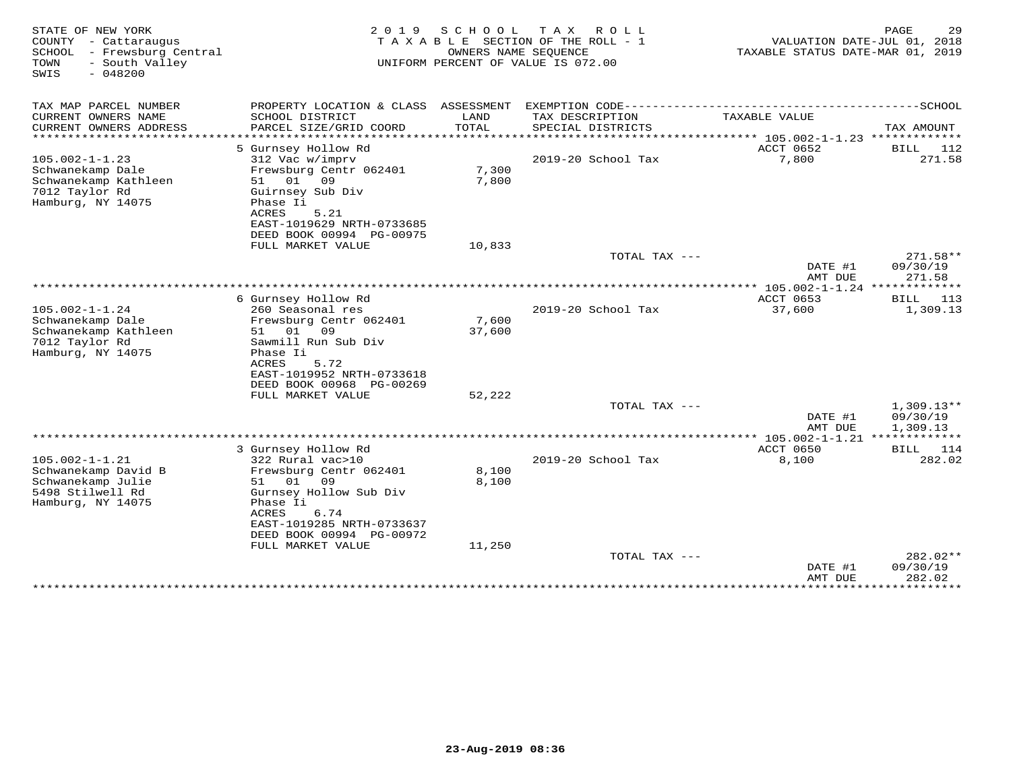| STATE OF NEW YORK<br>COUNTY - Cattaraugus<br>SCHOOL - Frewsburg Central<br>- South Valley<br>TOWN<br>$-048200$<br>SWIS | 2 0 1 9                                                                                                                                                                     | SCHOOL<br>OWNERS NAME SEOUENCE | T A X<br>ROLL<br>TAXABLE SECTION OF THE ROLL - 1<br>UNIFORM PERCENT OF VALUE IS 072.00 | VALUATION DATE-JUL 01, 2018<br>TAXABLE STATUS DATE-MAR 01, 2019 | PAGE<br>29                           |
|------------------------------------------------------------------------------------------------------------------------|-----------------------------------------------------------------------------------------------------------------------------------------------------------------------------|--------------------------------|----------------------------------------------------------------------------------------|-----------------------------------------------------------------|--------------------------------------|
| TAX MAP PARCEL NUMBER                                                                                                  |                                                                                                                                                                             |                                |                                                                                        |                                                                 |                                      |
| CURRENT OWNERS NAME<br>CURRENT OWNERS ADDRESS<br>********************                                                  | SCHOOL DISTRICT<br>PARCEL SIZE/GRID COORD                                                                                                                                   | LAND<br>TOTAL                  | TAX DESCRIPTION<br>SPECIAL DISTRICTS                                                   | TAXABLE VALUE                                                   | TAX AMOUNT                           |
|                                                                                                                        | 5 Gurnsey Hollow Rd                                                                                                                                                         |                                |                                                                                        | ACCT 0652                                                       | BILL<br>112                          |
| $105.002 - 1 - 1.23$                                                                                                   | 312 Vac w/imprv                                                                                                                                                             |                                | 2019-20 School Tax                                                                     | 7,800                                                           | 271.58                               |
| Schwanekamp Dale<br>Schwanekamp Kathleen<br>7012 Taylor Rd<br>Hamburg, NY 14075                                        | Frewsburg Centr 062401<br>51 01<br>09<br>Guirnsey Sub Div<br>Phase Ii<br>ACRES<br>5.21<br>EAST-1019629 NRTH-0733685                                                         | 7,300<br>7,800                 |                                                                                        |                                                                 |                                      |
|                                                                                                                        | DEED BOOK 00994 PG-00975                                                                                                                                                    |                                |                                                                                        |                                                                 |                                      |
|                                                                                                                        | FULL MARKET VALUE                                                                                                                                                           | 10,833                         |                                                                                        |                                                                 |                                      |
|                                                                                                                        |                                                                                                                                                                             |                                | TOTAL TAX ---                                                                          | DATE #1<br>AMT DUE                                              | 271.58**<br>09/30/19<br>271.58       |
|                                                                                                                        |                                                                                                                                                                             |                                |                                                                                        |                                                                 |                                      |
|                                                                                                                        | 6 Gurnsey Hollow Rd                                                                                                                                                         |                                |                                                                                        | ACCT 0653                                                       | 113<br>BILL                          |
| $105.002 - 1 - 1.24$<br>Schwanekamp Dale<br>Schwanekamp Kathleen<br>7012 Taylor Rd<br>Hamburg, NY 14075                | 260 Seasonal res<br>Frewsburg Centr 062401<br>51 01<br>09<br>Sawmill Run Sub Div<br>Phase Ii<br>ACRES<br>5.72<br>EAST-1019952 NRTH-0733618<br>DEED BOOK 00968 PG-00269      | 7,600<br>37,600                | 2019-20 School Tax                                                                     | 37,600                                                          | 1,309.13                             |
|                                                                                                                        | FULL MARKET VALUE                                                                                                                                                           | 52,222                         |                                                                                        |                                                                 |                                      |
|                                                                                                                        |                                                                                                                                                                             |                                | TOTAL TAX ---                                                                          | DATE #1<br>AMT DUE                                              | $1,309.13**$<br>09/30/19<br>1,309.13 |
|                                                                                                                        |                                                                                                                                                                             |                                |                                                                                        |                                                                 |                                      |
| $105.002 - 1 - 1.21$<br>Schwanekamp David B<br>Schwanekamp Julie<br>5498 Stilwell Rd<br>Hamburg, NY 14075              | 3 Gurnsey Hollow Rd<br>322 Rural vac>10<br>Frewsburg Centr 062401<br>51 01<br>09<br>Gurnsey Hollow Sub Div<br>Phase Ii<br><b>ACRES</b><br>6.74<br>EAST-1019285 NRTH-0733637 | 8,100<br>8,100                 | 2019-20 School Tax                                                                     | ACCT 0650<br>8,100                                              | <b>BILL</b><br>114<br>282.02         |
|                                                                                                                        | DEED BOOK 00994 PG-00972                                                                                                                                                    |                                |                                                                                        |                                                                 |                                      |
|                                                                                                                        | FULL MARKET VALUE                                                                                                                                                           | 11,250                         | TOTAL TAX ---                                                                          |                                                                 | 282.02**                             |
|                                                                                                                        |                                                                                                                                                                             |                                |                                                                                        | DATE #1<br>AMT DUE                                              | 09/30/19<br>282.02                   |
|                                                                                                                        |                                                                                                                                                                             |                                |                                                                                        | *************                                                   | *********                            |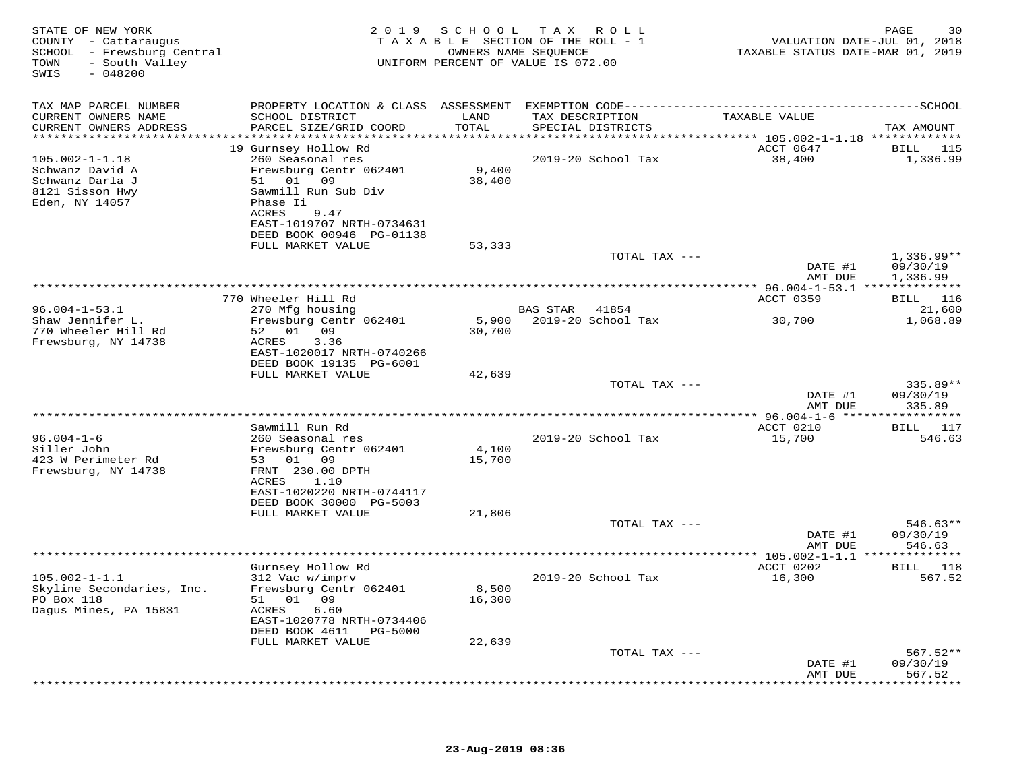| STATE OF NEW YORK<br>COUNTY - Cattaraugus<br>SCHOOL - Frewsburg Central<br>- South Valley<br>TOWN<br>SWIS<br>$-048200$ |                                                                               |                 | 2019 SCHOOL TAX ROLL<br>TAXABLE SECTION OF THE ROLL - 1<br>OWNERS NAME SEQUENCE<br>UNIFORM PERCENT OF VALUE IS 072.00 | TAXABLE STATUS DATE-MAR 01, 2019            | PAGE<br>30<br>VALUATION DATE-JUL 01, 2018 |
|------------------------------------------------------------------------------------------------------------------------|-------------------------------------------------------------------------------|-----------------|-----------------------------------------------------------------------------------------------------------------------|---------------------------------------------|-------------------------------------------|
| TAX MAP PARCEL NUMBER<br>CURRENT OWNERS NAME                                                                           | SCHOOL DISTRICT                                                               | LAND            | TAX DESCRIPTION                                                                                                       | TAXABLE VALUE                               |                                           |
| CURRENT OWNERS ADDRESS                                                                                                 | PARCEL SIZE/GRID COORD                                                        | TOTAL           | SPECIAL DISTRICTS                                                                                                     |                                             | TAX AMOUNT                                |
|                                                                                                                        | 19 Gurnsey Hollow Rd                                                          |                 |                                                                                                                       | ACCT 0647                                   | BILL 115                                  |
| $105.002 - 1 - 1.18$                                                                                                   | 260 Seasonal res                                                              |                 | 2019-20 School Tax                                                                                                    | 38,400                                      | 1,336.99                                  |
| Schwanz David A<br>Schwanz Darla J                                                                                     | Frewsburg Centr 062401<br>51 01 09                                            | 9,400<br>38,400 |                                                                                                                       |                                             |                                           |
| 8121 Sisson Hwy<br>Eden, NY 14057                                                                                      | Sawmill Run Sub Div<br>Phase Ii<br>9.47<br>ACRES<br>EAST-1019707 NRTH-0734631 |                 |                                                                                                                       |                                             |                                           |
|                                                                                                                        | DEED BOOK 00946 PG-01138                                                      |                 |                                                                                                                       |                                             |                                           |
|                                                                                                                        | FULL MARKET VALUE                                                             | 53,333          | TOTAL TAX ---                                                                                                         |                                             | $1,336.99**$                              |
|                                                                                                                        |                                                                               |                 |                                                                                                                       | DATE #1<br>AMT DUE                          | 09/30/19<br>1,336.99                      |
|                                                                                                                        |                                                                               |                 |                                                                                                                       |                                             |                                           |
|                                                                                                                        | 770 Wheeler Hill Rd<br>270 Mfg housing                                        |                 |                                                                                                                       | ACCT 0359                                   | <b>BILL</b> 116<br>21,600                 |
| $96.004 - 1 - 53.1$<br>Shaw Jennifer L.                                                                                | Frewsburg Centr 062401                                                        |                 | BAS STAR<br>41854<br>5,900 2019-20 School Tax                                                                         | 30,700                                      | 1,068.89                                  |
| 770 Wheeler Hill Rd                                                                                                    | 52 01 09                                                                      | 30,700          |                                                                                                                       |                                             |                                           |
| Frewsburg, NY 14738                                                                                                    | 3.36<br>ACRES<br>EAST-1020017 NRTH-0740266                                    |                 |                                                                                                                       |                                             |                                           |
|                                                                                                                        | DEED BOOK 19135 PG-6001                                                       |                 |                                                                                                                       |                                             |                                           |
|                                                                                                                        | FULL MARKET VALUE                                                             | 42,639          |                                                                                                                       |                                             |                                           |
|                                                                                                                        |                                                                               |                 | TOTAL TAX ---                                                                                                         | DATE #1                                     | $335.89**$<br>09/30/19                    |
|                                                                                                                        |                                                                               |                 |                                                                                                                       | AMT DUE                                     | 335.89                                    |
|                                                                                                                        |                                                                               |                 |                                                                                                                       |                                             |                                           |
| $96.004 - 1 - 6$                                                                                                       | Sawmill Run Rd<br>260 Seasonal res                                            |                 | 2019-20 School Tax                                                                                                    | ACCT 0210<br>15,700                         | BILL 117<br>546.63                        |
| Siller John                                                                                                            | Frewsburg Centr 062401                                                        | 4,100           |                                                                                                                       |                                             |                                           |
| 423 W Perimeter Rd                                                                                                     | 53 01 09                                                                      | 15,700          |                                                                                                                       |                                             |                                           |
| Frewsburg, NY 14738                                                                                                    | FRNT 230.00 DPTH<br>ACRES<br>1.10                                             |                 |                                                                                                                       |                                             |                                           |
|                                                                                                                        | EAST-1020220 NRTH-0744117                                                     |                 |                                                                                                                       |                                             |                                           |
|                                                                                                                        | DEED BOOK 30000 PG-5003                                                       |                 |                                                                                                                       |                                             |                                           |
|                                                                                                                        | FULL MARKET VALUE                                                             | 21,806          | TOTAL TAX ---                                                                                                         |                                             | $546.63**$                                |
|                                                                                                                        |                                                                               |                 |                                                                                                                       | DATE #1                                     | 09/30/19                                  |
|                                                                                                                        |                                                                               |                 | ******************                                                                                                    | AMT DUE<br>*** 105.002-1-1.1 ************** | 546.63                                    |
|                                                                                                                        | Gurnsey Hollow Rd                                                             |                 |                                                                                                                       | ACCT 0202                                   | BILL 118                                  |
| $105.002 - 1 - 1.1$                                                                                                    | 312 Vac w/imprv                                                               |                 | 2019-20 School Tax                                                                                                    | 16,300                                      | 567.52                                    |
| Skyline Secondaries, Inc.<br>PO Box 118                                                                                | Frewsburg Centr 062401<br>51 01 09                                            | 8,500<br>16,300 |                                                                                                                       |                                             |                                           |
| Dagus Mines, PA 15831                                                                                                  | ACRES<br>6.60                                                                 |                 |                                                                                                                       |                                             |                                           |
|                                                                                                                        | EAST-1020778 NRTH-0734406                                                     |                 |                                                                                                                       |                                             |                                           |
|                                                                                                                        | DEED BOOK 4611 PG-5000<br>FULL MARKET VALUE                                   | 22,639          |                                                                                                                       |                                             |                                           |
|                                                                                                                        |                                                                               |                 | TOTAL TAX ---                                                                                                         |                                             | $567.52**$                                |
|                                                                                                                        |                                                                               |                 |                                                                                                                       | DATE #1                                     | 09/30/19                                  |
|                                                                                                                        |                                                                               |                 |                                                                                                                       | AMT DUE                                     | 567.52<br>********                        |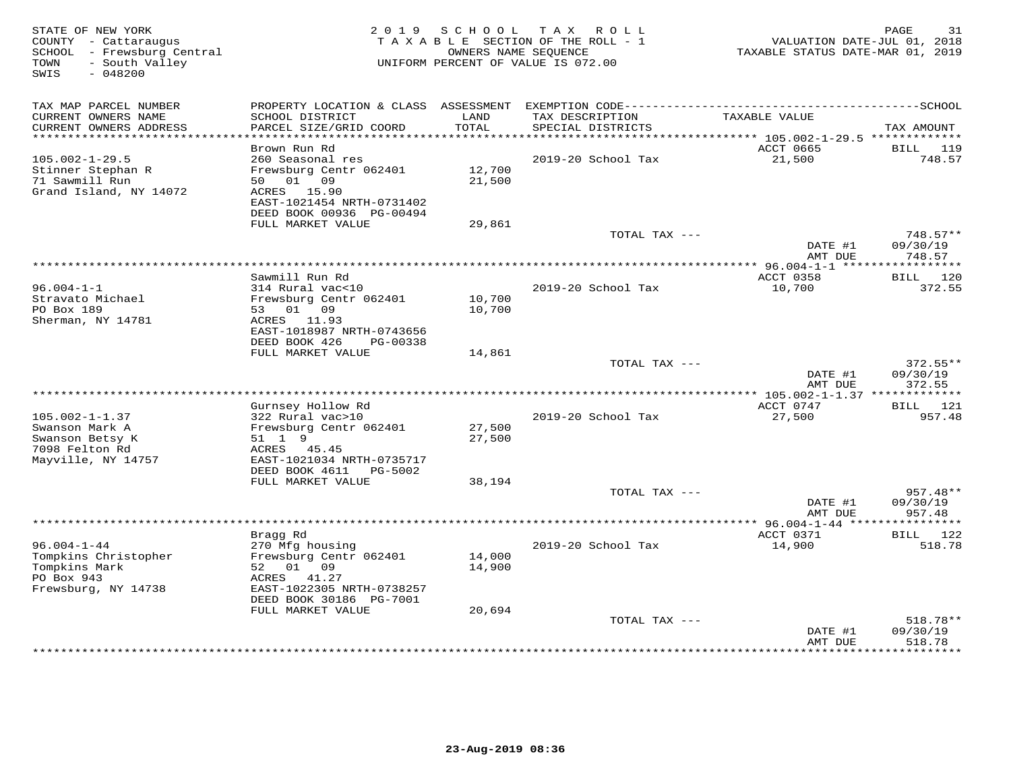| STATE OF NEW YORK<br>COUNTY - Cattaraugus<br>SCHOOL - Frewsburg Central<br>- South Valley<br>TOWN<br>$-048200$<br>SWIS | 2 0 1 9                                                                                               | SCHOOL           | T A X<br>ROLL<br>TAXABLE SECTION OF THE ROLL - 1<br>OWNERS NAME SEQUENCE<br>UNIFORM PERCENT OF VALUE IS 072.00 | VALUATION DATE-JUL 01, 2018<br>TAXABLE STATUS DATE-MAR 01, 2019 | PAGE<br>31             |
|------------------------------------------------------------------------------------------------------------------------|-------------------------------------------------------------------------------------------------------|------------------|----------------------------------------------------------------------------------------------------------------|-----------------------------------------------------------------|------------------------|
| TAX MAP PARCEL NUMBER                                                                                                  |                                                                                                       |                  |                                                                                                                |                                                                 |                        |
| CURRENT OWNERS NAME<br>CURRENT OWNERS ADDRESS<br>**********************                                                | SCHOOL DISTRICT<br>PARCEL SIZE/GRID COORD<br>************************                                 | LAND<br>TOTAL    | TAX DESCRIPTION<br>SPECIAL DISTRICTS                                                                           | TAXABLE VALUE                                                   | TAX AMOUNT             |
|                                                                                                                        | Brown Run Rd                                                                                          |                  |                                                                                                                | ACCT 0665                                                       | BILL<br>119            |
| $105.002 - 1 - 29.5$<br>Stinner Stephan R<br>71 Sawmill Run<br>Grand Island, NY 14072                                  | 260 Seasonal res<br>Frewsburg Centr 062401<br>01 09<br>50<br>ACRES 15.90<br>EAST-1021454 NRTH-0731402 | 12,700<br>21,500 | 2019-20 School Tax                                                                                             | 21,500                                                          | 748.57                 |
|                                                                                                                        | DEED BOOK 00936 PG-00494                                                                              |                  |                                                                                                                |                                                                 |                        |
|                                                                                                                        | FULL MARKET VALUE                                                                                     | 29,861           | TOTAL TAX ---                                                                                                  | DATE #1                                                         | $748.57**$<br>09/30/19 |
|                                                                                                                        |                                                                                                       |                  |                                                                                                                | AMT DUE                                                         | 748.57                 |
|                                                                                                                        |                                                                                                       |                  | *******************************                                                                                | ** $96.004 - 1 - 1$ *****                                       | * * * * * * * * * *    |
| $96.004 - 1 - 1$                                                                                                       | Sawmill Run Rd<br>314 Rural vac<10                                                                    |                  | 2019-20 School Tax                                                                                             | ACCT 0358<br>10,700                                             | BILL 120<br>372.55     |
| Stravato Michael<br>PO Box 189<br>Sherman, NY 14781                                                                    | Frewsburg Centr 062401<br>53 01 09<br>ACRES 11.93<br>EAST-1018987 NRTH-0743656                        | 10,700<br>10,700 |                                                                                                                |                                                                 |                        |
|                                                                                                                        | DEED BOOK 426<br>PG-00338                                                                             |                  |                                                                                                                |                                                                 |                        |
|                                                                                                                        | FULL MARKET VALUE                                                                                     | 14,861           | TOTAL TAX ---                                                                                                  | DATE #1                                                         | 372.55**<br>09/30/19   |
|                                                                                                                        |                                                                                                       |                  |                                                                                                                | AMT DUE                                                         | 372.55                 |
|                                                                                                                        | Gurnsey Hollow Rd                                                                                     |                  |                                                                                                                | ACCT 0747                                                       | 121<br>BILL            |
| $105.002 - 1 - 1.37$<br>Swanson Mark A<br>Swanson Betsy K<br>7098 Felton Rd                                            | 322 Rural vac>10<br>Frewsburg Centr 062401<br>51 1 9<br>ACRES<br>45.45                                | 27,500<br>27,500 | 2019-20 School Tax                                                                                             | 27,500                                                          | 957.48                 |
| Mayville, NY 14757                                                                                                     | EAST-1021034 NRTH-0735717<br>DEED BOOK 4611<br>PG-5002<br>FULL MARKET VALUE                           | 38,194           |                                                                                                                |                                                                 |                        |
|                                                                                                                        |                                                                                                       |                  | TOTAL TAX ---                                                                                                  |                                                                 | 957.48**               |
|                                                                                                                        |                                                                                                       |                  |                                                                                                                | DATE #1<br>AMT DUE                                              | 09/30/19<br>957.48     |
|                                                                                                                        |                                                                                                       |                  |                                                                                                                | ************** 96.004-1-44 ****                                 |                        |
| $96.004 - 1 - 44$                                                                                                      | Bragg Rd<br>270 Mfg housing                                                                           |                  | 2019-20 School Tax                                                                                             | ACCT 0371<br>14,900                                             | 122<br>BILL<br>518.78  |
| Tompkins Christopher<br>Tompkins Mark<br>PO Box 943                                                                    | Frewsburg Centr 062401<br>52<br>01<br>09<br>41.27<br>ACRES                                            | 14,000<br>14,900 |                                                                                                                |                                                                 |                        |
| Frewsburg, NY 14738                                                                                                    | EAST-1022305 NRTH-0738257<br>DEED BOOK 30186 PG-7001                                                  |                  |                                                                                                                |                                                                 |                        |
|                                                                                                                        | FULL MARKET VALUE                                                                                     | 20,694           | TOTAL TAX ---                                                                                                  |                                                                 | 518.78**               |
|                                                                                                                        |                                                                                                       |                  |                                                                                                                | DATE #1<br>AMT DUE                                              | 09/30/19<br>518.78     |
|                                                                                                                        |                                                                                                       |                  |                                                                                                                |                                                                 | * * * * * * * *        |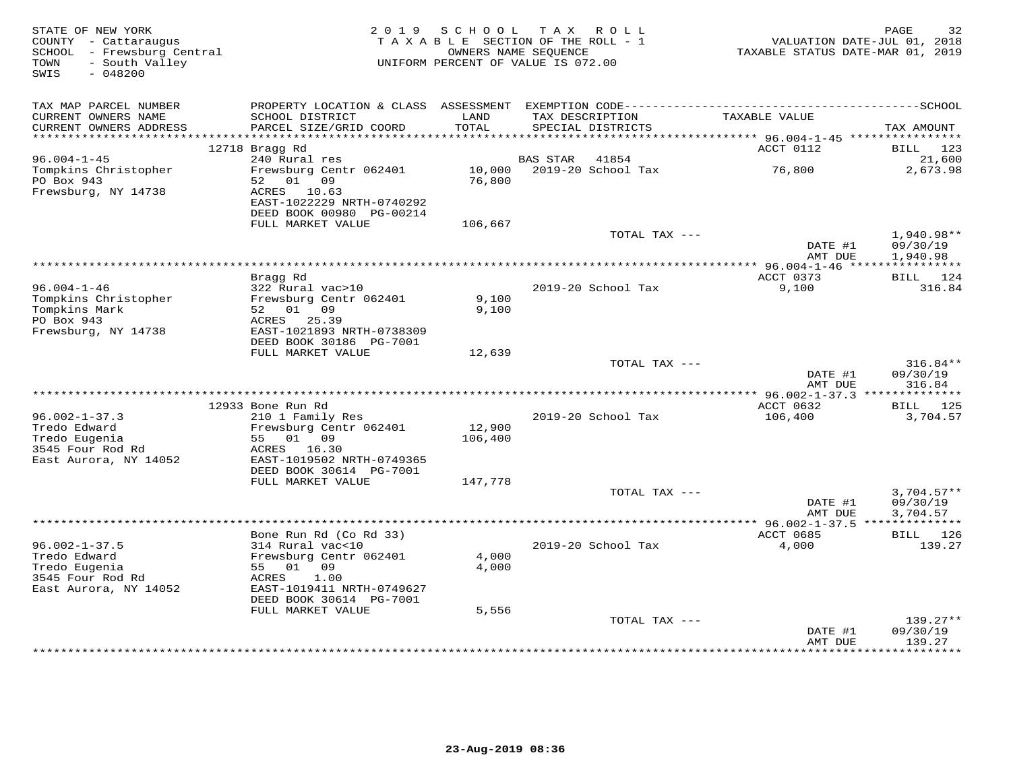| STATE OF NEW YORK<br>COUNTY - Cattaraugus<br>SCHOOL - Frewsburg Central<br>- South Valley<br>TOWN<br>$-048200$<br>SWIS | 2 0 1 9                                       | SCHOOL                 | TAX ROLL<br>TAXABLE SECTION OF THE ROLL - 1<br>OWNERS NAME SEQUENCE<br>UNIFORM PERCENT OF VALUE IS 072.00 |               | TAXABLE STATUS DATE-MAR 01, 2019                                                 | PAGE<br>32<br>VALUATION DATE-JUL 01, 2018 |
|------------------------------------------------------------------------------------------------------------------------|-----------------------------------------------|------------------------|-----------------------------------------------------------------------------------------------------------|---------------|----------------------------------------------------------------------------------|-------------------------------------------|
| TAX MAP PARCEL NUMBER                                                                                                  |                                               |                        |                                                                                                           |               |                                                                                  |                                           |
| CURRENT OWNERS NAME                                                                                                    | SCHOOL DISTRICT                               | LAND                   | TAX DESCRIPTION                                                                                           |               | TAXABLE VALUE                                                                    |                                           |
| CURRENT OWNERS ADDRESS<br>*********************                                                                        | PARCEL SIZE/GRID COORD                        | TOTAL<br>************* | SPECIAL DISTRICTS                                                                                         |               |                                                                                  | TAX AMOUNT                                |
|                                                                                                                        | 12718 Bragg Rd                                |                        |                                                                                                           |               | ************************************* 96.004-1-45 *****************<br>ACCT 0112 | BILL 123                                  |
| $96.004 - 1 - 45$                                                                                                      | 240 Rural res                                 |                        | BAS STAR                                                                                                  | 41854         |                                                                                  | 21,600                                    |
| Tompkins Christopher                                                                                                   | Frewsburg Centr 062401                        | 10,000                 | 2019-20 School Tax                                                                                        |               | 76,800                                                                           | 2,673.98                                  |
| PO Box 943                                                                                                             | 52 01 09                                      | 76,800                 |                                                                                                           |               |                                                                                  |                                           |
| Frewsburg, NY 14738                                                                                                    | ACRES<br>10.63                                |                        |                                                                                                           |               |                                                                                  |                                           |
|                                                                                                                        | EAST-1022229 NRTH-0740292                     |                        |                                                                                                           |               |                                                                                  |                                           |
|                                                                                                                        | DEED BOOK 00980 PG-00214<br>FULL MARKET VALUE | 106,667                |                                                                                                           |               |                                                                                  |                                           |
|                                                                                                                        |                                               |                        |                                                                                                           | TOTAL TAX --- |                                                                                  | $1,940.98**$                              |
|                                                                                                                        |                                               |                        |                                                                                                           |               | DATE #1                                                                          | 09/30/19                                  |
|                                                                                                                        |                                               |                        |                                                                                                           |               | AMT DUE                                                                          | 1,940.98                                  |
|                                                                                                                        |                                               |                        |                                                                                                           |               |                                                                                  |                                           |
|                                                                                                                        | Bragg Rd                                      |                        |                                                                                                           |               | ACCT 0373                                                                        | BILL 124                                  |
| $96.004 - 1 - 46$<br>Tompkins Christopher                                                                              | 322 Rural vac>10<br>Frewsburg Centr 062401    | 9,100                  | 2019-20 School Tax                                                                                        |               | 9,100                                                                            | 316.84                                    |
| Tompkins Mark                                                                                                          | 52 01 09                                      | 9,100                  |                                                                                                           |               |                                                                                  |                                           |
| PO Box 943                                                                                                             | ACRES 25.39                                   |                        |                                                                                                           |               |                                                                                  |                                           |
| Frewsburg, NY 14738                                                                                                    | EAST-1021893 NRTH-0738309                     |                        |                                                                                                           |               |                                                                                  |                                           |
|                                                                                                                        | DEED BOOK 30186 PG-7001                       |                        |                                                                                                           |               |                                                                                  |                                           |
|                                                                                                                        | FULL MARKET VALUE                             | 12,639                 |                                                                                                           |               |                                                                                  |                                           |
|                                                                                                                        |                                               |                        |                                                                                                           | TOTAL TAX --- | DATE #1                                                                          | $316.84**$<br>09/30/19                    |
|                                                                                                                        |                                               |                        |                                                                                                           |               | AMT DUE                                                                          | 316.84                                    |
|                                                                                                                        |                                               |                        |                                                                                                           |               |                                                                                  |                                           |
|                                                                                                                        | 12933 Bone Run Rd                             |                        |                                                                                                           |               | ACCT 0632                                                                        | BILL 125                                  |
| $96.002 - 1 - 37.3$                                                                                                    | 210 1 Family Res                              |                        | 2019-20 School Tax                                                                                        |               | 106,400                                                                          | 3,704.57                                  |
| Tredo Edward                                                                                                           | Frewsburg Centr 062401<br>55 01 09            | 12,900                 |                                                                                                           |               |                                                                                  |                                           |
| Tredo Eugenia<br>3545 Four Rod Rd                                                                                      | ACRES 16.30                                   | 106,400                |                                                                                                           |               |                                                                                  |                                           |
| East Aurora, NY 14052                                                                                                  | EAST-1019502 NRTH-0749365                     |                        |                                                                                                           |               |                                                                                  |                                           |
|                                                                                                                        | DEED BOOK 30614 PG-7001                       |                        |                                                                                                           |               |                                                                                  |                                           |
|                                                                                                                        | FULL MARKET VALUE                             | 147,778                |                                                                                                           |               |                                                                                  |                                           |
|                                                                                                                        |                                               |                        |                                                                                                           | TOTAL TAX --- |                                                                                  | $3,704.57**$                              |
|                                                                                                                        |                                               |                        |                                                                                                           |               | DATE #1<br>AMT DUE                                                               | 09/30/19<br>3,704.57                      |
|                                                                                                                        |                                               |                        |                                                                                                           |               |                                                                                  |                                           |
|                                                                                                                        | Bone Run Rd (Co Rd 33)                        |                        |                                                                                                           |               | ACCT 0685                                                                        | 126<br>BILL                               |
| $96.002 - 1 - 37.5$                                                                                                    | 314 Rural vac<10                              |                        | 2019-20 School Tax                                                                                        |               | 4,000                                                                            | 139.27                                    |
| Tredo Edward                                                                                                           | Frewsburg Centr 062401                        | 4,000                  |                                                                                                           |               |                                                                                  |                                           |
| Tredo Eugenia                                                                                                          | 55 01 09                                      | 4,000                  |                                                                                                           |               |                                                                                  |                                           |
| 3545 Four Rod Rd<br>East Aurora, NY 14052                                                                              | ACRES<br>1.00<br>EAST-1019411 NRTH-0749627    |                        |                                                                                                           |               |                                                                                  |                                           |
|                                                                                                                        | DEED BOOK 30614 PG-7001                       |                        |                                                                                                           |               |                                                                                  |                                           |
|                                                                                                                        | FULL MARKET VALUE                             | 5,556                  |                                                                                                           |               |                                                                                  |                                           |
|                                                                                                                        |                                               |                        |                                                                                                           | TOTAL TAX --- |                                                                                  | 139.27**                                  |
|                                                                                                                        |                                               |                        |                                                                                                           |               | DATE #1                                                                          | 09/30/19                                  |
|                                                                                                                        |                                               |                        |                                                                                                           |               | AMT DUE<br>***************                                                       | 139.27<br>**********                      |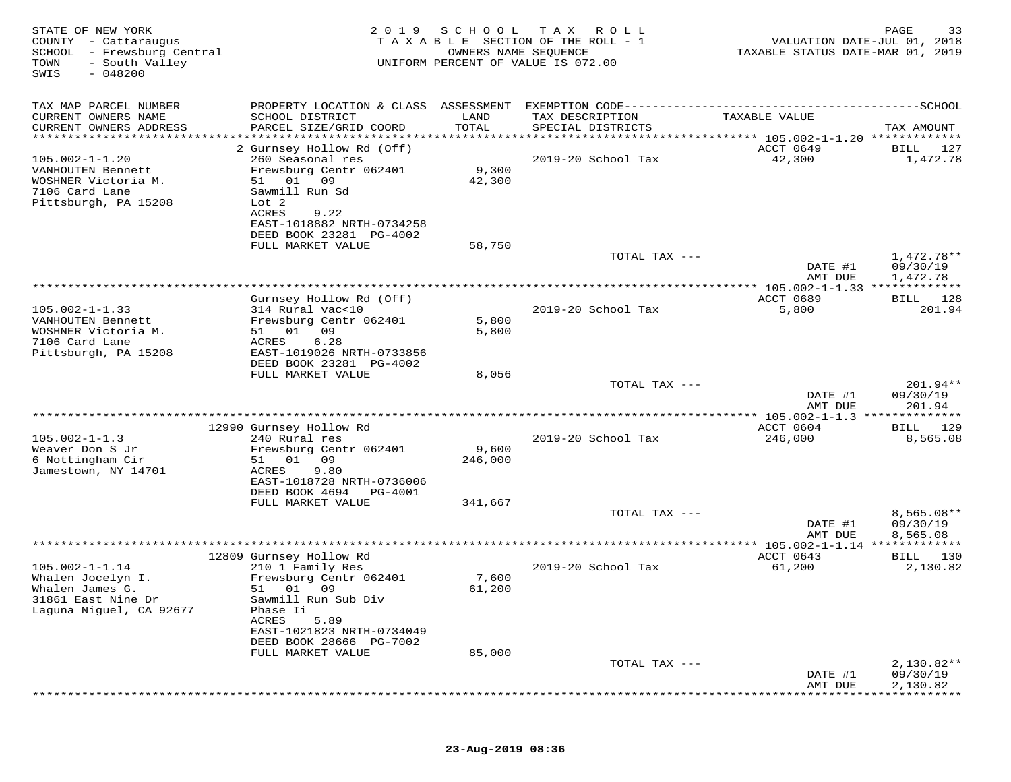| STATE OF NEW YORK<br>COUNTY - Cattaraugus<br>SCHOOL<br>- Frewsburg Central<br>- South Valley<br>TOWN<br>$-048200$<br>SWIS | 2 0 1 9                                                                                                                       | SCHOOL<br>OWNERS NAME SEQUENCE | T A X<br>R O L L<br>TAXABLE SECTION OF THE ROLL - 1<br>UNIFORM PERCENT OF VALUE IS 072.00 | VALUATION DATE-JUL 01, 2018<br>TAXABLE STATUS DATE-MAR 01, 2019 | 33<br>PAGE                           |
|---------------------------------------------------------------------------------------------------------------------------|-------------------------------------------------------------------------------------------------------------------------------|--------------------------------|-------------------------------------------------------------------------------------------|-----------------------------------------------------------------|--------------------------------------|
| TAX MAP PARCEL NUMBER                                                                                                     |                                                                                                                               |                                |                                                                                           |                                                                 |                                      |
| CURRENT OWNERS NAME                                                                                                       | SCHOOL DISTRICT                                                                                                               | LAND                           | TAX DESCRIPTION                                                                           | TAXABLE VALUE                                                   |                                      |
| CURRENT OWNERS ADDRESS<br>************************                                                                        | PARCEL SIZE/GRID COORD                                                                                                        | TOTAL                          | SPECIAL DISTRICTS                                                                         |                                                                 | TAX AMOUNT                           |
| $105.002 - 1 - 1.20$<br>VANHOUTEN Bennett<br>WOSHNER Victoria M.<br>7106 Card Lane                                        | 2 Gurnsey Hollow Rd (Off)<br>260 Seasonal res<br>Frewsburg Centr 062401<br>51 01 09<br>Sawmill Run Sd                         | 9,300<br>42,300                | 2019-20 School Tax                                                                        | ACCT 0649<br>42,300                                             | <b>BILL</b><br>127<br>1,472.78       |
| Pittsburgh, PA 15208                                                                                                      | Lot <sub>2</sub><br>ACRES<br>9.22<br>EAST-1018882 NRTH-0734258<br>DEED BOOK 23281 PG-4002<br>FULL MARKET VALUE                | 58,750                         |                                                                                           |                                                                 |                                      |
|                                                                                                                           |                                                                                                                               |                                | TOTAL TAX ---                                                                             | DATE #1<br>AMT DUE                                              | $1,472.78**$<br>09/30/19<br>1,472.78 |
|                                                                                                                           |                                                                                                                               |                                |                                                                                           | ** 105.002-1-1.33 *************                                 |                                      |
|                                                                                                                           | Gurnsey Hollow Rd (Off)                                                                                                       |                                |                                                                                           | ACCT 0689                                                       | BILL 128                             |
| $105.002 - 1 - 1.33$<br>VANHOUTEN Bennett<br>WOSHNER Victoria M.<br>7106 Card Lane<br>Pittsburgh, PA 15208                | 314 Rural vac<10<br>Frewsburg Centr 062401<br>09<br>51<br>01<br>ACRES<br>6.28<br>EAST-1019026 NRTH-0733856                    | 5,800<br>5,800                 | 2019-20 School Tax                                                                        | 5,800                                                           | 201.94                               |
|                                                                                                                           | DEED BOOK 23281 PG-4002                                                                                                       |                                |                                                                                           |                                                                 |                                      |
|                                                                                                                           | FULL MARKET VALUE                                                                                                             | 8,056                          |                                                                                           |                                                                 | $201.94**$                           |
|                                                                                                                           |                                                                                                                               |                                | TOTAL TAX ---                                                                             | DATE #1<br>AMT DUE                                              | 09/30/19<br>201.94                   |
|                                                                                                                           |                                                                                                                               |                                |                                                                                           |                                                                 | ********                             |
| $105.002 - 1 - 1.3$                                                                                                       | 12990 Gurnsey Hollow Rd<br>240 Rural res                                                                                      |                                | 2019-20 School Tax                                                                        | ACCT 0604<br>246,000                                            | 129<br>BILL<br>8,565.08              |
| Weaver Don S Jr<br>6 Nottingham Cir                                                                                       | Frewsburg Centr 062401<br>51<br>01<br>09                                                                                      | 9,600<br>246,000               |                                                                                           |                                                                 |                                      |
| Jamestown, NY 14701                                                                                                       | ACRES<br>9.80<br>EAST-1018728 NRTH-0736006<br>DEED BOOK 4694<br>PG-4001                                                       |                                |                                                                                           |                                                                 |                                      |
|                                                                                                                           | FULL MARKET VALUE                                                                                                             | 341,667                        |                                                                                           |                                                                 |                                      |
|                                                                                                                           |                                                                                                                               |                                | TOTAL TAX ---                                                                             | DATE #1                                                         | $8,565.08**$<br>09/30/19<br>8,565.08 |
|                                                                                                                           |                                                                                                                               |                                |                                                                                           | AMT DUE<br>**** 105.002-1-1.14 **                               | * * * * * * * * *                    |
|                                                                                                                           | 12809 Gurnsey Hollow Rd                                                                                                       |                                |                                                                                           | ACCT 0643                                                       | 130<br>BILL                          |
| $105.002 - 1 - 1.14$<br>Whalen Jocelyn I.<br>Whalen James G.                                                              | 210 1 Family Res<br>Frewsburg Centr 062401<br>01<br>09<br>51                                                                  | 7,600<br>61,200                | 2019-20 School Tax                                                                        | 61,200                                                          | 2,130.82                             |
| 31861 East Nine Dr<br>Laguna Niguel, CA 92677                                                                             | Sawmill Run Sub Div<br>Phase Ii<br>ACRES<br>5.89<br>EAST-1021823 NRTH-0734049<br>DEED BOOK 28666 PG-7002<br>FULL MARKET VALUE |                                |                                                                                           |                                                                 |                                      |
|                                                                                                                           |                                                                                                                               | 85,000                         | TOTAL TAX ---                                                                             |                                                                 | $2,130.82**$                         |
|                                                                                                                           |                                                                                                                               |                                |                                                                                           | DATE #1<br>AMT DUE                                              | 09/30/19<br>2,130.82                 |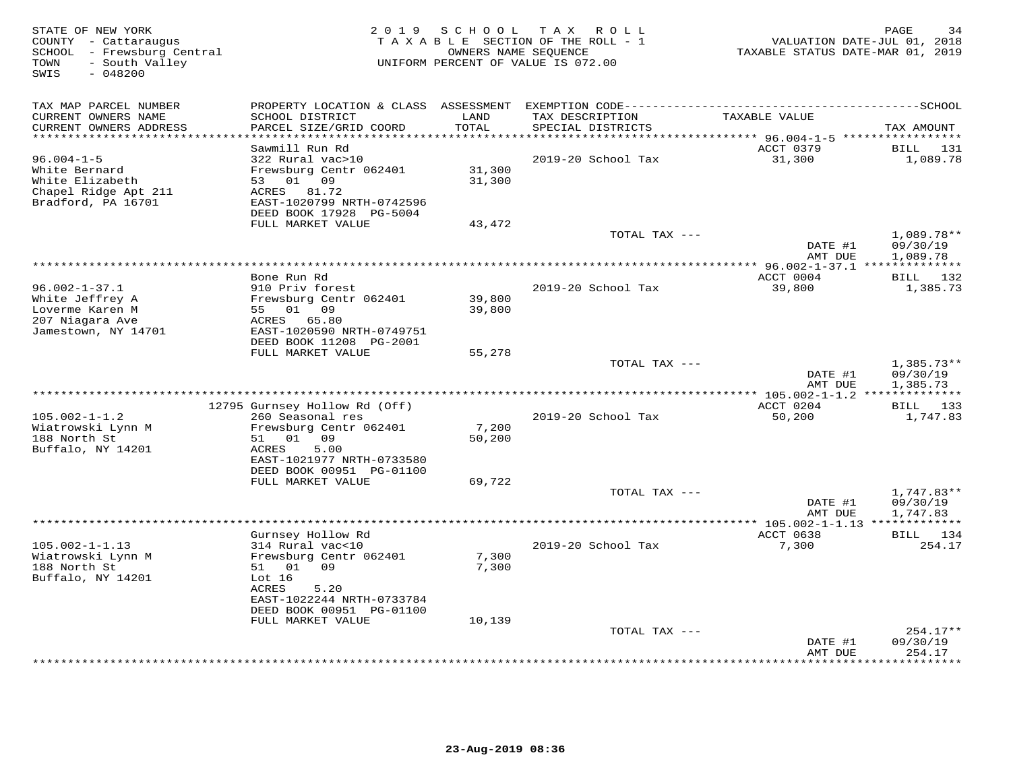| STATE OF NEW YORK<br>COUNTY - Cattaraugus<br>SCHOOL - Frewsburg Central<br>- South Valley<br>TOWN<br>$-048200$<br>SWIS | 2 0 1 9                                               | SCHOOL        | T A X<br>R O L L<br>TAXABLE SECTION OF THE ROLL - 1<br>OWNERS NAME SEQUENCE<br>UNIFORM PERCENT OF VALUE IS 072.00 | TAXABLE STATUS DATE-MAR 01, 2019 | PAGE<br>34<br>VALUATION DATE-JUL 01, 2018 |
|------------------------------------------------------------------------------------------------------------------------|-------------------------------------------------------|---------------|-------------------------------------------------------------------------------------------------------------------|----------------------------------|-------------------------------------------|
| TAX MAP PARCEL NUMBER                                                                                                  | PROPERTY LOCATION & CLASS ASSESSMENT                  |               |                                                                                                                   |                                  |                                           |
| CURRENT OWNERS NAME<br>CURRENT OWNERS ADDRESS                                                                          | SCHOOL DISTRICT<br>PARCEL SIZE/GRID COORD             | LAND<br>TOTAL | TAX DESCRIPTION<br>SPECIAL DISTRICTS                                                                              | TAXABLE VALUE                    | TAX AMOUNT                                |
| ********************                                                                                                   | Sawmill Run Rd                                        | ***********   |                                                                                                                   | ACCT 0379                        | 131<br>BILL                               |
| $96.004 - 1 - 5$                                                                                                       | 322 Rural vac>10                                      |               | 2019-20 School Tax                                                                                                | 31,300                           | 1,089.78                                  |
| White Bernard                                                                                                          | Frewsburg Centr 062401                                | 31,300        |                                                                                                                   |                                  |                                           |
| White Elizabeth                                                                                                        | 01<br>09<br>53                                        | 31,300        |                                                                                                                   |                                  |                                           |
| Chapel Ridge Apt 211                                                                                                   | ACRES<br>81.72                                        |               |                                                                                                                   |                                  |                                           |
| Bradford, PA 16701                                                                                                     | EAST-1020799 NRTH-0742596                             |               |                                                                                                                   |                                  |                                           |
|                                                                                                                        | DEED BOOK 17928 PG-5004                               |               |                                                                                                                   |                                  |                                           |
|                                                                                                                        | FULL MARKET VALUE                                     | 43,472        | TOTAL TAX ---                                                                                                     |                                  | $1,089.78**$                              |
|                                                                                                                        |                                                       |               |                                                                                                                   | DATE #1                          | 09/30/19                                  |
|                                                                                                                        |                                                       |               |                                                                                                                   | AMT DUE                          | 1,089.78                                  |
|                                                                                                                        |                                                       |               | ***********************                                                                                           | *** 96.002-1-37.1 ************** |                                           |
|                                                                                                                        | Bone Run Rd                                           |               |                                                                                                                   | ACCT 0004                        | BILL 132                                  |
| $96.002 - 1 - 37.1$                                                                                                    | 910 Priv forest                                       |               | 2019-20 School Tax                                                                                                | 39,800                           | 1,385.73                                  |
| White Jeffrey A                                                                                                        | Frewsburg Centr 062401                                | 39,800        |                                                                                                                   |                                  |                                           |
| Loverme Karen M<br>207 Niagara Ave                                                                                     | 01 09<br>55<br>ACRES<br>65.80                         | 39,800        |                                                                                                                   |                                  |                                           |
| Jamestown, NY 14701                                                                                                    | EAST-1020590 NRTH-0749751                             |               |                                                                                                                   |                                  |                                           |
|                                                                                                                        | DEED BOOK 11208 PG-2001                               |               |                                                                                                                   |                                  |                                           |
|                                                                                                                        | FULL MARKET VALUE                                     | 55,278        |                                                                                                                   |                                  |                                           |
|                                                                                                                        |                                                       |               | TOTAL TAX ---                                                                                                     |                                  | $1,385.73**$                              |
|                                                                                                                        |                                                       |               |                                                                                                                   | DATE #1                          | 09/30/19                                  |
|                                                                                                                        |                                                       |               |                                                                                                                   | AMT DUE                          | 1,385.73<br>********                      |
|                                                                                                                        | 12795 Gurnsey Hollow Rd (Off)                         |               |                                                                                                                   | ACCT 0204                        | BILL 133                                  |
| $105.002 - 1 - 1.2$                                                                                                    | 260 Seasonal res                                      |               | 2019-20 School Tax                                                                                                | 50,200                           | 1,747.83                                  |
| Wiatrowski Lynn M                                                                                                      | Frewsburg Centr 062401                                | 7,200         |                                                                                                                   |                                  |                                           |
| 188 North St                                                                                                           | 51<br>01 09                                           | 50,200        |                                                                                                                   |                                  |                                           |
| Buffalo, NY 14201                                                                                                      | ACRES<br>5.00                                         |               |                                                                                                                   |                                  |                                           |
|                                                                                                                        | EAST-1021977 NRTH-0733580<br>DEED BOOK 00951 PG-01100 |               |                                                                                                                   |                                  |                                           |
|                                                                                                                        | FULL MARKET VALUE                                     | 69,722        |                                                                                                                   |                                  |                                           |
|                                                                                                                        |                                                       |               | TOTAL TAX ---                                                                                                     |                                  | $1,747.83**$                              |
|                                                                                                                        |                                                       |               |                                                                                                                   | DATE #1                          | 09/30/19                                  |
|                                                                                                                        |                                                       |               |                                                                                                                   | AMT DUE                          | 1,747.83                                  |
|                                                                                                                        |                                                       |               | *********************                                                                                             | ** 105.002-1-1.13 *************  |                                           |
|                                                                                                                        | Gurnsey Hollow Rd                                     |               |                                                                                                                   | ACCT 0638                        | BILL 134                                  |
| $105.002 - 1 - 1.13$<br>Wiatrowski Lynn M                                                                              | 314 Rural vac<10<br>Frewsburg Centr 062401            | 7,300         | 2019-20 School Tax                                                                                                | 7,300                            | 254.17                                    |
| 188 North St                                                                                                           | 01 09<br>51                                           | 7,300         |                                                                                                                   |                                  |                                           |
| Buffalo, NY 14201                                                                                                      | Lot $16$                                              |               |                                                                                                                   |                                  |                                           |
|                                                                                                                        | ACRES<br>5.20                                         |               |                                                                                                                   |                                  |                                           |
|                                                                                                                        | EAST-1022244 NRTH-0733784                             |               |                                                                                                                   |                                  |                                           |
|                                                                                                                        | DEED BOOK 00951 PG-01100                              |               |                                                                                                                   |                                  |                                           |
|                                                                                                                        | FULL MARKET VALUE                                     | 10,139        |                                                                                                                   |                                  |                                           |
|                                                                                                                        |                                                       |               | TOTAL TAX ---                                                                                                     | DATE #1                          | $254.17**$<br>09/30/19                    |
|                                                                                                                        |                                                       |               |                                                                                                                   | AMT DUE                          | 254.17                                    |
|                                                                                                                        |                                                       |               |                                                                                                                   |                                  | * * * * * * * *                           |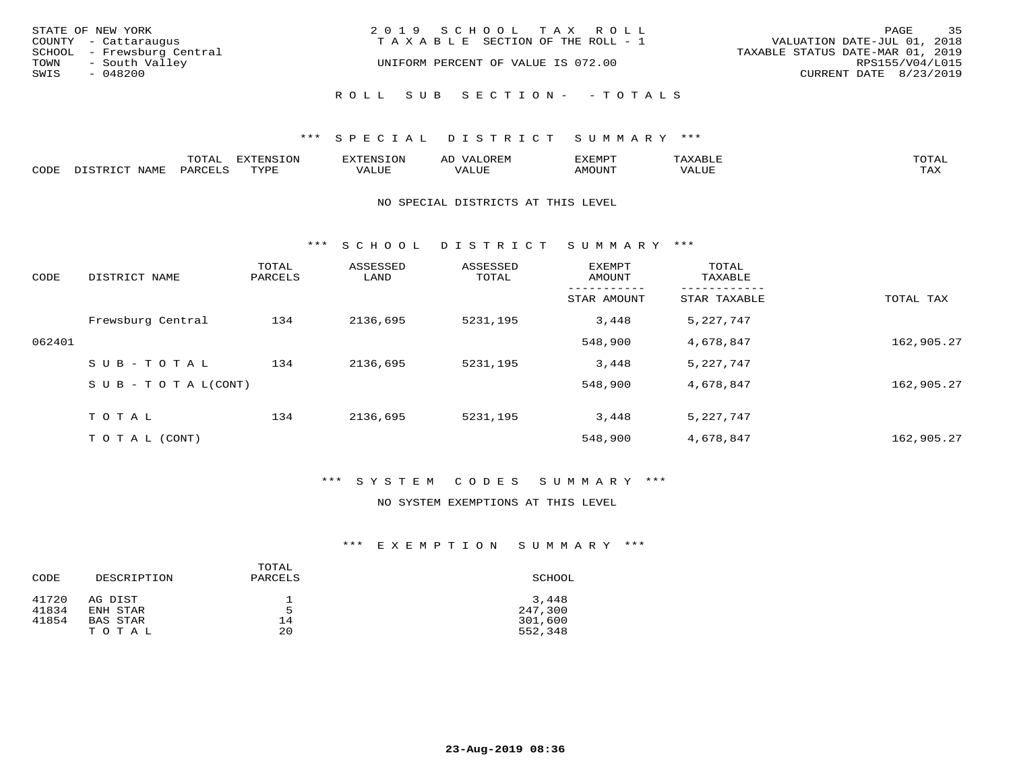|      | STATE OF NEW YORK<br>COUNTY - Cattaraugus    | 2019 SCHOOL TAX ROLL<br>T A X A B L E SECTION OF THE ROLL - 1 | PAGE<br>VALUATION DATE-JUL 01, 2018                 | 35 |
|------|----------------------------------------------|---------------------------------------------------------------|-----------------------------------------------------|----|
| TOWN | SCHOOL - Frewsburg Central<br>- South Valley | UNIFORM PERCENT OF VALUE IS 072.00                            | TAXABLE STATUS DATE-MAR 01, 2019<br>RPS155/V04/L015 |    |
| SWIS | - 048200                                     |                                                               | CURRENT DATE 8/23/2019                              |    |
|      |                                              | ROLL SUB SECTION- - TOTALS                                    |                                                     |    |

|      |                        | ጥ∩ጥአ<br>- UIAL | <b>DIZMONIC</b><br>ION | AD   | . ت س<br>⊐ויושב∠ |                                        |            |
|------|------------------------|----------------|------------------------|------|------------------|----------------------------------------|------------|
| CODE | <b>NTAMT</b><br>77 O L | PARO           | TVDF                   | ALUE | IMOUNT           | * * * * * * * *<br>$'$ ALUN $_{\rm L}$ | may<br>∸∽∸ |

## NO SPECIAL DISTRICTS AT THIS LEVEL

\*\*\* S C H O O L D I S T R I C T S U M M A R Y \*\*\*

| CODE   | DISTRICT NAME                    | TOTAL<br>PARCELS | ASSESSED<br>LAND | ASSESSED<br>TOTAL | <b>EXEMPT</b><br>AMOUNT | TOTAL<br>TAXABLE |            |
|--------|----------------------------------|------------------|------------------|-------------------|-------------------------|------------------|------------|
|        |                                  |                  |                  |                   | STAR AMOUNT             | STAR TAXABLE     | TOTAL TAX  |
|        | Frewsburg Central                | 134              | 2136,695         | 5231,195          | 3,448                   | 5,227,747        |            |
| 062401 |                                  |                  |                  |                   | 548,900                 | 4,678,847        | 162,905.27 |
|        | SUB-TOTAL                        | 134              | 2136,695         | 5231,195          | 3,448                   | 5,227,747        |            |
|        | $S \cup B - T \cup T A L (CONT)$ |                  |                  |                   | 548,900                 | 4,678,847        | 162,905.27 |
|        | TOTAL                            | 134              | 2136,695         | 5231,195          | 3,448                   | 5, 227, 747      |            |
|        | T O T A L (CONT)                 |                  |                  |                   | 548,900                 | 4,678,847        | 162,905.27 |

# \*\*\* S Y S T E M C O D E S S U M M A R Y \*\*\*

# NO SYSTEM EXEMPTIONS AT THIS LEVEL

| DESCRIPTION | PARCELS | SCHOOL  |
|-------------|---------|---------|
| AG DIST     |         | 3,448   |
| ENH STAR    | 5       | 247,300 |
| BAS STAR    | 14      | 301,600 |
| TOTAL       | 20      | 552,348 |
|             |         | TOTAL   |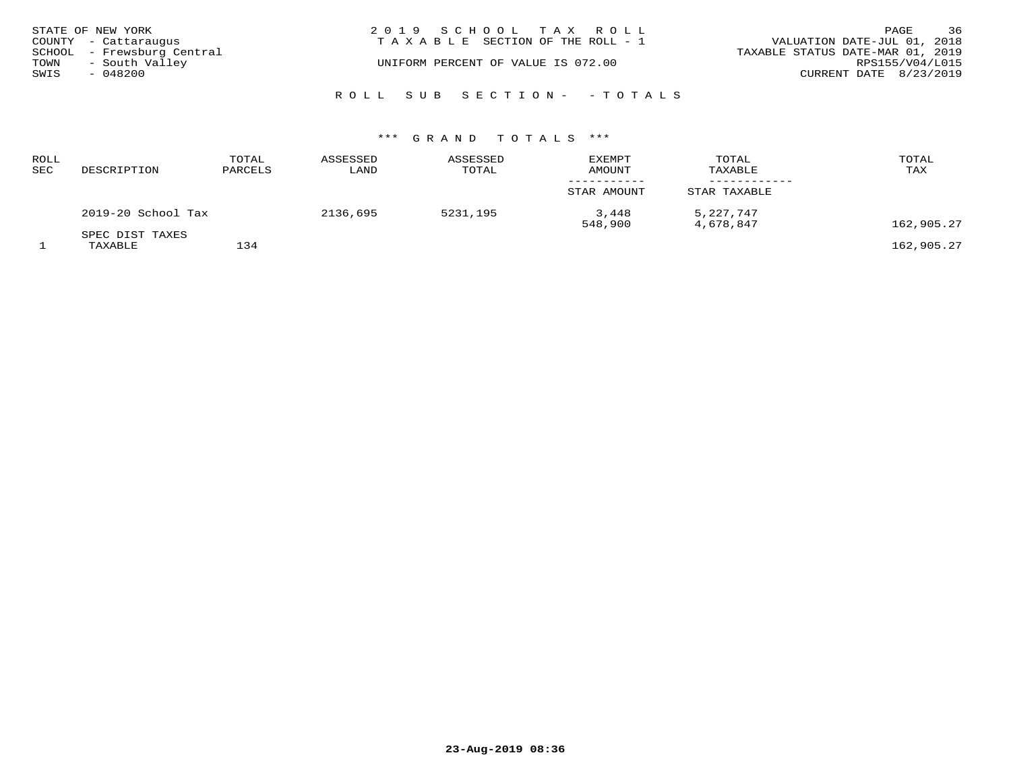|      | STATE OF NEW YORK<br>COUNTY - Cattaraugus    | 2019 SCHOOL TAX ROLL<br>T A X A B L E SECTION OF THE ROLL - 1 | 36<br>PAGE<br>VALUATION DATE-JUL 01, 2018           |
|------|----------------------------------------------|---------------------------------------------------------------|-----------------------------------------------------|
| TOWN | SCHOOL - Frewsburg Central<br>- South Valley | UNIFORM PERCENT OF VALUE IS 072.00                            | TAXABLE STATUS DATE-MAR 01, 2019<br>RPS155/V04/L015 |
| SWIS | $-048200$                                    |                                                               | CURRENT DATE 8/23/2019                              |
|      |                                              | ROLL SUB SECTION- - TOTALS                                    |                                                     |

| ROLL<br>SEC | DESCRIPTION                | TOTAL<br>PARCELS | ASSESSED<br>LAND | ASSESSED<br>TOTAL | <b>EXEMPT</b><br><b>AMOUNT</b> | TOTAL<br>TAXABLE       | TOTAL<br>TAX |
|-------------|----------------------------|------------------|------------------|-------------------|--------------------------------|------------------------|--------------|
|             |                            |                  |                  |                   | STAR AMOUNT                    | STAR TAXABLE           |              |
|             | 2019-20 School Tax         |                  | 2136,695         | 5231,195          | 3,448<br>548,900               | 5,227,747<br>4,678,847 | 162,905.27   |
|             | SPEC DIST TAXES<br>TAXABLE | 134              |                  |                   |                                |                        | 162,905.27   |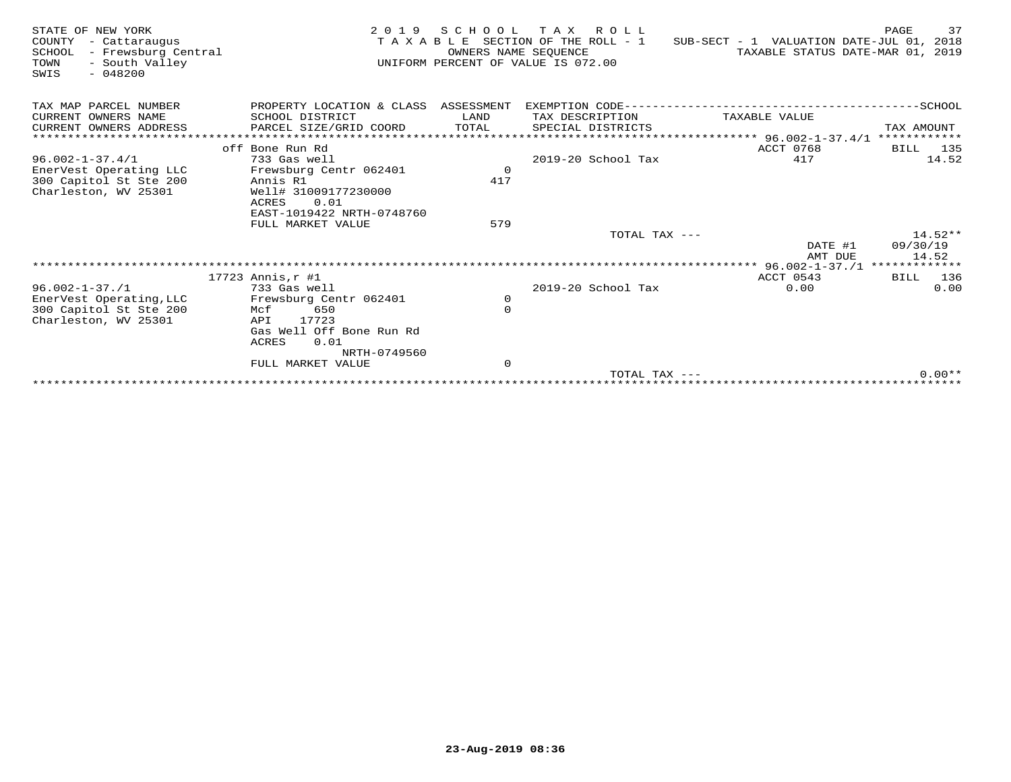| STATE OF NEW YORK<br>COUNTY<br>- Cattaraugus<br>- Frewsburg Central<br>SCHOOL<br>- South Valley<br>TOWN<br>$-048200$<br>SWIS | 2 0 1 9                              | SCHOOL<br>OWNERS NAME SEOUENCE | T A X<br>R O L L<br>T A X A B L E SECTION OF THE ROLL - 1<br>UNIFORM PERCENT OF VALUE IS 072.00 | SUB-SECT - 1 VALUATION DATE-JUL 01, 2018<br>TAXABLE STATUS DATE-MAR 01, | 37<br>PAGE<br>2019   |
|------------------------------------------------------------------------------------------------------------------------------|--------------------------------------|--------------------------------|-------------------------------------------------------------------------------------------------|-------------------------------------------------------------------------|----------------------|
| TAX MAP PARCEL NUMBER                                                                                                        | PROPERTY LOCATION & CLASS ASSESSMENT |                                | EXEMPTION CODE-------------------------                                                         |                                                                         | --SCHOOL             |
| CURRENT OWNERS NAME                                                                                                          | SCHOOL DISTRICT                      | LAND                           | TAX DESCRIPTION                                                                                 | TAXABLE VALUE                                                           |                      |
| CURRENT OWNERS ADDRESS                                                                                                       | PARCEL SIZE/GRID COORD               | TOTAL                          | SPECIAL DISTRICTS                                                                               |                                                                         | TAX AMOUNT           |
| ************************                                                                                                     |                                      |                                |                                                                                                 |                                                                         |                      |
| $96.002 - 1 - 37.4/1$                                                                                                        | off Bone Run Rd<br>733 Gas well      |                                | 2019-20 School Tax                                                                              | ACCT 0768<br>417                                                        | 135<br>BILL<br>14.52 |
| EnerVest Operating LLC                                                                                                       | Frewsburg Centr 062401               | $\mathbf 0$                    |                                                                                                 |                                                                         |                      |
| 300 Capitol St Ste 200                                                                                                       | Annis R1                             | 417                            |                                                                                                 |                                                                         |                      |
| Charleston, WV 25301                                                                                                         | Well# 31009177230000                 |                                |                                                                                                 |                                                                         |                      |
|                                                                                                                              | 0.01<br>ACRES                        |                                |                                                                                                 |                                                                         |                      |
|                                                                                                                              | EAST-1019422 NRTH-0748760            |                                |                                                                                                 |                                                                         |                      |
|                                                                                                                              | FULL MARKET VALUE                    | 579                            |                                                                                                 |                                                                         |                      |
|                                                                                                                              |                                      |                                | TOTAL TAX ---                                                                                   |                                                                         | $14.52**$            |
|                                                                                                                              |                                      |                                |                                                                                                 | DATE #1                                                                 | 09/30/19             |
|                                                                                                                              |                                      |                                |                                                                                                 | AMT DUE<br>***************** 96.002-1-37./1 *************               | 14.52                |
|                                                                                                                              | $17723$ Annis, $r$ #1                |                                |                                                                                                 | ACCT 0543                                                               | BILL 136             |
| $96.002 - 1 - 37.1$                                                                                                          | 733 Gas well                         |                                | 2019-20 School Tax                                                                              | 0.00                                                                    | 0.00                 |
| EnerVest Operating, LLC                                                                                                      | Frewsburg Centr 062401               | $\mathbf 0$                    |                                                                                                 |                                                                         |                      |
| 300 Capitol St Ste 200                                                                                                       | 650<br>Mcf                           | $\Omega$                       |                                                                                                 |                                                                         |                      |
| Charleston, WV 25301                                                                                                         | 17723<br>API                         |                                |                                                                                                 |                                                                         |                      |
|                                                                                                                              | Gas Well Off Bone Run Rd             |                                |                                                                                                 |                                                                         |                      |
|                                                                                                                              | 0.01<br>ACRES                        |                                |                                                                                                 |                                                                         |                      |
|                                                                                                                              | NRTH-0749560<br>FULL MARKET VALUE    | $\mathbf 0$                    |                                                                                                 |                                                                         |                      |
|                                                                                                                              |                                      |                                | TOTAL TAX $---$                                                                                 |                                                                         | $0.00**$             |
|                                                                                                                              |                                      |                                |                                                                                                 |                                                                         |                      |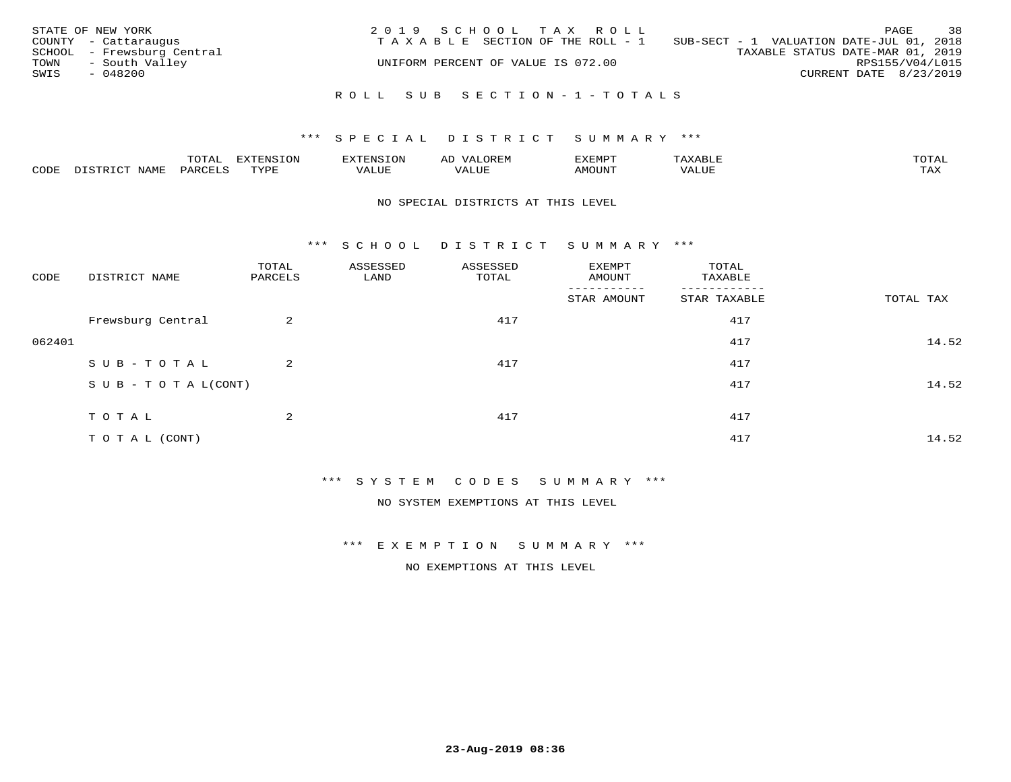| STATE OF NEW YORK<br>COUNTY - Cattaraugus<br>SCHOOL - Frewsburg Central<br>- South Valley<br>TOWN<br>SWIS<br>$-048200$ | 2019 SCHOOL TAX ROLL<br>TAXABLE SECTION OF THE ROLL - 1<br>UNIFORM PERCENT OF VALUE IS 072.00 |  |  | SUB-SECT - 1 VALUATION DATE-JUL 01, 2018<br>TAXABLE STATUS DATE-MAR 01, 2019 | RPS155/V04/L015<br>CURRENT DATE 8/23/2019 | PAGE | 38 |
|------------------------------------------------------------------------------------------------------------------------|-----------------------------------------------------------------------------------------------|--|--|------------------------------------------------------------------------------|-------------------------------------------|------|----|
|                                                                                                                        | ROLL SUB SECTION-1-TOTALS                                                                     |  |  |                                                                              |                                           |      |    |

|      |              | ™∩ͲϪ<br>بمحمد ب | -OP,             | <b>FNC</b> | ΑL    | ֿישוע         |       |                    |
|------|--------------|-----------------|------------------|------------|-------|---------------|-------|--------------------|
| CODE | NAME<br>– a- | PART            | mynne<br>- - - - | ALUF       | 'ALUE | <b>IMOUNT</b> | VALUE | <b>TRAV</b><br>∸∽∸ |

## NO SPECIAL DISTRICTS AT THIS LEVEL

\*\*\* S C H O O L D I S T R I C T S U M M A R Y \*\*\*

| CODE   | DISTRICT NAME                    | TOTAL<br>PARCELS | ASSESSED<br>LAND | ASSESSED<br>TOTAL | EXEMPT<br>AMOUNT | TOTAL<br>TAXABLE |           |
|--------|----------------------------------|------------------|------------------|-------------------|------------------|------------------|-----------|
|        |                                  |                  |                  |                   | STAR AMOUNT      | STAR TAXABLE     | TOTAL TAX |
|        | Frewsburg Central                | $\overline{a}$   |                  | 417               |                  | 417              |           |
| 062401 |                                  |                  |                  |                   |                  | 417              | 14.52     |
|        | SUB-TOTAL                        | $\overline{a}$   |                  | 417               |                  | 417              |           |
|        | $S \cup B - T \cup T A L (CONT)$ |                  |                  |                   |                  | 417              | 14.52     |
|        | TOTAL                            | 2                |                  | 417               |                  | 417              |           |
|        | T O T A L (CONT)                 |                  |                  |                   |                  | 417              | 14.52     |

\*\*\* S Y S T E M C O D E S S U M M A R Y \*\*\*

NO SYSTEM EXEMPTIONS AT THIS LEVEL

\*\*\* E X E M P T I O N S U M M A R Y \*\*\*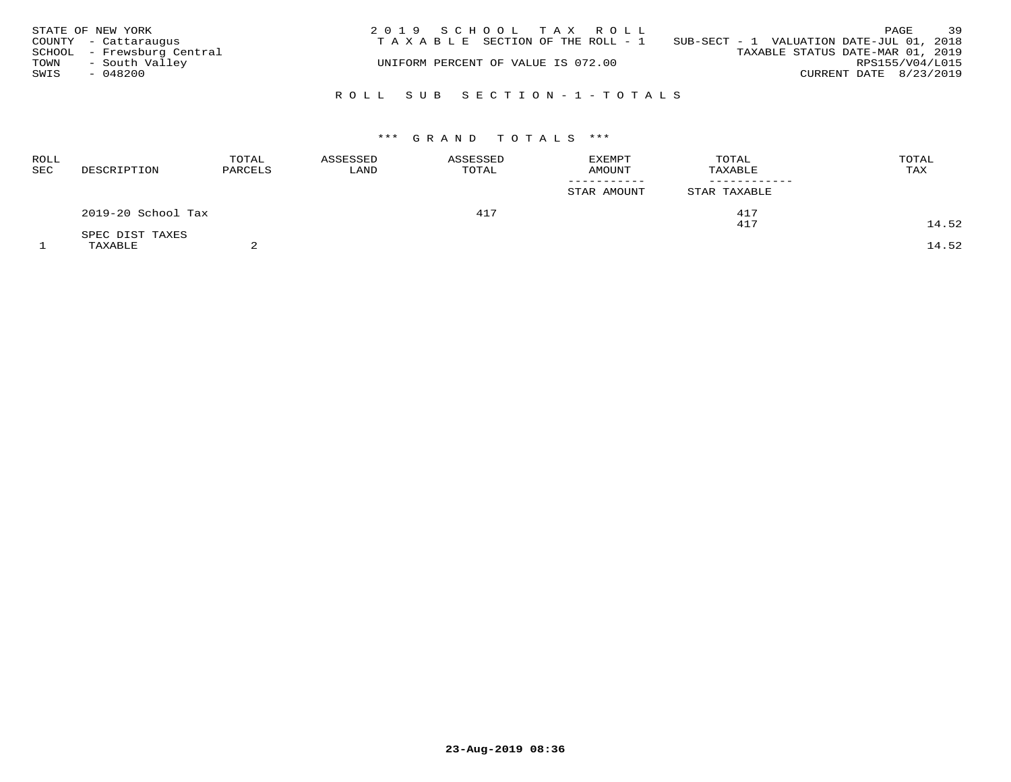|      | STATE OF NEW YORK          | 2019 SCHOOL TAX ROLL                                                              | 39<br>PAGE             |
|------|----------------------------|-----------------------------------------------------------------------------------|------------------------|
|      | COUNTY - Cattaraugus       | SUB-SECT - 1 VALUATION DATE-JUL 01, 2018<br>T A X A B L E SECTION OF THE ROLL - 1 |                        |
|      | SCHOOL - Frewsburg Central | TAXABLE STATUS DATE-MAR 01, 2019                                                  |                        |
| TOWN | - South Valley             | UNIFORM PERCENT OF VALUE IS 072.00                                                | RPS155/V04/L015        |
| SWIS | - 048200                   |                                                                                   | CURRENT DATE 8/23/2019 |
|      |                            | ROLL SUB SECTION-1-TOTALS                                                         |                        |

| <b>ROLL</b><br>SEC | DESCRIPTION        | TOTAL<br>PARCELS                    | ASSESSED<br>LAND | ASSESSED<br>TOTAL | <b>EXEMPT</b><br>AMOUNT | TOTAL<br>TAXABLE | TOTAL<br>TAX |
|--------------------|--------------------|-------------------------------------|------------------|-------------------|-------------------------|------------------|--------------|
|                    |                    |                                     |                  |                   | STAR AMOUNT             | STAR TAXABLE     |              |
|                    | 2019-20 School Tax |                                     |                  | 417               |                         | 417              |              |
|                    | SPEC DIST TAXES    |                                     |                  |                   |                         | 417              | 14.52        |
|                    |                    | the contract of the contract of the |                  |                   |                         |                  |              |

 $1$  TAXABLE 2  $2$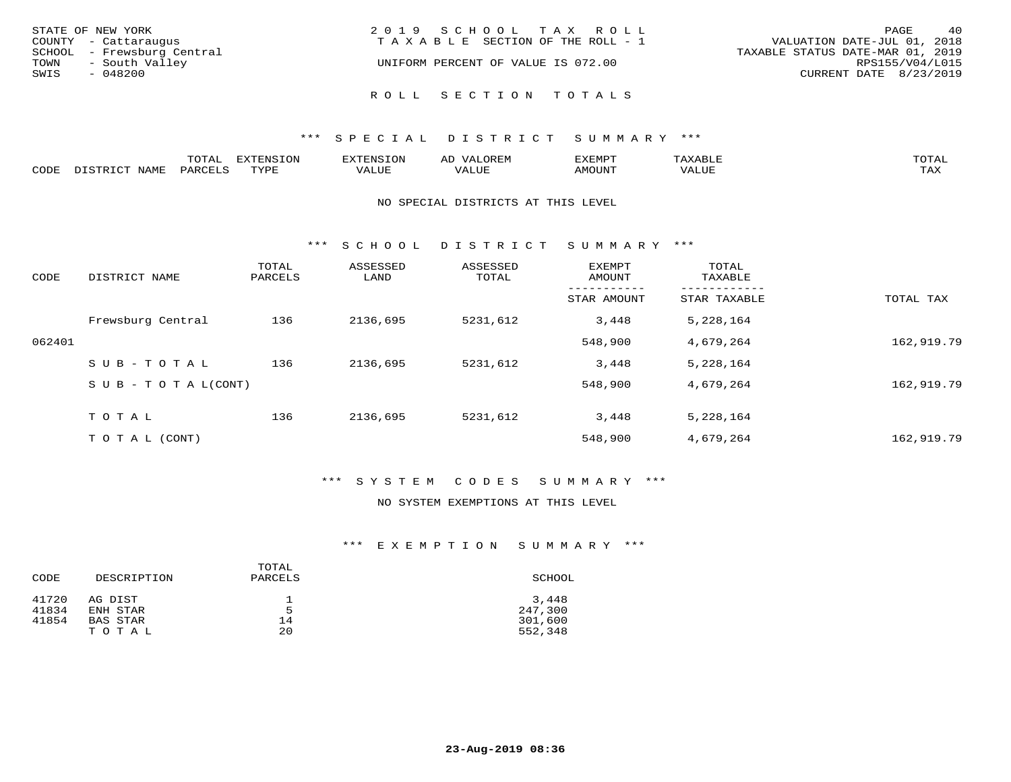| STATE OF NEW YORK<br>COUNTY - Cattaraugus<br>SCHOOL - Frewsburg Central | 2019 SCHOOL TAX ROLL<br>TAXABLE SECTION OF THE ROLL - 1   | 40<br>PAGE<br>VALUATION DATE-JUL 01, 2018<br>TAXABLE STATUS DATE-MAR 01, 2019 |
|-------------------------------------------------------------------------|-----------------------------------------------------------|-------------------------------------------------------------------------------|
| - South Valley<br>TOWN<br>SWIS<br>$-048200$                             | UNIFORM PERCENT OF VALUE IS 072.00<br>ROLL SECTION TOTALS | RPS155/V04/L015<br>CURRENT DATE 8/23/2019                                     |

|      |                 | ----<br>.UTAI     | $T \cap N$<br>FYTFNC |      | ⊬ட | פאים <i>צ</i> י<br>المالانا شاخهات | .     | $m \wedge m \wedge r$<br>$\cdot$ $\sim$ $\cdot$ |
|------|-----------------|-------------------|----------------------|------|----|------------------------------------|-------|-------------------------------------------------|
| CODE | NAME<br>ּפִיחִי | PARC <sub>F</sub> | <b>TVDI</b>          | ALUE |    | <b>MOUNT</b>                       | VALUE | TA Y<br>⊥ ∠~∡∡                                  |

## NO SPECIAL DISTRICTS AT THIS LEVEL

\*\*\* S C H O O L D I S T R I C T S U M M A R Y \*\*\*

| CODE   | DISTRICT NAME                    | TOTAL<br>PARCELS | ASSESSED<br>LAND | ASSESSED<br>TOTAL | <b>EXEMPT</b><br>AMOUNT | TOTAL<br>TAXABLE |            |
|--------|----------------------------------|------------------|------------------|-------------------|-------------------------|------------------|------------|
|        |                                  |                  |                  |                   | STAR AMOUNT             | STAR TAXABLE     | TOTAL TAX  |
|        | Frewsburg Central                | 136              | 2136,695         | 5231,612          | 3,448                   | 5,228,164        |            |
| 062401 |                                  |                  |                  |                   | 548,900                 | 4,679,264        | 162,919.79 |
|        | SUB-TOTAL                        | 136              | 2136,695         | 5231,612          | 3,448                   | 5,228,164        |            |
|        | $S \cup B - T \cup T A L (CONT)$ |                  |                  |                   | 548,900                 | 4,679,264        | 162,919.79 |
|        | TOTAL                            | 136              | 2136,695         | 5231,612          | 3,448                   | 5,228,164        |            |
|        | T O T A L (CONT)                 |                  |                  |                   | 548,900                 | 4,679,264        | 162,919.79 |

# \*\*\* S Y S T E M C O D E S S U M M A R Y \*\*\*

## NO SYSTEM EXEMPTIONS AT THIS LEVEL

| CODE  | DESCRIPTION | TOTAL<br>PARCELS | SCHOOL  |
|-------|-------------|------------------|---------|
| 41720 | AG DIST     |                  | 3,448   |
| 41834 | ENH STAR    | 5                | 247,300 |
| 41854 | BAS STAR    | 14               | 301,600 |
|       | TOTAL       | 20               | 552,348 |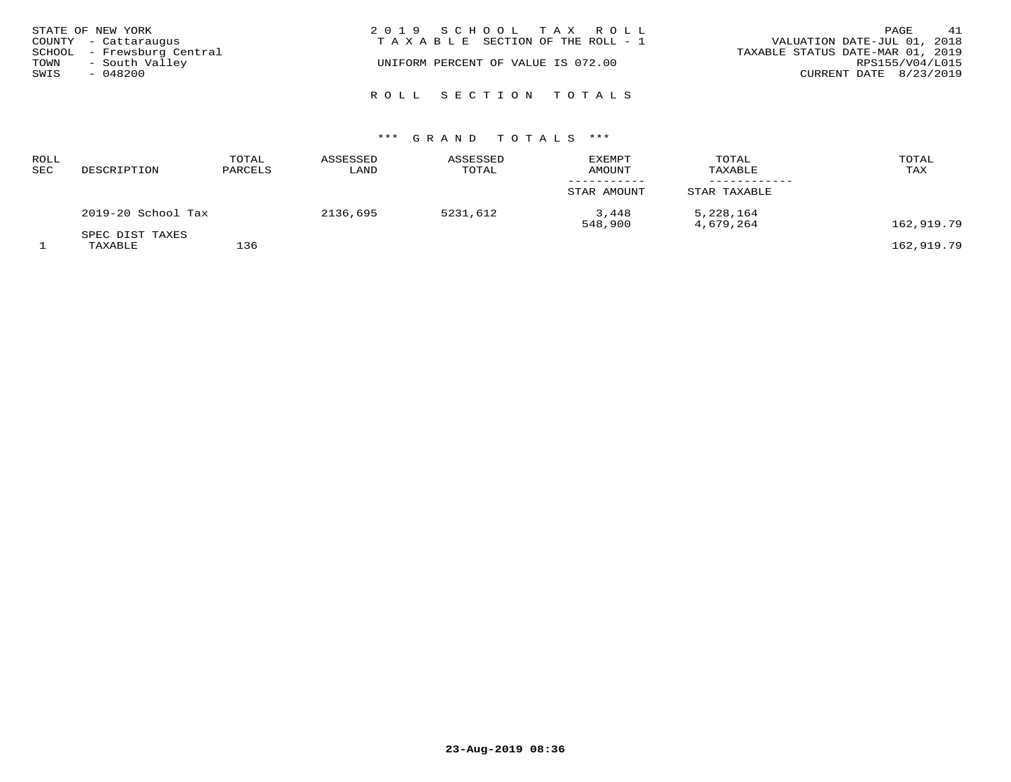| STATE OF NEW YORK<br>COUNTY - Cattaraugus            | 2019 SCHOOL TAX ROLL<br>T A X A B L E SECTION OF THE ROLL - 1 | 41<br>PAGE<br>VALUATION DATE-JUL 01, 2018           |
|------------------------------------------------------|---------------------------------------------------------------|-----------------------------------------------------|
| SCHOOL - Frewsburg Central<br>- South Valley<br>TOWN | UNIFORM PERCENT OF VALUE IS 072.00                            | TAXABLE STATUS DATE-MAR 01, 2019<br>RPS155/V04/L015 |
| SWIS<br>- 048200                                     |                                                               | CURRENT DATE 8/23/2019                              |
|                                                      | ROLL SECTION TOTALS                                           |                                                     |

| ROLL<br><b>SEC</b> | DESCRIPTION                | TOTAL<br>PARCELS | ASSESSED<br>LAND | ASSESSED<br>TOTAL | <b>EXEMPT</b><br><b>AMOUNT</b> | TOTAL<br>TAXABLE       | TOTAL<br>TAX |
|--------------------|----------------------------|------------------|------------------|-------------------|--------------------------------|------------------------|--------------|
|                    |                            |                  |                  |                   | STAR AMOUNT                    | STAR TAXABLE           |              |
|                    | 2019-20 School Tax         |                  | 2136,695         | 5231,612          | 3,448<br>548,900               | 5,228,164<br>4,679,264 | 162,919.79   |
|                    | SPEC DIST TAXES<br>TAXABLE | 136              |                  |                   |                                |                        | 162,919.79   |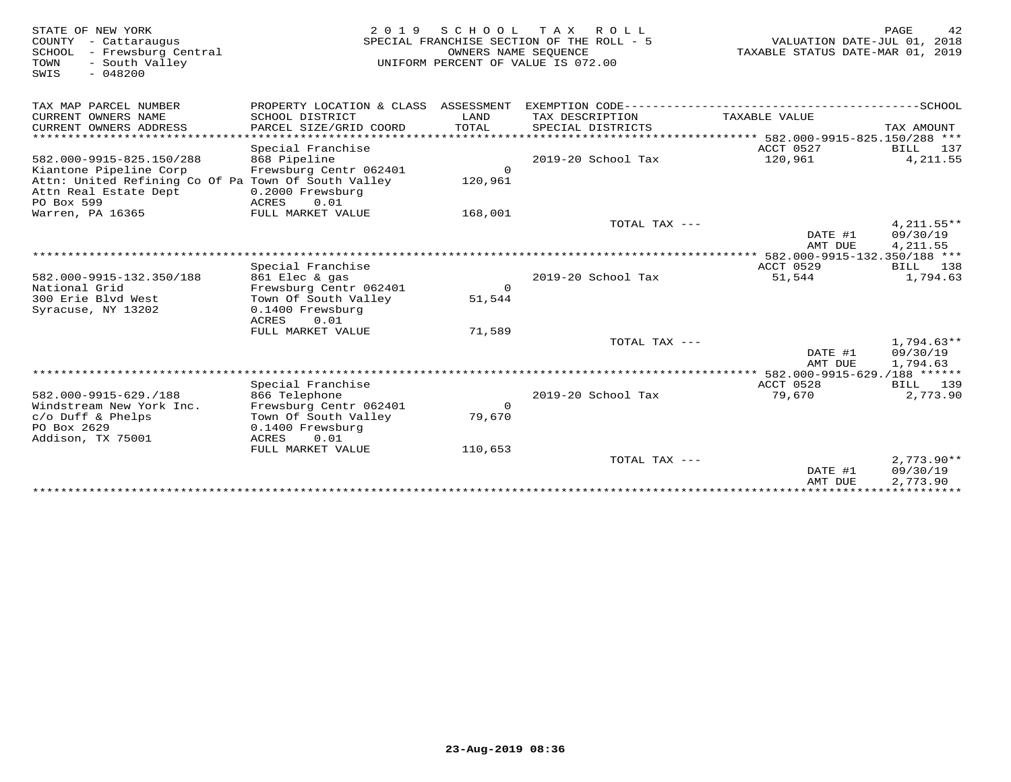| STATE OF NEW YORK<br>COUNTY - Cattaraugus<br>- Frewsburg Central<br>SCHOOL<br>TOWN<br>- South Valley<br>$-048200$<br>SWIS | 2 0 1 9                                                            | OWNERS NAME SEQUENCE | SCHOOL TAX ROLL<br>SPECIAL FRANCHISE SECTION OF THE ROLL - 5<br>UNIFORM PERCENT OF VALUE IS 072.00 | VALUATION DATE-JUL 01, 2018<br>TAXABLE STATUS DATE-MAR 01, | PAGE<br>42<br>2019                   |
|---------------------------------------------------------------------------------------------------------------------------|--------------------------------------------------------------------|----------------------|----------------------------------------------------------------------------------------------------|------------------------------------------------------------|--------------------------------------|
| TAX MAP PARCEL NUMBER                                                                                                     | PROPERTY LOCATION & CLASS ASSESSMENT                               |                      |                                                                                                    |                                                            |                                      |
| CURRENT OWNERS NAME<br>CURRENT OWNERS ADDRESS                                                                             | SCHOOL DISTRICT<br>PARCEL SIZE/GRID COORD                          | LAND<br><b>TOTAL</b> | TAX DESCRIPTION<br>SPECIAL DISTRICTS                                                               | TAXABLE VALUE                                              | TAX AMOUNT                           |
| ************************<br>582.000-9915-825.150/288<br>Kiantone Pipeline Corp                                            | Special Franchise<br>868 Pipeline<br>Frewsburg Centr 062401        | $\mathbf 0$          | 2019-20 School Tax                                                                                 | ACCT 0527<br>120,961                                       | BILL 137<br>4, 211.55                |
| Attn: United Refining Co Of Pa Town Of South Valley<br>Attn Real Estate Dept<br>PO Box 599                                | 0.2000 Frewsburg<br>ACRES<br>0.01                                  | 120,961              |                                                                                                    |                                                            |                                      |
| Warren, PA 16365                                                                                                          | FULL MARKET VALUE                                                  | 168,001              |                                                                                                    |                                                            |                                      |
|                                                                                                                           |                                                                    |                      | TOTAL TAX $---$                                                                                    | DATE #1<br>AMT DUE                                         | $4,211.55**$<br>09/30/19<br>4,211.55 |
|                                                                                                                           |                                                                    |                      |                                                                                                    |                                                            |                                      |
|                                                                                                                           | Special Franchise                                                  |                      |                                                                                                    | ACCT 0529                                                  | BILL 138                             |
| 582.000-9915-132.350/188                                                                                                  | 861 Elec & gas                                                     | $\Omega$             | 2019-20 School Tax                                                                                 | 51,544                                                     | 1,794.63                             |
| National Grid<br>300 Erie Blyd West                                                                                       | Frewsburg Centr 062401<br>Town Of South Valley                     | 51,544               |                                                                                                    |                                                            |                                      |
| Syracuse, NY 13202                                                                                                        | 0.1400 Frewsburg<br>0.01<br>ACRES                                  |                      |                                                                                                    |                                                            |                                      |
|                                                                                                                           | FULL MARKET VALUE                                                  | 71,589               |                                                                                                    |                                                            |                                      |
|                                                                                                                           |                                                                    |                      | TOTAL TAX ---                                                                                      | DATE #1<br>AMT DUE                                         | $1,794.63**$<br>09/30/19<br>1,794.63 |
|                                                                                                                           |                                                                    |                      |                                                                                                    |                                                            |                                      |
|                                                                                                                           | Special Franchise                                                  |                      |                                                                                                    | ACCT 0528                                                  | BILL 139                             |
| 582.000-9915-629./188                                                                                                     | 866 Telephone                                                      |                      | 2019-20 School Tax                                                                                 | 79,670                                                     | 2,773.90                             |
| Windstream New York Inc.<br>$c$ /o Duff & Phelps<br>PO Box 2629                                                           | Frewsburg Centr 062401<br>Town Of South Valley<br>0.1400 Frewsburg | 0<br>79,670          |                                                                                                    |                                                            |                                      |
| Addison, TX 75001                                                                                                         | ACRES<br>0.01                                                      |                      |                                                                                                    |                                                            |                                      |
|                                                                                                                           | FULL MARKET VALUE                                                  | 110,653              |                                                                                                    |                                                            |                                      |
|                                                                                                                           |                                                                    |                      | TOTAL TAX ---                                                                                      | DATE #1<br>AMT DUE                                         | $2,773.90**$<br>09/30/19<br>2,773.90 |
|                                                                                                                           |                                                                    |                      |                                                                                                    |                                                            |                                      |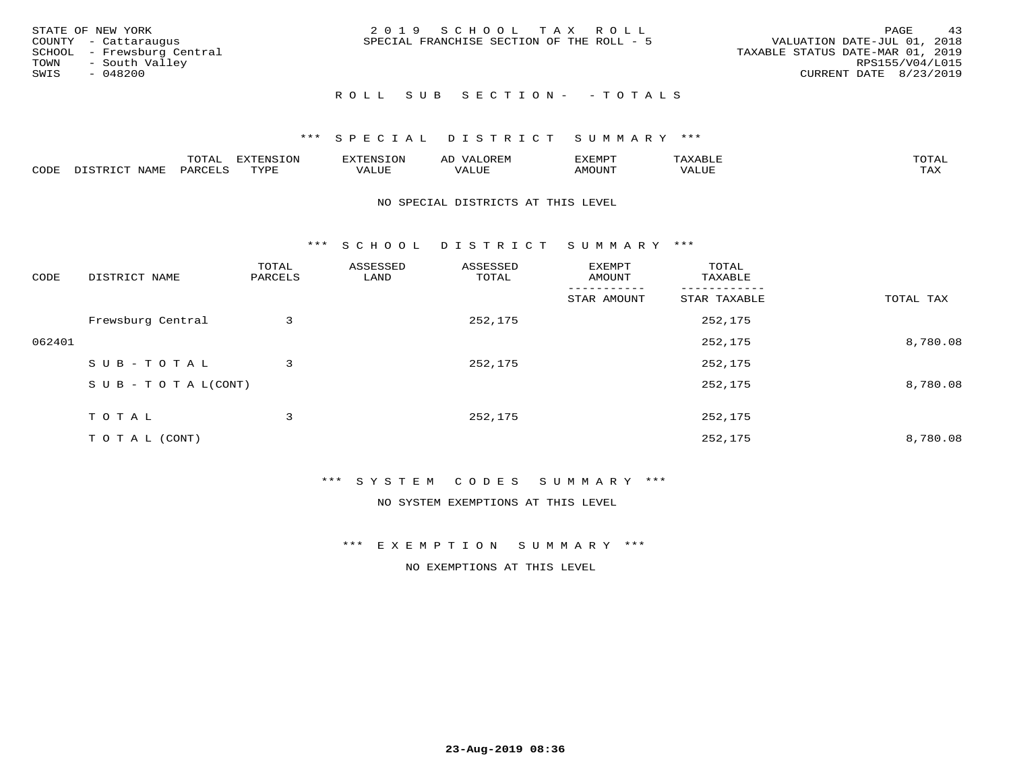| STATE OF NEW YORK<br>COUNTY - Cattaraugus<br>SCHOOL - Frewsburg Central<br>TOWN - South Valley<br>SWIS<br>- 048200 | 2019 SCHOOL TAX ROLL<br>SPECIAL FRANCHISE SECTION OF THE ROLL - 5 | 43<br>PAGE<br>VALUATION DATE-JUL 01, 2018<br>TAXABLE STATUS DATE-MAR 01, 2019<br>RPS155/V04/L015<br>CURRENT DATE 8/23/2019 |
|--------------------------------------------------------------------------------------------------------------------|-------------------------------------------------------------------|----------------------------------------------------------------------------------------------------------------------------|
|                                                                                                                    | ROLL SUB SECTION- - TOTALS                                        |                                                                                                                            |

|      |                      | ----<br><u>UIAI</u> | <b>FYTFNSION</b><br>- 75 | <b>FNC</b>     | ᅺᅜᄓ                      | SXEMPT | $\Delta$<br>.                  | $m \wedge m \wedge n$ |
|------|----------------------|---------------------|--------------------------|----------------|--------------------------|--------|--------------------------------|-----------------------|
| CODE | <b>NTAMT</b><br>⊥∙⊥⊥ | D.ODT.<br>PARL      | $m \tau \tau m$<br>.     | T T T<br>ALUF: | , <del>,</del> , , , , , | MOUN.  | , 77 T TT <del>D</del><br>ALUE | TAX                   |

### NO SPECIAL DISTRICTS AT THIS LEVEL

\*\*\* S C H O O L D I S T R I C T S U M M A R Y \*\*\*

| CODE   | DISTRICT NAME                    | TOTAL<br>PARCELS | ASSESSED<br>LAND | ASSESSED<br>TOTAL | EXEMPT<br>AMOUNT | TOTAL<br>TAXABLE |           |
|--------|----------------------------------|------------------|------------------|-------------------|------------------|------------------|-----------|
|        |                                  |                  |                  |                   | STAR AMOUNT      | STAR TAXABLE     | TOTAL TAX |
|        | Frewsburg Central                | 3                |                  | 252,175           |                  | 252,175          |           |
| 062401 |                                  |                  |                  |                   |                  | 252,175          | 8,780.08  |
|        | SUB-TOTAL                        | 3                |                  | 252,175           |                  | 252,175          |           |
|        | $S \cup B - T \cup T A L (CONT)$ |                  |                  |                   |                  | 252,175          | 8,780.08  |
|        | TOTAL                            | 3                |                  | 252,175           |                  | 252,175          |           |
|        | T O T A L (CONT)                 |                  |                  |                   |                  | 252,175          | 8,780.08  |

## \*\*\* S Y S T E M C O D E S S U M M A R Y \*\*\*

NO SYSTEM EXEMPTIONS AT THIS LEVEL

\*\*\* E X E M P T I O N S U M M A R Y \*\*\*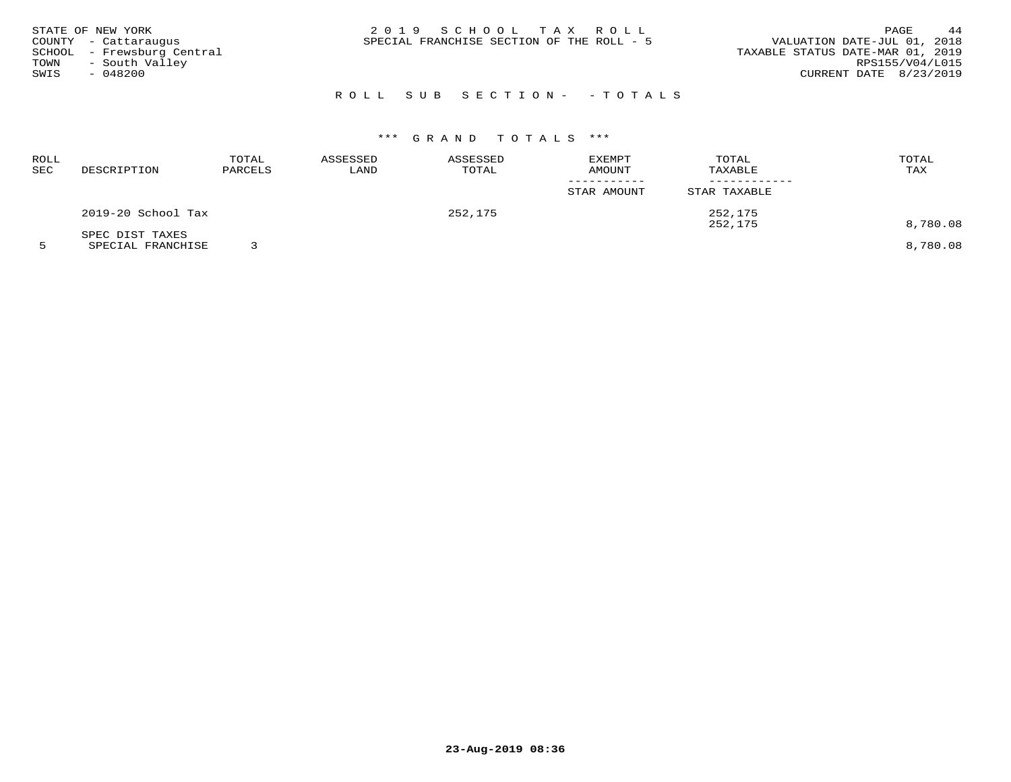| STATE OF NEW YORK<br>COUNTY - Cattaraugus<br>SCHOOL - Frewsburg Central<br>- South Valley<br>TOWN<br>SWIS<br>$-048200$ | 2019 SCHOOL TAX ROLL<br>SPECIAL FRANCHISE SECTION OF THE ROLL - 5 | 44<br>PAGE<br>VALUATION DATE-JUL 01, 2018<br>TAXABLE STATUS DATE-MAR 01, 2019<br>RPS155/V04/L015<br>CURRENT DATE 8/23/2019 |
|------------------------------------------------------------------------------------------------------------------------|-------------------------------------------------------------------|----------------------------------------------------------------------------------------------------------------------------|
|                                                                                                                        | ROLL SUB SECTION- - TOTALS                                        |                                                                                                                            |

| ROLL<br>SEC | DESCRIPTION                                                                                                                        | TOTAL<br>PARCELS | ASSESSED<br>LAND | ASSESSED<br>TOTAL | <b>EXEMPT</b><br><b>AMOUNT</b> | TOTAL<br>TAXABLE | TOTAL<br>TAX  |
|-------------|------------------------------------------------------------------------------------------------------------------------------------|------------------|------------------|-------------------|--------------------------------|------------------|---------------|
|             |                                                                                                                                    |                  |                  |                   | STAR AMOUNT                    | STAR TAXABLE     |               |
|             | 2019-20 School Tax                                                                                                                 |                  |                  | 252,175           |                                | 252,175          |               |
|             | SPEC DIST TAXES<br>the contract of the contract of the contract of the contract of the contract of the contract of the contract of | __               |                  |                   |                                | 252,175          | 8,780.08<br>. |

5 SPECIAL FRANCHISE 3 8,780.08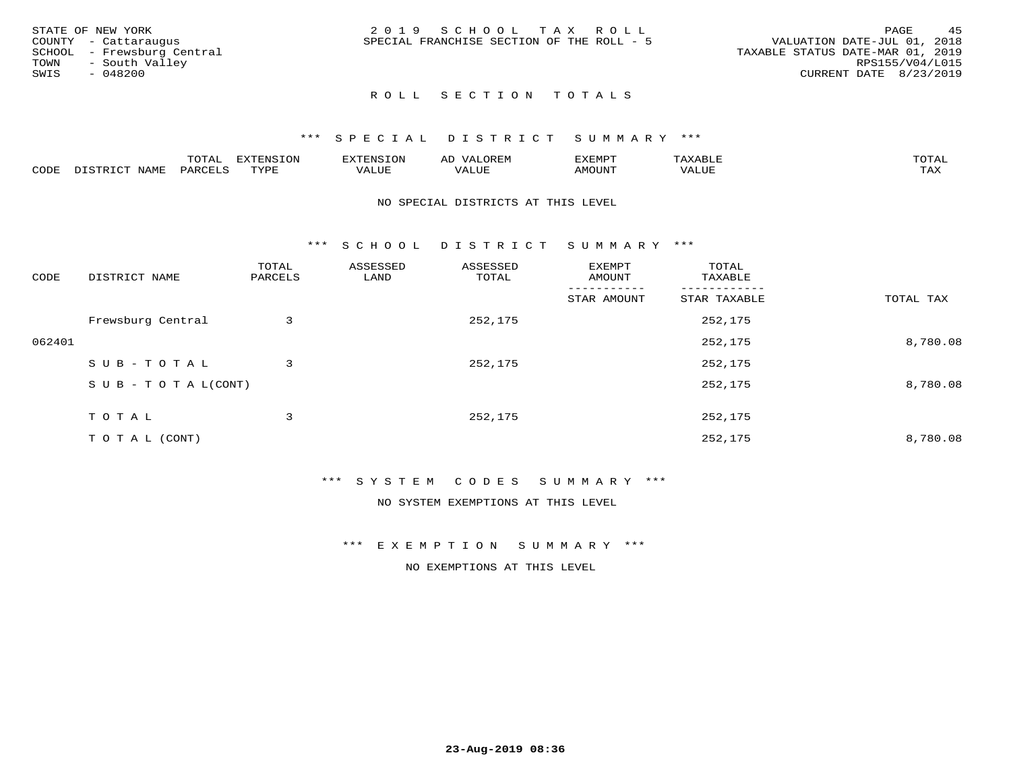|      | STATE OF NEW YORK          | 2019 SCHOOL TAX ROLL                                                     | PAGE                   | 4.5 |
|------|----------------------------|--------------------------------------------------------------------------|------------------------|-----|
|      | COUNTY - Cattaraugus       | VALUATION DATE-JUL 01, 2018<br>SPECIAL FRANCHISE SECTION OF THE ROLL - 5 |                        |     |
|      | SCHOOL - Frewsburg Central | TAXABLE STATUS DATE-MAR 01, 2019                                         |                        |     |
| TOWN | - South Valley             |                                                                          | RPS155/V04/L015        |     |
| SWIS | - 048200                   |                                                                          | CURRENT DATE 8/23/2019 |     |
|      |                            |                                                                          |                        |     |

# ROLL SECTION TOTALS

## \*\*\* S P E C I A L D I S T R I C T S U M M A R Y \*\*\*

|      |                     | $m \wedge m \wedge n$<br>TOIAL       | <b>ELIMINIC TONT</b><br>∸∪⊥∽ | --------<br>$\sim$ N $\sim$ | AD<br>.URLI"            | ,,, <del>,</del> ,,, <del>,</del><br>' ⊢<br>ل عه الديمان | .     | $m \wedge m \wedge n$<br>L'A I |
|------|---------------------|--------------------------------------|------------------------------|-----------------------------|-------------------------|----------------------------------------------------------|-------|--------------------------------|
| CODE | NAME<br><b>TRIV</b> | $\sim$ $\sim$ $\sim$ $\sim$<br>PARC. | TVDF                         | T T T<br>ALUF               | $- - - -$<br>تتلاب سلمہ | <b>IMOTTNT</b><br>YIUUN -                                | VALUE | $m \times r$<br>∸∽∸            |

### NO SPECIAL DISTRICTS AT THIS LEVEL

\*\*\* S C H O O L D I S T R I C T S U M M A R Y \*\*\*

| CODE   | DISTRICT NAME                    | TOTAL<br>PARCELS | ASSESSED<br>LAND | ASSESSED<br>TOTAL | EXEMPT<br>AMOUNT | TOTAL<br>TAXABLE |           |
|--------|----------------------------------|------------------|------------------|-------------------|------------------|------------------|-----------|
|        |                                  |                  |                  |                   | STAR AMOUNT      | STAR TAXABLE     | TOTAL TAX |
|        | Frewsburg Central                | 3                |                  | 252,175           |                  | 252,175          |           |
| 062401 |                                  |                  |                  |                   |                  | 252,175          | 8,780.08  |
|        | SUB-TOTAL                        | 3                |                  | 252,175           |                  | 252,175          |           |
|        | $S \cup B - T \cup T A L (CONT)$ |                  |                  |                   |                  | 252,175          | 8,780.08  |
|        | TOTAL                            | 3                |                  | 252,175           |                  | 252,175          |           |
|        | T O T A L (CONT)                 |                  |                  |                   |                  | 252,175          | 8,780.08  |

## \*\*\* S Y S T E M C O D E S S U M M A R Y \*\*\*

NO SYSTEM EXEMPTIONS AT THIS LEVEL

\*\*\* E X E M P T I O N S U M M A R Y \*\*\*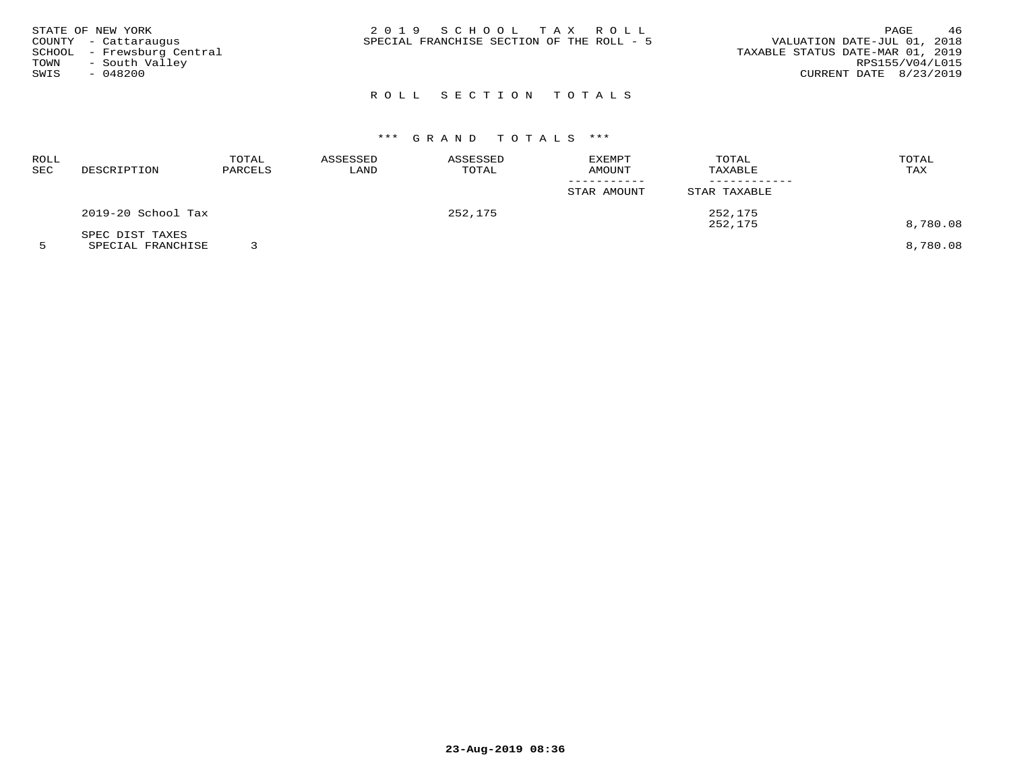| STATE OF NEW YORK<br>COUNTY - Cattaraugus<br>SCHOOL - Frewsburg Central<br>- South Valley<br>TOWN | 2019 SCHOOL TAX ROLL<br>SPECIAL FRANCHISE SECTION OF THE ROLL - 5 | 46<br>PAGE<br>VALUATION DATE-JUL 01, 2018<br>TAXABLE STATUS DATE-MAR 01, 2019<br>RPS155/V04/L015 |
|---------------------------------------------------------------------------------------------------|-------------------------------------------------------------------|--------------------------------------------------------------------------------------------------|
| SWIS<br>- 048200                                                                                  |                                                                   | CURRENT DATE 8/23/2019                                                                           |
|                                                                                                   |                                                                   |                                                                                                  |

# ROLL SECTION TOTALS

# \*\*\* G R A N D T O T A L S \*\*\*

| ROLL<br>SEC | DESCRIPTION        | TOTAL<br>PARCELS | ASSESSED<br>LAND | ASSESSED<br>TOTAL | EXEMPT<br>AMOUNT | TOTAL<br>TAXABLE   | TOTAL<br>TAX |
|-------------|--------------------|------------------|------------------|-------------------|------------------|--------------------|--------------|
|             |                    |                  |                  |                   | STAR AMOUNT      | STAR TAXABLE       |              |
|             | 2019-20 School Tax |                  |                  | 252,175           |                  | 252,175<br>252,175 | 8,780.08     |
|             | SPEC DIST TAXES    |                  |                  |                   |                  |                    |              |

5 SPECIAL FRANCHISE 3 8,780.08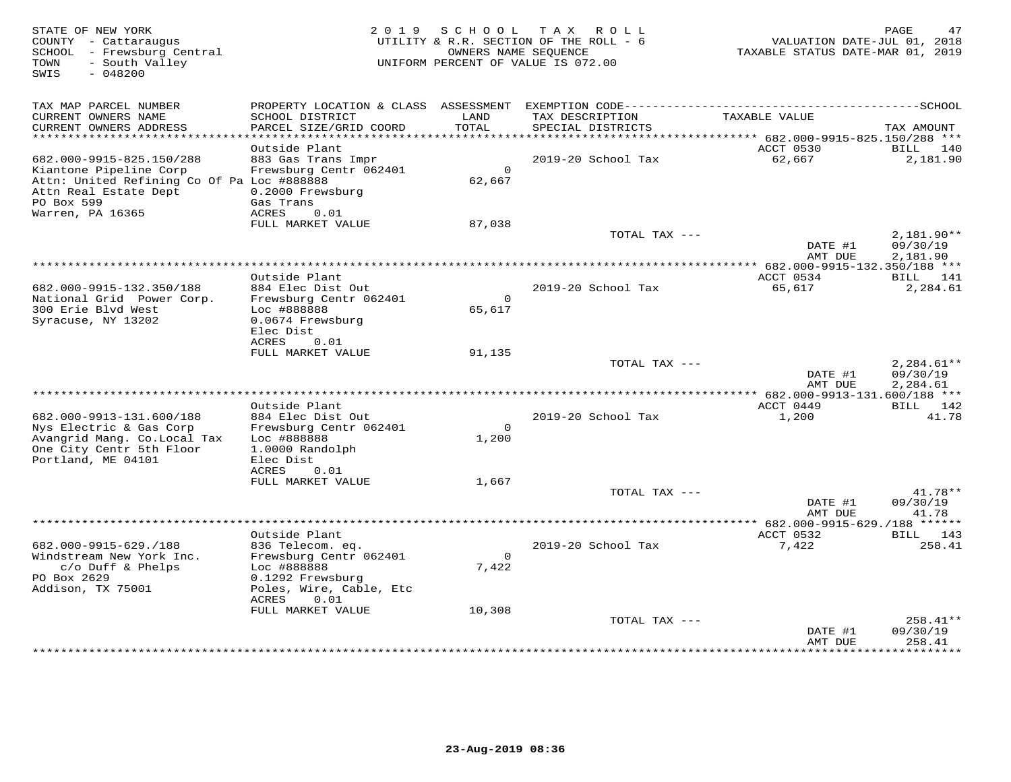| STATE OF NEW YORK<br>COUNTY - Cattaraugus<br>SCHOOL - Frewsburg Central<br>- South Valley<br>TOWN<br>SWIS<br>$-048200$          | 2019 SCHOOL TAX ROLL<br>UTILITY & R.R. SECTION OF THE ROLL - 6<br>UNIFORM PERCENT OF VALUE IS 072.00 | PAGE<br>47<br>VALUATION DATE-JUL 01, 2018<br>TAXABLE STATUS DATE-MAR 01, 2019 |                    |                                          |                                      |
|---------------------------------------------------------------------------------------------------------------------------------|------------------------------------------------------------------------------------------------------|-------------------------------------------------------------------------------|--------------------|------------------------------------------|--------------------------------------|
| TAX MAP PARCEL NUMBER<br>CURRENT OWNERS NAME                                                                                    | SCHOOL DISTRICT                                                                                      | LAND                                                                          | TAX DESCRIPTION    | TAXABLE VALUE                            |                                      |
| CURRENT OWNERS ADDRESS                                                                                                          | PARCEL SIZE/GRID COORD                                                                               | TOTAL                                                                         | SPECIAL DISTRICTS  |                                          | TAX AMOUNT                           |
| ***********************                                                                                                         |                                                                                                      |                                                                               |                    |                                          |                                      |
| 682.000-9915-825.150/288                                                                                                        | Outside Plant<br>883 Gas Trans Impr                                                                  |                                                                               | 2019-20 School Tax | ACCT 0530<br>62,667                      | BILL<br>140<br>2,181.90              |
| Kiantone Pipeline Corp<br>Attn: United Refining Co Of Pa Loc #888888<br>Attn Real Estate Dept<br>PO Box 599<br>Warren, PA 16365 | Frewsburg Centr 062401<br>0.2000 Frewsburg<br>Gas Trans<br><b>ACRES</b><br>0.01                      | $\circ$<br>62,667                                                             |                    |                                          |                                      |
|                                                                                                                                 | FULL MARKET VALUE                                                                                    | 87,038                                                                        |                    |                                          |                                      |
|                                                                                                                                 |                                                                                                      |                                                                               | TOTAL TAX ---      | DATE #1<br>AMT DUE                       | $2,181.90**$<br>09/30/19<br>2,181.90 |
|                                                                                                                                 |                                                                                                      |                                                                               |                    | *********** 682.000-9915-132.350/188 *** |                                      |
| 682.000-9915-132.350/188<br>National Grid Power Corp.                                                                           | Outside Plant<br>884 Elec Dist Out<br>Frewsburg Centr 062401                                         | $\Omega$                                                                      | 2019-20 School Tax | ACCT 0534<br>65,617                      | BILL 141<br>2,284.61                 |
| 300 Erie Blvd West<br>Syracuse, NY 13202                                                                                        | Loc #888888<br>0.0674 Frewsburg<br>Elec Dist<br>ACRES<br>0.01                                        | 65,617                                                                        |                    |                                          |                                      |
|                                                                                                                                 | FULL MARKET VALUE                                                                                    | 91,135                                                                        |                    |                                          |                                      |
|                                                                                                                                 |                                                                                                      |                                                                               | TOTAL TAX ---      | DATE #1<br>AMT DUE                       | $2,284.61**$<br>09/30/19<br>2,284.61 |
|                                                                                                                                 |                                                                                                      |                                                                               |                    | ** $682.000 - 9913 - 131.600 / 188$ ***  |                                      |
| 682.000-9913-131.600/188<br>Nys Electric & Gas Corp                                                                             | Outside Plant<br>884 Elec Dist Out<br>Frewsburg Centr 062401                                         | $\Omega$                                                                      | 2019-20 School Tax | ACCT 0449<br>1,200                       | BILL 142<br>41.78                    |
| Avangrid Mang. Co. Local Tax<br>One City Centr 5th Floor<br>Portland, ME 04101                                                  | Loc #888888<br>1.0000 Randolph<br>Elec Dist<br>ACRES<br>0.01                                         | 1,200                                                                         |                    |                                          |                                      |
|                                                                                                                                 | FULL MARKET VALUE                                                                                    | 1,667                                                                         | TOTAL TAX ---      |                                          | 41.78**                              |
|                                                                                                                                 |                                                                                                      |                                                                               |                    | DATE #1<br>AMT DUE                       | 09/30/19<br>41.78                    |
|                                                                                                                                 |                                                                                                      |                                                                               |                    |                                          |                                      |
| 682.000-9915-629./188                                                                                                           | Outside Plant                                                                                        |                                                                               | 2019-20 School Tax | ACCT 0532<br>7,422                       | BILL 143<br>258.41                   |
| Windstream New York Inc.<br>c/o Duff & Phelps                                                                                   | 836 Telecom. eq.<br>Frewsburg Centr 062401<br>Loc #888888                                            | $\Omega$<br>7,422                                                             |                    |                                          |                                      |
| PO Box 2629<br>Addison, TX 75001                                                                                                | 0.1292 Frewsburg<br>Poles, Wire, Cable, Etc<br>ACRES<br>0.01                                         |                                                                               |                    |                                          |                                      |
|                                                                                                                                 | FULL MARKET VALUE                                                                                    | 10,308                                                                        |                    |                                          |                                      |
|                                                                                                                                 |                                                                                                      |                                                                               | TOTAL TAX ---      | DATE #1<br>AMT DUE                       | $258.41**$<br>09/30/19<br>258.41     |
|                                                                                                                                 |                                                                                                      |                                                                               |                    |                                          | <b>++++++++</b>                      |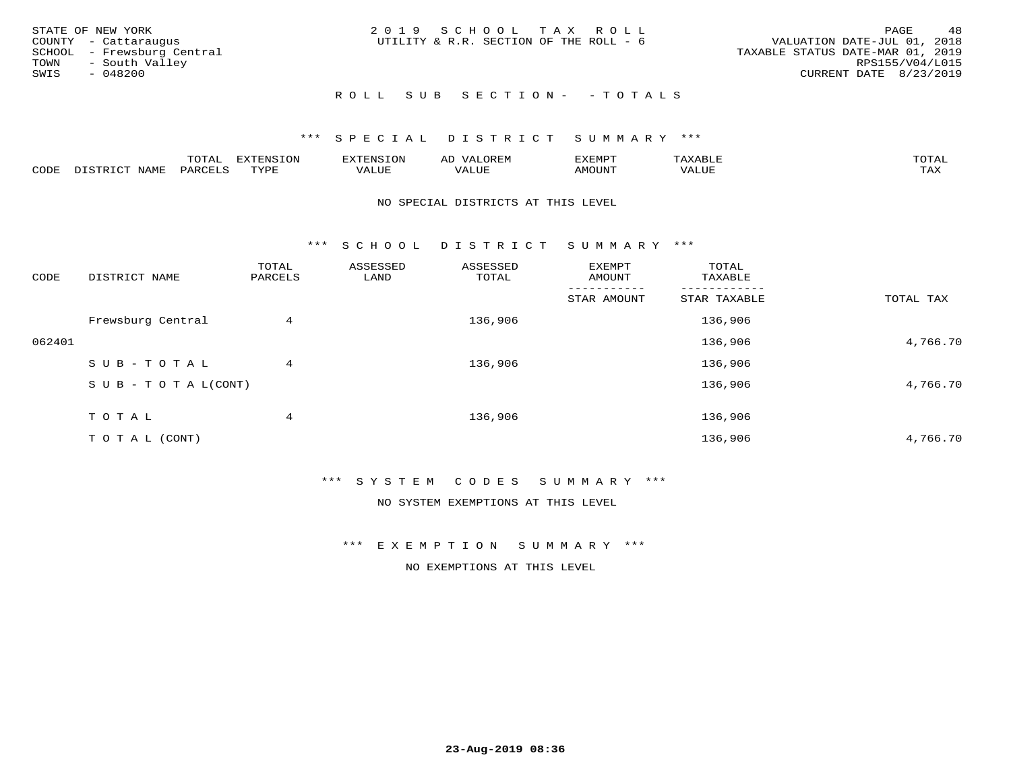| STATE OF NEW YORK<br>COUNTY - Cattaraugus<br>SCHOOL - Frewsburg Central<br>TOWN - South Valley<br>SWIS<br>- 048200 | 2019 SCHOOL TAX ROLL<br>UTILITY & R.R. SECTION OF THE ROLL - 6 | 48<br>PAGE<br>VALUATION DATE-JUL 01, 2018<br>TAXABLE STATUS DATE-MAR 01, 2019<br>RPS155/V04/L015<br>CURRENT DATE 8/23/2019 |
|--------------------------------------------------------------------------------------------------------------------|----------------------------------------------------------------|----------------------------------------------------------------------------------------------------------------------------|
|                                                                                                                    | ROLL SUB SECTION- - TOTALS                                     |                                                                                                                            |

|                  |              | $m \wedge m$ |      | FNT C                                   | AL                         | <u>'</u> XEMPT |       | $m \wedge m \wedge n$ |
|------------------|--------------|--------------|------|-----------------------------------------|----------------------------|----------------|-------|-----------------------|
| C <sub>CDI</sub> | $ -$<br>NAME | PARO         | TVDF | ,, , ,, <del>,</del><br>▵<br>۳۰ تابلد ک | , <del>,</del> , , , , , , | $\cdots$       | VALUE | $m \times r$<br>- −-  |

## NO SPECIAL DISTRICTS AT THIS LEVEL

\*\*\* S C H O O L D I S T R I C T S U M M A R Y \*\*\*

| CODE   | DISTRICT NAME                    | TOTAL<br>PARCELS | ASSESSED<br>LAND | ASSESSED<br>TOTAL | EXEMPT<br>AMOUNT | TOTAL<br>TAXABLE |           |
|--------|----------------------------------|------------------|------------------|-------------------|------------------|------------------|-----------|
|        |                                  |                  |                  |                   | STAR AMOUNT      | STAR TAXABLE     | TOTAL TAX |
|        | Frewsburg Central                | 4                |                  | 136,906           |                  | 136,906          |           |
| 062401 |                                  |                  |                  |                   |                  | 136,906          | 4,766.70  |
|        | SUB-TOTAL                        | 4                |                  | 136,906           |                  | 136,906          |           |
|        | $S \cup B - T \cup T A L (CONT)$ |                  |                  |                   |                  | 136,906          | 4,766.70  |
|        | T O T A L                        | 4                |                  | 136,906           |                  | 136,906          |           |
|        | T O T A L (CONT)                 |                  |                  |                   |                  | 136,906          | 4,766.70  |

# \*\*\* S Y S T E M C O D E S S U M M A R Y \*\*\*

NO SYSTEM EXEMPTIONS AT THIS LEVEL

\*\*\* E X E M P T I O N S U M M A R Y \*\*\*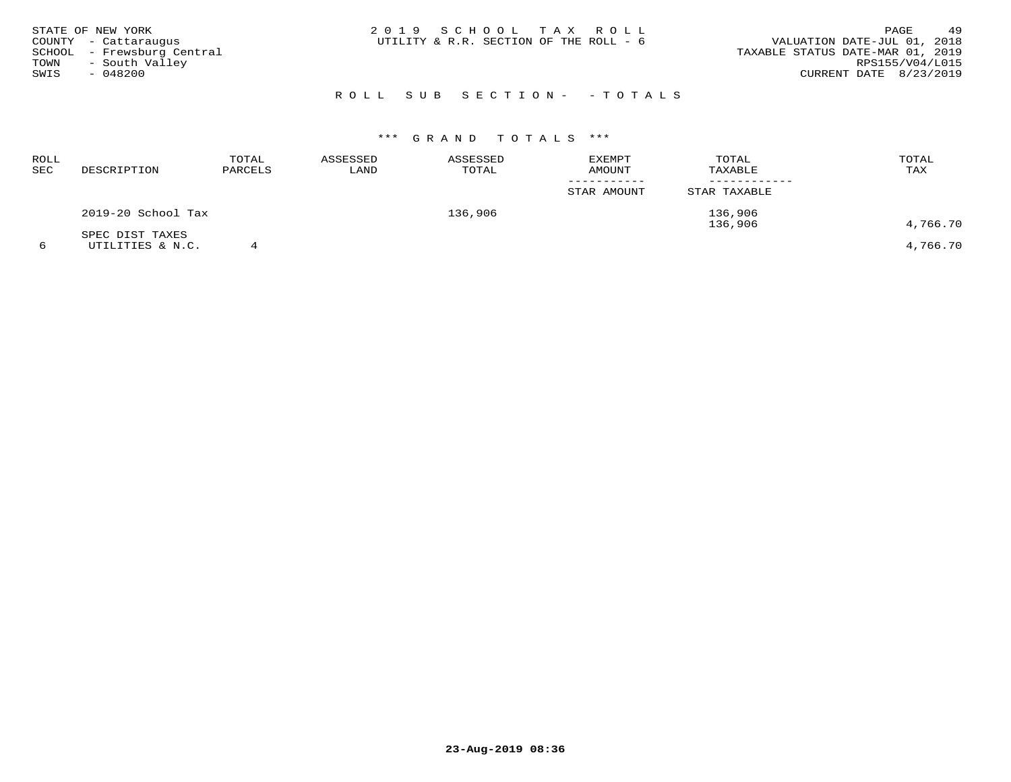|      | STATE OF NEW YORK          | 2019 SCHOOL TAX ROLL                                                  | 49<br>PAGE      |
|------|----------------------------|-----------------------------------------------------------------------|-----------------|
|      | COUNTY - Cattaraugus       | VALUATION DATE-JUL 01, 2018<br>UTILITY & R.R. SECTION OF THE ROLL - 6 |                 |
|      | SCHOOL - Frewsburg Central | TAXABLE STATUS DATE-MAR 01, 2019                                      |                 |
| TOWN | - South Valley             |                                                                       | RPS155/V04/L015 |
| SWIS | $-048200$                  | CURRENT DATE 8/23/2019                                                |                 |
|      |                            |                                                                       |                 |

# R O L L S U B S E C T I O N - - T O T A L S

| ROLL<br>SEC | DESCRIPTION                         | TOTAL<br>PARCELS | ASSESSED<br>LAND | ASSESSED<br>TOTAL | <b>EXEMPT</b><br>AMOUNT | TOTAL<br>TAXABLE   | TOTAL<br>TAX |
|-------------|-------------------------------------|------------------|------------------|-------------------|-------------------------|--------------------|--------------|
|             |                                     |                  |                  |                   | STAR AMOUNT             | STAR TAXABLE       |              |
|             | 2019-20 School Tax                  |                  |                  | 136,906           |                         | 136,906<br>136,906 | 4,766.70     |
|             | SPEC DIST TAXES<br>UTILITIES & N.C. |                  |                  |                   |                         |                    | 4,766.70     |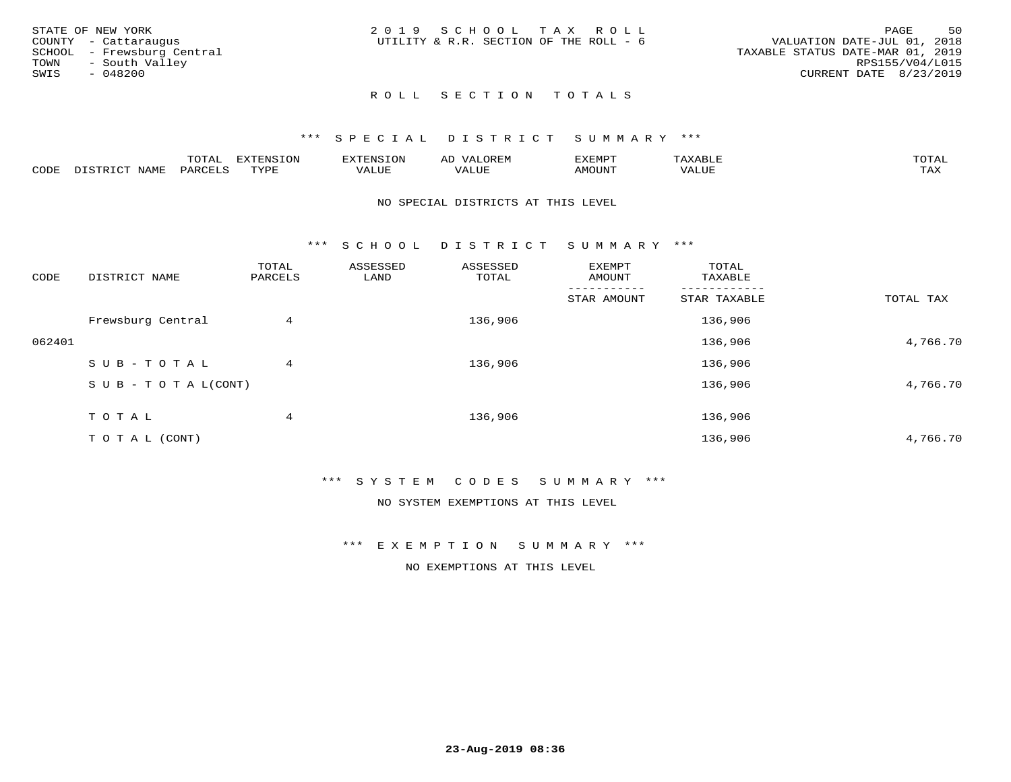| STATE OF NEW YORK<br>COUNTY - Cattaraugus<br>SCHOOL - Frewsburg Central<br>TOWN - South Valley<br>SWIS<br>- 048200 | 2019 SCHOOL TAX ROLL<br>UTILITY & R.R. SECTION OF THE ROLL - 6 | 50<br>PAGE<br>VALUATION DATE-JUL 01, 2018<br>TAXABLE STATUS DATE-MAR 01, 2019<br>RPS155/V04/L015<br>CURRENT DATE 8/23/2019 |
|--------------------------------------------------------------------------------------------------------------------|----------------------------------------------------------------|----------------------------------------------------------------------------------------------------------------------------|
|                                                                                                                    | ROLL SECTION TOTALS                                            |                                                                                                                            |

|      |             | ----           | : IN S | F.N.S         | ₩     | רסMד¥י |                       | momn |
|------|-------------|----------------|--------|---------------|-------|--------|-----------------------|------|
| CODE | <b>NAMP</b> | דהה מ<br>$H$ K | TVDF   | - ---<br>ALUE | 'ALUE | \MOUNT | TITT.<br>7 A.L<br>⊐∪r | TAX  |

### NO SPECIAL DISTRICTS AT THIS LEVEL

\*\*\* S C H O O L D I S T R I C T S U M M A R Y \*\*\*

| CODE   | DISTRICT NAME                    | TOTAL<br>PARCELS | ASSESSED<br>LAND | ASSESSED<br>TOTAL | <b>EXEMPT</b><br>AMOUNT | TOTAL<br>TAXABLE |           |
|--------|----------------------------------|------------------|------------------|-------------------|-------------------------|------------------|-----------|
|        |                                  |                  |                  |                   | STAR AMOUNT             | STAR TAXABLE     | TOTAL TAX |
|        | Frewsburg Central                | 4                |                  | 136,906           |                         | 136,906          |           |
| 062401 |                                  |                  |                  |                   |                         | 136,906          | 4,766.70  |
|        | SUB-TOTAL                        | 4                |                  | 136,906           |                         | 136,906          |           |
|        | $S \cup B - T \cup T A L (CONT)$ |                  |                  |                   |                         | 136,906          | 4,766.70  |
|        | TOTAL                            | 4                |                  | 136,906           |                         | 136,906          |           |
|        | T O T A L (CONT)                 |                  |                  |                   |                         | 136,906          | 4,766.70  |

\*\*\* S Y S T E M C O D E S S U M M A R Y \*\*\*

NO SYSTEM EXEMPTIONS AT THIS LEVEL

\*\*\* E X E M P T I O N S U M M A R Y \*\*\*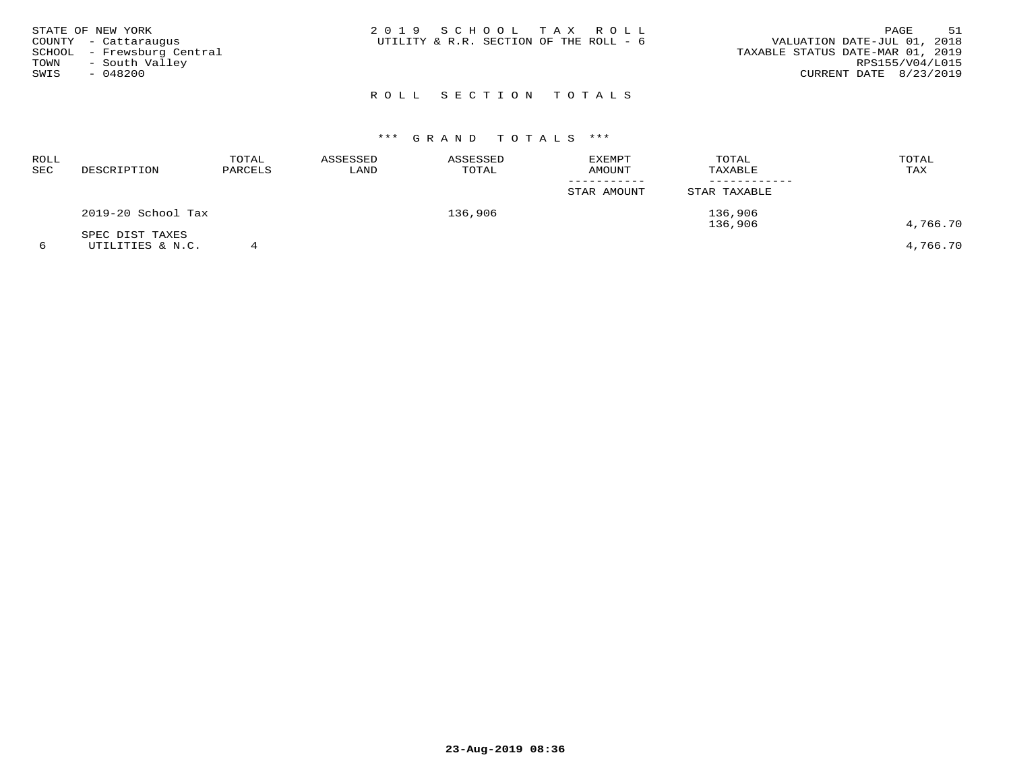| STATE OF NEW YORK<br>COUNTY - Cattaraugus<br>SCHOOL - Frewsburg Central<br>- South Valley<br>TOWN<br>SWIS<br>- 048200 | 2019 SCHOOL TAX ROLL<br>UTILITY & R.R. SECTION OF THE ROLL - 6 |  |  | VALUATION DATE-JUL 01, 2018<br>TAXABLE STATUS DATE-MAR 01, 2019<br>CURRENT DATE 8/23/2019 | RPS155/V04/L015 | PAGE | 51 |
|-----------------------------------------------------------------------------------------------------------------------|----------------------------------------------------------------|--|--|-------------------------------------------------------------------------------------------|-----------------|------|----|
|                                                                                                                       | ROLL SECTION TOTALS                                            |  |  |                                                                                           |                 |      |    |

| 4,766.70 |
|----------|
| 4,766.70 |
|          |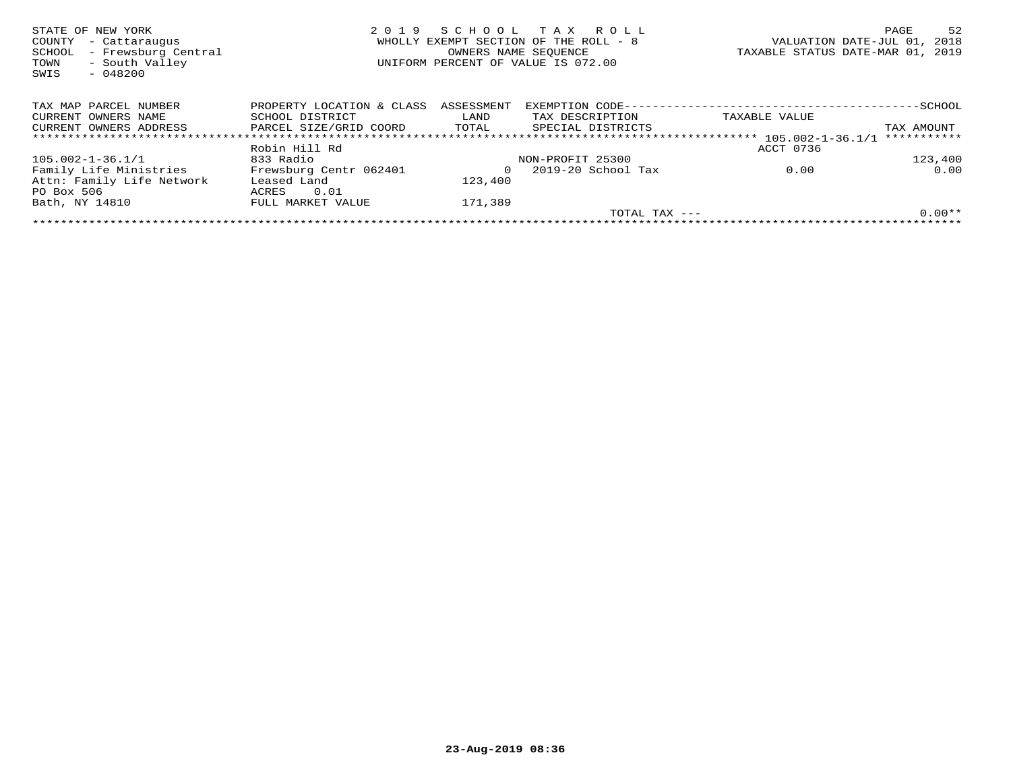| STATE OF NEW YORK<br>COUNTY<br>- Cattaraugus<br>- Frewsburg Central<br>SCHOOL<br>- South Valley<br>TOWN<br>SWIS<br>$-048200$ | 2019                      | S C H O O L<br>OWNERS NAME SEOUENCE | T A X<br>R O L L<br>WHOLLY EXEMPT SECTION OF THE ROLL - 8<br>UNIFORM PERCENT OF VALUE IS 072.00 |                     | 52<br>PAGE<br>VALUATION DATE-JUL 01,<br>2018<br>TAXABLE STATUS DATE-MAR 01, 2019 |
|------------------------------------------------------------------------------------------------------------------------------|---------------------------|-------------------------------------|-------------------------------------------------------------------------------------------------|---------------------|----------------------------------------------------------------------------------|
| TAX MAP PARCEL NUMBER                                                                                                        | PROPERTY LOCATION & CLASS | ASSESSMENT                          |                                                                                                 |                     |                                                                                  |
| CURRENT OWNERS NAME                                                                                                          | SCHOOL DISTRICT           | LAND                                | TAX DESCRIPTION                                                                                 | TAXABLE VALUE       |                                                                                  |
| CURRENT OWNERS ADDRESS                                                                                                       | PARCEL SIZE/GRID COORD    | TOTAL                               | SPECIAL DISTRICTS                                                                               |                     | TAX AMOUNT                                                                       |
|                                                                                                                              |                           |                                     |                                                                                                 |                     | ***********                                                                      |
|                                                                                                                              | Robin Hill Rd             |                                     |                                                                                                 | ACCT 0736           |                                                                                  |
| 105.002-1-36.1/1                                                                                                             | 833 Radio                 |                                     | NON-PROFIT 25300                                                                                |                     | 123,400                                                                          |
| Family Life Ministries                                                                                                       | Frewsburg Centr 062401    | $\Omega$                            | 2019-20 School Tax                                                                              | 0.00                | 0.00                                                                             |
| Attn: Family Life Network                                                                                                    | Leased Land               | 123,400                             |                                                                                                 |                     |                                                                                  |
| PO Box 506                                                                                                                   | 0.01<br>ACRES             |                                     |                                                                                                 |                     |                                                                                  |
| Bath, NY 14810                                                                                                               | FULL MARKET VALUE         | 171,389                             |                                                                                                 |                     |                                                                                  |
|                                                                                                                              |                           |                                     |                                                                                                 | $TOTAL$ $TAX$ $---$ | $0.00**$                                                                         |
|                                                                                                                              |                           |                                     |                                                                                                 |                     |                                                                                  |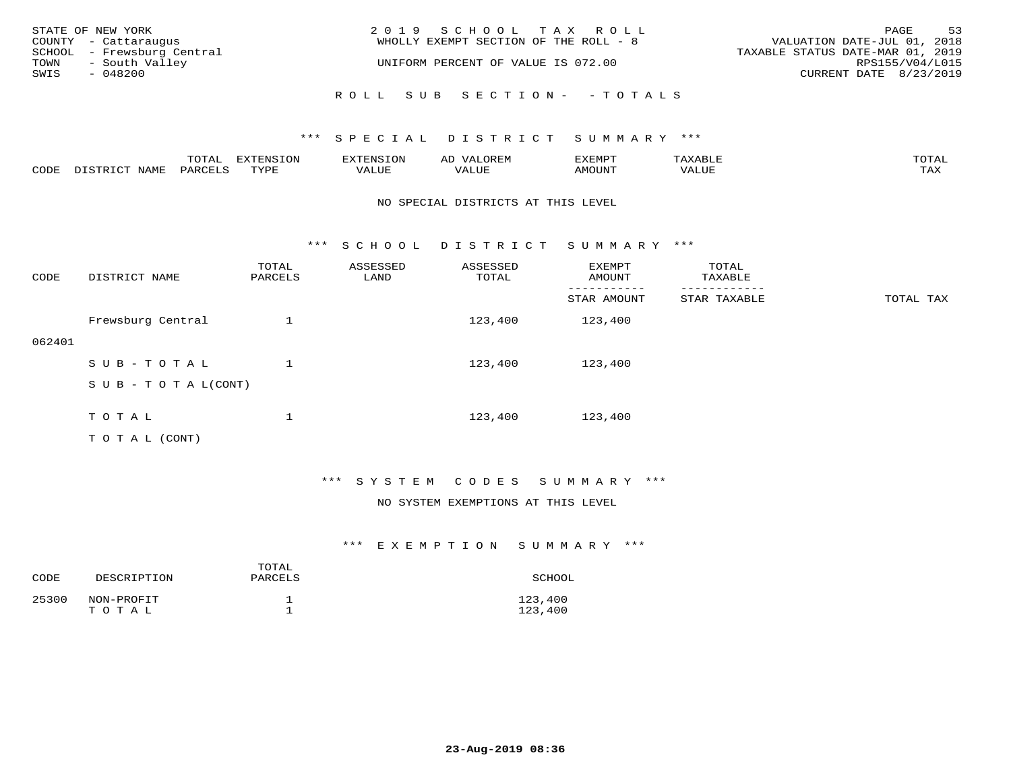|      | STATE OF NEW YORK          | 2019 SCHOOL TAX ROLL                  | PAGE                             | 53 |
|------|----------------------------|---------------------------------------|----------------------------------|----|
|      | COUNTY - Cattaraugus       | WHOLLY EXEMPT SECTION OF THE ROLL - 8 | VALUATION DATE-JUL 01, 2018      |    |
|      | SCHOOL - Frewsburg Central |                                       | TAXABLE STATUS DATE-MAR 01, 2019 |    |
| TOWN | - South Valley             | UNIFORM PERCENT OF VALUE IS 072.00    | RPS155/V04/L015                  |    |
| SWIS | - 048200                   |                                       | CURRENT DATE 8/23/2019           |    |
|      |                            | ROLL SUB SECTION- - TOTALS            |                                  |    |

|      |                  | TOTAL   | <b>DYMONIC TONT</b><br>7.NR TOIZ | 'ENS. | OREM<br>AL'             | דים איה צי | $x \sim$ $\sim$ | TOTAI |
|------|------------------|---------|----------------------------------|-------|-------------------------|------------|-----------------|-------|
| CODE | DISTRICT<br>NAME | PARCELS | TVDF<br>ت ہے۔                    | VALUE | . <del>.</del><br>VALUE | AMOUNT     | VALUE           | TAX   |

### NO SPECIAL DISTRICTS AT THIS LEVEL

\*\*\* S C H O O L D I S T R I C T S U M M A R Y \*\*\*

| CODE   | DISTRICT NAME                                                                                                   | TOTAL<br>PARCELS | ASSESSED<br>LAND | ASSESSED<br>TOTAL | <b>EXEMPT</b><br>AMOUNT | TOTAL<br>TAXABLE<br>-------- |           |
|--------|-----------------------------------------------------------------------------------------------------------------|------------------|------------------|-------------------|-------------------------|------------------------------|-----------|
|        |                                                                                                                 |                  |                  |                   | STAR AMOUNT             | STAR TAXABLE                 | TOTAL TAX |
|        | Frewsburg Central                                                                                               |                  |                  | 123,400           | 123,400                 |                              |           |
| 062401 |                                                                                                                 |                  |                  |                   |                         |                              |           |
|        | SUB-TOTAL                                                                                                       |                  |                  | 123,400           | 123,400                 |                              |           |
|        | $S \cup B - T \cup T A L (CONT)$                                                                                |                  |                  |                   |                         |                              |           |
|        |                                                                                                                 |                  |                  |                   |                         |                              |           |
|        | TOTAL                                                                                                           |                  |                  | 123,400           | 123,400                 |                              |           |
|        | the contract of the contract of the contract of the contract of the contract of the contract of the contract of |                  |                  |                   |                         |                              |           |

T O T A L (CONT)

## \*\*\* S Y S T E M C O D E S S U M M A R Y \*\*\*

## NO SYSTEM EXEMPTIONS AT THIS LEVEL

| CODE  | DESCRIPTION         | TOTAL<br>PARCELS | SCHOOL             |
|-------|---------------------|------------------|--------------------|
| 25300 | NON-PROFIT<br>TOTAL |                  | 123,400<br>123,400 |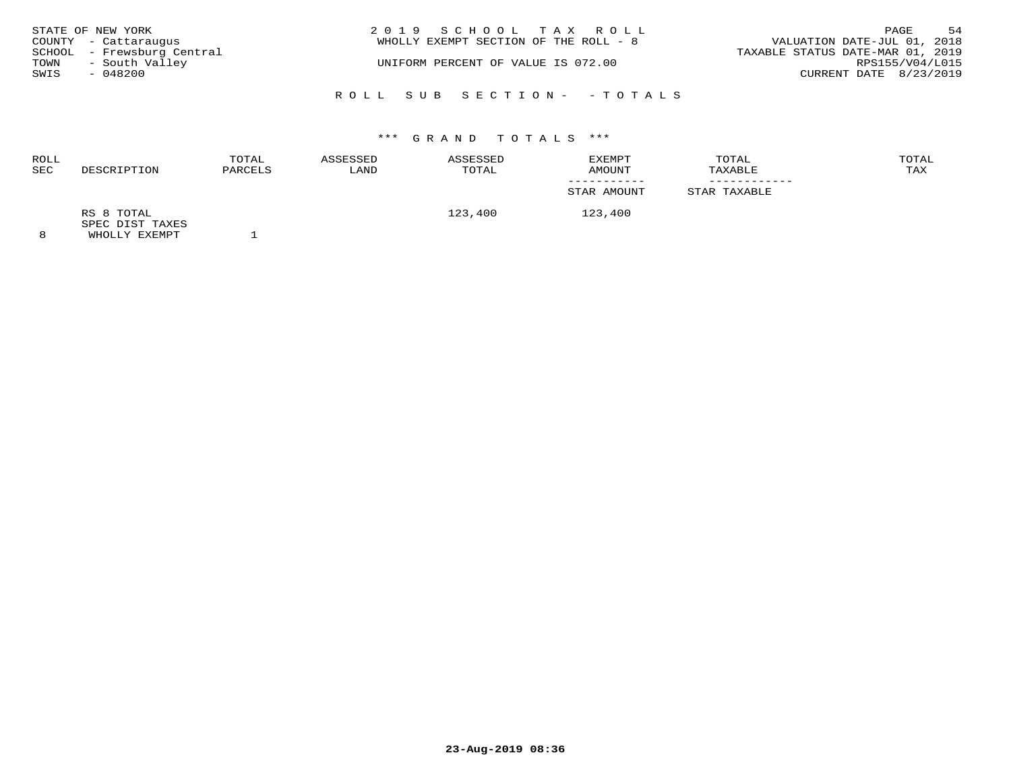| STATE OF NEW YORK                                  | 2019 SCHOOL TAX ROLL<br>WHOLLY EXEMPT SECTION OF THE ROLL - 8 | 54<br>PAGE<br>VALUATION DATE-JUL 01, 2018 |
|----------------------------------------------------|---------------------------------------------------------------|-------------------------------------------|
| COUNTY - Cattaraugus<br>SCHOOL - Frewsburg Central |                                                               | TAXABLE STATUS DATE-MAR 01, 2019          |
| - South Valley<br>TOWN<br>SWIS<br>- 048200         | UNIFORM PERCENT OF VALUE IS 072.00                            | RPS155/V04/L015<br>CURRENT DATE 8/23/2019 |
|                                                    | ROLL SUB SECTION- - TOTALS                                    |                                           |

| ROLL<br>SEC | DESCRIPTION                                    | TOTAL<br>PARCELS | ASSESSED<br>LAND | ASSESSED<br>TOTAL | EXEMPT<br>AMOUNT | TOTAL<br>TAXABLE | TOTAL<br>TAX |
|-------------|------------------------------------------------|------------------|------------------|-------------------|------------------|------------------|--------------|
|             |                                                |                  |                  |                   | STAR AMOUNT      | STAR TAXABLE     |              |
| 8           | RS 8 TOTAL<br>SPEC DIST TAXES<br>WHOLLY EXEMPT |                  |                  | 123,400           | 123,400          |                  |              |

**23-Aug-2019 08:36**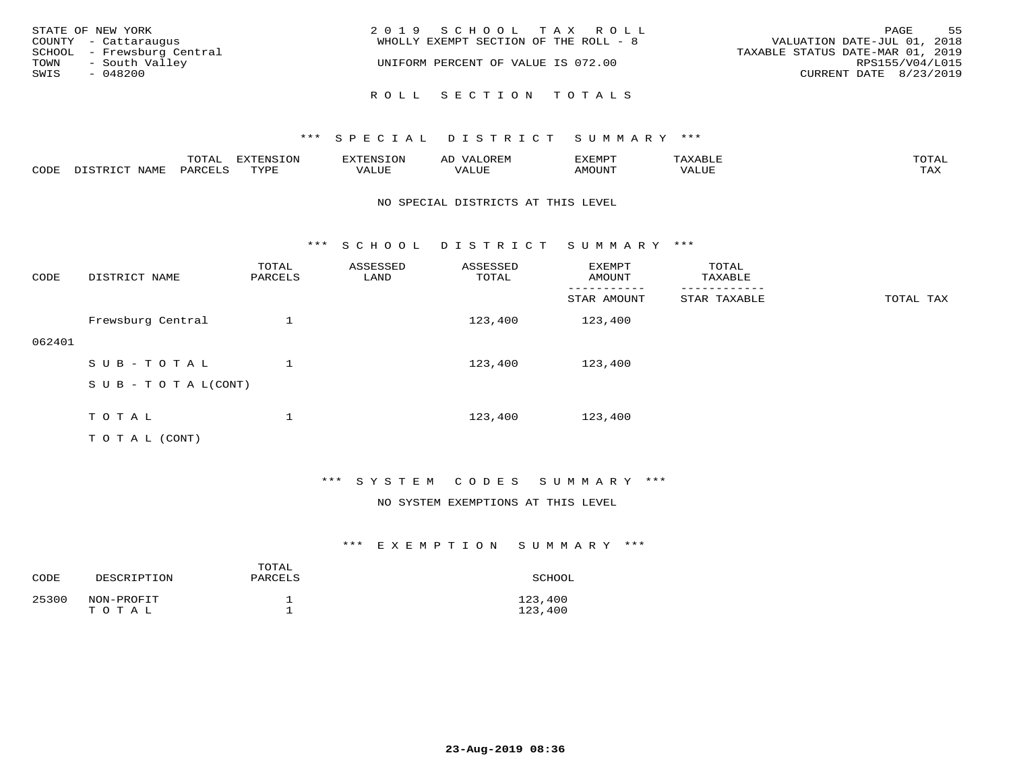| STATE OF NEW YORK<br>COUNTY - Cattaraugus<br>SCHOOL - Frewsburg Central<br>TOWN<br>- South Valley | 2019 SCHOOL TAX ROLL<br>WHOLLY EXEMPT SECTION OF THE ROLL - 8<br>UNIFORM PERCENT OF VALUE IS 072.00 | 55<br>PAGE<br>VALUATION DATE-JUL 01, 2018<br>TAXABLE STATUS DATE-MAR 01, 2019<br>RPS155/V04/L015 |
|---------------------------------------------------------------------------------------------------|-----------------------------------------------------------------------------------------------------|--------------------------------------------------------------------------------------------------|
| SWIS<br>- 048200                                                                                  | ROLL SECTION TOTALS                                                                                 | CURRENT DATE 8/23/2019                                                                           |

|      |      | $m \wedge m \wedge n$<br>⊥∪⊥AL | <b>DIZPOILIC TONT</b><br>⊥ບ⊥ | EN-  | .<br>AL'<br>٠، تن ١٠ | 5773570      |          | $m \wedge m \wedge n$<br>$\mathsf{L}^{\mathsf{L}}$ |
|------|------|--------------------------------|------------------------------|------|----------------------|--------------|----------|----------------------------------------------------|
| CODE | NAMF | PARO                           | TVDF<br><u>ـ د د</u>         | ALUE |                      | <b>MOUNT</b> | 7 A LU B | may<br>- ∠∡∡                                       |

## NO SPECIAL DISTRICTS AT THIS LEVEL

\*\*\* S C H O O L D I S T R I C T S U M M A R Y \*\*\*

| CODE   | DISTRICT NAME                                                                                                   | TOTAL<br>PARCELS | ASSESSED<br>LAND | ASSESSED<br>TOTAL | EXEMPT<br>AMOUNT | TOTAL<br>TAXABLE |           |
|--------|-----------------------------------------------------------------------------------------------------------------|------------------|------------------|-------------------|------------------|------------------|-----------|
|        |                                                                                                                 |                  |                  |                   | STAR AMOUNT      | STAR TAXABLE     | TOTAL TAX |
|        | Frewsburg Central                                                                                               |                  |                  | 123,400           | 123,400          |                  |           |
| 062401 |                                                                                                                 |                  |                  |                   |                  |                  |           |
|        | SUB-TOTAL                                                                                                       |                  |                  | 123,400           | 123,400          |                  |           |
|        | $S \cup B - T \cup T A L (CONT)$                                                                                |                  |                  |                   |                  |                  |           |
|        |                                                                                                                 |                  |                  |                   |                  |                  |           |
|        | TOTAL                                                                                                           |                  |                  | 123,400           | 123,400          |                  |           |
|        | the contract of the contract of the contract of the contract of the contract of the contract of the contract of |                  |                  |                   |                  |                  |           |

T O T A L (CONT)

## \*\*\* S Y S T E M C O D E S S U M M A R Y \*\*\*

## NO SYSTEM EXEMPTIONS AT THIS LEVEL

| CODE  | DESCRIPTION         | TOTAL<br>PARCELS | SCHOOL             |
|-------|---------------------|------------------|--------------------|
| 25300 | NON-PROFIT<br>TOTAL |                  | 123,400<br>123,400 |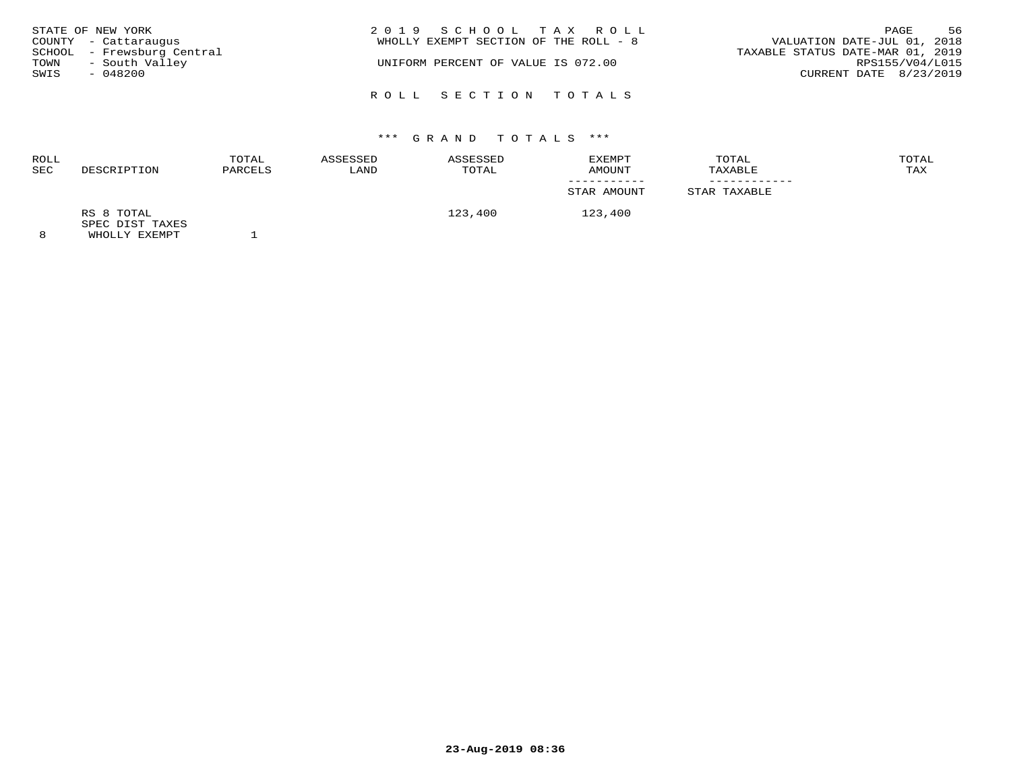| STATE OF NEW YORK<br>COUNTY - Cattaraugus<br>SCHOOL - Frewsburg Central<br>- South Valley<br>TOWN<br>SWIS<br>- 048200 | 2019 SCHOOL TAX ROLL<br>WHOLLY EXEMPT SECTION OF THE ROLL - 8<br>UNIFORM PERCENT OF VALUE IS 072.00 | 56<br>PAGE<br>VALUATION DATE-JUL 01, 2018<br>TAXABLE STATUS DATE-MAR 01, 2019<br>RPS155/V04/L015<br>CURRENT DATE 8/23/2019 |
|-----------------------------------------------------------------------------------------------------------------------|-----------------------------------------------------------------------------------------------------|----------------------------------------------------------------------------------------------------------------------------|
|                                                                                                                       | ROLL SECTION TOTALS                                                                                 |                                                                                                                            |

| <b>ROLL</b><br><b>SEC</b> | DESCRIPTION                   | TOTAL<br>PARCELS | ASSESSED<br>LAND | ASSESSED<br>TOTAL | EXEMPT<br>AMOUNT | TOTAL<br>TAXABLE | TOTAL<br>TAX |
|---------------------------|-------------------------------|------------------|------------------|-------------------|------------------|------------------|--------------|
|                           |                               |                  |                  |                   |                  |                  |              |
|                           |                               |                  |                  |                   | STAR AMOUNT      | STAR TAXABLE     |              |
|                           | RS 8 TOTAL<br>SPEC DIST TAXES |                  |                  | 123,400           | 123,400          |                  |              |
| $\circ$                   | <b>WILOT IV RYBMDT</b>        |                  |                  |                   |                  |                  |              |

8 WHOLLY EXEMPT 1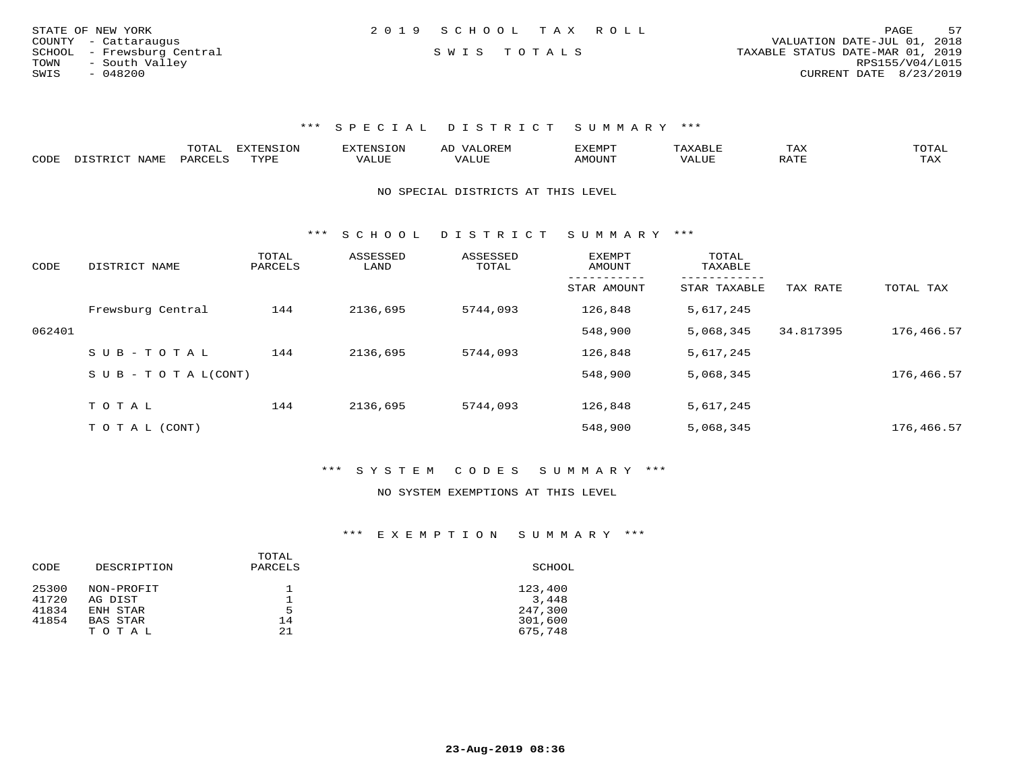| STATE OF NEW YORK          | 2019 SCHOOL TAX ROLL | 57<br>PAGE                       |
|----------------------------|----------------------|----------------------------------|
| COUNTY - Cattaraugus       |                      | VALUATION DATE-JUL 01, 2018      |
| SCHOOL - Frewsburg Central | SWIS TOTALS          | TAXABLE STATUS DATE-MAR 01, 2019 |
| TOWN<br>- South Valley     |                      | RPS155/V04/L015                  |
| $-048200$<br>SWIS          |                      | CURRENT DATE 8/23/2019           |

|      | ----<br>. U 1 1 1 1 | $mmzeta \tau \wedge z$<br><b>A</b> | ▵ | <b>EMP</b> | t Land               | _____ |
|------|---------------------|------------------------------------|---|------------|----------------------|-------|
| CODE |                     | $n \tau \tau n \tau$               |   | MOTIN.     | $\sim$ $\sim$ $\sim$ |       |

NO SPECIAL DISTRICTS AT THIS LEVEL

\*\*\* S C H O O L D I S T R I C T S U M M A R Y \*\*\*

| CODE   | DISTRICT NAME              | TOTAL<br>PARCELS | ASSESSED<br>LAND | ASSESSED<br>TOTAL | EXEMPT<br>AMOUNT | TOTAL<br>TAXABLE |           |            |
|--------|----------------------------|------------------|------------------|-------------------|------------------|------------------|-----------|------------|
|        |                            |                  |                  |                   | STAR AMOUNT      | STAR TAXABLE     | TAX RATE  | TOTAL TAX  |
|        | Frewsburg Central          | 144              | 2136,695         | 5744,093          | 126,848          | 5,617,245        |           |            |
| 062401 |                            |                  |                  |                   | 548,900          | 5,068,345        | 34.817395 | 176,466.57 |
|        | $SUB - TO TAL$             | 144              | 2136,695         | 5744,093          | 126,848          | 5,617,245        |           |            |
|        | S U B - T O T A $L$ (CONT) |                  |                  |                   | 548,900          | 5,068,345        |           | 176,466.57 |
|        |                            |                  |                  |                   |                  |                  |           |            |
|        | TOTAL                      | 144              | 2136,695         | 5744,093          | 126,848          | 5,617,245        |           |            |
|        | T O T A L (CONT)           |                  |                  |                   | 548,900          | 5,068,345        |           | 176,466.57 |

\*\*\* S Y S T E M C O D E S S U M M A R Y \*\*\*

### NO SYSTEM EXEMPTIONS AT THIS LEVEL

| DESCRIPTION | TOTAL<br>PARCELS | SCHOOL  |
|-------------|------------------|---------|
| NON-PROFIT  |                  | 123,400 |
| AG DIST     |                  | 3,448   |
| ENH STAR    | 5                | 247,300 |
| BAS STAR    | 14               | 301,600 |
| TOTAL       | 21               | 675,748 |
|             |                  |         |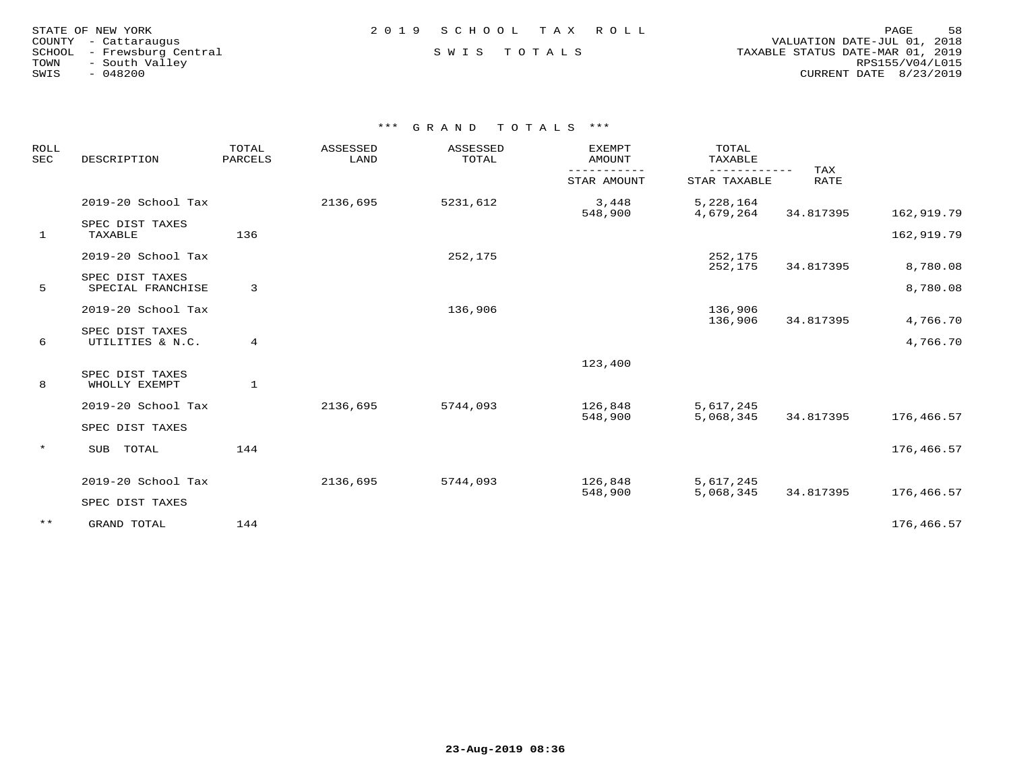| STATE OF NEW YORK    |           |                |                     |
|----------------------|-----------|----------------|---------------------|
| COUNTY - Cattaraugus |           |                |                     |
| SCHOOL               |           |                | - Frewsburg Central |
| TOWN                 |           | - South Valley |                     |
| SWIS                 | $-048200$ |                |                     |
|                      |           |                |                     |

# STATE OF NEW YORK 2 0 1 9 S C H O O L T A X R O L L PAGE 58

## SWIS TOTALS

 COUNTY - Cattaraugus VALUATION DATE-JUL 01, 2018 TOWN - South Valley RPS155/V04/L015SWIS - 048200 CURRENT DATE 8/23/2019

| ROLL<br><b>SEC</b> | DESCRIPTION                          | TOTAL<br>PARCELS | ASSESSED<br>LAND | ASSESSED<br>TOTAL | <b>EXEMPT</b><br><b>AMOUNT</b> | TOTAL<br>TAXABLE       |                    |            |
|--------------------|--------------------------------------|------------------|------------------|-------------------|--------------------------------|------------------------|--------------------|------------|
|                    |                                      |                  |                  |                   | STAR AMOUNT                    | STAR TAXABLE           | TAX<br><b>RATE</b> |            |
|                    | 2019-20 School Tax                   |                  | 2136,695         | 5231,612          | 3,448<br>548,900               | 5,228,164<br>4,679,264 | 34.817395          | 162,919.79 |
| $\mathbf{1}$       | SPEC DIST TAXES<br>TAXABLE           | 136              |                  |                   |                                |                        |                    | 162,919.79 |
|                    | 2019-20 School Tax                   |                  |                  | 252,175           |                                | 252,175<br>252,175     | 34.817395          | 8,780.08   |
| 5                  | SPEC DIST TAXES<br>SPECIAL FRANCHISE | 3                |                  |                   |                                |                        |                    | 8,780.08   |
|                    | 2019-20 School Tax                   |                  |                  | 136,906           |                                | 136,906<br>136,906     | 34.817395          | 4,766.70   |
| 6                  | SPEC DIST TAXES<br>UTILITIES & N.C.  | 4                |                  |                   |                                |                        |                    | 4,766.70   |
|                    |                                      |                  |                  |                   | 123,400                        |                        |                    |            |
| 8                  | SPEC DIST TAXES<br>WHOLLY EXEMPT     | $\mathbf{1}$     |                  |                   |                                |                        |                    |            |
|                    | 2019-20 School Tax                   |                  | 2136,695         | 5744,093          | 126,848<br>548,900             | 5,617,245<br>5,068,345 | 34.817395          | 176,466.57 |
|                    | SPEC DIST TAXES                      |                  |                  |                   |                                |                        |                    |            |
| $\star$            | SUB TOTAL                            | 144              |                  |                   |                                |                        |                    | 176,466.57 |
|                    | 2019-20 School Tax                   |                  | 2136,695         | 5744,093          | 126,848<br>548,900             | 5,617,245<br>5,068,345 | 34.817395          | 176,466.57 |
|                    | SPEC DIST TAXES                      |                  |                  |                   |                                |                        |                    |            |
| $***$              | GRAND TOTAL                          | 144              |                  |                   |                                |                        |                    | 176,466.57 |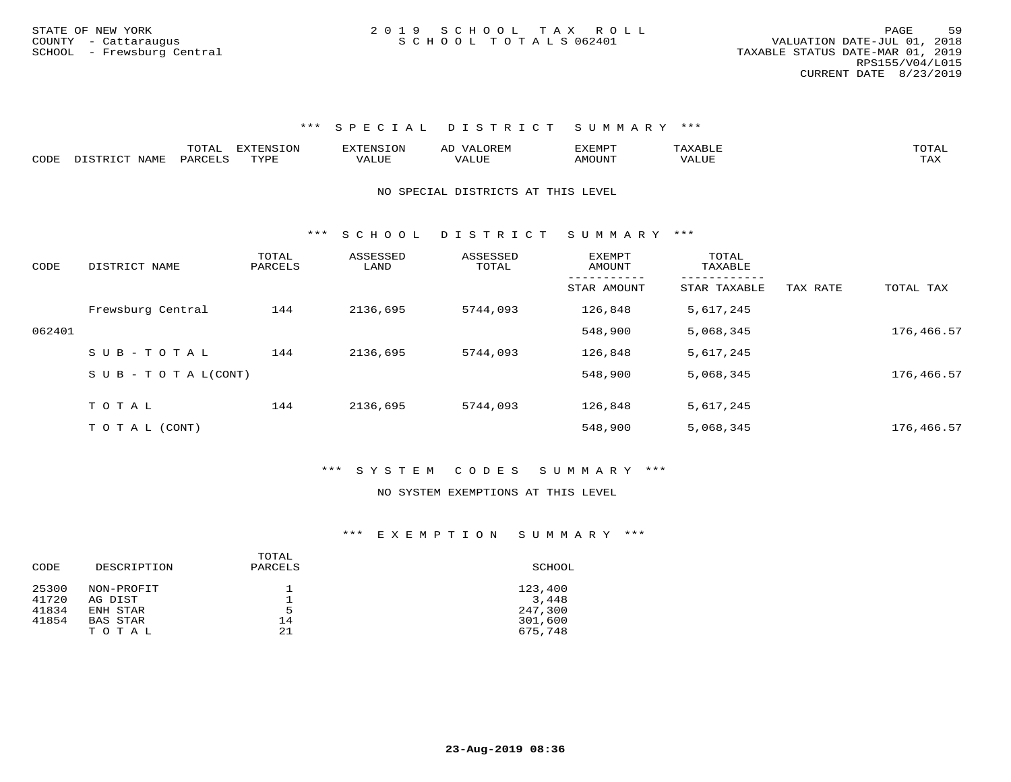|      |                 | . U 1 1 1 1 | EXTENSION | $117$ mm $1707070$ | $\rightarrow$ | . X F.M.F     |       | TOTAI |
|------|-----------------|-------------|-----------|--------------------|---------------|---------------|-------|-------|
| CODE | √JAMF<br>$   -$ | DAR (       | TVDI      |                    | 'ALU.         | <b>MOTTNT</b> | VALUE |       |

### NO SPECIAL DISTRICTS AT THIS LEVEL

\*\*\* S C H O O L D I S T R I C T S U M M A R Y \*\*\*

| CODE   | DISTRICT NAME                    | TOTAL<br>PARCELS | ASSESSED<br>LAND | ASSESSED<br>TOTAL | <b>EXEMPT</b><br>AMOUNT | TOTAL<br>TAXABLE |          |            |
|--------|----------------------------------|------------------|------------------|-------------------|-------------------------|------------------|----------|------------|
|        |                                  |                  |                  |                   | STAR AMOUNT             | STAR TAXABLE     | TAX RATE | TOTAL TAX  |
|        | Frewsburg Central                | 144              | 2136,695         | 5744,093          | 126,848                 | 5,617,245        |          |            |
| 062401 |                                  |                  |                  |                   | 548,900                 | 5,068,345        |          | 176,466.57 |
|        | SUB-TOTAL                        | 144              | 2136,695         | 5744,093          | 126,848                 | 5,617,245        |          |            |
|        | $S \cup B - T \cup T A L (CONT)$ |                  |                  |                   | 548,900                 | 5,068,345        |          | 176,466.57 |
|        |                                  |                  |                  |                   |                         |                  |          |            |
|        | TOTAL                            | 144              | 2136,695         | 5744,093          | 126,848                 | 5,617,245        |          |            |
|        | T O T A L (CONT)                 |                  |                  |                   | 548,900                 | 5,068,345        |          | 176,466.57 |

## \*\*\* S Y S T E M C O D E S S U M M A R Y \*\*\*

### NO SYSTEM EXEMPTIONS AT THIS LEVEL

| CODE  | DESCRIPTION | TOTAL<br>PARCELS | SCHOOL  |
|-------|-------------|------------------|---------|
| 25300 | NON-PROFIT  |                  | 123,400 |
| 41720 | AG DIST     |                  | 3,448   |
| 41834 | ENH STAR    | 5                | 247,300 |
| 41854 | BAS STAR    | 14               | 301,600 |
|       | TOTAL       | 21               | 675,748 |
|       |             |                  |         |